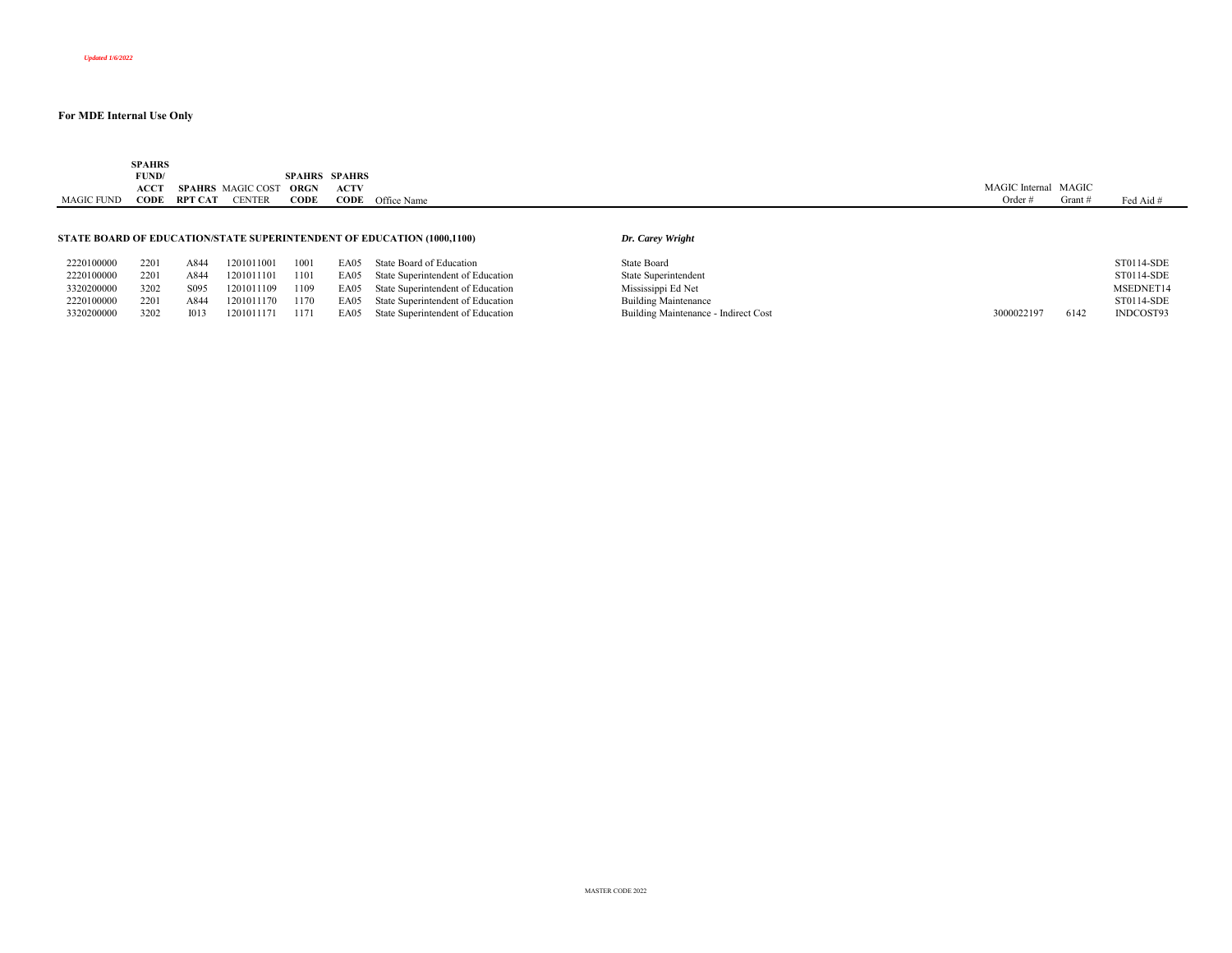|                   | <b>SPAHRS</b><br>the contract of the contract of the |                   |               |                      |             |             |                      |         |           |
|-------------------|------------------------------------------------------|-------------------|---------------|----------------------|-------------|-------------|----------------------|---------|-----------|
|                   | FUND/                                                |                   |               | <b>SPAHRS SPAHRS</b> |             |             |                      |         |           |
|                   | ACCT                                                 | SPAHRS MAGIC COST |               | ORGN                 | <b>ACTV</b> |             | MAGIC Internal MAGIC |         |           |
| <b>MAGIC FUND</b> | CODE                                                 | <b>RPT CAT</b>    | <b>CENTER</b> | <b>CODE</b>          | CODE        | Office Name | Order #              | Grant / | Fed Aid # |
|                   |                                                      |                   |               |                      |             |             |                      |         |           |
|                   |                                                      |                   |               |                      |             |             |                      |         |           |

#### **STATE BOARD OF EDUCATION/STATE SUPERINTENDENT OF EDUCATION (1000,1100)**

|  | Dr. Carey Wright |  |  |
|--|------------------|--|--|
|--|------------------|--|--|

| 2220100000 | 2201 | A844             | 201011001  | 1001 | EA05 | State Board of Education          | State Board                          |            |      | ST0114-SDE |
|------------|------|------------------|------------|------|------|-----------------------------------|--------------------------------------|------------|------|------------|
| 2220100000 | 2201 | A844             | 201011101  | 1101 | EA05 | State Superintendent of Education | State Superintendent                 |            |      | ST0114-SDE |
| 3320200000 | 3202 | S <sub>095</sub> | 1201011109 | 1109 | EA05 | State Superintendent of Education | Mississippi Ed Net                   |            |      | MSEDNET14  |
| 2220100000 | 2201 | A844             | 201011170  | 1170 | EA05 | State Superintendent of Education | <b>Building Maintenance</b>          |            |      | ST0114-SDE |
| 3320200000 | 3202 | I013             | 201011171  | 1171 | EA05 | State Superintendent of Education | Building Maintenance - Indirect Cost | 3000022197 | 6142 | INDCOST93  |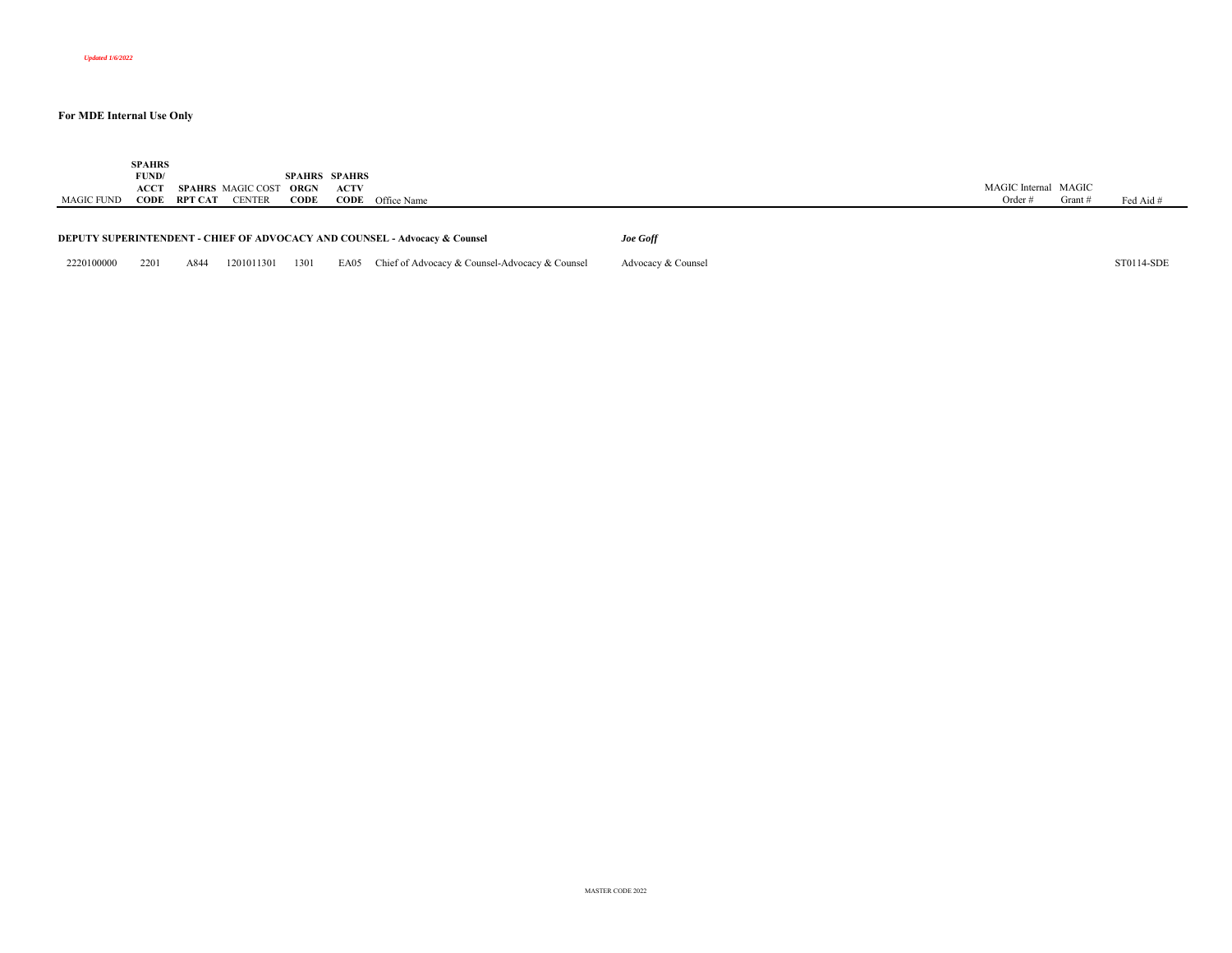|            | <b>SPAHRS</b> |                     |                          |                      |             |                                                                                       |                    |                      |         |            |
|------------|---------------|---------------------|--------------------------|----------------------|-------------|---------------------------------------------------------------------------------------|--------------------|----------------------|---------|------------|
|            | FUND/         |                     |                          | <b>SPAHRS SPAHRS</b> |             |                                                                                       |                    |                      |         |            |
|            | ACCT          |                     | <b>SPAHRS</b> MAGIC COST | ORGN                 | <b>ACTV</b> |                                                                                       |                    | MAGIC Internal MAGIC |         |            |
| MAGIC FUND |               | <b>CODE RPT CAT</b> | <b>CENTER</b>            | CODE                 |             | <b>CODE</b> Office Name                                                               |                    | Order $#$            | Grant # | Fed Aid #  |
|            |               |                     |                          |                      |             |                                                                                       |                    |                      |         |            |
|            |               |                     |                          |                      |             |                                                                                       |                    |                      |         |            |
|            |               |                     |                          |                      |             | <b>DEPUTY SUPERINTENDENT - CHIEF OF ADVOCACY AND COUNSEL - Advocacy &amp; Counsel</b> | Joe Goff           |                      |         |            |
|            |               |                     |                          |                      |             |                                                                                       |                    |                      |         |            |
| 2220100000 | 2201          | A844                | 1201011301               | 1301                 |             | EA05 Chief of Advocacy & Counsel-Advocacy & Counsel                                   | Advocacy & Counsel |                      |         | ST0114-SDE |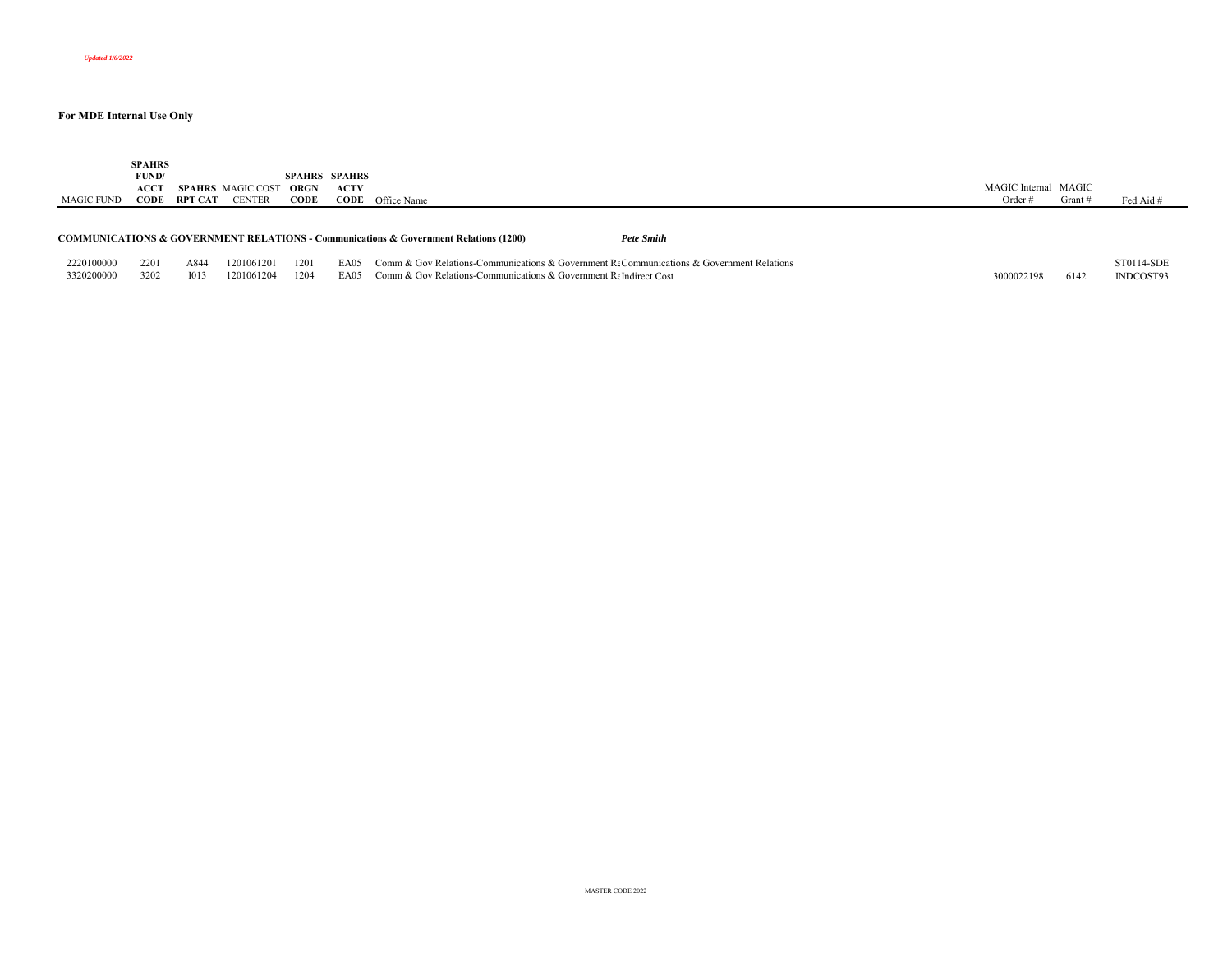|            | <b>SPAHRS</b><br>FUND/<br>ACCT |         | <b>SPAHRS</b> MAGIC COST | ORGN | <b>SPAHRS SPAHRS</b><br><b>ACTV</b> |                                                                                                                   | MAGIC Internal MAGIC |         |            |
|------------|--------------------------------|---------|--------------------------|------|-------------------------------------|-------------------------------------------------------------------------------------------------------------------|----------------------|---------|------------|
| MAGIC FUND | CODE                           | RPT CAT | <b>CENTER</b>            | CODE |                                     | <b>CODE</b> Office Name                                                                                           | Order $#$            | Grant # | Fed Aid #  |
|            |                                |         |                          |      |                                     | <b>COMMUNICATIONS &amp; GOVERNMENT RELATIONS - Communications &amp; Government Relations (1200)</b><br>Pete Smith |                      |         |            |
| 2220100000 | 2201                           | A844    | 1201061201               | 1201 | EA05                                | Comm & Gov Relations-Communications & Government ReCommunications & Government Relations                          |                      |         | ST0114-SDE |
| 3320200000 | 3202                           | 1013    | 1201061204               | 1204 | EA05                                | Comm & Gov Relations-Communications & Government ReIndirect Cost                                                  | 3000022198           | 6142    | INDCOST93  |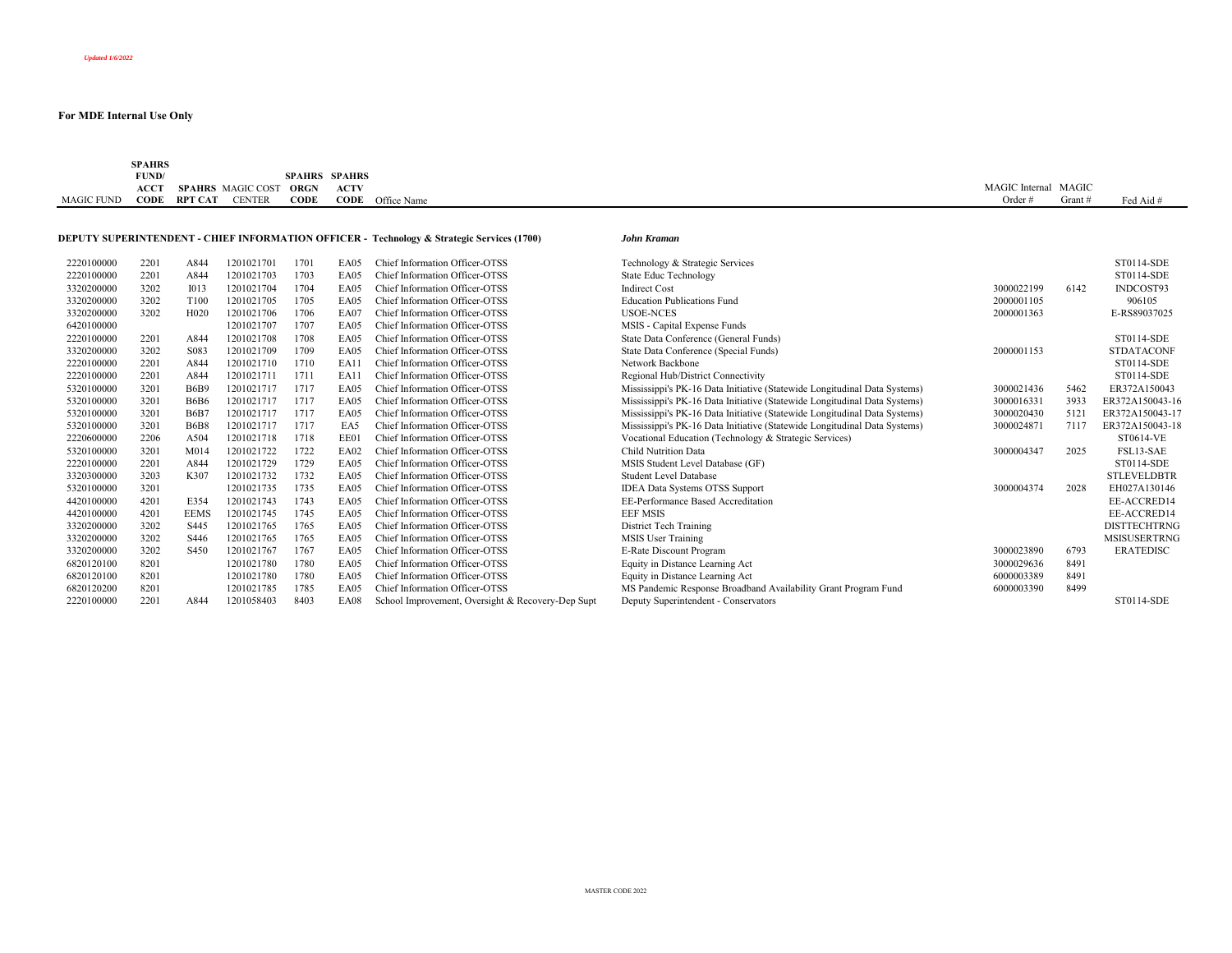|                   | SPAHRS      |         |                   |      |                      |                         |                |       |           |
|-------------------|-------------|---------|-------------------|------|----------------------|-------------------------|----------------|-------|-----------|
|                   | FUND/       |         |                   |      | <b>SPAHRS SPAHRS</b> |                         |                |       |           |
|                   | <b>ACCT</b> |         | SPAHRS MAGIC COST | ORGN | <b>ACTV</b>          |                         | MAGIC Internal | MAGIC |           |
| <b>MAGIC FUND</b> | CODE        | RPT CAT | <b>CENTER</b>     | CODE |                      | <b>CODE</b> Office Name | Order $#$      | Grant | Fed Aid # |

# **DEPUTY SUPERINTENDENT - CHIEF INFORMATION OFFICER - Technology & Strategic Services (1700)** *John Kr*

| John Kraman |  |
|-------------|--|
|             |  |

| 2220100000 | 2201 | A844              | 1201021701 | 1701 | EA05        | Chief Information Officer-OTSS                    | Technology & Strategic Services                                           |            |      | ST0114-SDE          |
|------------|------|-------------------|------------|------|-------------|---------------------------------------------------|---------------------------------------------------------------------------|------------|------|---------------------|
| 2220100000 | 2201 | A844              | 1201021703 | 1703 | EA05        | Chief Information Officer-OTSS                    | <b>State Educ Technology</b>                                              |            |      | ST0114-SDE          |
| 3320200000 | 3202 | <b>I013</b>       | 1201021704 | 1704 | EA05        | Chief Information Officer-OTSS                    | <b>Indirect Cost</b>                                                      | 3000022199 | 6142 | INDCOST93           |
| 3320200000 | 3202 | T <sub>100</sub>  | 1201021705 | 1705 | EA05        | Chief Information Officer-OTSS                    | <b>Education Publications Fund</b>                                        | 2000001105 |      | 906105              |
| 3320200000 | 3202 | H <sub>020</sub>  | 1201021706 | 1706 | EA07        | Chief Information Officer-OTSS                    | <b>USOE-NCES</b>                                                          | 2000001363 |      | E-RS89037025        |
| 6420100000 |      |                   | 1201021707 | 1707 | EA05        | Chief Information Officer-OTSS                    | MSIS - Capital Expense Funds                                              |            |      |                     |
| 2220100000 | 2201 | A844              | 1201021708 | 1708 | EA05        | Chief Information Officer-OTSS                    | State Data Conference (General Funds)                                     |            |      | ST0114-SDE          |
| 3320200000 | 3202 | S <sub>0</sub> 83 | 1201021709 | 1709 | EA05        | Chief Information Officer-OTSS                    | State Data Conference (Special Funds)                                     | 2000001153 |      | <b>STDATACONF</b>   |
| 2220100000 | 2201 | A844              | 1201021710 | 1710 | EA1         | Chief Information Officer-OTSS                    | Network Backbone                                                          |            |      | ST0114-SDE          |
| 2220100000 | 2201 | A844              | 120102171  | 1711 | EA11        | Chief Information Officer-OTSS                    | Regional Hub/District Connectivity                                        |            |      | ST0114-SDE          |
| 5320100000 | 3201 | <b>B6B9</b>       | 1201021717 | 1717 | EA05        | Chief Information Officer-OTSS                    | Mississippi's PK-16 Data Initiative (Statewide Longitudinal Data Systems) | 3000021436 | 5462 | ER372A150043        |
| 5320100000 | 3201 | <b>B6B6</b>       | 1201021717 | 1717 | EA05        | Chief Information Officer-OTSS                    | Mississippi's PK-16 Data Initiative (Statewide Longitudinal Data Systems) | 3000016331 | 3933 | ER372A150043-16     |
| 5320100000 | 3201 | <b>B6B</b>        | 1201021717 | 1717 | EA05        | Chief Information Officer-OTSS                    | Mississippi's PK-16 Data Initiative (Statewide Longitudinal Data Systems) | 3000020430 | 5121 | ER372A150043-17     |
| 5320100000 | 3201 | <b>B6B8</b>       | 1201021717 | 1717 | EA5         | Chief Information Officer-OTSS                    | Mississippi's PK-16 Data Initiative (Statewide Longitudinal Data Systems) | 3000024871 | 7117 | ER372A150043-18     |
| 2220600000 | 2206 | A504              | 1201021718 | 1718 | EE01        | Chief Information Officer-OTSS                    | Vocational Education (Technology & Strategic Services)                    |            |      | ST0614-VE           |
| 5320100000 | 3201 | M014              | 1201021722 | 1722 | <b>EA02</b> | Chief Information Officer-OTSS                    | Child Nutrition Data                                                      | 3000004347 | 2025 | FSL13-SAE           |
| 2220100000 | 2201 | A844              | 1201021729 | 1729 | EA05        | Chief Information Officer-OTSS                    | MSIS Student Level Database (GF)                                          |            |      | ST0114-SDE          |
| 3320300000 | 3203 | K307              | 1201021732 | 1732 | EA05        | Chief Information Officer-OTSS                    | <b>Student Level Database</b>                                             |            |      | <b>STLEVELDBTR</b>  |
| 5320100000 | 3201 |                   | 1201021735 | 1735 | EA05        | Chief Information Officer-OTSS                    | <b>IDEA Data Systems OTSS Support</b>                                     | 3000004374 | 2028 | EH027A130146        |
| 4420100000 | 4201 | E354              | 1201021743 | 1743 | EA05        | Chief Information Officer-OTSS                    | EE-Performance Based Accreditation                                        |            |      | EE-ACCRED14         |
| 4420100000 | 4201 | <b>EEMS</b>       | 1201021745 | 1745 | EA05        | Chief Information Officer-OTSS                    | <b>EEF MSIS</b>                                                           |            |      | EE-ACCRED14         |
| 3320200000 | 3202 | S <sub>445</sub>  | 1201021765 | 1765 | EA05        | Chief Information Officer-OTSS                    | District Tech Training                                                    |            |      | <b>DISTTECHTRNG</b> |
| 3320200000 | 3202 | S446              | 1201021765 | 1765 | EA05        | Chief Information Officer-OTSS                    | <b>MSIS</b> User Training                                                 |            |      | <b>MSISUSERTRNG</b> |
| 3320200000 | 3202 | S450              | 1201021767 | 1767 | EA05        | Chief Information Officer-OTSS                    | E-Rate Discount Program                                                   | 3000023890 | 6793 | <b>ERATEDISC</b>    |
| 6820120100 | 8201 |                   | 1201021780 | 1780 | EA05        | Chief Information Officer-OTSS                    | Equity in Distance Learning Act                                           | 3000029636 | 8491 |                     |
| 6820120100 | 8201 |                   | 1201021780 | 1780 | EA05        | Chief Information Officer-OTSS                    | Equity in Distance Learning Act                                           | 6000003389 | 8491 |                     |
| 6820120200 | 8201 |                   | 1201021785 | 1785 | EA05        | Chief Information Officer-OTSS                    | MS Pandemic Response Broadband Availability Grant Program Fund            | 6000003390 | 8499 |                     |
| 2220100000 | 2201 | A844              | 1201058403 | 8403 | EA08        | School Improvement, Oversight & Recovery-Dep Supt | Deputy Superintendent - Conservators                                      |            |      | ST0114-SDE          |
|            |      |                   |            |      |             |                                                   |                                                                           |            |      |                     |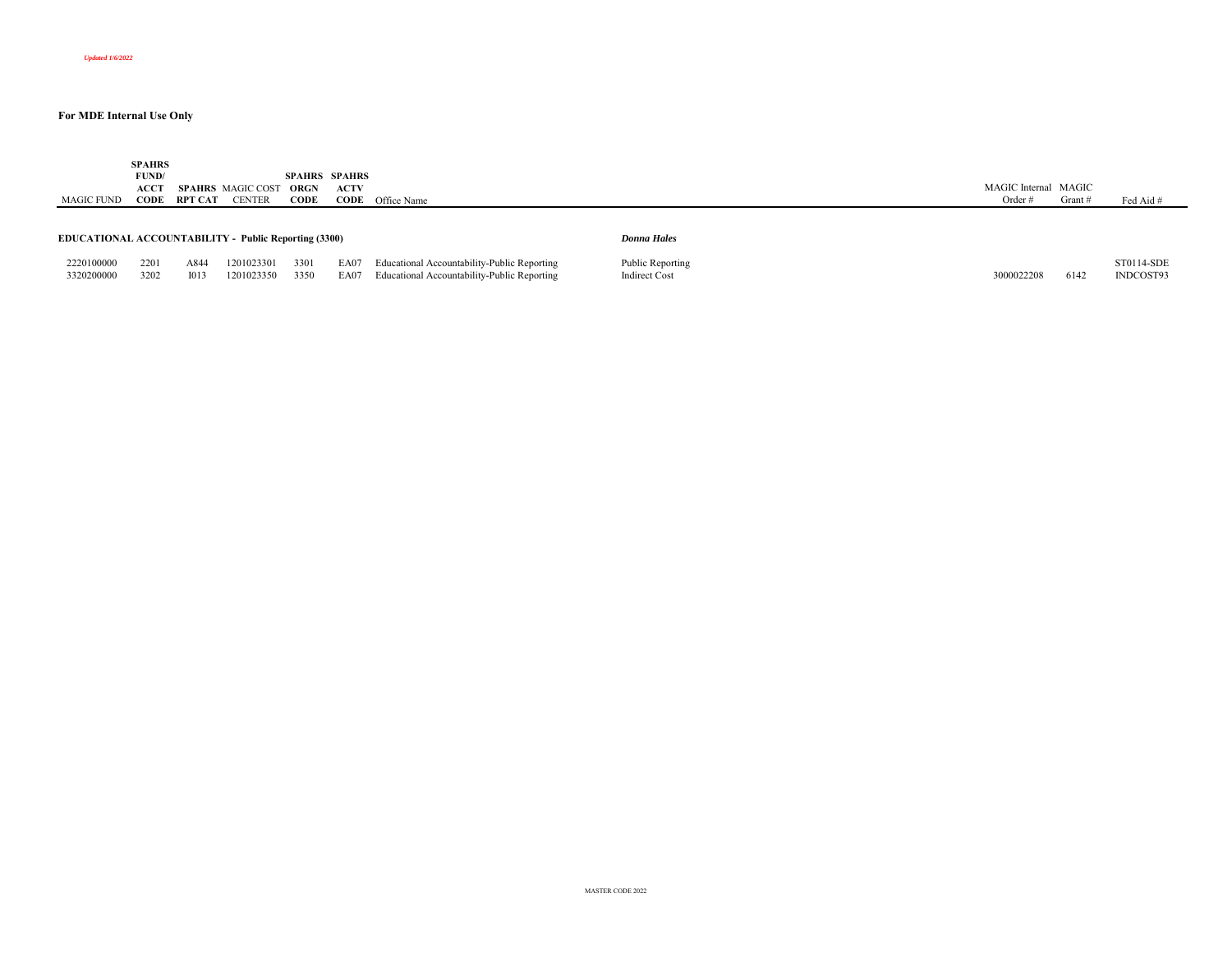MAGIC FUND **SPAHRS FUND/ ACCT SPAHRS** MAGIC COST **ORGN CODE RPT CAT** CENTER **SPAHRS SPAHRS CODEACTV CODE** Office Name MAGIC Internal MAGIC Order # Grant # Fed Aid # **EDUCATIONAL ACCOUNTABILITY - Public Reporting (3300)** *Donna Hales*

3320200000 3202 I013 1201023350 3350 EA07 Educational Accountability-Public Reporting Indirect Cost 3000022208 6142 INDCOST93

| 2220100000 |  |  | 2201 A844 1201023301 3301 EA07 Educational Accountability-Public Reporting | Public Reporting |  | ST0114-SDE |
|------------|--|--|----------------------------------------------------------------------------|------------------|--|------------|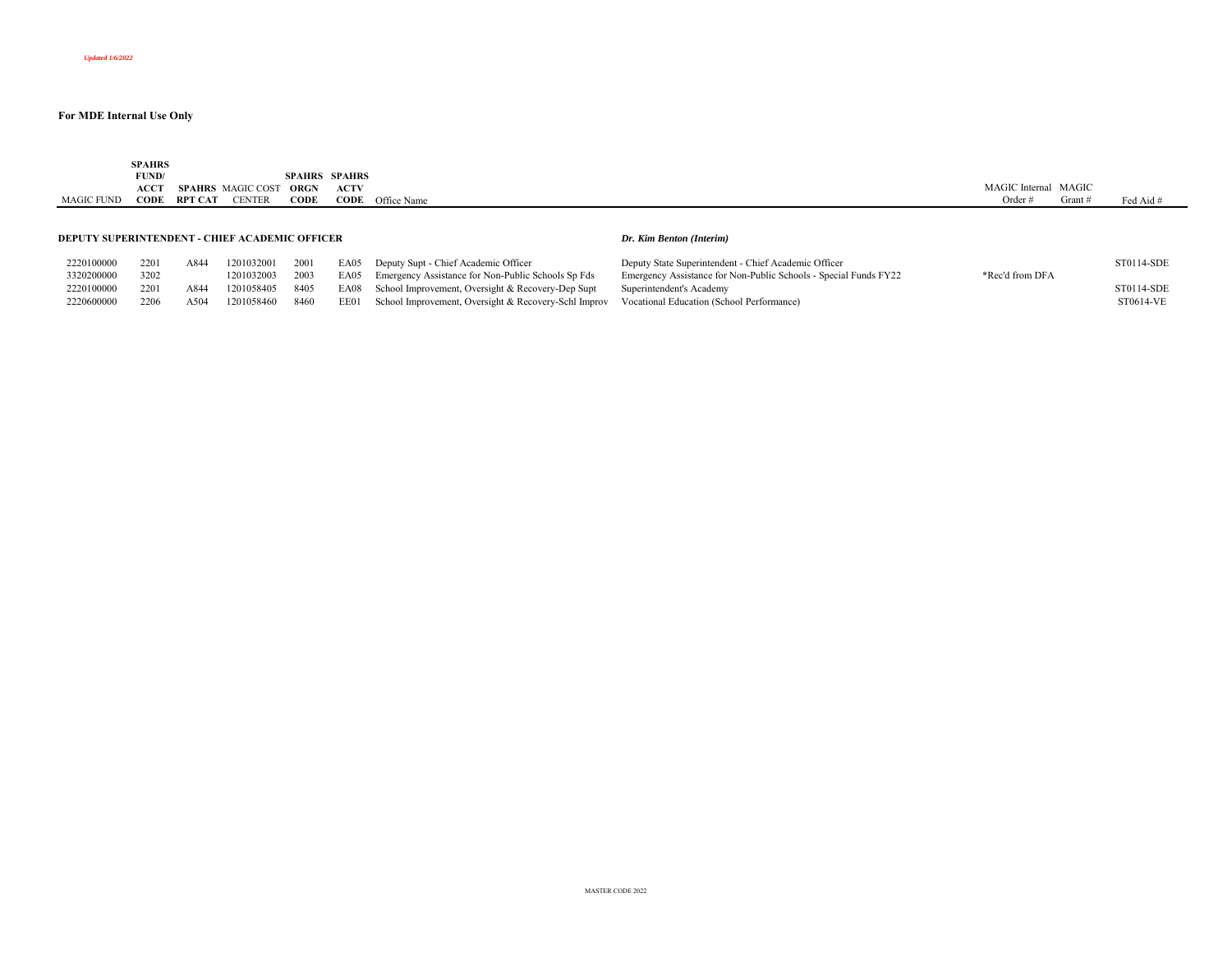|            | <b>SPAHRS<br/>FUND/</b> |         |                          |             | <b>SPAHRS SPAHRS</b> |             |                |       |           |
|------------|-------------------------|---------|--------------------------|-------------|----------------------|-------------|----------------|-------|-----------|
|            | $ACC^{\tau}$            |         | <b>SPAHRS</b> MAGIC COST | <b>ORGN</b> | <b>ACTV</b>          |             | MAGIC Internal | MAGIC |           |
| MAGIC FUND | CODE                    | RPT CAT | <b>CENTER</b>            | CODE        | CODE                 | Office Name | Order a        | Grant | Fed Aid # |
|            |                         |         |                          |             |                      |             |                |       |           |

#### **DEPUTY SUPERINTENDENT - CHIEF ACADEMIC OFFICER**

#### *Dr. Kim Benton (Interim)*

| 2220100000 | 2201 | A844 | 1201032001 2001 |      | EA05 Deputy Supt - Chief Academic Officer                                                           | Deputy State Superintendent - Chief Academic Officer             |                 | ST0114-SDE |
|------------|------|------|-----------------|------|-----------------------------------------------------------------------------------------------------|------------------------------------------------------------------|-----------------|------------|
| 3320200000 | 3202 |      | 1201032003 2003 |      | EA05 Emergency Assistance for Non-Public Schools Sp Fds                                             | Emergency Assistance for Non-Public Schools - Special Funds FY22 | *Rec'd from DFA |            |
| 2220100000 | 2201 | A844 | 1201058405 8405 |      | EA08 School Improvement, Oversight & Recovery-Dep Supt Superintendent's Academy                     |                                                                  |                 | ST0114-SDE |
| 2220600000 | 2206 | A504 | 1201058460      | 8460 | EE01 School Improvement, Oversight & Recovery-Schl Improv Vocational Education (School Performance) |                                                                  |                 | ST0614-VE  |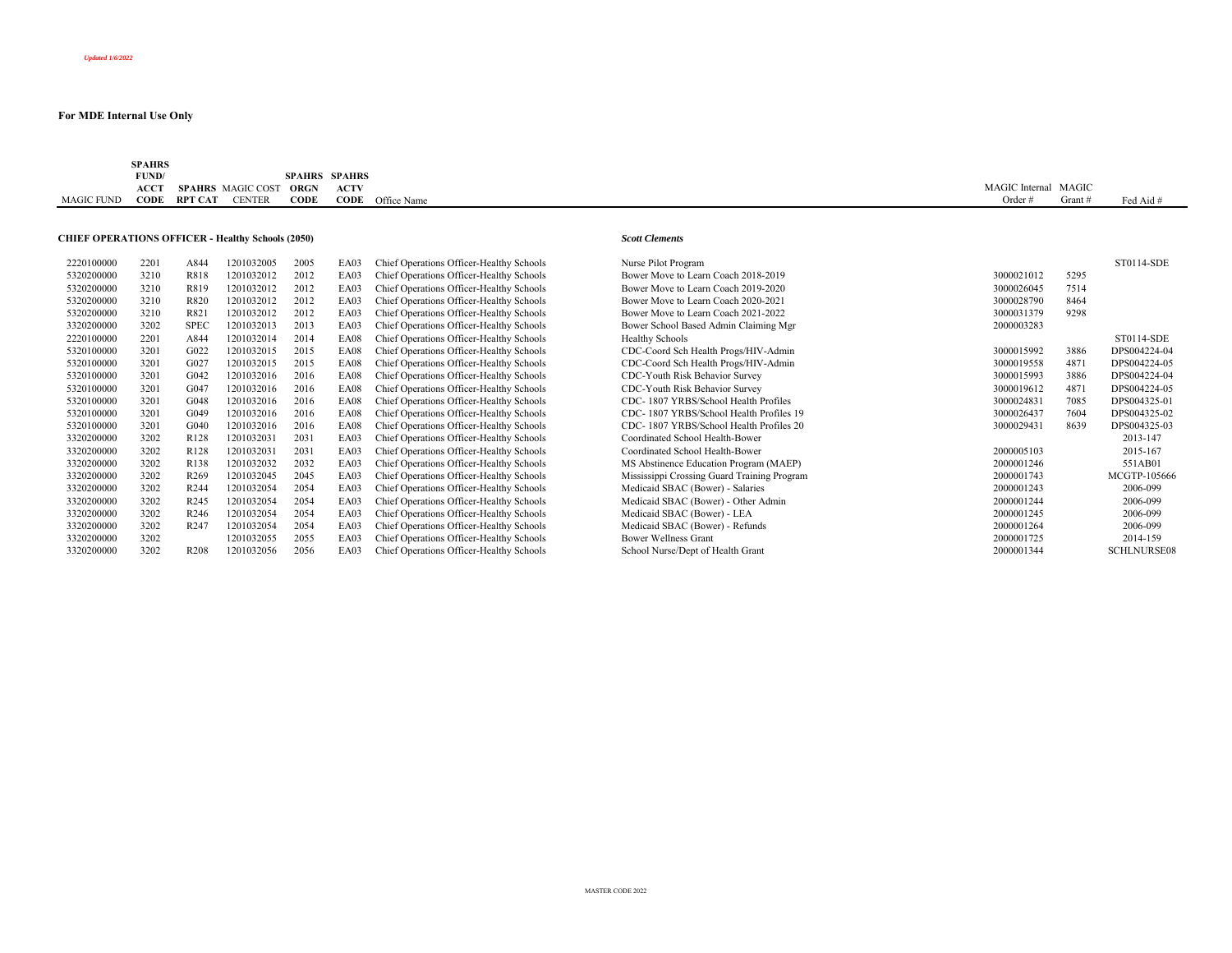|            | <b>SPAHRS</b> |         |                          |                      |             |                         |                      |         |           |
|------------|---------------|---------|--------------------------|----------------------|-------------|-------------------------|----------------------|---------|-----------|
|            | FUND/         |         |                          | <b>SPAHRS SPAHRS</b> |             |                         |                      |         |           |
|            | <b>ACCT</b>   |         | <b>SPAHRS</b> MAGIC COST | ORGN                 | <b>ACTV</b> |                         | MAGIC Internal MAGIC |         |           |
| MAGIC FUND | <b>CODE</b>   | RPT CAT | <b>CENTER</b>            | CODE                 |             | <b>CODE</b> Office Name | Order $#$            | Grant # | Fed Aid # |

## **CHIEF OPERATIONS OFFICER - Healthy Schools (2050)** *Scott Clements*

| 2220100000 | 2201 | A844             | 1201032005 | 2005 | EA03 | Chief Operations Officer-Healthy Schools | Nurse Pilot Program                         |            |      | ST0114-SDE         |
|------------|------|------------------|------------|------|------|------------------------------------------|---------------------------------------------|------------|------|--------------------|
| 5320200000 | 3210 | R818             | 1201032012 | 2012 | EA03 | Chief Operations Officer-Healthy Schools | Bower Move to Learn Coach 2018-2019         | 3000021012 | 5295 |                    |
| 5320200000 | 3210 | R819             | 1201032012 | 2012 | EA03 | Chief Operations Officer-Healthy Schools | Bower Move to Learn Coach 2019-2020         | 3000026045 | 7514 |                    |
| 5320200000 | 3210 | R820             | 1201032012 | 2012 | EA03 | Chief Operations Officer-Healthy Schools | Bower Move to Learn Coach 2020-2021         | 3000028790 | 8464 |                    |
| 5320200000 | 3210 | R821             | 1201032012 | 2012 | EA03 | Chief Operations Officer-Healthy Schools | Bower Move to Learn Coach 2021-2022         | 3000031379 | 9298 |                    |
| 3320200000 | 3202 | <b>SPEC</b>      | 1201032013 | 2013 | EA03 | Chief Operations Officer-Healthy Schools | Bower School Based Admin Claiming Mgr       | 2000003283 |      |                    |
| 2220100000 | 2201 | A844             | 1201032014 | 2014 | EA08 | Chief Operations Officer-Healthy Schools | <b>Healthy Schools</b>                      |            |      | ST0114-SDE         |
| 5320100000 | 3201 | G022             | 1201032015 | 2015 | EA08 | Chief Operations Officer-Healthy Schools | CDC-Coord Sch Health Progs/HIV-Admin        | 3000015992 | 3886 | DPS004224-04       |
| 5320100000 | 3201 | G027             | 1201032015 | 2015 | EA08 | Chief Operations Officer-Healthy Schools | CDC-Coord Sch Health Progs/HIV-Admin        | 3000019558 | 4871 | DPS004224-05       |
| 5320100000 | 3201 | G042             | 1201032016 | 2016 | EA08 | Chief Operations Officer-Healthy Schools | CDC-Youth Risk Behavior Survey              | 3000015993 | 3886 | DPS004224-04       |
| 5320100000 | 3201 | G047             | 1201032016 | 2016 | EA08 | Chief Operations Officer-Healthy Schools | CDC-Youth Risk Behavior Survey              | 3000019612 | 4871 | DPS004224-05       |
| 5320100000 | 3201 | G048             | 1201032016 | 2016 | EA08 | Chief Operations Officer-Healthy Schools | CDC-1807 YRBS/School Health Profiles        | 3000024831 | 7085 | DPS004325-01       |
| 5320100000 | 3201 | G049             | 1201032016 | 2016 | EA08 | Chief Operations Officer-Healthy Schools | CDC-1807 YRBS/School Health Profiles 19     | 3000026437 | 7604 | DPS004325-02       |
| 5320100000 | 3201 | G040             | 1201032016 | 2016 | EA08 | Chief Operations Officer-Healthy Schools | CDC-1807 YRBS/School Health Profiles 20     | 3000029431 | 8639 | DPS004325-03       |
| 3320200000 | 3202 | R <sub>128</sub> | 1201032031 | 2031 | EA03 | Chief Operations Officer-Healthy Schools | Coordinated School Health-Bower             |            |      | 2013-147           |
| 3320200000 | 3202 | R <sub>128</sub> | 1201032031 | 2031 | EA03 | Chief Operations Officer-Healthy Schools | Coordinated School Health-Bower             | 2000005103 |      | 2015-167           |
| 3320200000 | 3202 | R <sub>138</sub> | 1201032032 | 2032 | EA03 | Chief Operations Officer-Healthy Schools | MS Abstinence Education Program (MAEP)      | 2000001246 |      | 551AB01            |
| 3320200000 | 3202 | R <sub>269</sub> | 1201032045 | 2045 | EA03 | Chief Operations Officer-Healthy Schools | Mississippi Crossing Guard Training Program | 2000001743 |      | MCGTP-105666       |
| 3320200000 | 3202 | R <sub>244</sub> | 1201032054 | 2054 | EA03 | Chief Operations Officer-Healthy Schools | Medicaid SBAC (Bower) - Salaries            | 2000001243 |      | 2006-099           |
| 3320200000 | 3202 | R <sub>245</sub> | 1201032054 | 2054 | EA03 | Chief Operations Officer-Healthy Schools | Medicaid SBAC (Bower) - Other Admin         | 2000001244 |      | 2006-099           |
| 3320200000 | 3202 | R <sub>246</sub> | 1201032054 | 2054 | EA03 | Chief Operations Officer-Healthy Schools | Medicaid SBAC (Bower) - LEA                 | 2000001245 |      | 2006-099           |
| 3320200000 | 3202 | R <sub>247</sub> | 1201032054 | 2054 | EA03 | Chief Operations Officer-Healthy Schools | Medicaid SBAC (Bower) - Refunds             | 2000001264 |      | 2006-099           |
| 3320200000 | 3202 |                  | 1201032055 | 2055 | EA03 | Chief Operations Officer-Healthy Schools | <b>Bower Wellness Grant</b>                 | 2000001725 |      | 2014-159           |
| 3320200000 | 3202 | R <sub>208</sub> | 1201032056 | 2056 | EA03 | Chief Operations Officer-Healthy Schools | School Nurse/Dept of Health Grant           | 2000001344 |      | <b>SCHLNURSE08</b> |
|            |      |                  |            |      |      |                                          |                                             |            |      |                    |

| 2220100000 | 2201 | A844             | 1201032005 | 2005 | EA03 | Chief Operations Officer-Healthy Schools | Nurse Pilot Program                         |            |      | ST0114-SDE         |
|------------|------|------------------|------------|------|------|------------------------------------------|---------------------------------------------|------------|------|--------------------|
| 5320200000 | 3210 | R818             | 1201032012 | 2012 | EA03 | Chief Operations Officer-Healthy Schools | Bower Move to Learn Coach 2018-2019         | 3000021012 | 5295 |                    |
| 5320200000 | 3210 | R819             | 1201032012 | 2012 | EA03 | Chief Operations Officer-Healthy Schools | Bower Move to Learn Coach 2019-2020         | 3000026045 | 7514 |                    |
| 5320200000 | 3210 | R820             | 1201032012 | 2012 | EA03 | Chief Operations Officer-Healthy Schools | Bower Move to Learn Coach 2020-2021         | 3000028790 | 8464 |                    |
| 5320200000 | 3210 | R821             | 1201032012 | 2012 | EA03 | Chief Operations Officer-Healthy Schools | Bower Move to Learn Coach 2021-2022         | 3000031379 | 9298 |                    |
| 3320200000 | 3202 | <b>SPEC</b>      | 1201032013 | 2013 | EA03 | Chief Operations Officer-Healthy Schools | Bower School Based Admin Claiming Mgr       | 2000003283 |      |                    |
| 2220100000 | 2201 | A844             | 1201032014 | 2014 | EA08 | Chief Operations Officer-Healthy Schools | <b>Healthy Schools</b>                      |            |      | ST0114-SDE         |
| 5320100000 | 3201 | G022             | 1201032015 | 2015 | EA08 | Chief Operations Officer-Healthy Schools | CDC-Coord Sch Health Progs/HIV-Admin        | 3000015992 | 3886 | DPS004224-04       |
| 5320100000 | 3201 | G027             | 1201032015 | 2015 | EA08 | Chief Operations Officer-Healthy Schools | CDC-Coord Sch Health Progs/HIV-Admin        | 3000019558 | 4871 | DPS004224-05       |
| 5320100000 | 3201 | G042             | 1201032016 | 2016 | EA08 | Chief Operations Officer-Healthy Schools | CDC-Youth Risk Behavior Survey              | 3000015993 | 3886 | DPS004224-04       |
| 5320100000 | 3201 | G047             | 1201032016 | 2016 | EA08 | Chief Operations Officer-Healthy Schools | CDC-Youth Risk Behavior Survey              | 3000019612 | 4871 | DPS004224-05       |
| 5320100000 | 3201 | G048             | 1201032016 | 2016 | EA08 | Chief Operations Officer-Healthy Schools | CDC-1807 YRBS/School Health Profiles        | 3000024831 | 7085 | DPS004325-01       |
| 5320100000 | 3201 | G049             | 1201032016 | 2016 | EA08 | Chief Operations Officer-Healthy Schools | CDC-1807 YRBS/School Health Profiles 19     | 3000026437 | 7604 | DPS004325-02       |
| 5320100000 | 3201 | G040             | 1201032016 | 2016 | EA08 | Chief Operations Officer-Healthy Schools | CDC-1807 YRBS/School Health Profiles 20     | 3000029431 | 8639 | DPS004325-03       |
| 3320200000 | 3202 | R <sub>128</sub> | 1201032031 | 2031 | EA03 | Chief Operations Officer-Healthy Schools | Coordinated School Health-Bower             |            |      | 2013-147           |
| 3320200000 | 3202 | R <sub>128</sub> | 1201032031 | 2031 | EA03 | Chief Operations Officer-Healthy Schools | Coordinated School Health-Bower             | 2000005103 |      | 2015-167           |
| 3320200000 | 3202 | R138             | 1201032032 | 2032 | EA03 | Chief Operations Officer-Healthy Schools | MS Abstinence Education Program (MAEP)      | 2000001246 |      | 551AB01            |
| 3320200000 | 3202 | R <sub>269</sub> | 1201032045 | 2045 | EA03 | Chief Operations Officer-Healthy Schools | Mississippi Crossing Guard Training Program | 2000001743 |      | MCGTP-105666       |
| 3320200000 | 3202 | R <sub>244</sub> | 1201032054 | 2054 | EA03 | Chief Operations Officer-Healthy Schools | Medicaid SBAC (Bower) - Salaries            | 2000001243 |      | 2006-099           |
| 3320200000 | 3202 | R <sub>245</sub> | 1201032054 | 2054 | EA03 | Chief Operations Officer-Healthy Schools | Medicaid SBAC (Bower) - Other Admin         | 2000001244 |      | 2006-099           |
| 3320200000 | 3202 | R <sub>246</sub> | 1201032054 | 2054 | EA03 | Chief Operations Officer-Healthy Schools | Medicaid SBAC (Bower) - LEA                 | 2000001245 |      | 2006-099           |
| 3320200000 | 3202 | R <sub>247</sub> | 1201032054 | 2054 | EA03 | Chief Operations Officer-Healthy Schools | Medicaid SBAC (Bower) - Refunds             | 2000001264 |      | 2006-099           |
| 3320200000 | 3202 |                  | 1201032055 | 2055 | EA03 | Chief Operations Officer-Healthy Schools | <b>Bower Wellness Grant</b>                 | 2000001725 |      | 2014-159           |
| 3320200000 | 3202 | R <sub>208</sub> | 1201032056 | 2056 | EA03 | Chief Operations Officer-Healthy Schools | School Nurse/Dept of Health Grant           | 2000001344 |      | <b>SCHLNURSE08</b> |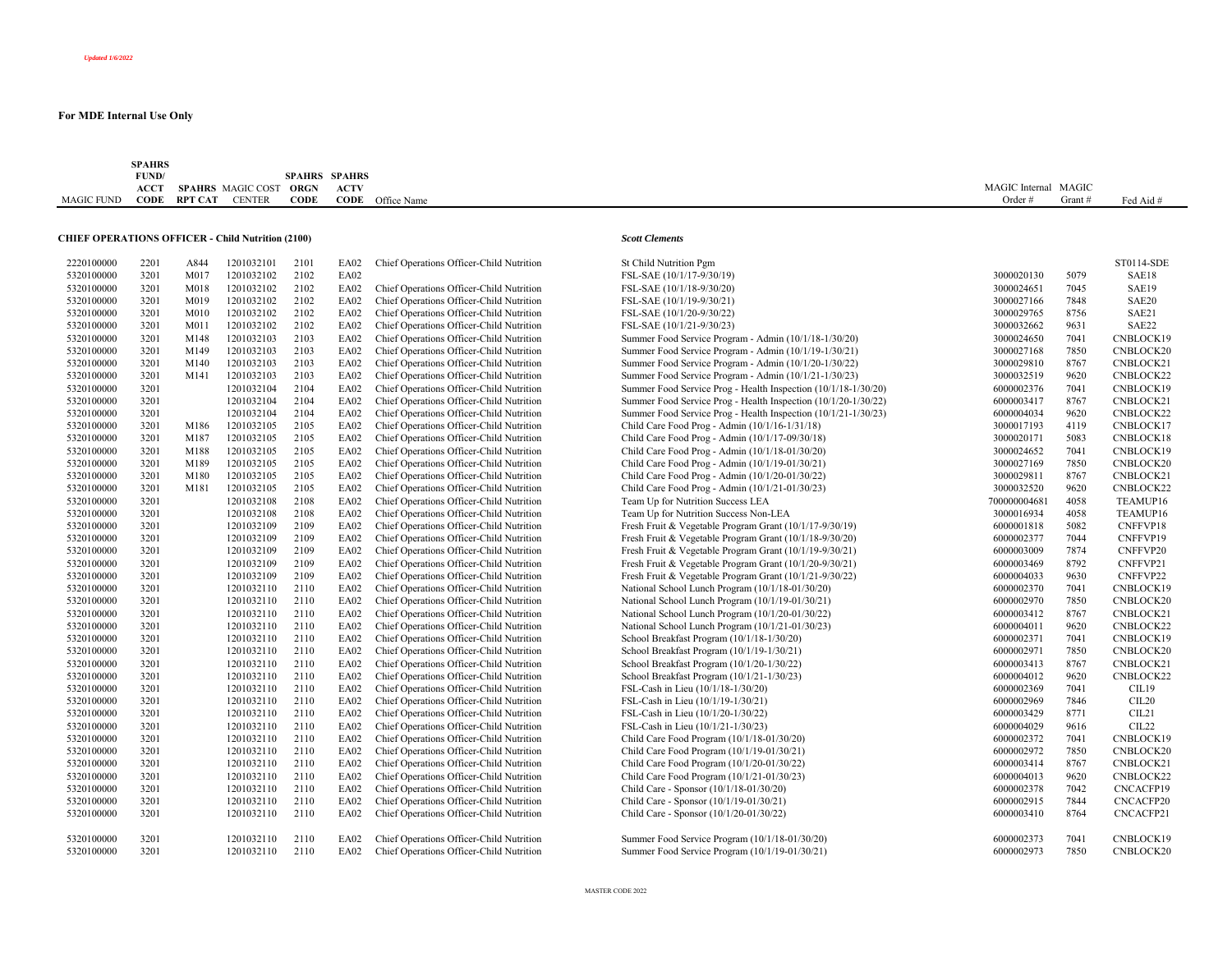|            | <b>SPAHRS</b> |         |                          |                      |             |                         |           |                      |           |
|------------|---------------|---------|--------------------------|----------------------|-------------|-------------------------|-----------|----------------------|-----------|
|            | FUND/         |         |                          | <b>SPAHRS SPAHRS</b> |             |                         |           |                      |           |
|            | <b>ACCT</b>   |         | <b>SPAHRS</b> MAGIC COST | ORGN                 | <b>ACTV</b> |                         |           | MAGIC Internal MAGIC |           |
| MAGIC FUND | <b>CODE</b>   | RPT CAT | <b>CENTER</b>            | <b>CODE</b>          |             | <b>CODE</b> Office Name | Order $#$ | Grant                | Fed Aid # |
|            |               |         |                          |                      |             |                         |           |                      |           |

## **CHIEF OPERATIONS OFFICER - Child Nutrition (2100)** *Scott Clements*

| 2220100000 | 2201 | A844 | 1201032101 | 2101 | EA02        | Chief Operations Officer-Child Nutrition | St Child Nutrition Pgm                                         |              |      | ST0114-SDE       |
|------------|------|------|------------|------|-------------|------------------------------------------|----------------------------------------------------------------|--------------|------|------------------|
| 5320100000 | 3201 | M017 | 1201032102 | 2102 | EA02        |                                          | FSL-SAE (10/1/17-9/30/19)                                      | 3000020130   | 5079 | SAE18            |
| 5320100000 | 3201 | M018 | 1201032102 | 2102 | EA02        | Chief Operations Officer-Child Nutrition | FSL-SAE (10/1/18-9/30/20)                                      | 3000024651   | 7045 | SAE19            |
| 5320100000 | 3201 | M019 | 1201032102 | 2102 | EA02        | Chief Operations Officer-Child Nutrition | FSL-SAE (10/1/19-9/30/21)                                      | 3000027166   | 7848 | SAE20            |
| 5320100000 | 3201 | M010 | 1201032102 | 2102 | EA02        | Chief Operations Officer-Child Nutrition | FSL-SAE (10/1/20-9/30/22)                                      | 3000029765   | 8756 | SAE21            |
| 5320100000 | 3201 | M011 | 1201032102 | 2102 | EA02        | Chief Operations Officer-Child Nutrition | FSL-SAE (10/1/21-9/30/23)                                      | 3000032662   | 9631 | SAE22            |
| 5320100000 | 3201 | M148 | 1201032103 | 2103 | EA02        | Chief Operations Officer-Child Nutrition | Summer Food Service Program - Admin (10/1/18-1/30/20)          | 3000024650   | 7041 | CNBLOCK19        |
| 5320100000 | 3201 | M149 | 1201032103 | 2103 | EA02        | Chief Operations Officer-Child Nutrition | Summer Food Service Program - Admin (10/1/19-1/30/21)          | 3000027168   | 7850 | CNBLOCK20        |
| 5320100000 | 3201 | M140 | 1201032103 | 2103 | <b>EA02</b> | Chief Operations Officer-Child Nutrition | Summer Food Service Program - Admin (10/1/20-1/30/22)          | 3000029810   | 8767 | CNBLOCK21        |
| 5320100000 | 3201 | M141 | 1201032103 | 2103 | EA02        | Chief Operations Officer-Child Nutrition | Summer Food Service Program - Admin (10/1/21-1/30/23)          | 3000032519   | 9620 | CNBLOCK22        |
| 5320100000 | 3201 |      | 1201032104 | 2104 | <b>EA02</b> | Chief Operations Officer-Child Nutrition | Summer Food Service Prog - Health Inspection (10/1/18-1/30/20) | 6000002376   | 7041 | CNBLOCK19        |
| 5320100000 | 3201 |      | 1201032104 | 2104 | EA02        | Chief Operations Officer-Child Nutrition | Summer Food Service Prog - Health Inspection (10/1/20-1/30/22) | 6000003417   | 8767 | CNBLOCK21        |
| 5320100000 | 3201 |      | 1201032104 | 2104 | EA02        | Chief Operations Officer-Child Nutrition | Summer Food Service Prog - Health Inspection (10/1/21-1/30/23) | 6000004034   | 9620 | CNBLOCK22        |
| 5320100000 | 3201 | M186 | 1201032105 | 2105 | EA02        | Chief Operations Officer-Child Nutrition | Child Care Food Prog - Admin (10/1/16-1/31/18)                 | 3000017193   | 4119 | CNBLOCK17        |
| 5320100000 | 3201 | M187 | 1201032105 | 2105 | EA02        | Chief Operations Officer-Child Nutrition | Child Care Food Prog - Admin (10/1/17-09/30/18)                | 3000020171   | 5083 | CNBLOCK18        |
| 5320100000 | 3201 | M188 | 1201032105 | 2105 | EA02        | Chief Operations Officer-Child Nutrition | Child Care Food Prog - Admin (10/1/18-01/30/20)                | 3000024652   | 7041 | CNBLOCK19        |
| 5320100000 | 3201 | M189 | 1201032105 | 2105 | EA02        | Chief Operations Officer-Child Nutrition | Child Care Food Prog - Admin (10/1/19-01/30/21)                | 3000027169   | 7850 | CNBLOCK20        |
| 5320100000 | 3201 | M180 | 1201032105 | 2105 | EA02        | Chief Operations Officer-Child Nutrition | Child Care Food Prog - Admin (10/1/20-01/30/22)                | 3000029811   | 8767 | CNBLOCK21        |
| 5320100000 | 3201 | M181 | 1201032105 | 2105 | EA02        | Chief Operations Officer-Child Nutrition | Child Care Food Prog - Admin (10/1/21-01/30/23)                | 3000032520   | 9620 | CNBLOCK22        |
| 5320100000 | 3201 |      | 1201032108 | 2108 | EA02        | Chief Operations Officer-Child Nutrition | Team Up for Nutrition Success LEA                              | 700000004681 | 4058 | TEAMUP16         |
| 5320100000 | 3201 |      | 1201032108 | 2108 | EA02        | Chief Operations Officer-Child Nutrition | Team Up for Nutrition Success Non-LEA                          | 3000016934   | 4058 | TEAMUP16         |
| 5320100000 | 3201 |      | 1201032109 | 2109 | EA02        | Chief Operations Officer-Child Nutrition | Fresh Fruit & Vegetable Program Grant (10/1/17-9/30/19)        | 6000001818   | 5082 | CNFFVP18         |
| 5320100000 | 3201 |      | 1201032109 | 2109 | EA02        | Chief Operations Officer-Child Nutrition | Fresh Fruit & Vegetable Program Grant (10/1/18-9/30/20)        | 6000002377   | 7044 | CNFFVP19         |
| 5320100000 | 3201 |      | 1201032109 | 2109 | EA02        | Chief Operations Officer-Child Nutrition | Fresh Fruit & Vegetable Program Grant (10/1/19-9/30/21)        | 6000003009   | 7874 | CNFFVP20         |
| 5320100000 | 3201 |      | 1201032109 | 2109 | EA02        | Chief Operations Officer-Child Nutrition | Fresh Fruit & Vegetable Program Grant (10/1/20-9/30/21)        | 6000003469   | 8792 | CNFFVP21         |
| 5320100000 | 3201 |      | 1201032109 | 2109 | EA02        | Chief Operations Officer-Child Nutrition | Fresh Fruit & Vegetable Program Grant (10/1/21-9/30/22)        | 6000004033   | 9630 | CNFFVP22         |
| 5320100000 | 3201 |      | 1201032110 | 2110 | <b>EA02</b> | Chief Operations Officer-Child Nutrition | National School Lunch Program (10/1/18-01/30/20)               | 6000002370   | 7041 | CNBLOCK19        |
| 5320100000 | 3201 |      | 1201032110 | 2110 | EA02        | Chief Operations Officer-Child Nutrition | National School Lunch Program (10/1/19-01/30/21)               | 6000002970   | 7850 | CNBLOCK20        |
| 5320100000 | 3201 |      | 1201032110 | 2110 | EA02        | Chief Operations Officer-Child Nutrition | National School Lunch Program (10/1/20-01/30/22)               | 6000003412   | 8767 | CNBLOCK21        |
| 5320100000 | 3201 |      | 1201032110 | 2110 | EA02        | Chief Operations Officer-Child Nutrition | National School Lunch Program (10/1/21-01/30/23)               | 6000004011   | 9620 | CNBLOCK22        |
| 5320100000 | 3201 |      | 1201032110 | 2110 | EA02        | Chief Operations Officer-Child Nutrition | School Breakfast Program (10/1/18-1/30/20)                     | 6000002371   | 7041 | CNBLOCK19        |
| 5320100000 | 3201 |      | 1201032110 | 2110 | EA02        | Chief Operations Officer-Child Nutrition | School Breakfast Program (10/1/19-1/30/21)                     | 6000002971   | 7850 | CNBLOCK20        |
| 5320100000 | 3201 |      | 1201032110 | 2110 | EA02        | Chief Operations Officer-Child Nutrition | School Breakfast Program (10/1/20-1/30/22)                     | 6000003413   | 8767 | CNBLOCK21        |
| 5320100000 | 3201 |      | 1201032110 | 2110 | EA02        | Chief Operations Officer-Child Nutrition | School Breakfast Program (10/1/21-1/30/23)                     | 6000004012   | 9620 | CNBLOCK22        |
| 5320100000 | 3201 |      | 1201032110 | 2110 | EA02        | Chief Operations Officer-Child Nutrition | FSL-Cash in Lieu (10/1/18-1/30/20)                             | 6000002369   | 7041 | CIL19            |
| 5320100000 | 3201 |      | 1201032110 | 2110 | EA02        | Chief Operations Officer-Child Nutrition | FSL-Cash in Lieu (10/1/19-1/30/21)                             | 6000002969   | 7846 | CIL20            |
| 5320100000 | 3201 |      | 1201032110 | 2110 | EA02        | Chief Operations Officer-Child Nutrition | FSL-Cash in Lieu (10/1/20-1/30/22)                             | 6000003429   | 8771 | CL21             |
| 5320100000 | 3201 |      | 1201032110 | 2110 | EA02        | Chief Operations Officer-Child Nutrition | FSL-Cash in Lieu (10/1/21-1/30/23)                             | 6000004029   | 9616 | CIL22            |
| 5320100000 | 3201 |      | 1201032110 | 2110 | EA02        | Chief Operations Officer-Child Nutrition | Child Care Food Program (10/1/18-01/30/20)                     | 6000002372   | 7041 | CNBLOCK19        |
| 5320100000 | 3201 |      | 1201032110 | 2110 | EA02        | Chief Operations Officer-Child Nutrition | Child Care Food Program (10/1/19-01/30/21)                     | 6000002972   | 7850 | CNBLOCK20        |
| 5320100000 | 3201 |      | 1201032110 | 2110 | <b>EA02</b> | Chief Operations Officer-Child Nutrition | Child Care Food Program (10/1/20-01/30/22)                     | 6000003414   | 8767 | CNBLOCK21        |
| 5320100000 | 3201 |      | 1201032110 | 2110 | EA02        | Chief Operations Officer-Child Nutrition | Child Care Food Program (10/1/21-01/30/23)                     | 6000004013   | 9620 | CNBLOCK22        |
| 5320100000 | 3201 |      | 1201032110 | 2110 | <b>EA02</b> | Chief Operations Officer-Child Nutrition | Child Care - Sponsor (10/1/18-01/30/20)                        | 6000002378   | 7042 | <b>CNCACFP19</b> |
| 5320100000 | 3201 |      | 1201032110 | 2110 | EA02        | Chief Operations Officer-Child Nutrition | Child Care - Sponsor (10/1/19-01/30/21)                        | 6000002915   | 7844 | CNCACFP20        |
| 5320100000 | 3201 |      | 1201032110 | 2110 | EA02        | Chief Operations Officer-Child Nutrition | Child Care - Sponsor (10/1/20-01/30/22)                        | 6000003410   | 8764 | CNCACFP21        |
|            |      |      |            |      |             |                                          |                                                                |              |      |                  |
| 5320100000 | 3201 |      | 1201032110 | 2110 | EA02        | Chief Operations Officer-Child Nutrition | Summer Food Service Program (10/1/18-01/30/20)                 | 6000002373   | 7041 | CNBLOCK19        |
| 5320100000 | 3201 |      | 1201032110 | 2110 | EA02        | Chief Operations Officer-Child Nutrition | Summer Food Service Program (10/1/19-01/30/21)                 | 6000002973   | 7850 | CNBLOCK20        |
|            |      |      |            |      |             |                                          |                                                                |              |      |                  |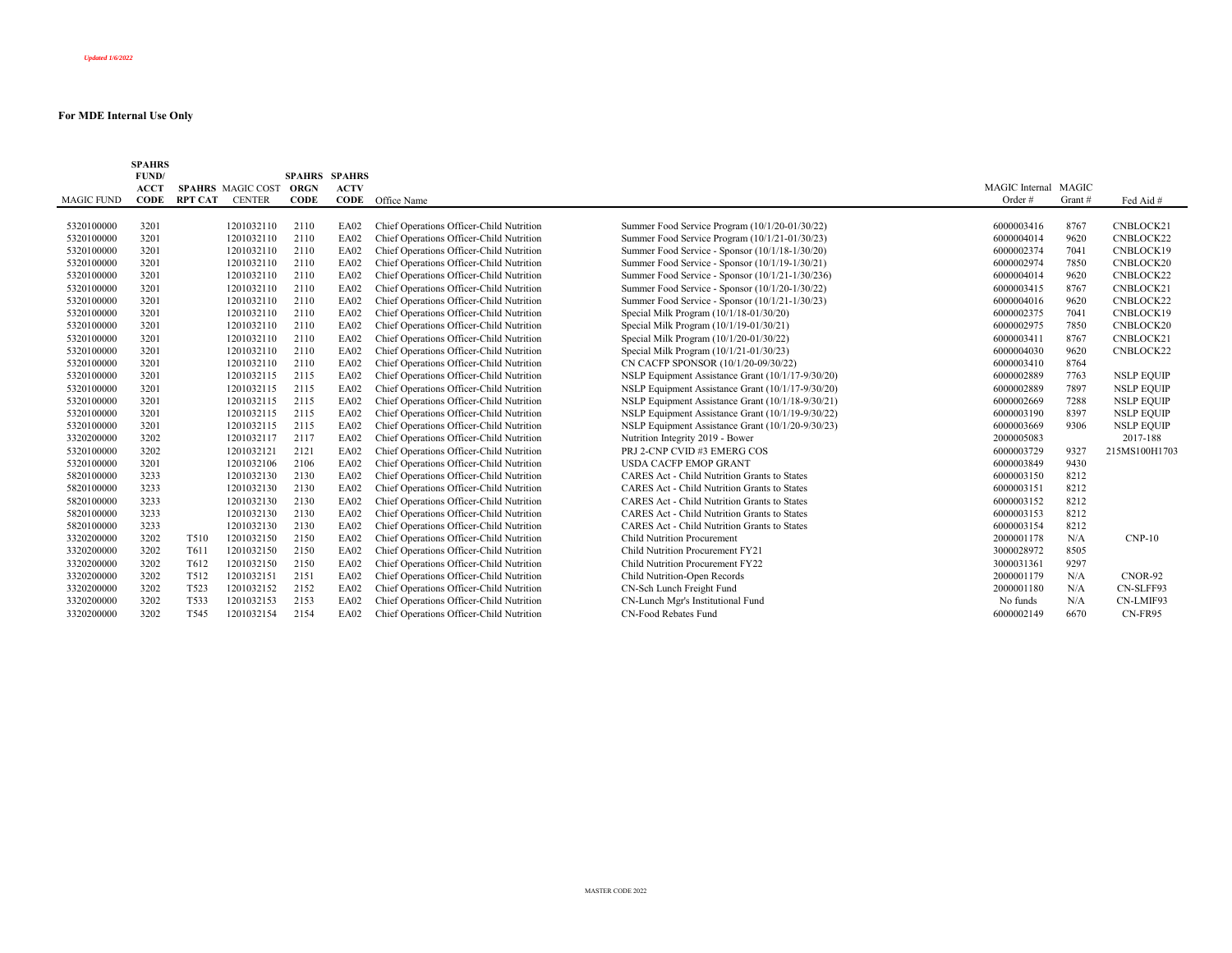|                   | <b>SPAHRS</b><br>FUND/ |                  |                          | <b>SPAHRS SPAHRS</b> |             |                                          |                                                     |                      |        |                   |
|-------------------|------------------------|------------------|--------------------------|----------------------|-------------|------------------------------------------|-----------------------------------------------------|----------------------|--------|-------------------|
|                   | ACCT                   |                  | <b>SPAHRS MAGIC COST</b> | ORGN                 | <b>ACTV</b> |                                          |                                                     | MAGIC Internal MAGIC |        |                   |
| <b>MAGIC FUND</b> | <b>CODE</b>            | RPT CAT          | <b>CENTER</b>            | <b>CODE</b>          |             | <b>CODE</b> Office Name                  |                                                     | Order#               | Grant# | Fed Aid #         |
| 5320100000        | 3201                   |                  | 1201032110               | 2110                 | <b>EA02</b> | Chief Operations Officer-Child Nutrition | Summer Food Service Program (10/1/20-01/30/22)      | 6000003416           | 8767   | CNBLOCK21         |
| 5320100000        | 3201                   |                  | 1201032110               | 2110                 | EA02        | Chief Operations Officer-Child Nutrition | Summer Food Service Program (10/1/21-01/30/23)      | 6000004014           | 9620   | CNBLOCK22         |
| 5320100000        | 3201                   |                  | 1201032110               | 2110                 | EA02        | Chief Operations Officer-Child Nutrition | Summer Food Service - Sponsor (10/1/18-1/30/20)     | 6000002374           | 7041   | CNBLOCK19         |
| 5320100000        | 3201                   |                  | 1201032110               | 2110                 | EA02        | Chief Operations Officer-Child Nutrition | Summer Food Service - Sponsor (10/1/19-1/30/21)     | 6000002974           | 7850   | CNBLOCK20         |
| 5320100000        | 3201                   |                  | 1201032110               | 2110                 | EA02        | Chief Operations Officer-Child Nutrition | Summer Food Service - Sponsor (10/1/21-1/30/236)    | 6000004014           | 9620   | CNBLOCK22         |
| 5320100000        | 3201                   |                  | 1201032110               | 2110                 | EA02        | Chief Operations Officer-Child Nutrition | Summer Food Service - Sponsor (10/1/20-1/30/22)     | 6000003415           | 8767   | CNBLOCK21         |
| 5320100000        | 3201                   |                  | 1201032110               | 2110                 | EA02        | Chief Operations Officer-Child Nutrition | Summer Food Service - Sponsor (10/1/21-1/30/23)     | 6000004016           | 9620   | CNBLOCK22         |
| 5320100000        | 3201                   |                  | 1201032110               | 2110                 | EA02        | Chief Operations Officer-Child Nutrition | Special Milk Program (10/1/18-01/30/20)             | 6000002375           | 7041   | CNBLOCK19         |
| 5320100000        | 3201                   |                  | 1201032110               | 2110                 | EA02        | Chief Operations Officer-Child Nutrition | Special Milk Program (10/1/19-01/30/21)             | 6000002975           | 7850   | CNBLOCK20         |
| 5320100000        | 3201                   |                  | 1201032110               | 2110                 | EA02        | Chief Operations Officer-Child Nutrition | Special Milk Program (10/1/20-01/30/22)             | 6000003411           | 8767   | CNBLOCK21         |
| 5320100000        | 3201                   |                  | 1201032110               | 2110                 | EA02        | Chief Operations Officer-Child Nutrition | Special Milk Program (10/1/21-01/30/23)             | 6000004030           | 9620   | CNBLOCK22         |
| 5320100000        | 3201                   |                  | 1201032110               | 2110                 | EA02        | Chief Operations Officer-Child Nutrition | CN CACFP SPONSOR (10/1/20-09/30/22)                 | 6000003410           | 8764   |                   |
| 5320100000        | 3201                   |                  | 1201032115               | 2115                 | EA02        | Chief Operations Officer-Child Nutrition | NSLP Equipment Assistance Grant (10/1/17-9/30/20)   | 6000002889           | 7763   | <b>NSLP EQUIP</b> |
| 5320100000        | 3201                   |                  | 1201032115               | 2115                 | EA02        | Chief Operations Officer-Child Nutrition | NSLP Equipment Assistance Grant (10/1/17-9/30/20)   | 6000002889           | 7897   | <b>NSLP EQUIP</b> |
| 5320100000        | 3201                   |                  | 1201032115               | 2115                 | EA02        | Chief Operations Officer-Child Nutrition | NSLP Equipment Assistance Grant (10/1/18-9/30/21)   | 6000002669           | 7288   | <b>NSLP EQUIP</b> |
| 5320100000        | 3201                   |                  | 1201032115               | 2115                 | EA02        | Chief Operations Officer-Child Nutrition | NSLP Equipment Assistance Grant (10/1/19-9/30/22)   | 6000003190           | 8397   | <b>NSLP EOUIP</b> |
| 5320100000        | 3201                   |                  | 1201032115               | 2115                 | EA02        | Chief Operations Officer-Child Nutrition | NSLP Equipment Assistance Grant (10/1/20-9/30/23)   | 6000003669           | 9306   | <b>NSLP EQUIP</b> |
| 3320200000        | 3202                   |                  | 1201032117               | 2117                 | EA02        | Chief Operations Officer-Child Nutrition | Nutrition Integrity 2019 - Bower                    | 2000005083           |        | 2017-188          |
| 5320100000        | 3202                   |                  | 1201032121               | 2121                 | EA02        | Chief Operations Officer-Child Nutrition | PRJ 2-CNP CVID #3 EMERG COS                         | 6000003729           | 9327   | 215MS100H1703     |
| 5320100000        | 3201                   |                  | 1201032106               | 2106                 | EA02        | Chief Operations Officer-Child Nutrition | <b>USDA CACFP EMOP GRANT</b>                        | 6000003849           | 9430   |                   |
| 5820100000        | 3233                   |                  | 1201032130               | 2130                 | EA02        | Chief Operations Officer-Child Nutrition | <b>CARES Act - Child Nutrition Grants to States</b> | 6000003150           | 8212   |                   |
| 5820100000        | 3233                   |                  | 1201032130               | 2130                 | EA02        | Chief Operations Officer-Child Nutrition | <b>CARES Act - Child Nutrition Grants to States</b> | 6000003151           | 8212   |                   |
| 5820100000        | 3233                   |                  | 1201032130               | 2130                 | EA02        | Chief Operations Officer-Child Nutrition | <b>CARES Act - Child Nutrition Grants to States</b> | 6000003152           | 8212   |                   |
| 5820100000        | 3233                   |                  | 1201032130               | 2130                 | EA02        | Chief Operations Officer-Child Nutrition | <b>CARES Act - Child Nutrition Grants to States</b> | 6000003153           | 8212   |                   |
| 5820100000        | 3233                   |                  | 1201032130               | 2130                 | EA02        | Chief Operations Officer-Child Nutrition | <b>CARES Act - Child Nutrition Grants to States</b> | 6000003154           | 8212   |                   |
| 3320200000        | 3202                   | T510             | 1201032150               | 2150                 | EA02        | Chief Operations Officer-Child Nutrition | <b>Child Nutrition Procurement</b>                  | 2000001178           | N/A    | $CNP-10$          |
| 3320200000        | 3202                   | T611             | 1201032150               | 2150                 | EA02        | Chief Operations Officer-Child Nutrition | Child Nutrition Procurement FY21                    | 3000028972           | 8505   |                   |
| 3320200000        | 3202                   | T612             | 1201032150               | 2150                 | EA02        | Chief Operations Officer-Child Nutrition | Child Nutrition Procurement FY22                    | 3000031361           | 9297   |                   |
| 3320200000        | 3202                   | T512             | 1201032151               | 2151                 | EA02        | Chief Operations Officer-Child Nutrition | Child Nutrition-Open Records                        | 2000001179           | N/A    | CNOR-92           |
| 3320200000        | 3202                   | T <sub>523</sub> | 1201032152               | 2152                 | EA02        | Chief Operations Officer-Child Nutrition | CN-Sch Lunch Freight Fund                           | 2000001180           | N/A    | CN-SLFF93         |
| 3320200000        | 3202                   | T533             | 1201032153               | 2153                 | EA02        | Chief Operations Officer-Child Nutrition | CN-Lunch Mgr's Institutional Fund                   | No funds             | N/A    | CN-LMIF93         |
| 3320200000        | 3202                   | T <sub>545</sub> | 1201032154               | 2154                 | <b>EA02</b> | Chief Operations Officer-Child Nutrition | CN-Food Rebates Fund                                | 6000002149           | 6670   | CN-FR95           |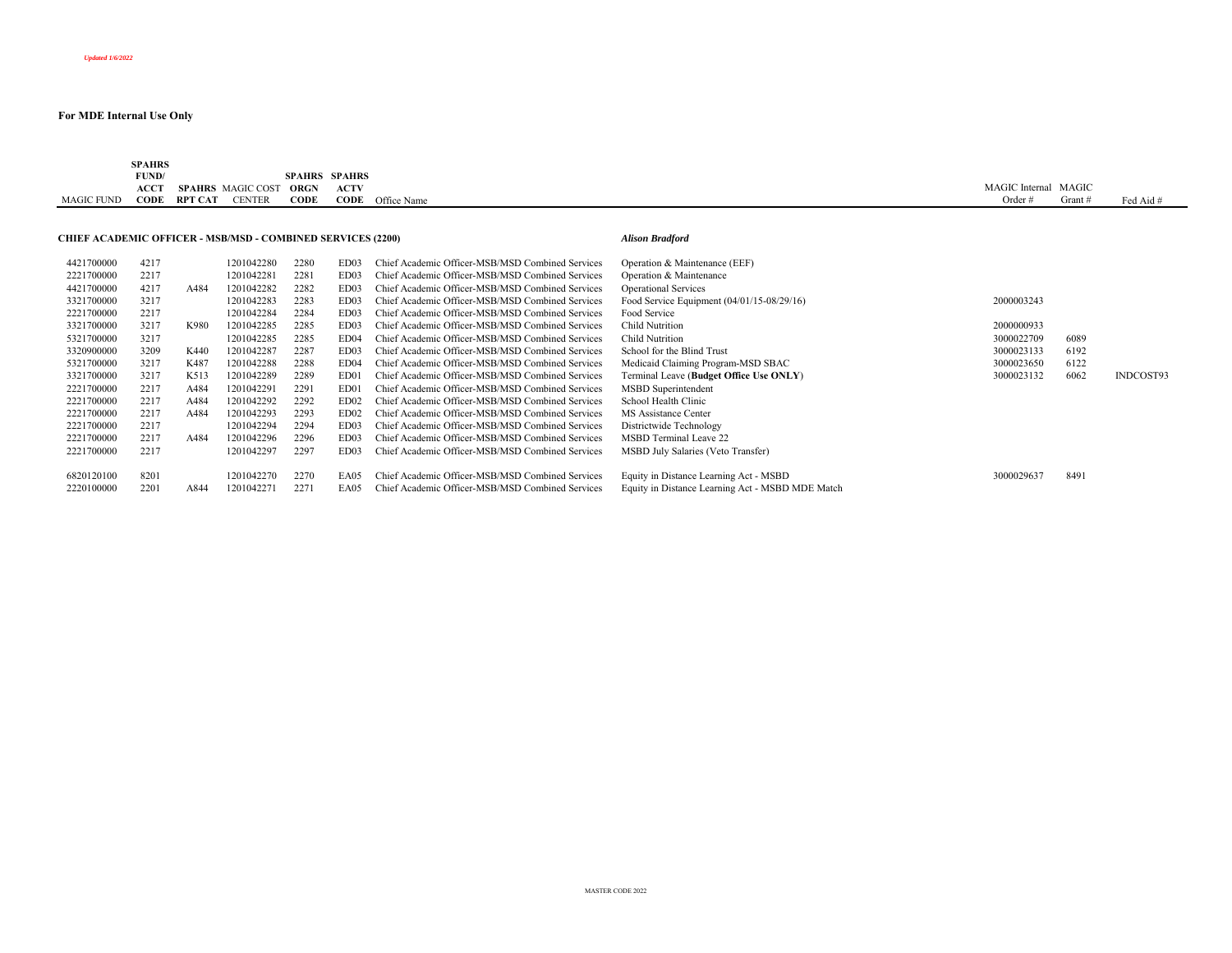|            | <b>SPAHRS</b>                      |         |                   |                      |             |                         |                |       |           |
|------------|------------------------------------|---------|-------------------|----------------------|-------------|-------------------------|----------------|-------|-----------|
|            | FUND/                              |         |                   | <b>SPAHRS SPAHRS</b> |             |                         |                |       |           |
|            | $\mathbf{ACC}^{\boldsymbol{\tau}}$ |         | SPAHRS MAGIC COST | ORGN                 | <b>ACTV</b> |                         | MAGIC Internal | MAGIC |           |
| MAGIC FUND | CODE                               | RPT CAT | <b>CENTER</b>     | <b>CODE</b>          |             | <b>CODE</b> Office Name | Orde           | Grant | Fed Aid # |
|            |                                    |         |                   |                      |             |                         |                |       |           |

#### **CHIEF ACADEMIC OFFICER - MSB/MSD - COMBINED SERVICES (2200)** *Alison Bradford*

| 4421700000 | 4217 |      | 1201042280 | 2280 | ED03             | Chief Academic Officer-MSB/MSD Combined Services | Operation & Maintenance (EEF)                    |            |      |           |
|------------|------|------|------------|------|------------------|--------------------------------------------------|--------------------------------------------------|------------|------|-----------|
| 2221700000 | 2217 |      | 1201042281 | 2281 | ED03             | Chief Academic Officer-MSB/MSD Combined Services | Operation & Maintenance                          |            |      |           |
| 4421700000 | 4217 | A484 | 1201042282 | 2282 | ED03             | Chief Academic Officer-MSB/MSD Combined Services | <b>Operational Services</b>                      |            |      |           |
| 3321700000 | 3217 |      | 1201042283 | 2283 | ED03             | Chief Academic Officer-MSB/MSD Combined Services | Food Service Equipment $(04/01/15-08/29/16)$     | 2000003243 |      |           |
| 2221700000 | 2217 |      | 1201042284 | 2284 | ED03             | Chief Academic Officer-MSB/MSD Combined Services | Food Service                                     |            |      |           |
| 3321700000 | 3217 | K980 | 1201042285 | 2285 | ED03             | Chief Academic Officer-MSB/MSD Combined Services | <b>Child Nutrition</b>                           | 2000000933 |      |           |
| 5321700000 | 3217 |      | 1201042285 | 2285 | ED <sub>04</sub> | Chief Academic Officer-MSB/MSD Combined Services | Child Nutrition                                  | 3000022709 | 6089 |           |
| 3320900000 | 3209 | K440 | 1201042287 | 2287 | ED03             | Chief Academic Officer-MSB/MSD Combined Services | School for the Blind Trust                       | 3000023133 | 6192 |           |
| 5321700000 | 3217 | K487 | 1201042288 | 2288 | ED <sub>04</sub> | Chief Academic Officer-MSB/MSD Combined Services | Medicaid Claiming Program-MSD SBAC               | 3000023650 | 6122 |           |
| 3321700000 | 3217 | K513 | 1201042289 | 2289 | ED01             | Chief Academic Officer-MSB/MSD Combined Services | Terminal Leave (Budget Office Use ONLY)          | 3000023132 | 6062 | INDCOST93 |
| 2221700000 | 2217 | A484 | 1201042291 | 2291 | ED01             | Chief Academic Officer-MSB/MSD Combined Services | MSBD Superintendent                              |            |      |           |
| 2221700000 | 2217 | A484 | 1201042292 | 2292 | ED <sub>02</sub> | Chief Academic Officer-MSB/MSD Combined Services | School Health Clinic                             |            |      |           |
| 2221700000 | 2217 | A484 | 1201042293 | 2293 | ED <sub>02</sub> | Chief Academic Officer-MSB/MSD Combined Services | MS Assistance Center                             |            |      |           |
| 2221700000 | 2217 |      | 1201042294 | 2294 | ED03             | Chief Academic Officer-MSB/MSD Combined Services | Districtwide Technology                          |            |      |           |
| 2221700000 | 2217 | A484 | 1201042296 | 2296 | ED03             | Chief Academic Officer-MSB/MSD Combined Services | MSBD Terminal Leave 22                           |            |      |           |
| 2221700000 | 2217 |      | 1201042297 | 2297 | ED03             | Chief Academic Officer-MSB/MSD Combined Services | MSBD July Salaries (Veto Transfer)               |            |      |           |
|            |      |      |            |      |                  |                                                  |                                                  |            |      |           |
| 6820120100 | 8201 |      | 1201042270 | 2270 | EA05             | Chief Academic Officer-MSB/MSD Combined Services | Equity in Distance Learning Act - MSBD           | 3000029637 | 8491 |           |
| 2220100000 | 2201 | A844 | 1201042271 | 227  | EA05             | Chief Academic Officer-MSB/MSD Combined Services | Equity in Distance Learning Act - MSBD MDE Match |            |      |           |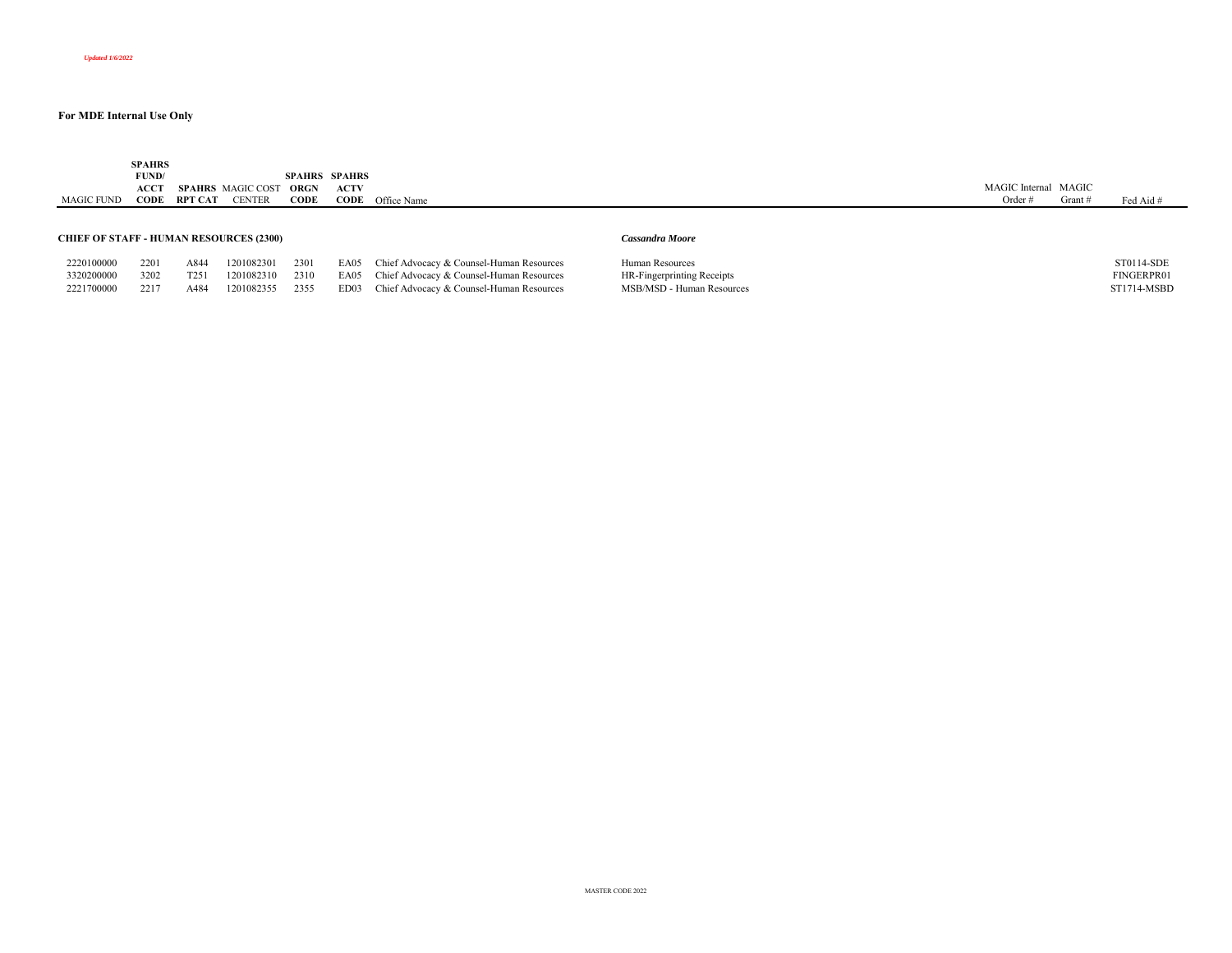MAGIC FUND **CODE RPT CAT** CENTER **SPAHRS FUND/ ACCT SPAHRS**  MAGIC COST **ORGN SPAHRS SPAHRS CODEACTV CODE** Office Name MAGIC Internal MAGIC Order # Grant # Fed Aid # **CHIEF OF STAFF - HUMAN RESOURCES (2300)** *Cassandra Moore*

| CHILF OF STAFF - HUMAN RESOURCES (2500) |
|-----------------------------------------|
|-----------------------------------------|

|  | ------------- | and the control of | $\sim$ |
|--|---------------|--------------------|--------|
|  |               |                    |        |
|  |               |                    |        |
|  |               |                    |        |

| 2220100000 | 2201 | A844             | 1201082301      | 2301 | EA05 Chief Advocacy & Counsel-Human Resources | Human Resources            | ST0114-SDE  |
|------------|------|------------------|-----------------|------|-----------------------------------------------|----------------------------|-------------|
| 3320200000 | 3202 | T <sub>251</sub> | 1201082310 2310 |      | EA05 Chief Advocacy & Counsel-Human Resources | HR-Fingerprinting Receipts | FINGERPR01  |
| 2221700000 | 2217 | A484             | 1201082355      | 2355 | ED03 Chief Advocacy & Counsel-Human Resources | MSB/MSD - Human Resources  | ST1714-MSBD |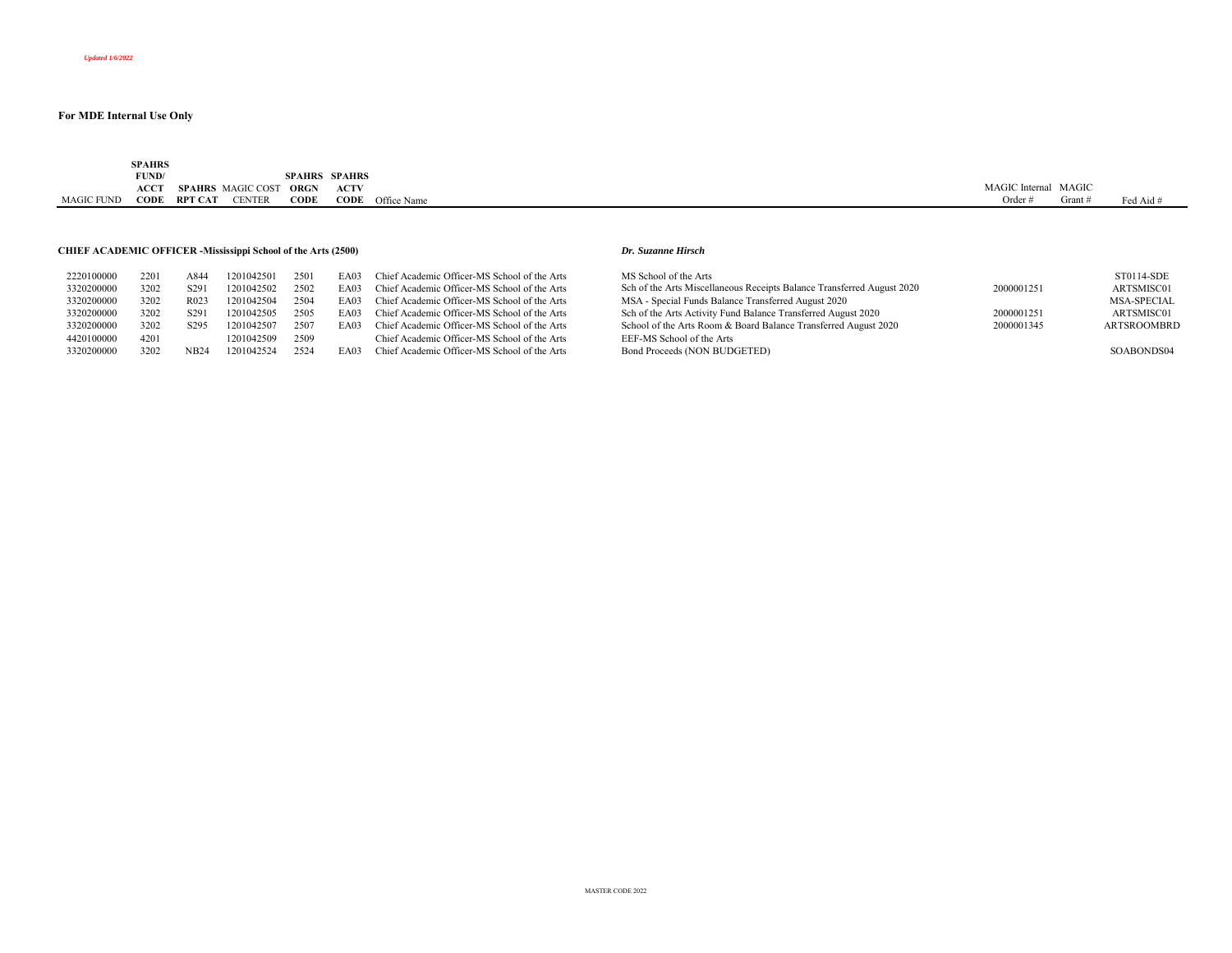| SPAHRS<br>the contract of the contract of                                                                                        |         |
|----------------------------------------------------------------------------------------------------------------------------------|---------|
| FUND/<br><b>SPAHRS SPAHRS</b>                                                                                                    |         |
| MAGIC<br><b>ACCT</b><br>MAGIC Internal<br><b>SPAHRS</b> MAGIC COST<br>ACTV<br>ORGN                                               |         |
| <b>CODE</b><br>Office Name<br><b>RPT CAT</b><br><b>CODE</b><br>$\bigcirc$ ODE<br>CENTEE<br><b>MAGIC FUND</b><br>Order<br>Grant + | Fed Aid |

#### **CHIEF ACADEMIC OFFICER -Mississippi School of the Arts (2500)** *Dr. Suzanne Hirsch*

| 2220100000 | 2201 | A844             | 1201042501 | 2501 | EA03 | Chief Academic Officer-MS School of the Arts | MS School of the Arts                                                  |            | ST0114-SDE         |
|------------|------|------------------|------------|------|------|----------------------------------------------|------------------------------------------------------------------------|------------|--------------------|
| 3320200000 | 3202 | S <sub>29</sub>  | 1201042502 | 2502 | EA03 | Chief Academic Officer-MS School of the Arts | Sch of the Arts Miscellaneous Receipts Balance Transferred August 2020 | 2000001251 | ARTSMISC01         |
| 3320200000 | 3202 | R <sub>023</sub> | 1201042504 | 2504 | EA03 | Chief Academic Officer-MS School of the Arts | MSA - Special Funds Balance Transferred August 2020                    |            | <b>MSA-SPECIAL</b> |
| 3320200000 | 3202 | S <sub>291</sub> | 1201042505 | 2505 | EA03 | Chief Academic Officer-MS School of the Arts | Sch of the Arts Activity Fund Balance Transferred August 2020          | 2000001251 | ARTSMISC01         |
| 3320200000 | 3202 | S <sub>295</sub> | 1201042507 | 2507 | EA03 | Chief Academic Officer-MS School of the Arts | School of the Arts Room & Board Balance Transferred August 2020        | 2000001345 | <b>ARTSROOMBRD</b> |
| 4420100000 | 4201 |                  | 1201042509 | 2509 |      | Chief Academic Officer-MS School of the Arts | EEF-MS School of the Arts                                              |            |                    |
| 3320200000 | 3202 | NB24             | 1201042524 | 2524 | EA03 | Chief Academic Officer-MS School of the Arts | Bond Proceeds (NON BUDGETED)                                           |            | SOABONDS04         |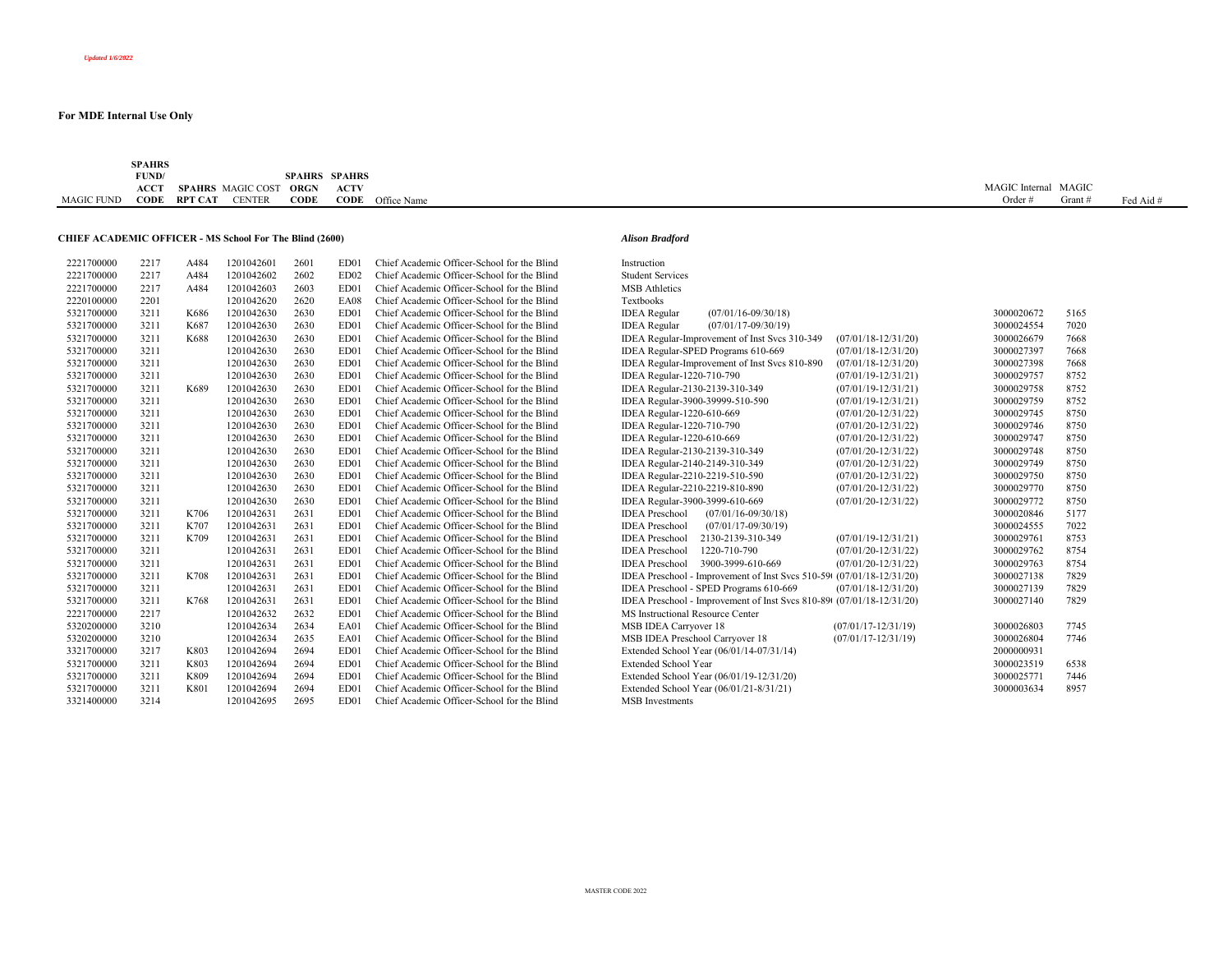|            | <b>SPAHRS</b> |         |                          |               |               |                         |                      |         |           |
|------------|---------------|---------|--------------------------|---------------|---------------|-------------------------|----------------------|---------|-----------|
|            | FUND/         |         |                          | <b>SPAHRS</b> | <b>SPAHRS</b> |                         |                      |         |           |
|            | <b>ACCT</b>   |         | <b>SPAHRS</b> MAGIC COST | ORGN          | <b>ACTV</b>   |                         | MAGIC Internal MAGIC |         |           |
| MAGIC FUND | CODE          | RPT CAT | <b>CENTER</b>            | CODE          |               | <b>CODE</b> Office Name | Order                | Grant s | Fed Aid # |
|            |               |         |                          |               |               |                         |                      |         |           |

#### **CHIEF ACADEMIC OFFICER - MS School For The Blind (2600)** *Alison Bradford*

| 2221700000 | 2217 | A484 | 1201042601 | 2601 | ED <sub>01</sub> | Chief Academic Officer-School for the Blind | Instruction                                                              |            |      |
|------------|------|------|------------|------|------------------|---------------------------------------------|--------------------------------------------------------------------------|------------|------|
| 2221700000 | 2217 | A484 | 1201042602 | 2602 | ED02             | Chief Academic Officer-School for the Blind | <b>Student Services</b>                                                  |            |      |
| 2221700000 | 2217 | A484 | 1201042603 | 2603 | ED01             | Chief Academic Officer-School for the Blind | <b>MSB</b> Athletics                                                     |            |      |
| 2220100000 | 2201 |      | 1201042620 | 2620 | EA08             | Chief Academic Officer-School for the Blind | Textbooks                                                                |            |      |
| 5321700000 | 3211 | K686 | 1201042630 | 2630 | ED01             | Chief Academic Officer-School for the Blind | <b>IDEA</b> Regular<br>$(07/01/16 - 09/30/18)$                           | 3000020672 | 5165 |
| 5321700000 | 3211 | K687 | 1201042630 | 2630 | ED01             | Chief Academic Officer-School for the Blind | $(07/01/17 - 09/30/19)$<br><b>IDEA</b> Regular                           | 3000024554 | 7020 |
| 5321700000 | 3211 | K688 | 1201042630 | 2630 | ED01             | Chief Academic Officer-School for the Blind | IDEA Regular-Improvement of Inst Svcs 310-349<br>$(07/01/18 - 12/31/20)$ | 3000026679 | 7668 |
| 5321700000 | 3211 |      | 1201042630 | 2630 | ED01             | Chief Academic Officer-School for the Blind | IDEA Regular-SPED Programs 610-669<br>$(07/01/18 - 12/31/20)$            | 3000027397 | 7668 |
| 5321700000 | 3211 |      | 1201042630 | 2630 | ED01             | Chief Academic Officer-School for the Blind | IDEA Regular-Improvement of Inst Svcs 810-890<br>$(07/01/18 - 12/31/20)$ | 3000027398 | 7668 |
| 5321700000 | 3211 |      | 1201042630 | 2630 | ED01             | Chief Academic Officer-School for the Blind | IDEA Regular-1220-710-790<br>$(07/01/19 - 12/31/21)$                     | 3000029757 | 8752 |
| 5321700000 | 3211 | K689 | 1201042630 | 2630 | ED01             | Chief Academic Officer-School for the Blind | IDEA Regular-2130-2139-310-349<br>$(07/01/19 - 12/31/21)$                | 3000029758 | 8752 |
| 5321700000 | 3211 |      | 1201042630 | 2630 | ED01             | Chief Academic Officer-School for the Blind | IDEA Regular-3900-39999-510-590<br>$(07/01/19 - 12/31/21)$               | 3000029759 | 8752 |
| 5321700000 | 3211 |      | 1201042630 | 2630 | ED01             | Chief Academic Officer-School for the Blind | IDEA Regular-1220-610-669<br>$(07/01/20-12/31/22)$                       | 3000029745 | 8750 |
| 5321700000 | 3211 |      | 1201042630 | 2630 | ED <sub>01</sub> | Chief Academic Officer-School for the Blind | IDEA Regular-1220-710-790<br>$(07/01/20-12/31/22)$                       | 3000029746 | 8750 |
| 5321700000 | 3211 |      | 1201042630 | 2630 | ED01             | Chief Academic Officer-School for the Blind | IDEA Regular-1220-610-669<br>$(07/01/20-12/31/22)$                       | 3000029747 | 8750 |
| 5321700000 | 3211 |      | 1201042630 | 2630 | ED <sub>01</sub> | Chief Academic Officer-School for the Blind | IDEA Regular-2130-2139-310-349<br>$(07/01/20-12/31/22)$                  | 3000029748 | 8750 |
| 5321700000 | 3211 |      | 1201042630 | 2630 | ED01             | Chief Academic Officer-School for the Blind | IDEA Regular-2140-2149-310-349<br>$(07/01/20-12/31/22)$                  | 3000029749 | 8750 |
| 5321700000 | 3211 |      | 1201042630 | 2630 | ED01             | Chief Academic Officer-School for the Blind | IDEA Regular-2210-2219-510-590<br>$(07/01/20-12/31/22)$                  | 3000029750 | 8750 |
| 5321700000 | 3211 |      | 1201042630 | 2630 | ED01             | Chief Academic Officer-School for the Blind | IDEA Regular-2210-2219-810-890<br>$(07/01/20-12/31/22)$                  | 3000029770 | 8750 |
| 5321700000 | 3211 |      | 1201042630 | 2630 | ED01             | Chief Academic Officer-School for the Blind | IDEA Regular-3900-3999-610-669<br>$(07/01/20-12/31/22)$                  | 3000029772 | 8750 |
| 5321700000 | 3211 | K706 | 1201042631 | 2631 | ED01             | Chief Academic Officer-School for the Blind | <b>IDEA</b> Preschool<br>$(07/01/16 - 09/30/18)$                         | 3000020846 | 5177 |
| 5321700000 | 3211 | K707 | 1201042631 | 2631 | ED01             | Chief Academic Officer-School for the Blind | <b>IDEA</b> Preschool<br>$(07/01/17 - 09/30/19)$                         | 3000024555 | 7022 |
| 5321700000 | 3211 | K709 | 1201042631 | 2631 | ED01             | Chief Academic Officer-School for the Blind | <b>IDEA</b> Preschool<br>2130-2139-310-349<br>$(07/01/19-12/31/21)$      | 3000029761 | 8753 |
| 5321700000 | 3211 |      | 1201042631 | 2631 | ED01             | Chief Academic Officer-School for the Blind | 1220-710-790<br>$(07/01/20-12/31/22)$<br><b>IDEA</b> Preschool           | 3000029762 | 8754 |
| 5321700000 | 3211 |      | 1201042631 | 2631 | ED01             | Chief Academic Officer-School for the Blind | 3900-3999-610-669<br>$(07/01/20-12/31/22)$<br><b>IDEA</b> Preschool      | 3000029763 | 8754 |
| 5321700000 | 3211 | K708 | 1201042631 | 2631 | ED <sub>01</sub> | Chief Academic Officer-School for the Blind | IDEA Preschool - Improvement of Inst Svcs 510-59( (07/01/18-12/31/20)    | 3000027138 | 7829 |
| 5321700000 | 3211 |      | 1201042631 | 2631 | ED <sub>01</sub> | Chief Academic Officer-School for the Blind | IDEA Preschool - SPED Programs 610-669<br>$(07/01/18 - 12/31/20)$        | 3000027139 | 7829 |
| 5321700000 | 3211 | K768 | 1201042631 | 2631 | ED01             | Chief Academic Officer-School for the Blind | IDEA Preschool - Improvement of Inst Svcs 810-89( (07/01/18-12/31/20)    | 3000027140 | 7829 |
| 2221700000 | 2217 |      | 1201042632 | 2632 | ED <sub>01</sub> | Chief Academic Officer-School for the Blind | MS Instructional Resource Center                                         |            |      |
| 5320200000 | 3210 |      | 1201042634 | 2634 | EA01             | Chief Academic Officer-School for the Blind | MSB IDEA Carryover 18<br>$(07/01/17 - 12/31/19)$                         | 3000026803 | 7745 |
| 5320200000 | 3210 |      | 1201042634 | 2635 | EA01             | Chief Academic Officer-School for the Blind | MSB IDEA Preschool Carryover 18<br>$(07/01/17 - 12/31/19)$               | 3000026804 | 7746 |
| 3321700000 | 3217 | K803 | 1201042694 | 2694 | ED01             | Chief Academic Officer-School for the Blind | Extended School Year (06/01/14-07/31/14)                                 | 2000000931 |      |
| 5321700000 | 3211 | K803 | 1201042694 | 2694 | ED <sub>01</sub> | Chief Academic Officer-School for the Blind | Extended School Year                                                     | 3000023519 | 6538 |
| 5321700000 | 3211 | K809 | 1201042694 | 2694 | ED <sub>01</sub> | Chief Academic Officer-School for the Blind | Extended School Year (06/01/19-12/31/20)                                 | 3000025771 | 7446 |
| 5321700000 | 3211 | K801 | 1201042694 | 2694 | ED01             | Chief Academic Officer-School for the Blind | Extended School Year (06/01/21-8/31/21)                                  | 3000003634 | 8957 |
| 3321400000 | 3214 |      | 1201042695 | 2695 | ED01             | Chief Academic Officer-School for the Blind | <b>MSB</b> Investments                                                   |            |      |
|            |      |      |            |      |                  |                                             |                                                                          |            |      |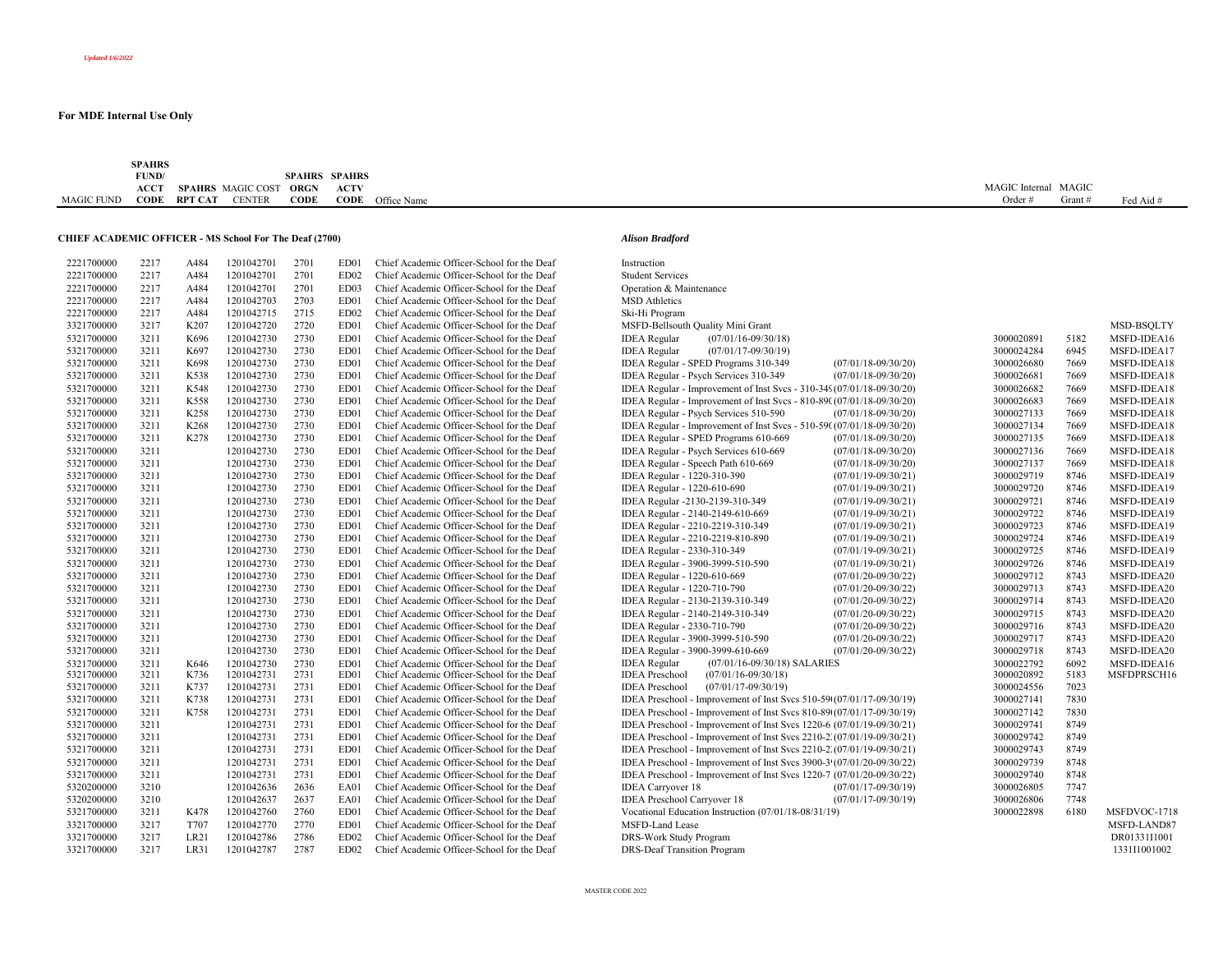**SPAHRS** 

|                                                               | <b>FUND</b> |                  |                          | <b>SPAHRS</b> | SPAHRS           |                                            |                                                                       |                         |                      |        |             |
|---------------------------------------------------------------|-------------|------------------|--------------------------|---------------|------------------|--------------------------------------------|-----------------------------------------------------------------------|-------------------------|----------------------|--------|-------------|
|                                                               | ACCT        |                  | SPAHRS MAGIC COST ORGN   |               | <b>ACTV</b>      |                                            |                                                                       |                         | MAGIC Internal MAGIC |        |             |
| <b>MAGIC FUND</b>                                             | CODE        | RPT CAT          | <b>CENTER</b>            | <b>CODE</b>   |                  | <b>CODE</b> Office Name                    |                                                                       |                         | Order $#$            | Grant# | Fed Aid #   |
|                                                               |             |                  |                          |               |                  |                                            |                                                                       |                         |                      |        |             |
| <b>CHIEF ACADEMIC OFFICER - MS School For The Deaf (2700)</b> |             |                  |                          |               |                  |                                            |                                                                       |                         |                      |        |             |
|                                                               |             |                  |                          |               |                  |                                            | <b>Alison Bradford</b>                                                |                         |                      |        |             |
| 2221700000                                                    | 2217        | A484             | 1201042701               | 2701          | ED01             | Chief Academic Officer-School for the Deaf | Instruction                                                           |                         |                      |        |             |
| 2221700000                                                    | 2217        | A484             | 1201042701               | 2701          | ED <sub>02</sub> | Chief Academic Officer-School for the Deaf | <b>Student Services</b>                                               |                         |                      |        |             |
| 2221700000                                                    | 2217        | A484             | 1201042701               | 2701          | ED03             | Chief Academic Officer-School for the Deaf | Operation & Maintenance                                               |                         |                      |        |             |
| 2221700000                                                    | 2217        | A484             | 1201042703               | 2703          | ED01             | Chief Academic Officer-School for the Deaf | <b>MSD</b> Athletics                                                  |                         |                      |        |             |
| 2221700000                                                    | 2217        | A484             | 1201042715               | 2715          | ED02             | Chief Academic Officer-School for the Deaf | Ski-Hi Program                                                        |                         |                      |        |             |
| 3321700000                                                    | 3217        | K <sub>207</sub> | 1201042720               | 2720          | ED01             | Chief Academic Officer-School for the Deaf | MSFD-Bellsouth Quality Mini Grant                                     |                         |                      |        | MSD-BSQLTY  |
| 5321700000                                                    | 3211        | K696             | 1201042730               | 2730          | ED01             | Chief Academic Officer-School for the Deaf | <b>IDEA</b> Regular<br>$(07/01/16 - 09/30/18)$                        |                         | 3000020891           | 5182   | MSFD-IDEA16 |
| 5321700000                                                    | 3211        | K697             | 1201042730               | 2730          | ED01             | Chief Academic Officer-School for the Deaf | <b>IDEA</b> Regular<br>$(07/01/17 - 09/30/19)$                        |                         | 3000024284           | 6945   | MSFD-IDEA17 |
| 5321700000                                                    | 3211        | K698             | 1201042730               | 2730          | ED01             | Chief Academic Officer-School for the Deaf | IDEA Regular - SPED Programs 310-349                                  | $(07/01/18-09/30/20)$   | 3000026680           | 7669   | MSFD-IDEA18 |
| 5321700000                                                    | 3211        | K538             | 1201042730               | 2730          | ED01             | Chief Academic Officer-School for the Deaf | IDEA Regular - Psych Services 310-349                                 | $(07/01/18-09/30/20)$   | 3000026681           | 7669   | MSFD-IDEA18 |
| 5321700000                                                    | 3211        | K548             | 1201042730               | 2730          | ED01             | Chief Academic Officer-School for the Deaf | IDEA Regular - Improvement of Inst Svcs - 310-349(07/01/18-09/30/20)  |                         | 3000026682           | 7669   | MSFD-IDEA18 |
| 5321700000                                                    | 3211        | K558             | 1201042730               | 2730          | ED01             | Chief Academic Officer-School for the Deaf | IDEA Regular - Improvement of Inst Svcs - 810-890(07/01/18-09/30/20)  |                         | 3000026683           | 7669   | MSFD-IDEA18 |
| 5321700000                                                    | 3211        | K258             | 1201042730               | 2730          | ED01             | Chief Academic Officer-School for the Deaf | IDEA Regular - Psych Services 510-590                                 | $(07/01/18-09/30/20)$   | 3000027133           | 7669   | MSFD-IDEA18 |
| 5321700000                                                    | 3211        | K <sub>268</sub> | 1201042730               | 2730          | ED01             | Chief Academic Officer-School for the Deaf | IDEA Regular - Improvement of Inst Svcs - 510-590(07/01/18-09/30/20)  |                         | 3000027134           | 7669   | MSFD-IDEA18 |
| 5321700000                                                    | 3211        | K278             | 1201042730               | 2730          | ED01             | Chief Academic Officer-School for the Deaf | IDEA Regular - SPED Programs 610-669                                  | $(07/01/18 - 09/30/20)$ | 3000027135           | 7669   | MSFD-IDEA18 |
| 5321700000                                                    | 3211        |                  | 1201042730               | 2730          | ED01             | Chief Academic Officer-School for the Deaf | IDEA Regular - Psych Services 610-669                                 | $(07/01/18-09/30/20)$   | 3000027136           | 7669   | MSFD-IDEA18 |
| 5321700000                                                    | 3211        |                  | 1201042730               | 2730          | ED01             | Chief Academic Officer-School for the Deaf | IDEA Regular - Speech Path 610-669                                    | $(07/01/18 - 09/30/20)$ | 3000027137           | 7669   | MSFD-IDEA18 |
| 5321700000                                                    | 3211        |                  | 1201042730               | 2730          | ED01             | Chief Academic Officer-School for the Deaf | IDEA Regular - 1220-310-390                                           |                         | 3000029719           | 8746   | MSFD-IDEA19 |
| 5321700000                                                    | 3211        |                  |                          | 2730          | ED01             | Chief Academic Officer-School for the Deaf |                                                                       | $(07/01/19 - 09/30/21)$ | 3000029720           | 8746   | MSFD-IDEA19 |
| 5321700000                                                    | 3211        |                  | 1201042730               | 2730          | ED01             | Chief Academic Officer-School for the Deaf | IDEA Regular - 1220-610-690                                           | $(07/01/19 - 09/30/21)$ | 3000029721           | 8746   |             |
|                                                               | 3211        |                  | 1201042730<br>1201042730 | 2730          |                  |                                            | IDEA Regular -2130-2139-310-349                                       | $(07/01/19 - 09/30/21)$ |                      |        | MSFD-IDEA19 |
| 5321700000                                                    |             |                  |                          |               | ED01             | Chief Academic Officer-School for the Deaf | IDEA Regular - 2140-2149-610-669                                      | $(07/01/19 - 09/30/21)$ | 3000029722           | 8746   | MSFD-IDEA19 |
| 5321700000                                                    | 3211        |                  | 1201042730               | 2730          | ED01             | Chief Academic Officer-School for the Deaf | IDEA Regular - 2210-2219-310-349                                      | $(07/01/19-09/30/21)$   | 3000029723           | 8746   | MSFD-IDEA19 |
| 5321700000                                                    | 3211        |                  | 1201042730               | 2730          | ED01             | Chief Academic Officer-School for the Deaf | IDEA Regular - 2210-2219-810-890                                      | $(07/01/19 - 09/30/21)$ | 3000029724           | 8746   | MSFD-IDEA19 |
| 5321700000                                                    | 3211        |                  | 1201042730               | 2730          | ED01             | Chief Academic Officer-School for the Deaf | IDEA Regular - 2330-310-349                                           | $(07/01/19 - 09/30/21)$ | 3000029725           | 8746   | MSFD-IDEA19 |
| 5321700000                                                    | 3211        |                  | 1201042730               | 2730          | ED01             | Chief Academic Officer-School for the Deaf | IDEA Regular - 3900-3999-510-590                                      | $(07/01/19 - 09/30/21)$ | 3000029726           | 8746   | MSFD-IDEA19 |
| 5321700000                                                    | 3211        |                  | 1201042730               | 2730          | ED01             | Chief Academic Officer-School for the Deaf | IDEA Regular - 1220-610-669                                           | $(07/01/20-09/30/22)$   | 3000029712           | 8743   | MSFD-IDEA20 |
| 5321700000                                                    | 3211        |                  | 1201042730               | 2730          | ED01             | Chief Academic Officer-School for the Deaf | IDEA Regular - 1220-710-790                                           | $(07/01/20-09/30/22)$   | 3000029713           | 8743   | MSFD-IDEA20 |
| 5321700000                                                    | 3211        |                  | 1201042730               | 2730          | ED01             | Chief Academic Officer-School for the Deaf | IDEA Regular - 2130-2139-310-349                                      | $(07/01/20-09/30/22)$   | 3000029714           | 8743   | MSFD-IDEA20 |
| 5321700000                                                    | 3211        |                  | 1201042730               | 2730          | ED01             | Chief Academic Officer-School for the Deaf | IDEA Regular - 2140-2149-310-349                                      | $(07/01/20-09/30/22)$   | 3000029715           | 8743   | MSFD-IDEA20 |
| 5321700000                                                    | 3211        |                  | 1201042730               | 2730          | ED01             | Chief Academic Officer-School for the Deaf | IDEA Regular - 2330-710-790                                           | $(07/01/20-09/30/22)$   | 3000029716           | 8743   | MSFD-IDEA20 |
| 5321700000                                                    | 3211        |                  | 1201042730               | 2730          | ED01             | Chief Academic Officer-School for the Deaf | IDEA Regular - 3900-3999-510-590                                      | $(07/01/20-09/30/22)$   | 3000029717           | 8743   | MSFD-IDEA20 |
| 5321700000                                                    | 3211        |                  | 1201042730               | 2730          | ED01             | Chief Academic Officer-School for the Deaf | IDEA Regular - 3900-3999-610-669                                      | $(07/01/20-09/30/22)$   | 3000029718           | 8743   | MSFD-IDEA20 |
| 5321700000                                                    | 3211        | K646             | 1201042730               | 2730          | ED01             | Chief Academic Officer-School for the Deaf | <b>IDEA</b> Regular<br>(07/01/16-09/30/18) SALARIES                   |                         | 3000022792           | 6092   | MSFD-IDEA16 |
| 5321700000                                                    | 3211        | K736             | 1201042731               | 2731          | ED01             | Chief Academic Officer-School for the Deaf | <b>IDEA</b> Preschool<br>$(07/01/16 - 09/30/18)$                      |                         | 3000020892           | 5183   | MSFDPRSCH16 |
| 5321700000                                                    | 3211        | K737             | 1201042731               | 2731          | ED01             | Chief Academic Officer-School for the Deaf | <b>IDEA</b> Preschool<br>$(07/01/17 - 09/30/19)$                      |                         | 3000024556           | 7023   |             |
| 5321700000                                                    | 3211        | K738             | 1201042731               | 2731          | ED01             | Chief Academic Officer-School for the Deaf | IDEA Preschool - Improvement of Inst Svcs 510-59((07/01/17-09/30/19)  |                         | 3000027141           | 7830   |             |
| 5321700000                                                    | 3211        | K758             | 1201042731               | 2731          | ED01             | Chief Academic Officer-School for the Deaf | IDEA Preschool - Improvement of Inst Svcs 810-89(07/01/17-09/30/19)   |                         | 3000027142           | 7830   |             |
| 5321700000                                                    | 3211        |                  | 1201042731               | 2731          | ED01             | Chief Academic Officer-School for the Deaf | IDEA Preschool - Improvement of Inst Svcs 1220-6 (07/01/19-09/30/21)  |                         | 3000029741           | 8749   |             |
| 5321700000                                                    | 3211        |                  | 1201042731               | 2731          | ED01             | Chief Academic Officer-School for the Deaf | IDEA Preschool - Improvement of Inst Svcs 2210-2. (07/01/19-09/30/21) |                         | 3000029742           | 8749   |             |
| 5321700000                                                    | 3211        |                  | 1201042731               | 2731          | ED01             | Chief Academic Officer-School for the Deaf | IDEA Preschool - Improvement of Inst Svcs 2210-2. (07/01/19-09/30/21) |                         | 3000029743           | 8749   |             |
| 5321700000                                                    | 3211        |                  | 1201042731               | 2731          | ED01             | Chief Academic Officer-School for the Deaf | IDEA Preschool - Improvement of Inst Svcs 3900-3! (07/01/20-09/30/22) |                         | 3000029739           | 8748   |             |
| 5321700000                                                    | 3211        |                  | 1201042731               | 2731          | ED01             | Chief Academic Officer-School for the Deaf | IDEA Preschool - Improvement of Inst Svcs 1220-7 (07/01/20-09/30/22)  |                         | 3000029740           | 8748   |             |
| 5320200000                                                    | 3210        |                  | 1201042636               | 2636          | <b>EA01</b>      | Chief Academic Officer-School for the Deaf | <b>IDEA</b> Carryover 18                                              | $(07/01/17 - 09/30/19)$ | 3000026805           | 7747   |             |
| 5320200000                                                    | 3210        |                  | 1201042637               | 2637          | <b>EA01</b>      | Chief Academic Officer-School for the Deaf | <b>IDEA</b> Preschool Carryover 18                                    | $(07/01/17 - 09/30/19)$ | 3000026806           | 7748   |             |

5320200000 3210 1201042637 2637 EA01 Chief Academic Officer-School for the Deaf IDEA Preschool Carryover 18 (07/01/17-09/30/19) 3000026806 7748<br>5321700000 3211 K478 1201042760 2760 ED01 Chief Academic Officer-School for th 53000022898 6180 MSFDVOC-1718 1202161 MSFD-Land Lease MSFD-Land for the Deaf Vocational Education Instruction (07/01/18-08/31/19) 3000022898 6180 MSFD-LAND87 3321700000 3217 T707 1201042770 2770 ED01 Chief Academic Officer-School for the Deaf MSFD-Land Lease MSFD-Land Lease MSFD-LAND87<br>3321700000 3217 LR21 1201042786 2786 ED02 Chief Academic Officer-School for the Deaf DRS-Work 3321700000 3217 LR21 1201042786 2786 ED02 Chief Academic Officer-School for the Deaf DRS-Work Study Program Chief Academic Officer-School for the Deaf DRS-Work Study Program Chief Academic Officer-School for the Deaf DRS-D

Chief Academic Officer-School for the Deaf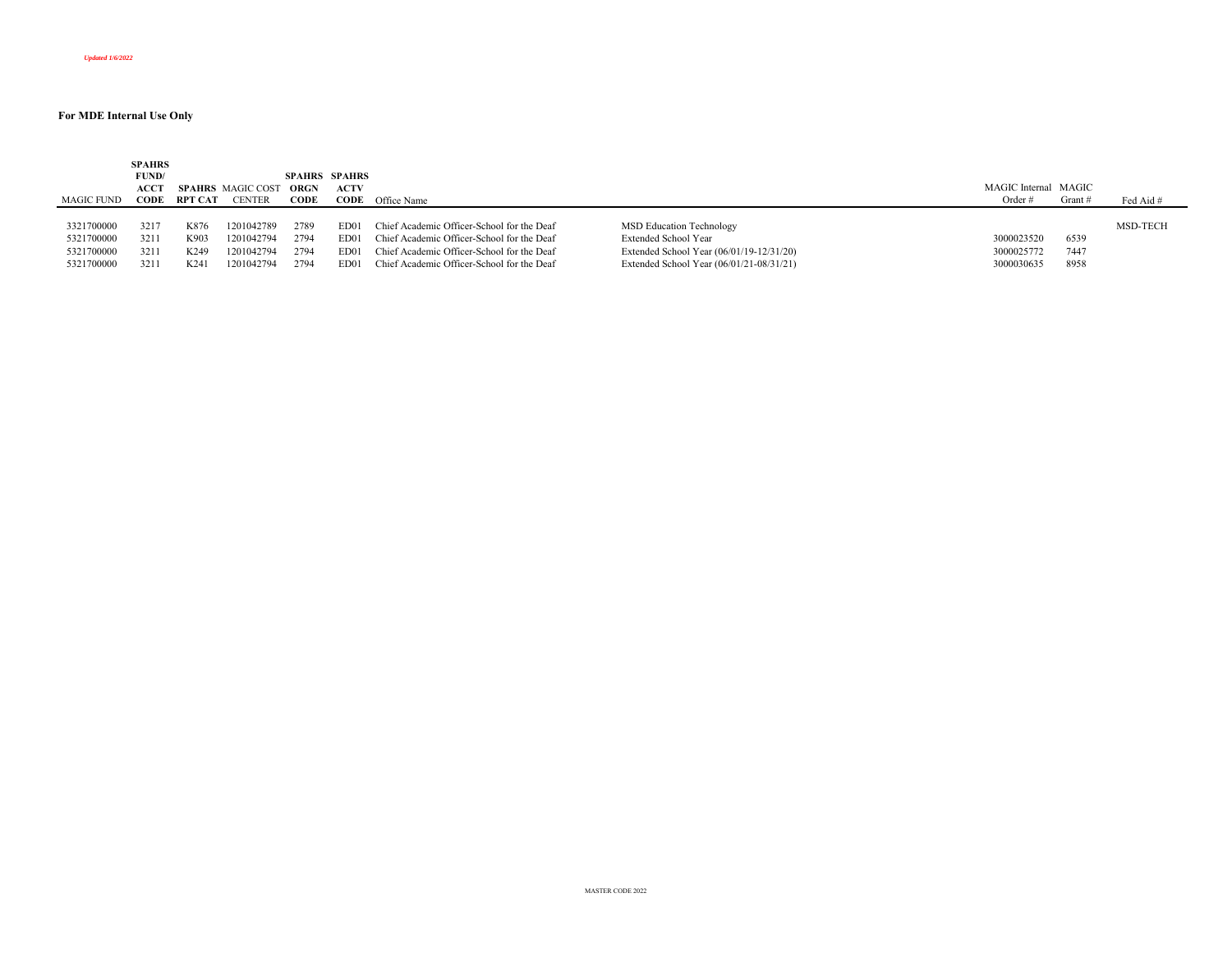|            | <b>SPAHRS</b> |                   |                          |             |                      |                                            |                                          |                      |         |           |
|------------|---------------|-------------------|--------------------------|-------------|----------------------|--------------------------------------------|------------------------------------------|----------------------|---------|-----------|
|            | FUND/         |                   |                          |             | <b>SPAHRS SPAHRS</b> |                                            |                                          |                      |         |           |
|            | АССТ          |                   | <b>SPAHRS</b> MAGIC COST | <b>ORGN</b> | <b>ACTV</b>          |                                            |                                          | MAGIC Internal MAGIC |         |           |
| MAGIC FUND | CODE          | - RPT CAT         | <b>CENTER</b>            | CODE        |                      | <b>CODE</b> Office Name                    |                                          | Order #              | Grant # | Fed Aid # |
|            |               |                   |                          |             |                      |                                            |                                          |                      |         |           |
| 3321700000 | 3217          | K876              | 1201042789               | 2789        | ED01                 | Chief Academic Officer-School for the Deaf | MSD Education Technology                 |                      |         | MSD-TECH  |
| 5321700000 | 3211          | K903              | 1201042794               | 2794        | ED01                 | Chief Academic Officer-School for the Deaf | Extended School Year                     | 3000023520           | 6539    |           |
| 5321700000 | 3211          | K <sub>249</sub>  | 201042794                | 2794        | ED <sub>01</sub>     | Chief Academic Officer-School for the Deaf | Extended School Year (06/01/19-12/31/20) | 3000025772           | 7447    |           |
| 5321700000 | 3211          | K <sub>24</sub> 1 | 201042794                | 2794        | ED01                 | Chief Academic Officer-School for the Deaf | Extended School Year (06/01/21-08/31/21) | 3000030635           | 8958    |           |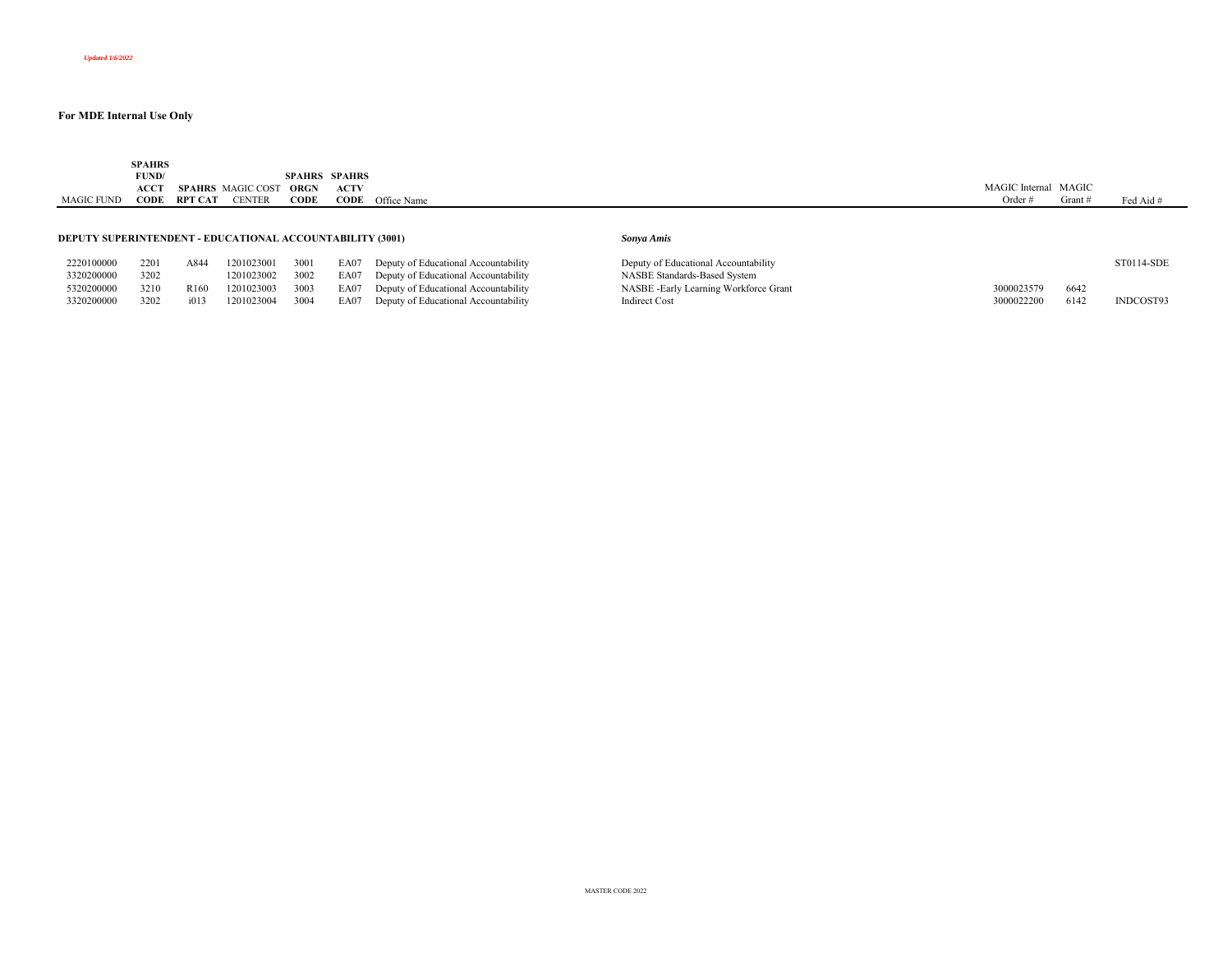|            | <b>SPAHRS</b> |                          |               |             |                      |             |                      |        |           |
|------------|---------------|--------------------------|---------------|-------------|----------------------|-------------|----------------------|--------|-----------|
|            | FUND/         |                          |               |             | <b>SPAHRS SPAHRS</b> |             |                      |        |           |
|            | ACCT          | <b>SPAHRS</b> MAGIC COST |               | <b>ORGN</b> | <b>ACTV</b>          |             | MAGIC Internal MAGIC |        |           |
| MAGIC FUND | <b>CODE</b>   | <b>RPT CAT</b>           | <b>CENTER</b> | CODE        | CODE                 | Office Name | Order $#$            | Grant# | Fed Aid # |
|            |               |                          |               |             |                      |             |                      |        |           |
|            |               |                          |               |             |                      |             |                      |        |           |

#### **DEPUTY SUPERINTENDENT - EDUCATIONAL ACCOUNTABILITY (3001)** *Sonya Amis*

| 2220100000 | 2201 | A844             | 1201023001 | 3001 | EA07 Deputy of Educational Accountability | Deputy of Educational Accountability  |            |      |
|------------|------|------------------|------------|------|-------------------------------------------|---------------------------------------|------------|------|
| 3320200000 | 3202 |                  | 1201023002 | 3002 | EA07 Deputy of Educational Accountability | NASBE Standards-Based System          |            |      |
| 5320200000 | 3210 | R <sub>160</sub> | 1201023003 | 3003 | EA07 Deputy of Educational Accountability | NASBE -Early Learning Workforce Grant | 3000023579 | 6642 |
| 3320200000 | 3202 | i013             | 1201023004 | 3004 | EA07 Deputy of Educational Accountability | <b>Indirect Cost</b>                  | 3000022200 | 6142 |

| 2220100000 | 2201 | A844             | 1201023001      | 3001 | EA07 Deputy of Educational Accountability | Deputy of Educational Accountability  |            |      | ST0114-SDE |
|------------|------|------------------|-----------------|------|-------------------------------------------|---------------------------------------|------------|------|------------|
| 3320200000 | 3202 |                  | 1201023002 3002 |      | EA07 Deputy of Educational Accountability | NASBE Standards-Based System          |            |      |            |
| 5320200000 | 3210 | R <sub>160</sub> | 1201023003      | 3003 | EA07 Deputy of Educational Accountability | NASBE -Early Learning Workforce Grant | 3000023579 | 6642 |            |
| 3320200000 | 3202 | i013             | 1201023004      | 3004 | EA07 Deputy of Educational Accountability | Indirect Cost                         | 3000022200 | 6142 | INDCOST93  |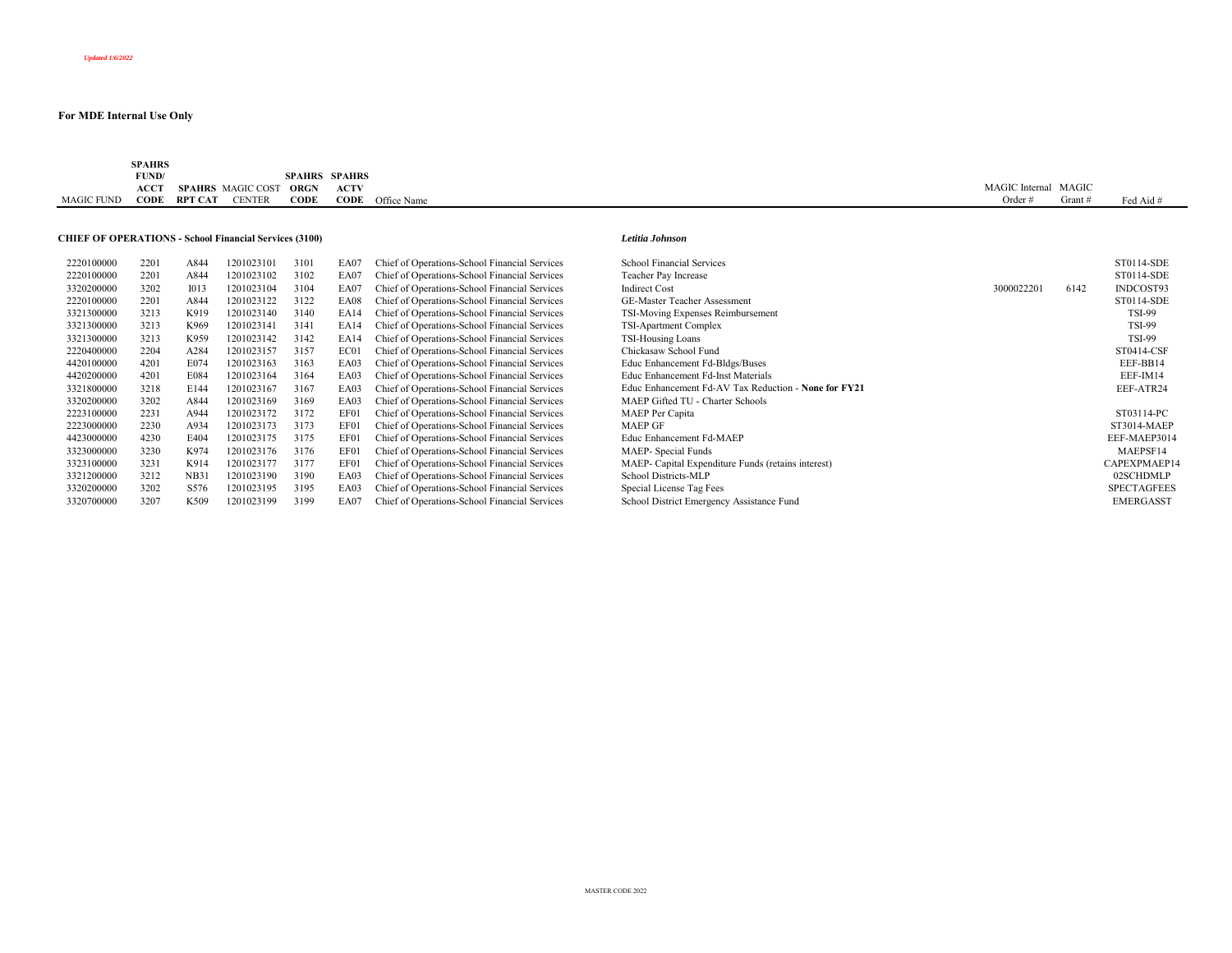|                   | <b>SPAHRS</b> |                |               |               |             |             |                |         |             |
|-------------------|---------------|----------------|---------------|---------------|-------------|-------------|----------------|---------|-------------|
|                   | FUND/         |                |               | <b>SPAHRS</b> | SPAHRS      |             |                |         |             |
|                   | ACCT          | <b>SPAHRS</b>  | MAGIC COST    | ORGN          | <b>ACTV</b> |             | MAGIC Internal | MAGIC   |             |
| <b>MAGIC FUND</b> | <b>CODE</b>   | <b>RPT CAT</b> | <b>CENTER</b> | <b>CODE</b>   | CODE        | Office Name | Order#         | Grant # | Fed Aid $#$ |

#### **CHIEF OF OPERATIONS - School Financial Services (3100)** *Letitia Johnson*

| 2220100000 | 2201 | A844             | 1201023101 | 3101 | EA07        | Chief of Operations-School Financial Services | School Financial Services          |
|------------|------|------------------|------------|------|-------------|-----------------------------------------------|------------------------------------|
| 2220100000 | 2201 | A844             | 1201023102 | 3102 | EA07        | Chief of Operations-School Financial Services | Teacher Pay Increase               |
| 3320200000 | 3202 | 1013             | 1201023104 | 3104 | EA07        | Chief of Operations-School Financial Services | <b>Indirect Cost</b>               |
| 2220100000 | 2201 | A844             | 1201023122 | 3122 | <b>EA08</b> | Chief of Operations-School Financial Services | GE-Master Teacher Assessment       |
| 3321300000 | 3213 | K919             | 1201023140 | 3140 | EA14        | Chief of Operations-School Financial Services | TSI-Moving Expenses Reimbursem     |
| 3321300000 | 3213 | K969             | 1201023141 | 3141 | EA14        | Chief of Operations-School Financial Services | TSI-Apartment Complex              |
| 3321300000 | 3213 | K959             | 1201023142 | 3142 | EA14        | Chief of Operations-School Financial Services | TSI-Housing Loans                  |
| 2220400000 | 2204 | A284             | 1201023157 | 3157 | EC01        | Chief of Operations-School Financial Services | Chickasaw School Fund              |
| 4420100000 | 4201 | E074             | 1201023163 | 3163 | EA03        | Chief of Operations-School Financial Services | Educ Enhancement Fd-Bldgs/Buses    |
| 4420200000 | 4201 | E084             | 1201023164 | 3164 | EA03        | Chief of Operations-School Financial Services | Educ Enhancement Fd-Inst Materia   |
| 3321800000 | 3218 | E144             | 1201023167 | 3167 | EA03        | Chief of Operations-School Financial Services | Educ Enhancement Fd-AV Tax Rec     |
| 3320200000 | 3202 | A844             | 1201023169 | 3169 | EA03        | Chief of Operations-School Financial Services | MAEP Gifted TU - Charter Schools   |
| 2223100000 | 2231 | A944             | 1201023172 | 3172 | EF01        | Chief of Operations-School Financial Services | MAEP Per Capita                    |
| 2223000000 | 2230 | A934             | 1201023173 | 3173 | EF01        | Chief of Operations-School Financial Services | <b>MAEP GF</b>                     |
| 4423000000 | 4230 | E404             | 1201023175 | 3175 | EF01        | Chief of Operations-School Financial Services | Educ Enhancement Fd-MAEP           |
| 3323000000 | 3230 | K974             | 1201023176 | 3176 | EF01        | Chief of Operations-School Financial Services | MAEP- Special Funds                |
| 3323100000 | 3231 | K914             | 1201023177 | 3177 | EF01        | Chief of Operations-School Financial Services | MAEP- Capital Expenditure Funds    |
| 3321200000 | 3212 | <b>NB31</b>      | 1201023190 | 3190 | EA03        | Chief of Operations-School Financial Services | School Districts-MLP               |
| 3320200000 | 3202 | S <sub>576</sub> | 1201023195 | 3195 | EA03        | Chief of Operations-School Financial Services | Special License Tag Fees           |
| 3320700000 | 3207 | K509             | 1201023199 | 3199 | <b>EA07</b> | Chief of Operations-School Financial Services | School District Emergency Assistan |

| 2220100000 | 2201 | A844        | 1201023101 | 3101 | EA07 | Chief of Operations-School Financial Services | <b>School Financial Services</b>                     |            |      | ST0114-SDE         |
|------------|------|-------------|------------|------|------|-----------------------------------------------|------------------------------------------------------|------------|------|--------------------|
| 2220100000 | 2201 | A844        | 1201023102 | 3102 | EA07 | Chief of Operations-School Financial Services | Teacher Pay Increase                                 |            |      | ST0114-SDE         |
| 3320200000 | 3202 | 1013        | 1201023104 | 3104 | EA07 | Chief of Operations-School Financial Services | <b>Indirect Cost</b>                                 | 3000022201 | 6142 | INDCOST93          |
| 2220100000 | 2201 | A844        | 1201023122 | 3122 | EA08 | Chief of Operations-School Financial Services | <b>GE-Master Teacher Assessment</b>                  |            |      | ST0114-SDE         |
| 3321300000 | 3213 | K919        | 1201023140 | 3140 | EA14 | Chief of Operations-School Financial Services | TSI-Moving Expenses Reimbursement                    |            |      | <b>TSI-99</b>      |
| 3321300000 | 3213 | K969        | 1201023141 | 3141 | EA14 | Chief of Operations-School Financial Services | TSI-Apartment Complex                                |            |      | <b>TSI-99</b>      |
| 3321300000 | 3213 | K959        | 1201023142 | 3142 | EA14 | Chief of Operations-School Financial Services | TSI-Housing Loans                                    |            |      | <b>TSI-99</b>      |
| 2220400000 | 2204 | A284        | 1201023157 | 3157 | EC01 | Chief of Operations-School Financial Services | Chickasaw School Fund                                |            |      | ST0414-CSF         |
| 4420100000 | 4201 | E074        | 1201023163 | 3163 | EA03 | Chief of Operations-School Financial Services | Educ Enhancement Fd-Bldgs/Buses                      |            |      | EEF-BB14           |
| 4420200000 | 4201 | E084        | 1201023164 | 3164 | EA03 | Chief of Operations-School Financial Services | Educ Enhancement Fd-Inst Materials                   |            |      | EEF-IM14           |
| 3321800000 | 3218 | E144        | 1201023167 | 3167 | EA03 | Chief of Operations-School Financial Services | Educ Enhancement Fd-AV Tax Reduction - None for FY21 |            |      | EEF-ATR24          |
| 3320200000 | 3202 | A844        | 1201023169 | 3169 | EA03 | Chief of Operations-School Financial Services | MAEP Gifted TU - Charter Schools                     |            |      |                    |
| 2223100000 | 2231 | A944        | 1201023172 | 3172 | EF01 | Chief of Operations-School Financial Services | MAEP Per Capita                                      |            |      | ST03114-PC         |
| 2223000000 | 2230 | A934        | 1201023173 | 3173 | EF01 | Chief of Operations-School Financial Services | MAEP GF                                              |            |      | ST3014-MAEP        |
| 4423000000 | 4230 | E404        | 1201023175 | 3175 | EF01 | Chief of Operations-School Financial Services | Educ Enhancement Fd-MAEP                             |            |      | EEF-MAEP3014       |
| 3323000000 | 3230 | K974        | 1201023176 | 3176 | EF01 | Chief of Operations-School Financial Services | MAEP- Special Funds                                  |            |      | MAEPSF14           |
| 3323100000 | 3231 | K914        | 1201023177 | 3177 | EF01 | Chief of Operations-School Financial Services | MAEP- Capital Expenditure Funds (retains interest)   |            |      | CAPEXPMAEP14       |
| 3321200000 | 3212 | <b>NB31</b> | 1201023190 | 3190 | EA03 | Chief of Operations-School Financial Services | School Districts-MLP                                 |            |      | 02SCHDMLP          |
| 3320200000 | 3202 | S576        | 1201023195 | 3195 | EA03 | Chief of Operations-School Financial Services | Special License Tag Fees                             |            |      | <b>SPECTAGFEES</b> |
| 3320700000 | 3207 | K509        | 1201023199 | 3199 | EA07 | Chief of Operations-School Financial Services | School District Emergency Assistance Fund            |            |      | <b>EMERGASST</b>   |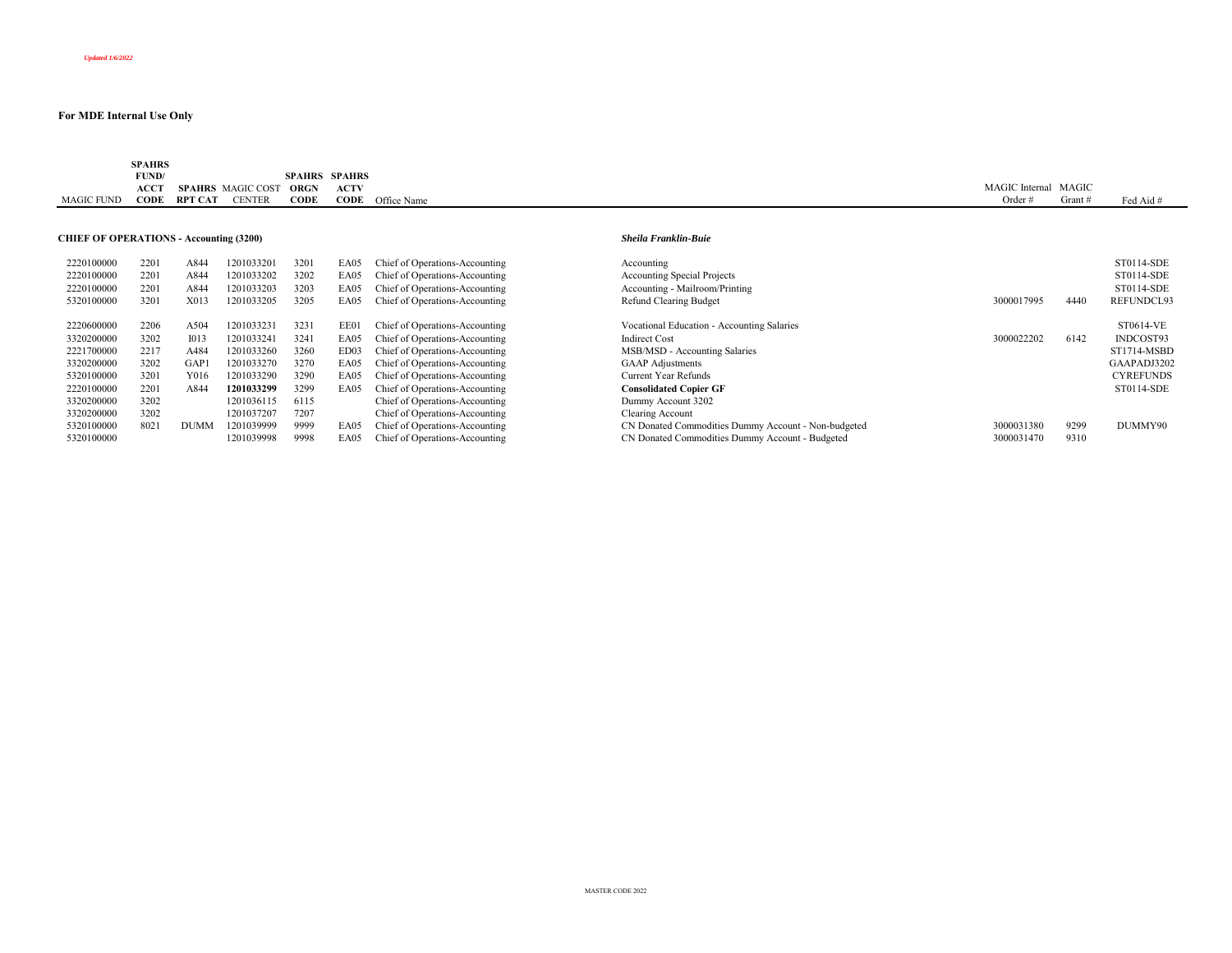|                   | <b>SPAHRS</b> |                |                          |                      |             |             |                                |       |           |
|-------------------|---------------|----------------|--------------------------|----------------------|-------------|-------------|--------------------------------|-------|-----------|
|                   | FUND/         |                |                          | <b>SPAHRS SPAHRS</b> |             |             |                                |       |           |
|                   | ACCT          |                | <b>SPAHRS</b> MAGIC COST | ORGN                 | <b>ACTV</b> |             | MAGIC <sup>'</sup><br>Internal | MAGIC |           |
| <b>MAGIC FUND</b> | <b>CODE</b>   | <b>RPT CAT</b> | <b>CENTER</b>            | CODE                 | CODE        | Office Name |                                | Grant | Fed Aid # |

## **CHIEF OF OPERATIONS - Accounting (3200)** *Sheila Franklin-Buie*

| 2220100000 | 2201 | A844             | 1201033201 | 3201 | EA05 | Chief of Operations-Accounting | Accounting                 |
|------------|------|------------------|------------|------|------|--------------------------------|----------------------------|
| 2220100000 | 2201 | A844             | 1201033202 | 3202 | EA05 | Chief of Operations-Accounting | Accounting Special Pr      |
| 2220100000 | 2201 | A844             | 1201033203 | 3203 | EA05 | Chief of Operations-Accounting | Accounting - Mailroor      |
| 5320100000 | 3201 | X013             | 1201033205 | 3205 | EA05 | Chief of Operations-Accounting | Refund Clearing Budg       |
| 2220600000 | 2206 | A504             | 1201033231 | 3231 | EE01 | Chief of Operations-Accounting | Vocational Education       |
| 3320200000 | 3202 | 1013             | 1201033241 | 3241 | EA05 | Chief of Operations-Accounting | <b>Indirect Cost</b>       |
| 2221700000 | 2217 | A484             | 1201033260 | 3260 | ED03 | Chief of Operations-Accounting | MSB/MSD - Accounti         |
| 3320200000 | 3202 | GAP <sub>1</sub> | 1201033270 | 3270 | EA05 | Chief of Operations-Accounting | <b>GAAP</b> Adjustments    |
| 5320100000 | 3201 | Y016             | 1201033290 | 3290 | EA05 | Chief of Operations-Accounting | Current Year Refunds       |
| 2220100000 | 2201 | A844             | 1201033299 | 3299 | EA05 | Chief of Operations-Accounting | <b>Consolidated Copier</b> |
| 3320200000 | 3202 |                  | 1201036115 | 6115 |      | Chief of Operations-Accounting | Dummy Account 3202         |
| 3320200000 | 3202 |                  | 1201037207 | 7207 |      | Chief of Operations-Accounting | Clearing Account           |
| 5320100000 | 8021 | <b>DUMM</b>      | 1201039999 | 9999 | EA05 | Chief of Operations-Accounting | CN Donated Commod          |
| 5320100000 |      |                  | 1201039998 | 9998 | EA05 | Chief of Operations-Accounting | CN Donated Commod          |

| 2220100000<br>2220100000<br>2220100000 | 2201<br>2201<br>2201 | A844<br>A844<br>A844 | 1201033201<br>1201033202<br>1201033203 | 3201<br>3202<br>3203 | EA05<br>EA05<br>EA05 | Chief of Operations-Accounting<br>Chief of Operations-Accounting<br>Chief of Operations-Accounting | Accounting<br><b>Accounting Special Projects</b><br>Accounting - Mailroom/Printing |            |      | ST0114-SDE<br>ST0114-SDE<br>ST0114-SDE |
|----------------------------------------|----------------------|----------------------|----------------------------------------|----------------------|----------------------|----------------------------------------------------------------------------------------------------|------------------------------------------------------------------------------------|------------|------|----------------------------------------|
| 5320100000                             | 3201                 | X013                 | 1201033205                             | 3205                 | EA05                 | Chief of Operations-Accounting                                                                     | Refund Clearing Budget                                                             | 3000017995 | 4440 | REFUNDCL93                             |
| 2220600000                             | 2206                 | A504                 | 1201033231                             | 3231                 | EE01                 | Chief of Operations-Accounting                                                                     | Vocational Education - Accounting Salaries                                         |            |      | ST0614-VE                              |
| 3320200000                             | 3202                 | 1013                 | 1201033241                             | 3241                 | EA05                 | Chief of Operations-Accounting                                                                     | <b>Indirect Cost</b>                                                               | 3000022202 | 6142 | INDCOST93                              |
| 2221700000                             | 2217                 | A484                 | 1201033260                             | 3260                 | ED03                 | Chief of Operations-Accounting                                                                     | MSB/MSD - Accounting Salaries                                                      |            |      | ST1714-MSBD                            |
| 3320200000                             | 3202                 | GAP                  | 1201033270                             | 3270                 | EA05                 | Chief of Operations-Accounting                                                                     | <b>GAAP</b> Adjustments                                                            |            |      | GAAPADJ3202                            |
| 5320100000                             | 3201                 | Y016                 | 1201033290                             | 3290                 | EA05                 | Chief of Operations-Accounting                                                                     | Current Year Refunds                                                               |            |      | <b>CYREFUNDS</b>                       |
| 2220100000                             | 2201                 | A844                 | 1201033299                             | 3299                 | EA05                 | Chief of Operations-Accounting                                                                     | <b>Consolidated Copier GF</b>                                                      |            |      | ST0114-SDE                             |
| 3320200000                             | 3202                 |                      | 1201036115                             | 6115                 |                      | Chief of Operations-Accounting                                                                     | Dummy Account 3202                                                                 |            |      |                                        |
| 3320200000                             | 3202                 |                      | 1201037207                             | 7207                 |                      | Chief of Operations-Accounting                                                                     | Clearing Account                                                                   |            |      |                                        |
| 5320100000                             | 8021                 | <b>DUMM</b>          | 1201039999                             | 9999                 | EA05                 | Chief of Operations-Accounting                                                                     | CN Donated Commodities Dummy Account - Non-budgeted                                | 3000031380 | 9299 | DUMMY90                                |
| 5320100000                             |                      |                      | 1201039998                             | 9998                 | EA05                 | Chief of Operations-Accounting                                                                     | CN Donated Commodities Dummy Account - Budgeted                                    | 3000031470 | 9310 |                                        |
|                                        |                      |                      |                                        |                      |                      |                                                                                                    |                                                                                    |            |      |                                        |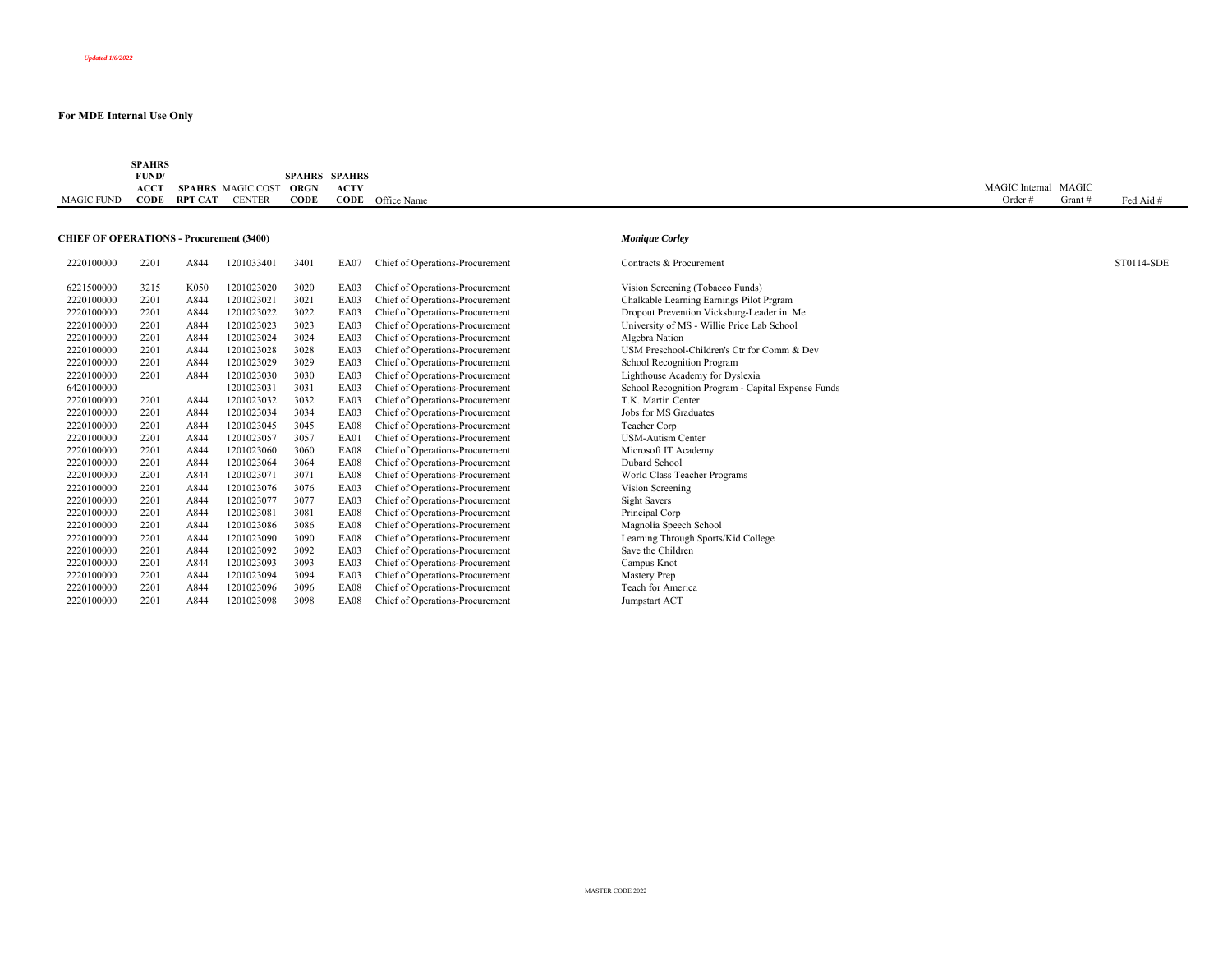|                   | <b>SPAHRS</b> |                |                          |             |                      |             |                       |         |           |
|-------------------|---------------|----------------|--------------------------|-------------|----------------------|-------------|-----------------------|---------|-----------|
|                   | FUND/         |                |                          |             | <b>SPAHRS SPAHRS</b> |             |                       |         |           |
|                   | <b>ACCT</b>   |                | <b>SPAHRS</b> MAGIC COST | <b>ORGN</b> | <b>ACTV</b>          |             | <b>MAGIC</b> Internal | l MAGIC |           |
| <b>MAGIC FUND</b> | CODE          | <b>RPT CAT</b> | <b>CENTER</b>            | CODE        | CODE                 | Office Name | Order                 | Grant # | Fed Aid # |
|                   |               |                |                          |             |                      |             |                       |         |           |

#### **CHIEF OF OPERATIONS - Procurement (3400)** *Monique Corley*

| 2220100000 | 2201 | A844 | 1201033401 | 3401 | EA07        | Chief of Operations-Procurement | Contracts & Procurement                            | ST0114-SDE |
|------------|------|------|------------|------|-------------|---------------------------------|----------------------------------------------------|------------|
| 6221500000 | 3215 | K050 | 1201023020 | 3020 | EA03        | Chief of Operations-Procurement | Vision Screening (Tobacco Funds)                   |            |
| 2220100000 | 2201 | A844 | 1201023021 | 3021 | EA03        | Chief of Operations-Procurement | Chalkable Learning Earnings Pilot Prgram           |            |
| 2220100000 | 2201 | A844 | 1201023022 | 3022 | EA03        | Chief of Operations-Procurement | Dropout Prevention Vicksburg-Leader in Me          |            |
| 2220100000 | 2201 | A844 | 1201023023 | 3023 | EA03        | Chief of Operations-Procurement | University of MS - Willie Price Lab School         |            |
| 2220100000 | 2201 | A844 | 1201023024 | 3024 | EA03        | Chief of Operations-Procurement | Algebra Nation                                     |            |
| 2220100000 | 2201 | A844 | 1201023028 | 3028 | EA03        | Chief of Operations-Procurement | USM Preschool-Children's Ctr for Comm & Dev        |            |
| 2220100000 | 2201 | A844 | 1201023029 | 3029 | EA03        | Chief of Operations-Procurement | School Recognition Program                         |            |
| 2220100000 | 2201 | A844 | 1201023030 | 3030 | EA03        | Chief of Operations-Procurement | Lighthouse Academy for Dyslexia                    |            |
| 6420100000 |      |      | 1201023031 | 3031 | EA03        | Chief of Operations-Procurement | School Recognition Program - Capital Expense Funds |            |
| 2220100000 | 2201 | A844 | 1201023032 | 3032 | EA03        | Chief of Operations-Procurement | T.K. Martin Center                                 |            |
| 2220100000 | 2201 | A844 | 1201023034 | 3034 | EA03        | Chief of Operations-Procurement | Jobs for MS Graduates                              |            |
| 2220100000 | 2201 | A844 | 1201023045 | 3045 | <b>EA08</b> | Chief of Operations-Procurement | Teacher Corp                                       |            |
| 2220100000 | 2201 | A844 | 1201023057 | 3057 | EA01        | Chief of Operations-Procurement | <b>USM-Autism Center</b>                           |            |
| 2220100000 | 2201 | A844 | 1201023060 | 3060 | EA08        | Chief of Operations-Procurement | Microsoft IT Academy                               |            |
| 2220100000 | 2201 | A844 | 1201023064 | 3064 | EA08        | Chief of Operations-Procurement | Dubard School                                      |            |
| 2220100000 | 2201 | A844 | 1201023071 | 3071 | EA08        | Chief of Operations-Procurement | World Class Teacher Programs                       |            |
| 2220100000 | 2201 | A844 | 1201023076 | 3076 | EA03        | Chief of Operations-Procurement | Vision Screening                                   |            |
| 2220100000 | 2201 | A844 | 1201023077 | 3077 | EA03        | Chief of Operations-Procurement | Sight Savers                                       |            |
| 2220100000 | 2201 | A844 | 1201023081 | 3081 | EA08        | Chief of Operations-Procurement | Principal Corp                                     |            |
| 2220100000 | 2201 | A844 | 1201023086 | 3086 | EA08        | Chief of Operations-Procurement | Magnolia Speech School                             |            |
| 2220100000 | 2201 | A844 | 1201023090 | 3090 | EA08        | Chief of Operations-Procurement | Learning Through Sports/Kid College                |            |
| 2220100000 | 2201 | A844 | 1201023092 | 3092 | EA03        | Chief of Operations-Procurement | Save the Children                                  |            |
| 2220100000 | 2201 | A844 | 1201023093 | 3093 | EA03        | Chief of Operations-Procurement | Campus Knot                                        |            |
| 2220100000 | 2201 | A844 | 1201023094 | 3094 | EA03        | Chief of Operations-Procurement | Mastery Prep                                       |            |
| 2220100000 | 2201 | A844 | 1201023096 | 3096 | EA08        | Chief of Operations-Procurement | Teach for America                                  |            |
| 2220100000 | 2201 | A844 | 1201023098 | 3098 | EA08        | Chief of Operations-Procurement | Jumpstart ACT                                      |            |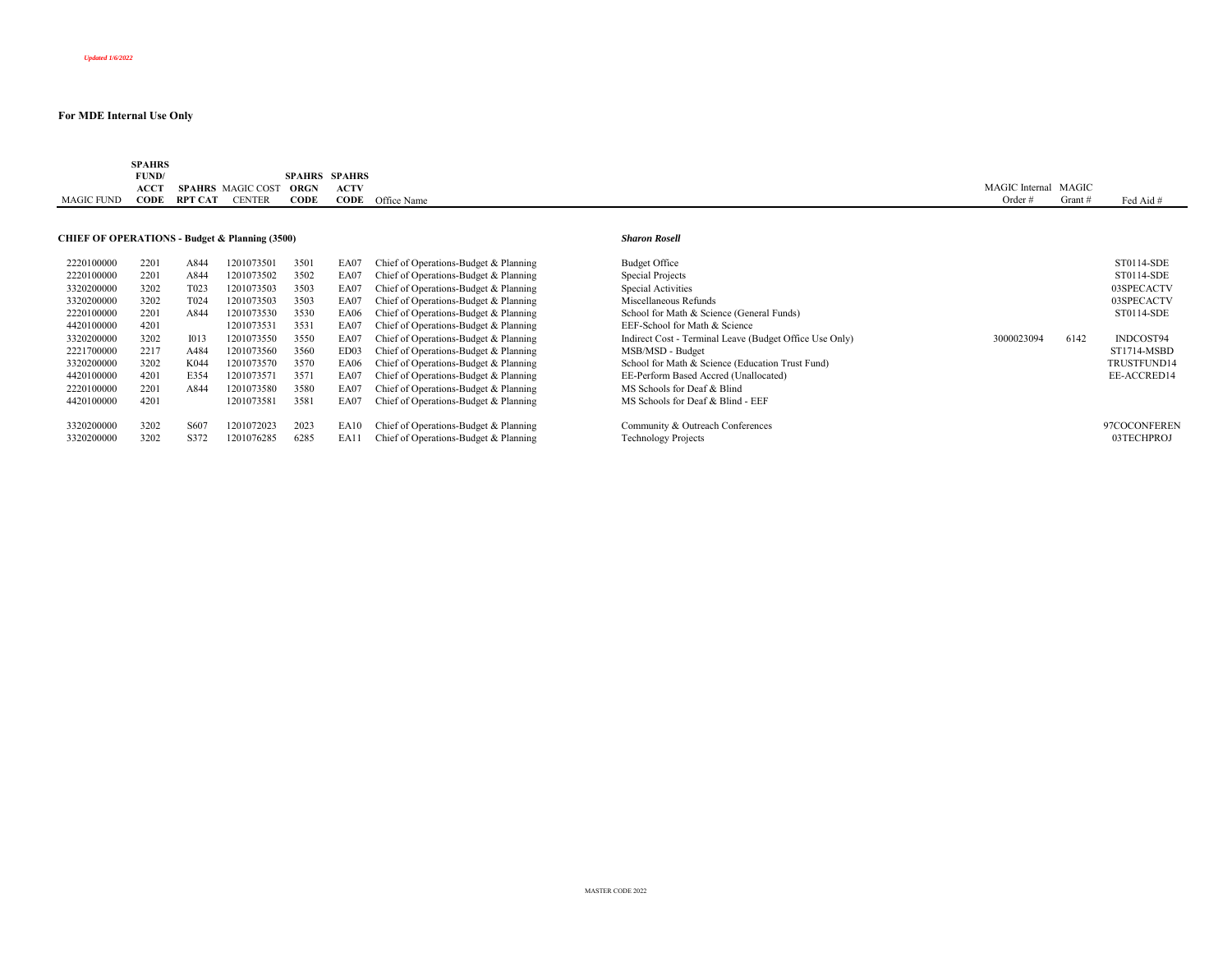|                   | <b>SPAHRS</b> |         |                          |               |               |             |                                |       |           |
|-------------------|---------------|---------|--------------------------|---------------|---------------|-------------|--------------------------------|-------|-----------|
|                   | FUND/         |         |                          | <b>SPAHRS</b> | <b>SPAHRS</b> |             |                                |       |           |
|                   | <b>ACCT</b>   |         | <b>SPAHRS</b> MAGIC COST | <b>ORGN</b>   | <b>ACTV</b>   |             | MAGIC <sup>'</sup><br>Internal | MAGIC |           |
| <b>MAGIC FUND</b> | CODE          | RPT CAT | <b><i>CENTER</i></b>     | CODE          | CODE          | Office Name | Orde.                          | Grant | Fed Aid # |

## **CHIEF OF OPERATIONS - Budget & Planning (3500)** *Sharon Rosell*

| 2220100000 | 2201 | A844              | 1201073501 | 3501 | EA07        | Chief of Operations-Budget & Planning | <b>Budget Office</b>                                    |            |      | ST0114-SDE   |
|------------|------|-------------------|------------|------|-------------|---------------------------------------|---------------------------------------------------------|------------|------|--------------|
| 2220100000 | 2201 | A844              | 1201073502 | 3502 | EA07        | Chief of Operations-Budget & Planning | Special Projects                                        |            |      | ST0114-SDE   |
| 3320200000 | 3202 | T <sub>023</sub>  | 1201073503 | 3503 | EA07        | Chief of Operations-Budget & Planning | Special Activities                                      |            |      | 03SPECACTV   |
| 3320200000 | 3202 | T <sub>0</sub> 24 | 1201073503 | 3503 | EA07        | Chief of Operations-Budget & Planning | Miscellaneous Refunds                                   |            |      | 03SPECACTV   |
| 2220100000 | 2201 | A844              | 1201073530 | 3530 | EA06        | Chief of Operations-Budget & Planning | School for Math & Science (General Funds)               |            |      | ST0114-SDE   |
| 4420100000 | 4201 |                   | 1201073531 | 3531 | EA07        | Chief of Operations-Budget & Planning | EEF-School for Math & Science                           |            |      |              |
| 3320200000 | 3202 | 1013              | 1201073550 | 3550 | EA07        | Chief of Operations-Budget & Planning | Indirect Cost - Terminal Leave (Budget Office Use Only) | 3000023094 | 6142 | INDCOST94    |
| 2221700000 | 2217 | A484              | 1201073560 | 3560 | ED03        | Chief of Operations-Budget & Planning | MSB/MSD - Budget                                        |            |      | ST1714-MSBD  |
| 3320200000 | 3202 | K044              | 1201073570 | 3570 | EA06        | Chief of Operations-Budget & Planning | School for Math & Science (Education Trust Fund)        |            |      | TRUSTFUND14  |
| 4420100000 | 4201 | E354              | 1201073571 | 3571 | EA07        | Chief of Operations-Budget & Planning | EE-Perform Based Accred (Unallocated)                   |            |      | EE-ACCRED14  |
| 2220100000 | 2201 | A844              | 1201073580 | 3580 | EA07        | Chief of Operations-Budget & Planning | MS Schools for Deaf & Blind                             |            |      |              |
| 4420100000 | 4201 |                   | 1201073581 | 3581 | EA07        | Chief of Operations-Budget & Planning | MS Schools for Deaf & Blind - EEF                       |            |      |              |
|            |      |                   |            |      |             |                                       |                                                         |            |      |              |
| 3320200000 | 3202 | S607              | 201072023  | 2023 | EA10        | Chief of Operations-Budget & Planning | Community & Outreach Conferences                        |            |      | 97COCONFEREN |
| 3320200000 | 3202 | S372              | 1201076285 | 6285 | <b>EA11</b> | Chief of Operations-Budget & Planning | <b>Technology Projects</b>                              |            |      | 03TECHPROJ   |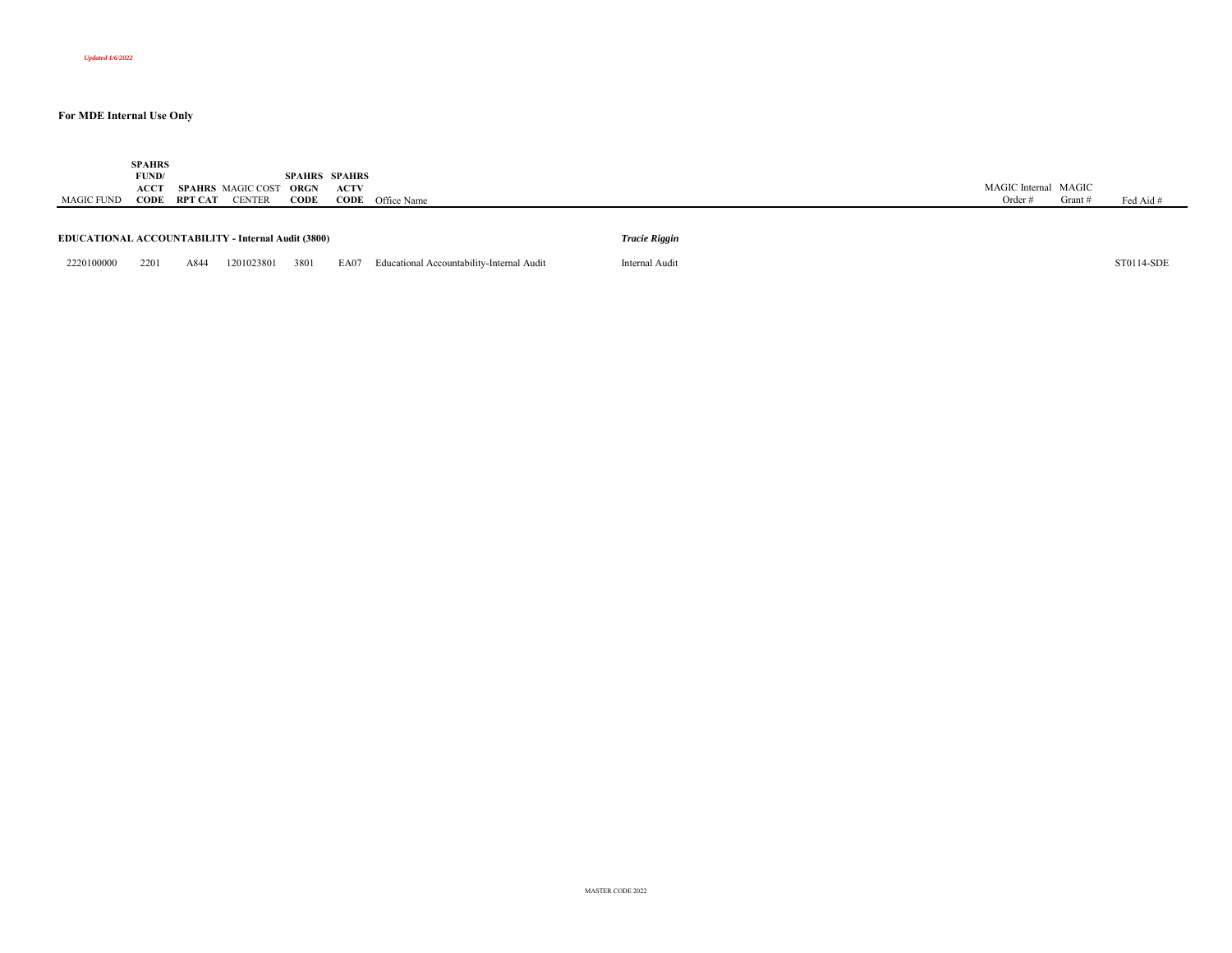| MAGIC FUND                                                | <b>SPAHRS</b><br>FUND/<br>ACCT<br>CODE | RPT CAT | <b>SPAHRS</b> MAGIC COST<br><b>CENTER</b> | <b>SPAHRS SPAHRS</b><br>ORGN<br>CODE | <b>ACTV</b><br>CODE | Office Name                               |                      | MAGIC Internal MAGIC<br>Order $#$ | Grant # | Fed Aid #  |
|-----------------------------------------------------------|----------------------------------------|---------|-------------------------------------------|--------------------------------------|---------------------|-------------------------------------------|----------------------|-----------------------------------|---------|------------|
| <b>EDUCATIONAL ACCOUNTABILITY - Internal Audit (3800)</b> |                                        |         |                                           |                                      |                     |                                           | <b>Tracie Riggin</b> |                                   |         |            |
| 2220100000                                                | 2201                                   | A844    | 1201023801                                | 3801                                 | EA07                | Educational Accountability-Internal Audit | Internal Audit       |                                   |         | ST0114-SDE |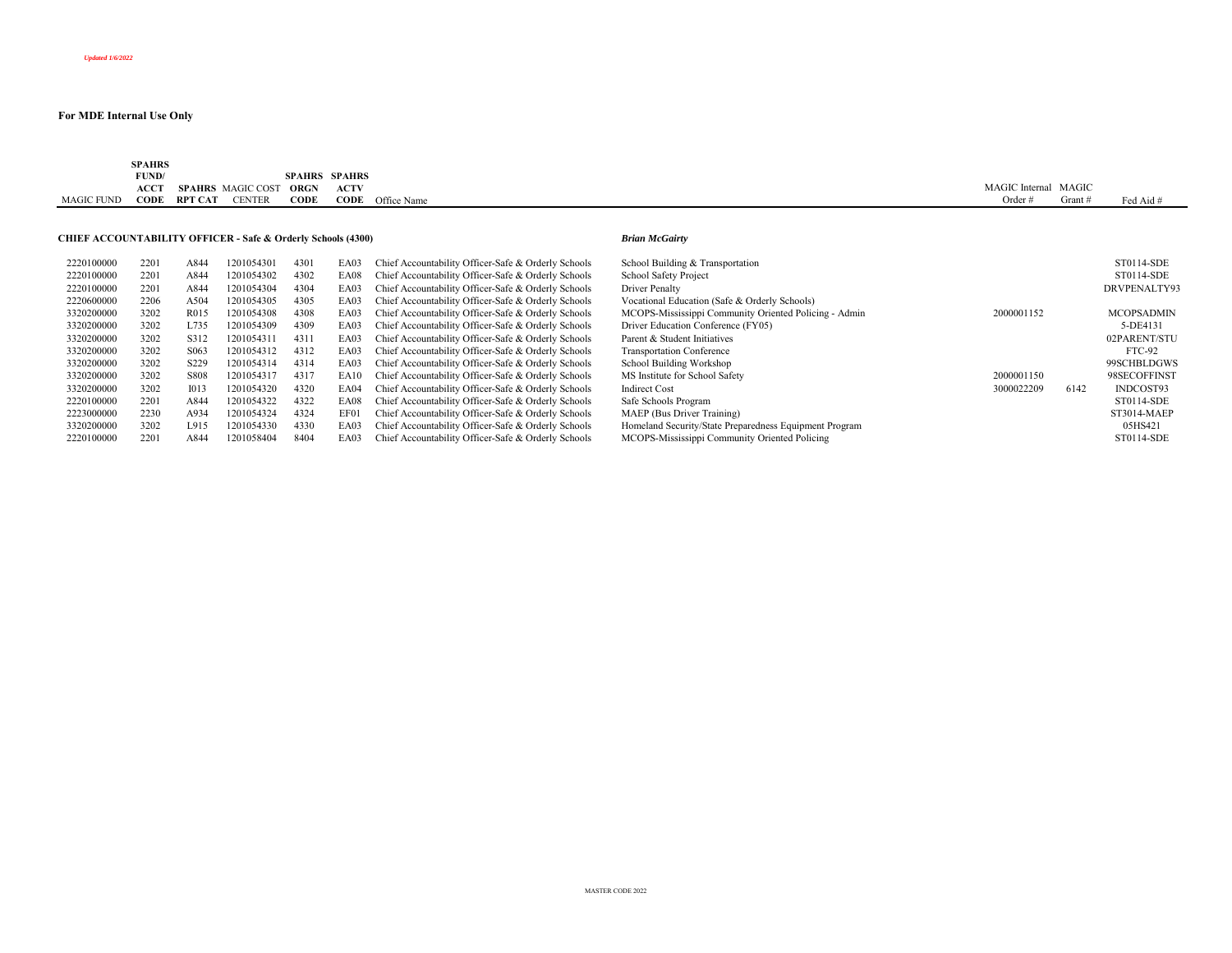|                   | <b>SPAHRS</b> |         |                          |               |               |             |                                |       |           |
|-------------------|---------------|---------|--------------------------|---------------|---------------|-------------|--------------------------------|-------|-----------|
|                   | FUND/         |         |                          | <b>SPAHRS</b> | <b>SPAHRS</b> |             |                                |       |           |
|                   | <b>ACCT</b>   |         | <b>SPAHRS</b> MAGIC COST | <b>ORGN</b>   | <b>ACTV</b>   |             | MAGIC <sup>'</sup><br>Internal | MAGIC |           |
| <b>MAGIC FUND</b> | CODE          | RPT CAT | <b><i>CENTER</i></b>     | CODE          | CODE          | Office Name | Orde.                          | Grant | Fed Aid # |

## **CHIEF ACCOUNTABILITY OFFICER - Safe & Orderly Schools (4300)** *Brian McGairty*

| 2220100000 | 2201 | A844              | 1201054301 | 4301 | EA03 | Chief Accountability Officer-Safe & Orderly Schools | School Building & Transportation                       |            |      | ST0114-SDE        |
|------------|------|-------------------|------------|------|------|-----------------------------------------------------|--------------------------------------------------------|------------|------|-------------------|
| 2220100000 | 2201 | A844              | 1201054302 | 4302 | EA08 | Chief Accountability Officer-Safe & Orderly Schools | School Safety Project                                  |            |      | ST0114-SDE        |
| 2220100000 | 2201 | A844              | 1201054304 | 4304 | EA03 | Chief Accountability Officer-Safe & Orderly Schools | Driver Penalty                                         |            |      | DRVPENALTY93      |
| 2220600000 | 2206 | A504              | 1201054305 | 4305 | EA03 | Chief Accountability Officer-Safe & Orderly Schools | Vocational Education (Safe & Orderly Schools)          |            |      |                   |
| 3320200000 | 3202 | R <sub>0</sub> 15 | 1201054308 | 4308 | EA03 | Chief Accountability Officer-Safe & Orderly Schools | MCOPS-Mississippi Community Oriented Policing - Admin  | 2000001152 |      | <b>MCOPSADMIN</b> |
| 3320200000 | 3202 | L735              | 1201054309 | 4309 | EA03 | Chief Accountability Officer-Safe & Orderly Schools | Driver Education Conference (FY05)                     |            |      | 5-DE4131          |
| 3320200000 | 3202 | S312              | 1201054311 | 4311 | EA03 | Chief Accountability Officer-Safe & Orderly Schools | Parent & Student Initiatives                           |            |      | 02PARENT/STU      |
| 3320200000 | 3202 | S <sub>06</sub> 3 | 1201054312 | 4312 | EA03 | Chief Accountability Officer-Safe & Orderly Schools | <b>Transportation Conference</b>                       |            |      | FTC-92            |
| 3320200000 | 3202 | S <sub>229</sub>  | 1201054314 | 4314 | EA03 | Chief Accountability Officer-Safe & Orderly Schools | School Building Workshop                               |            |      | 99SCHBLDGWS       |
| 3320200000 | 3202 | <b>S808</b>       | 1201054317 | 4317 | EA10 | Chief Accountability Officer-Safe & Orderly Schools | MS Institute for School Safety                         | 2000001150 |      | 98SECOFFINST      |
| 3320200000 | 3202 | 1013              | 1201054320 | 4320 | EA04 | Chief Accountability Officer-Safe & Orderly Schools | <b>Indirect Cost</b>                                   | 3000022209 | 6142 | INDCOST93         |
| 2220100000 | 2201 | A844              | 1201054322 | 4322 | EA08 | Chief Accountability Officer-Safe & Orderly Schools | Safe Schools Program                                   |            |      | ST0114-SDE        |
| 2223000000 | 2230 | A934              | 1201054324 | 4324 | EF01 | Chief Accountability Officer-Safe & Orderly Schools | MAEP (Bus Driver Training)                             |            |      | ST3014-MAEP       |
| 3320200000 | 3202 | L915              | 1201054330 | 4330 | EA03 | Chief Accountability Officer-Safe & Orderly Schools | Homeland Security/State Preparedness Equipment Program |            |      | 05HS421           |
| 2220100000 | 2201 | A844              | 1201058404 | 8404 | EA03 | Chief Accountability Officer-Safe & Orderly Schools | MCOPS-Mississippi Community Oriented Policing          |            |      | ST0114-SDE        |
|            |      |                   |            |      |      |                                                     |                                                        |            |      |                   |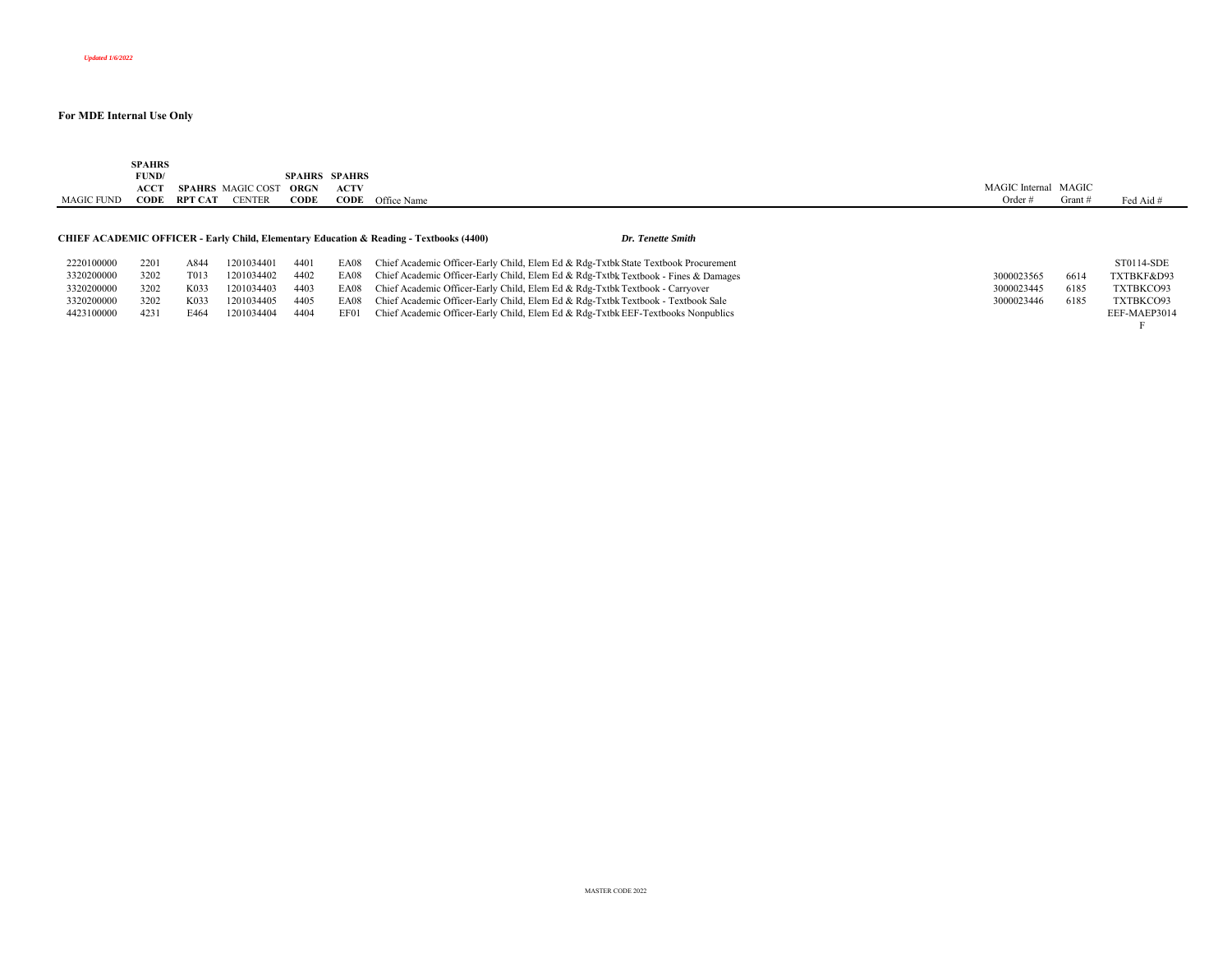| MAGIC FUND | <b>SPAHRS</b><br>FUND/<br>ACCT<br>CODE | RPT CAT           | <b>SPAHRS</b> MAGIC COST<br><b>CENTER</b> | <b>SPAHRS</b><br>ORGN<br>CODE | SPAHRS<br>ACTV | <b>CODE</b> Office Name                                                                                                 | MAGIC Internal MAGIC<br>Order $#$ | Grant $#$ | Fed Aid #    |
|------------|----------------------------------------|-------------------|-------------------------------------------|-------------------------------|----------------|-------------------------------------------------------------------------------------------------------------------------|-----------------------------------|-----------|--------------|
|            |                                        |                   |                                           |                               |                | <b>CHIEF ACADEMIC OFFICER - Early Child, Elementary Education &amp; Reading - Textbooks (4400)</b><br>Dr. Tenette Smith |                                   |           |              |
| 2220100000 | 2201                                   | A844              | 1201034401                                | 4401                          |                | EA08 Chief Academic Officer-Early Child, Elem Ed & Rdg-Txtbk State Textbook Procurement                                 |                                   |           | ST0114-SDE   |
| 3320200000 | 3202                                   | T <sub>0</sub> 13 | 1201034402                                | 4402                          | EA08           | Chief Academic Officer-Early Child, Elem Ed & Rdg-Txtbk Textbook - Fines & Damages                                      | 3000023565                        | 6614      | TXTBKF&D93   |
| 3320200000 | 3202                                   | K033              | 1201034403                                | 4403                          | EA08           | Chief Academic Officer-Early Child, Elem Ed & Rdg-Txtbk Textbook - Carryover                                            | 3000023445                        | 6185      | TXTBKCO93    |
| 3320200000 | 3202                                   | K033              | 1201034405                                | 4405                          |                | EA08 Chief Academic Officer-Early Child, Elem Ed & Rdg-Txtbk Textbook - Textbook Sale                                   | 3000023446                        | 6185      | TXTBKCO93    |
| 4423100000 | 4231                                   | E464              | 1201034404                                | 4404                          | EF01           | Chief Academic Officer-Early Child, Elem Ed & Rdg-Txtbk EEF-Textbooks Nonpublics                                        |                                   |           | EEF-MAEP3014 |
|            |                                        |                   |                                           |                               |                |                                                                                                                         |                                   |           |              |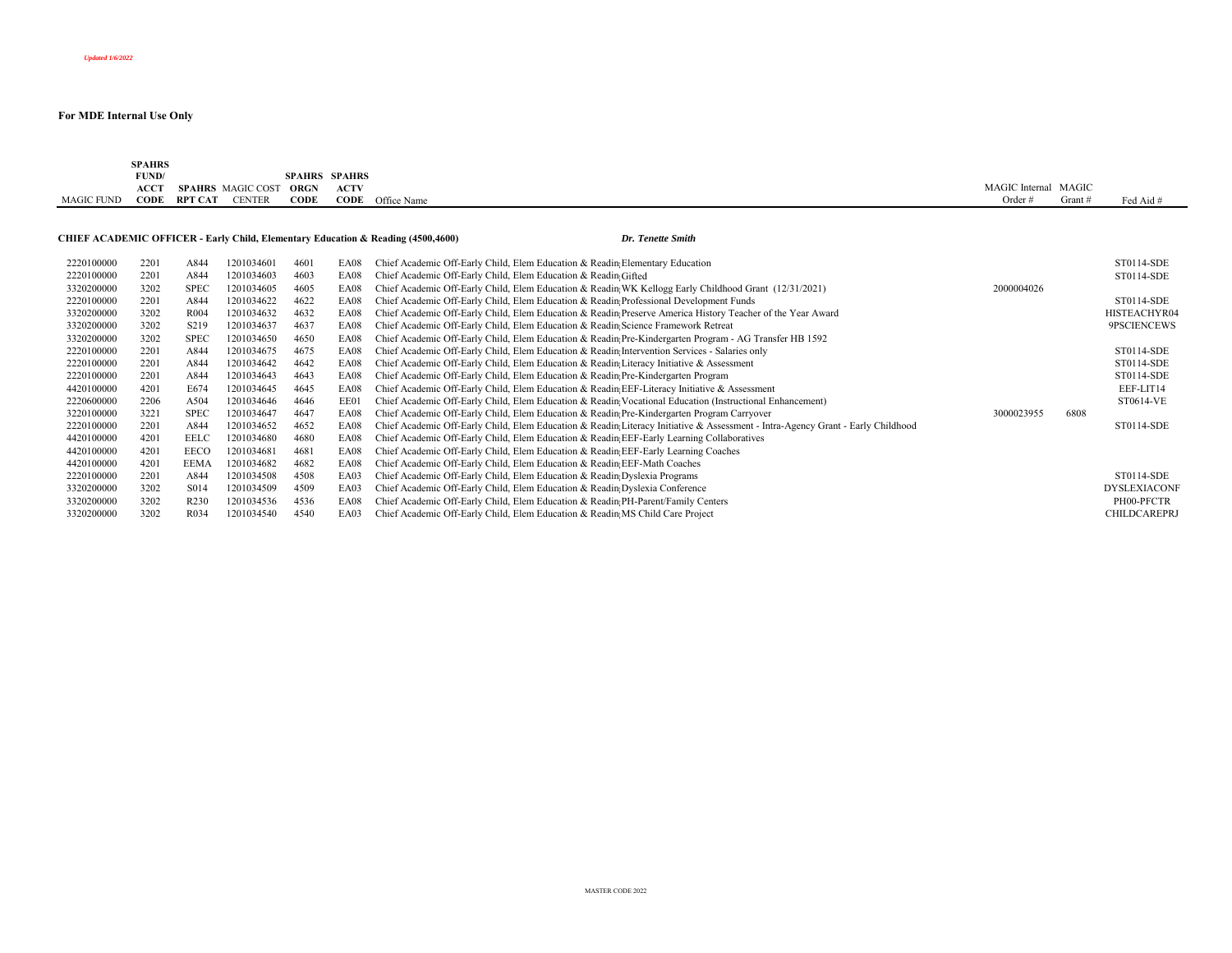|            | <b>SPAHRS</b><br>FUND/<br>ACCT | <b>SPAHRS</b> MAGIC COST |               | <b>ORGN</b> | <b>SPAHRS SPAHRS</b><br><b>ACTV</b> |                                                                                             |  |                          |  |  |           | MAGIC Internal MAGIC |           |
|------------|--------------------------------|--------------------------|---------------|-------------|-------------------------------------|---------------------------------------------------------------------------------------------|--|--------------------------|--|--|-----------|----------------------|-----------|
| MAGIC FUND |                                | <b>CODE RPT CAT</b>      | <b>CENTER</b> | CODE        |                                     | <b>CODE</b> Office Name                                                                     |  |                          |  |  | Order $#$ | Grant #              | Fed Aid # |
|            |                                |                          |               |             |                                     | <b>CHIEF ACADEMIC OFFICER - Early Child, Elementary Education &amp; Reading (4500,4600)</b> |  | <b>Dr. Tenette Smith</b> |  |  |           |                      |           |

| 2220100000 | 2201 | A844              | 201034601  | 4601 | EA08 | Chief Academic Off-Early Child, Elem Education & Readin Elementary Education                                                    |            |      | ST0114-SDE          |
|------------|------|-------------------|------------|------|------|---------------------------------------------------------------------------------------------------------------------------------|------------|------|---------------------|
| 2220100000 | 2201 | A844              | 1201034603 | 4603 | EA08 | Chief Academic Off-Early Child, Elem Education & Readin Gifted                                                                  |            |      | ST0114-SDE          |
| 3320200000 | 3202 | <b>SPEC</b>       | 1201034605 | 4605 | EA08 | Chief Academic Off-Early Child, Elem Education & Readin; WK Kellogg Early Childhood Grant (12/31/2021)                          | 2000004026 |      |                     |
| 2220100000 | 2201 | A844              | 1201034622 | 4622 | EA08 | Chief Academic Off-Early Child, Elem Education & Readin Professional Development Funds                                          |            |      | ST0114-SDE          |
| 3320200000 | 3202 | R <sub>004</sub>  | 1201034632 | 4632 | EA08 | Chief Academic Off-Early Child, Elem Education & Readin Preserve America History Teacher of the Year Award                      |            |      | HISTEACHYR04        |
| 3320200000 | 3202 | S <sub>2</sub> 19 | 1201034637 | 4637 | EA08 | Chief Academic Off-Early Child, Elem Education & Readin; Science Framework Retreat                                              |            |      | 9PSCIENCEWS         |
| 3320200000 | 3202 | <b>SPEC</b>       | 1201034650 | 4650 | EA08 | Chief Academic Off-Early Child, Elem Education & Readin; Pre-Kindergarten Program - AG Transfer HB 1592                         |            |      |                     |
| 2220100000 | 2201 | A844              | 1201034675 | 4675 | EA08 | Chief Academic Off-Early Child, Elem Education & Readin; Intervention Services - Salaries only                                  |            |      | ST0114-SDE          |
| 2220100000 | 2201 | A844              | 1201034642 | 4642 | EA08 | Chief Academic Off-Early Child, Elem Education & Readin Literacy Initiative & Assessment                                        |            |      | ST0114-SDE          |
| 2220100000 | 2201 | A844              | 1201034643 | 4643 | EA08 | Chief Academic Off-Early Child, Elem Education & Readin Pre-Kindergarten Program                                                |            |      | ST0114-SDE          |
| 4420100000 | 4201 | E674              | 1201034645 | 4645 | EA08 | Chief Academic Off-Early Child, Elem Education & Readin; EEF-Literacy Initiative & Assessment                                   |            |      | EEF-LIT14           |
| 2220600000 | 2206 | A504              | 1201034646 | 4646 | EE01 | Chief Academic Off-Early Child, Elem Education & Readin Vocational Education (Instructional Enhancement)                        |            |      | ST0614-VE           |
| 3220100000 | 3221 | <b>SPEC</b>       | 1201034647 | 4647 | EA08 | Chief Academic Off-Early Child, Elem Education & Readin Pre-Kindergarten Program Carryover                                      | 3000023955 | 6808 |                     |
| 2220100000 | 2201 | A844              | 1201034652 | 4652 | EA08 | Chief Academic Off-Early Child, Elem Education & Readin Literacy Initiative & Assessment - Intra-Agency Grant - Early Childhood |            |      | ST0114-SDE          |
| 4420100000 | 4201 | <b>EELC</b>       | 1201034680 | 4680 | EA08 | Chief Academic Off-Early Child, Elem Education & Readin; EEF-Early Learning Collaboratives                                      |            |      |                     |
| 4420100000 | 4201 | EECO              | 1201034681 | 4681 | EA08 | Chief Academic Off-Early Child, Elem Education & Readin EEF-Early Learning Coaches                                              |            |      |                     |
| 4420100000 | 4201 | <b>EEMA</b>       | 1201034682 | 4682 | EA08 | Chief Academic Off-Early Child, Elem Education & Readin EEF-Math Coaches                                                        |            |      |                     |
| 2220100000 | 2201 | A844              | 1201034508 | 4508 | EA03 | Chief Academic Off-Early Child, Elem Education & Readin Dyslexia Programs                                                       |            |      | ST0114-SDE          |
| 3320200000 | 3202 | S014              | 1201034509 | 4509 | EA03 | Chief Academic Off-Early Child, Elem Education & Readin Dyslexia Conference                                                     |            |      | <b>DYSLEXIACONF</b> |
| 3320200000 | 3202 | R <sub>230</sub>  | 1201034536 | 4536 | EA08 | Chief Academic Off-Early Child, Elem Education & Readin PH-Parent/Family Centers                                                |            |      | PH00-PFCTR          |
| 3320200000 | 3202 | R <sub>0</sub> 34 | 1201034540 | 4540 | EA03 | Chief Academic Off-Early Child, Elem Education & Readin MS Child Care Project                                                   |            |      | <b>CHILDCAREPRJ</b> |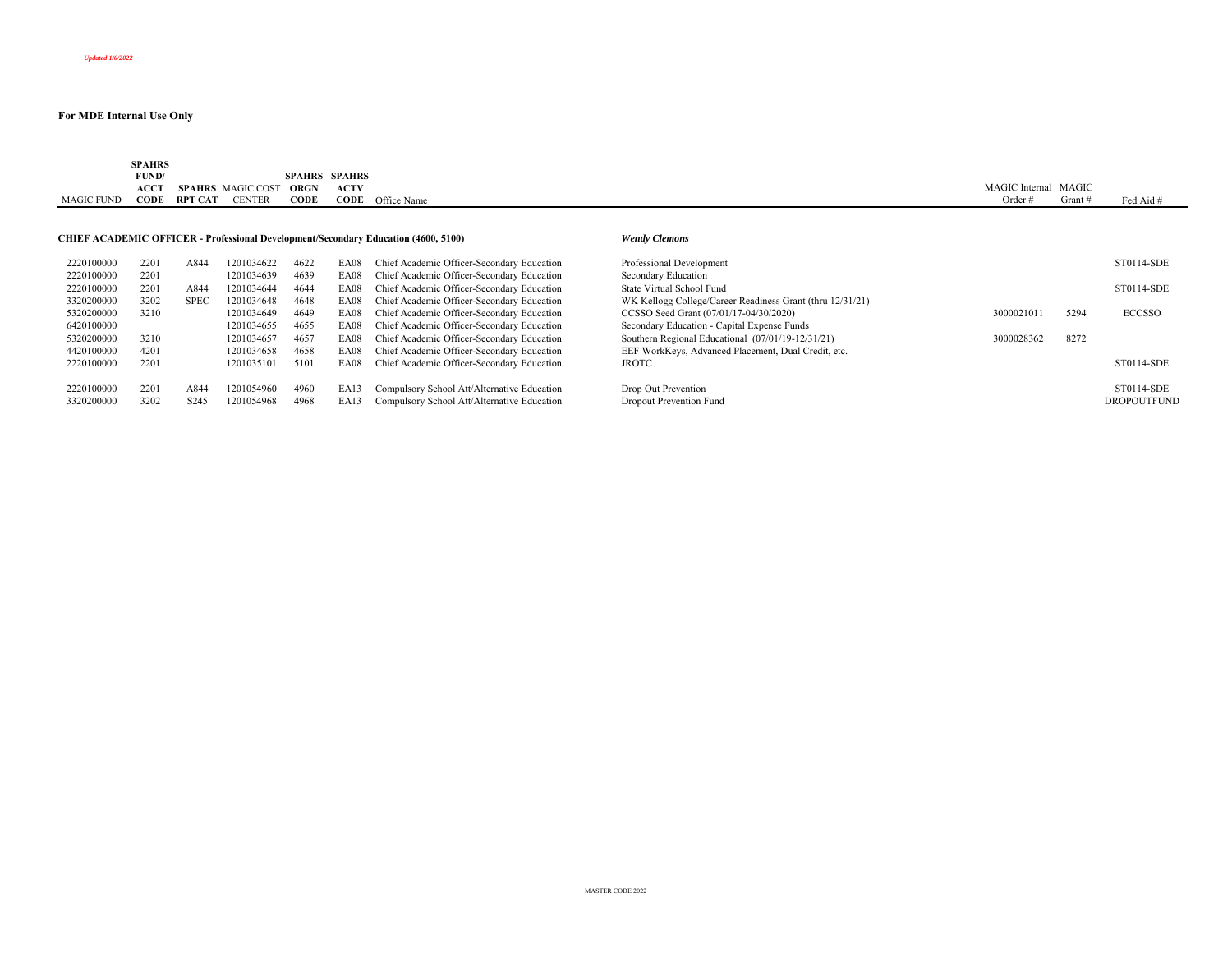|            | <b>SPAHRS</b> |                |                        |             |                      |             |                      |         |           |
|------------|---------------|----------------|------------------------|-------------|----------------------|-------------|----------------------|---------|-----------|
|            | FUND/         |                |                        |             | <b>SPAHRS SPAHRS</b> |             |                      |         |           |
|            | <b>ACCT</b>   |                | SPAHRS MAGIC COST ORGN |             | <b>ACTV</b>          |             | MAGIC Internal MAGIC |         |           |
| MAGIC FUND | CODE          | <b>RPT CAT</b> | <b>CENTER</b>          | <b>CODE</b> | CODE                 | Office Name | Order                | Grant a | Fed Aid # |
|            |               |                |                        |             |                      |             |                      |         |           |

#### **CHIEF ACADEMIC OFFICER - Professional Development/Secondary Education (4600, 5100)** *Wendy Clemons*

| 2220100000 | 2201 | A844             | 1201034622 | 4622 | EA08 | Chief Academic Officer-Secondary Education  | Professional Development                                  |            |      | ST0114-SDE         |
|------------|------|------------------|------------|------|------|---------------------------------------------|-----------------------------------------------------------|------------|------|--------------------|
| 2220100000 | 2201 |                  | 1201034639 | 4639 | EA08 | Chief Academic Officer-Secondary Education  | Secondary Education                                       |            |      |                    |
| 2220100000 | 2201 | A844             | 1201034644 | 4644 | EA08 | Chief Academic Officer-Secondary Education  | State Virtual School Fund                                 |            |      | ST0114-SDE         |
| 3320200000 | 3202 | <b>SPEC</b>      | 1201034648 | 4648 | EA08 | Chief Academic Officer-Secondary Education  | WK Kellogg College/Career Readiness Grant (thru 12/31/21) |            |      |                    |
| 5320200000 | 3210 |                  | 1201034649 | 4649 | EA08 | Chief Academic Officer-Secondary Education  | CCSSO Seed Grant (07/01/17-04/30/2020)                    | 3000021011 | 5294 | <b>ECCSSO</b>      |
| 6420100000 |      |                  | 1201034655 | 4655 | EA08 | Chief Academic Officer-Secondary Education  | Secondary Education - Capital Expense Funds               |            |      |                    |
| 5320200000 | 3210 |                  | 1201034657 | 4657 | EA08 | Chief Academic Officer-Secondary Education  | Southern Regional Educational (07/01/19-12/31/21)         | 3000028362 | 8272 |                    |
| 4420100000 | 4201 |                  | 1201034658 | 4658 | EA08 | Chief Academic Officer-Secondary Education  | EEF WorkKeys, Advanced Placement, Dual Credit, etc.       |            |      |                    |
| 2220100000 | 2201 |                  | 1201035101 | 5101 | EA08 | Chief Academic Officer-Secondary Education  | <b>JROTC</b>                                              |            |      | ST0114-SDE         |
|            |      |                  |            |      |      |                                             |                                                           |            |      |                    |
| 2220100000 | 2201 | A844             | 1201054960 | 4960 | EA13 | Compulsory School Att/Alternative Education | Drop Out Prevention                                       |            |      | ST0114-SDE         |
| 3320200000 | 3202 | S <sub>245</sub> | 1201054968 | 4968 | EA13 | Compulsory School Att/Alternative Education | Dropout Prevention Fund                                   |            |      | <b>DROPOUTFUND</b> |
|            |      |                  |            |      |      |                                             |                                                           |            |      |                    |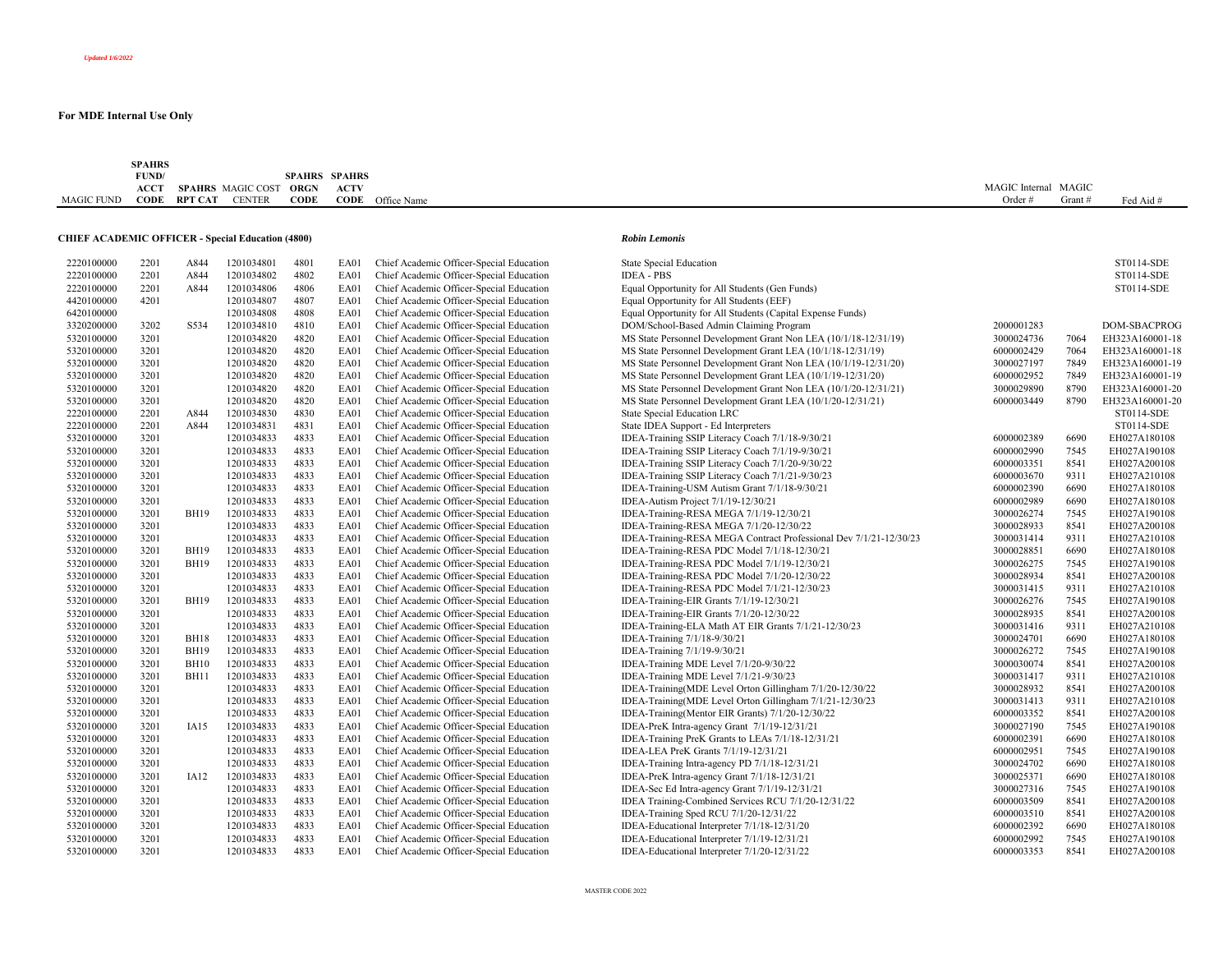|                   | <b>SPAHRS</b> |         |                          |                      |             |                         |                |         |           |
|-------------------|---------------|---------|--------------------------|----------------------|-------------|-------------------------|----------------|---------|-----------|
|                   | FUND/         |         |                          | <b>SPAHRS SPAHRS</b> |             |                         |                |         |           |
|                   | <b>ACCT</b>   |         | <b>SPAHRS</b> MAGIC COST | <b>ORGN</b>          | <b>ACTV</b> |                         | MAGIC Internal | l MAGIC |           |
| <b>MAGIC FUND</b> | CODE          | RPT CAT | <b>CENTER</b>            | CODE                 |             | <b>CODE</b> Office Name | Order          | Grant   | Fed Aid # |

## **CHIEF ACADEMIC OFFICER - Special Education (4800)** *Robin Lemonis*

| 2220100000 | 2201 | A844             | 1201034801 | 4801 | EA01        | Chief Academic Officer-Special Education | State Special Education                                    |
|------------|------|------------------|------------|------|-------------|------------------------------------------|------------------------------------------------------------|
| 2220100000 | 2201 | A844             | 1201034802 | 4802 | EA01        | Chief Academic Officer-Special Education | <b>IDEA - PBS</b>                                          |
| 2220100000 | 2201 | A844             | 1201034806 | 4806 | EA01        | Chief Academic Officer-Special Education | Equal Opportunity for All Students (Gen Funds)             |
| 4420100000 | 4201 |                  | 1201034807 | 4807 | EA01        | Chief Academic Officer-Special Education | Equal Opportunity for All Students (EEF)                   |
| 6420100000 |      |                  | 1201034808 | 4808 | EA01        | Chief Academic Officer-Special Education | Equal Opportunity for All Students (Capital Expense Funds) |
| 3320200000 | 3202 | S534             | 1201034810 | 4810 | EA01        | Chief Academic Officer-Special Education | DOM/School-Based Admin Claiming Program                    |
| 5320100000 | 3201 |                  | 1201034820 | 4820 | EA01        | Chief Academic Officer-Special Education | MS State Personnel Development Grant Non LEA (10/1/18-     |
| 5320100000 | 3201 |                  | 1201034820 | 4820 | EA01        | Chief Academic Officer-Special Education | MS State Personnel Development Grant LEA (10/1/18-12/3)    |
| 5320100000 | 3201 |                  | 1201034820 | 4820 | EA01        | Chief Academic Officer-Special Education | MS State Personnel Development Grant Non LEA (10/1/19-     |
| 5320100000 | 3201 |                  | 1201034820 | 4820 | EA01        | Chief Academic Officer-Special Education | MS State Personnel Development Grant LEA (10/1/19-12/3)    |
| 5320100000 | 3201 |                  | 1201034820 | 4820 | EA01        | Chief Academic Officer-Special Education | MS State Personnel Development Grant Non LEA (10/1/20-     |
| 5320100000 | 3201 |                  | 1201034820 | 4820 | EA01        | Chief Academic Officer-Special Education | MS State Personnel Development Grant LEA (10/1/20-12/3)    |
| 2220100000 | 2201 | A844             | 1201034830 | 4830 | <b>EA01</b> | Chief Academic Officer-Special Education | <b>State Special Education LRC</b>                         |
| 2220100000 | 2201 | A844             | 1201034831 | 4831 | <b>EA01</b> | Chief Academic Officer-Special Education | State IDEA Support - Ed Interpreters                       |
| 5320100000 | 3201 |                  | 1201034833 | 4833 | EA01        | Chief Academic Officer-Special Education | IDEA-Training SSIP Literacy Coach 7/1/18-9/30/21           |
| 5320100000 | 3201 |                  | 1201034833 | 4833 | EA01        | Chief Academic Officer-Special Education | IDEA-Training SSIP Literacy Coach 7/1/19-9/30/21           |
| 5320100000 | 3201 |                  | 1201034833 | 4833 | EA01        | Chief Academic Officer-Special Education |                                                            |
|            |      |                  |            |      |             |                                          | IDEA-Training SSIP Literacy Coach 7/1/20-9/30/22           |
| 5320100000 | 3201 |                  | 1201034833 | 4833 | EA01        | Chief Academic Officer-Special Education | IDEA-Training SSIP Literacy Coach 7/1/21-9/30/23           |
| 5320100000 | 3201 |                  | 1201034833 | 4833 | EA01        | Chief Academic Officer-Special Education | IDEA-Training-USM Autism Grant 7/1/18-9/30/21              |
| 5320100000 | 3201 |                  | 1201034833 | 4833 | EA01        | Chief Academic Officer-Special Education | IDEA-Autism Project 7/1/19-12/30/21                        |
| 5320100000 | 3201 | <b>BH19</b>      | 1201034833 | 4833 | EA01        | Chief Academic Officer-Special Education | IDEA-Training-RESA MEGA 7/1/19-12/30/21                    |
| 5320100000 | 3201 |                  | 1201034833 | 4833 | EA01        | Chief Academic Officer-Special Education | IDEA-Training-RESA MEGA 7/1/20-12/30/22                    |
| 5320100000 | 3201 |                  | 1201034833 | 4833 | EA01        | Chief Academic Officer-Special Education | IDEA-Training-RESA MEGA Contract Professional Dev 7/       |
| 5320100000 | 3201 | <b>BH19</b>      | 1201034833 | 4833 | EA01        | Chief Academic Officer-Special Education | IDEA-Training-RESA PDC Model 7/1/18-12/30/21               |
| 5320100000 | 3201 | <b>BH19</b>      | 1201034833 | 4833 | EA01        | Chief Academic Officer-Special Education | IDEA-Training-RESA PDC Model 7/1/19-12/30/21               |
| 5320100000 | 3201 |                  | 1201034833 | 4833 | EA01        | Chief Academic Officer-Special Education | IDEA-Training-RESA PDC Model 7/1/20-12/30/22               |
| 5320100000 | 3201 |                  | 1201034833 | 4833 | EA01        | Chief Academic Officer-Special Education | IDEA-Training-RESA PDC Model 7/1/21-12/30/23               |
| 5320100000 | 3201 | <b>BH19</b>      | 1201034833 | 4833 | EA01        | Chief Academic Officer-Special Education | IDEA-Training-EIR Grants 7/1/19-12/30/21                   |
| 5320100000 | 3201 |                  | 1201034833 | 4833 | <b>EA01</b> | Chief Academic Officer-Special Education | IDEA-Training-EIR Grants 7/1/20-12/30/22                   |
| 5320100000 | 3201 |                  | 1201034833 | 4833 | EA01        | Chief Academic Officer-Special Education | IDEA-Training-ELA Math AT EIR Grants 7/1/21-12/30/23       |
| 5320100000 | 3201 | <b>BH18</b>      | 1201034833 | 4833 | EA01        | Chief Academic Officer-Special Education | IDEA-Training 7/1/18-9/30/21                               |
| 5320100000 | 3201 | <b>BH19</b>      | 1201034833 | 4833 | EA01        | Chief Academic Officer-Special Education | IDEA-Training 7/1/19-9/30/21                               |
| 5320100000 | 3201 | <b>BH10</b>      | 1201034833 | 4833 | EA01        | Chief Academic Officer-Special Education | IDEA-Training MDE Level 7/1/20-9/30/22                     |
| 5320100000 | 3201 | <b>BH11</b>      | 1201034833 | 4833 | EA01        | Chief Academic Officer-Special Education | IDEA-Training MDE Level 7/1/21-9/30/23                     |
| 5320100000 | 3201 |                  | 1201034833 | 4833 | EA01        | Chief Academic Officer-Special Education | IDEA-Training(MDE Level Orton Gillingham 7/1/20-12/30/     |
| 5320100000 | 3201 |                  | 1201034833 | 4833 | EA01        | Chief Academic Officer-Special Education | IDEA-Training(MDE Level Orton Gillingham 7/1/21-12/30/     |
| 5320100000 | 3201 |                  | 1201034833 | 4833 | EA01        | Chief Academic Officer-Special Education | IDEA-Training (Mentor EIR Grants) 7/1/20-12/30/22          |
| 5320100000 | 3201 | IA15             | 1201034833 | 4833 | EA01        | Chief Academic Officer-Special Education | IDEA-PreK Intra-agency Grant 7/1/19-12/31/21               |
| 5320100000 | 3201 |                  | 1201034833 | 4833 | EA01        | Chief Academic Officer-Special Education | IDEA-Training PreK Grants to LEAs 7/1/18-12/31/21          |
| 5320100000 | 3201 |                  | 1201034833 | 4833 | EA01        | Chief Academic Officer-Special Education | IDEA-LEA PreK Grants 7/1/19-12/31/21                       |
| 5320100000 | 3201 |                  | 1201034833 | 4833 | EA01        | Chief Academic Officer-Special Education | IDEA-Training Intra-agency PD 7/1/18-12/31/21              |
| 5320100000 | 3201 | IA <sub>12</sub> | 1201034833 | 4833 | EA01        | Chief Academic Officer-Special Education | IDEA-PreK Intra-agency Grant 7/1/18-12/31/21               |
| 5320100000 | 3201 |                  | 1201034833 | 4833 | EA01        | Chief Academic Officer-Special Education | IDEA-Sec Ed Intra-agency Grant 7/1/19-12/31/21             |
| 5320100000 | 3201 |                  | 1201034833 | 4833 | EA01        | Chief Academic Officer-Special Education | IDEA Training-Combined Services RCU 7/1/20-12/31/22        |
| 5320100000 | 3201 |                  | 1201034833 | 4833 | <b>EA01</b> | Chief Academic Officer-Special Education | IDEA-Training Sped RCU 7/1/20-12/31/22                     |
| 5320100000 | 3201 |                  | 1201034833 | 4833 | EA01        | Chief Academic Officer-Special Education | IDEA-Educational Interpreter 7/1/18-12/31/20               |
| 5320100000 | 3201 |                  | 1201034833 | 4833 | EA01        | Chief Academic Officer-Special Education | IDEA-Educational Interpreter 7/1/19-12/31/21               |
| 5320100000 | 3201 |                  | 1201034833 | 4833 | EA01        | Chief Academic Officer-Special Education | IDEA-Educational Interpreter 7/1/20-12/31/22               |
|            |      |                  |            |      |             |                                          |                                                            |

| 2220100000 | 2201 | A844                       | 1201034801               | 4801         | EA01        | Chief Academic Officer-Special Education                                             | <b>State Special Education</b>                                    |                          |              | ST0114-SDE                   |
|------------|------|----------------------------|--------------------------|--------------|-------------|--------------------------------------------------------------------------------------|-------------------------------------------------------------------|--------------------------|--------------|------------------------------|
| 2220100000 | 2201 | A844                       | 1201034802               | 4802         | EA01        | Chief Academic Officer-Special Education                                             | <b>IDEA - PBS</b>                                                 |                          |              | ST0114-SDE                   |
| 2220100000 | 2201 | A844                       | 1201034806               | 4806         | EA01        | Chief Academic Officer-Special Education                                             | Equal Opportunity for All Students (Gen Funds)                    |                          |              | ST0114-SDE                   |
| 4420100000 | 4201 |                            | 1201034807               | 4807         | EA01        | Chief Academic Officer-Special Education                                             | Equal Opportunity for All Students (EEF)                          |                          |              |                              |
| 6420100000 |      |                            | 1201034808               | 4808         | EA01        | Chief Academic Officer-Special Education                                             | Equal Opportunity for All Students (Capital Expense Funds)        |                          |              |                              |
| 3320200000 | 3202 | S534                       | 1201034810               | 4810         | EA01        | Chief Academic Officer-Special Education                                             | DOM/School-Based Admin Claiming Program                           | 2000001283               |              | DOM-SBACPROG                 |
| 5320100000 | 3201 |                            | 1201034820               | 4820         | EA01        | Chief Academic Officer-Special Education                                             | MS State Personnel Development Grant Non LEA (10/1/18-12/31/19)   | 3000024736               | 7064         | EH323A160001-18              |
| 5320100000 | 3201 |                            | 1201034820               | 4820         | EA01        | Chief Academic Officer-Special Education                                             | MS State Personnel Development Grant LEA (10/1/18-12/31/19)       | 6000002429               | 7064         | EH323A160001-18              |
| 5320100000 | 3201 |                            | 1201034820               | 4820         | EA01        | Chief Academic Officer-Special Education                                             | MS State Personnel Development Grant Non LEA (10/1/19-12/31/20)   | 3000027197               | 7849         | EH323A160001-19              |
| 5320100000 | 3201 |                            | 1201034820               | 4820         | EA01        | Chief Academic Officer-Special Education                                             | MS State Personnel Development Grant LEA (10/1/19-12/31/20)       | 6000002952               | 7849         | EH323A160001-19              |
| 5320100000 | 3201 |                            | 1201034820               | 4820         | EA01        | Chief Academic Officer-Special Education                                             | MS State Personnel Development Grant Non LEA (10/1/20-12/31/21)   | 3000029890               | 8790         | EH323A160001-20              |
| 5320100000 | 3201 |                            | 1201034820               | 4820         | EA01        | Chief Academic Officer-Special Education                                             | MS State Personnel Development Grant LEA (10/1/20-12/31/21)       | 6000003449               | 8790         | EH323A160001-20              |
| 2220100000 | 2201 | A844                       | 1201034830               | 4830         | EA01        | Chief Academic Officer-Special Education                                             | State Special Education LRC                                       |                          |              | ST0114-SDE                   |
| 2220100000 | 2201 | A844                       | 1201034831               | 4831         | EA01        | Chief Academic Officer-Special Education                                             | State IDEA Support - Ed Interpreters                              |                          |              | ST0114-SDE                   |
| 5320100000 | 3201 |                            | 1201034833               | 4833         | EA01        | Chief Academic Officer-Special Education                                             | IDEA-Training SSIP Literacy Coach 7/1/18-9/30/21                  | 6000002389               | 6690         | EH027A180108                 |
| 5320100000 | 3201 |                            | 1201034833               | 4833         | EA01        | Chief Academic Officer-Special Education                                             | IDEA-Training SSIP Literacy Coach 7/1/19-9/30/21                  | 6000002990               | 7545         | EH027A190108                 |
| 5320100000 | 3201 |                            | 1201034833               | 4833         | EA01        | Chief Academic Officer-Special Education                                             | IDEA-Training SSIP Literacy Coach 7/1/20-9/30/22                  | 6000003351               | 8541         | EH027A200108                 |
| 5320100000 | 3201 |                            | 1201034833               | 4833         | EA01        | Chief Academic Officer-Special Education                                             | IDEA-Training SSIP Literacy Coach 7/1/21-9/30/23                  | 6000003670               | 9311         | EH027A210108                 |
| 5320100000 | 3201 |                            | 1201034833               | 4833         | <b>EA01</b> | Chief Academic Officer-Special Education                                             | IDEA-Training-USM Autism Grant 7/1/18-9/30/21                     | 6000002390               | 6690         | EH027A180108                 |
| 5320100000 | 3201 |                            | 1201034833               | 4833         | EA01        | Chief Academic Officer-Special Education                                             | IDEA-Autism Project 7/1/19-12/30/21                               | 6000002989               | 6690         | EH027A180108                 |
| 5320100000 | 3201 | <b>BH19</b>                | 1201034833               | 4833         | EA01        | Chief Academic Officer-Special Education                                             | IDEA-Training-RESA MEGA 7/1/19-12/30/21                           | 3000026274               | 7545         | EH027A190108                 |
| 5320100000 | 3201 |                            | 1201034833               | 4833         | EA01        | Chief Academic Officer-Special Education                                             | IDEA-Training-RESA MEGA 7/1/20-12/30/22                           | 3000028933               | 8541         | EH027A200108                 |
| 5320100000 | 3201 |                            | 1201034833               | 4833         | EA01        | Chief Academic Officer-Special Education                                             | IDEA-Training-RESA MEGA Contract Professional Dev 7/1/21-12/30/23 | 3000031414               | 9311         | EH027A210108                 |
| 5320100000 | 3201 | <b>BH19</b>                | 1201034833               | 4833         | EA01        | Chief Academic Officer-Special Education                                             | IDEA-Training-RESA PDC Model 7/1/18-12/30/21                      | 3000028851               | 6690         | EH027A180108                 |
| 5320100000 | 3201 | <b>BH19</b>                | 1201034833               | 4833         | EA01        | Chief Academic Officer-Special Education                                             | IDEA-Training-RESA PDC Model 7/1/19-12/30/21                      | 3000026275               | 7545         | EH027A190108                 |
| 5320100000 | 3201 |                            | 1201034833               | 4833         | EA01        | Chief Academic Officer-Special Education                                             | IDEA-Training-RESA PDC Model 7/1/20-12/30/22                      | 3000028934               | 8541         | EH027A200108                 |
| 5320100000 | 3201 |                            | 1201034833               | 4833         | <b>EA01</b> | Chief Academic Officer-Special Education                                             | IDEA-Training-RESA PDC Model 7/1/21-12/30/23                      | 3000031415               | 9311         | EH027A210108                 |
| 5320100000 | 3201 | <b>BH19</b>                | 1201034833               | 4833         | EA01        | Chief Academic Officer-Special Education                                             | IDEA-Training-EIR Grants 7/1/19-12/30/21                          | 3000026276               | 7545         | EH027A190108                 |
|            | 3201 |                            | 1201034833               |              |             |                                                                                      |                                                                   | 3000028935               | 8541         | EH027A200108                 |
| 5320100000 | 3201 |                            |                          | 4833<br>4833 | EA01        | Chief Academic Officer-Special Education<br>Chief Academic Officer-Special Education | IDEA-Training-EIR Grants 7/1/20-12/30/22                          |                          |              |                              |
| 5320100000 | 3201 | <b>BH18</b>                | 1201034833<br>1201034833 | 4833         | EA01        | Chief Academic Officer-Special Education                                             | IDEA-Training-ELA Math AT EIR Grants 7/1/21-12/30/23              | 3000031416<br>3000024701 | 9311<br>6690 | EH027A210108<br>EH027A180108 |
| 5320100000 | 3201 |                            |                          |              | EA01        |                                                                                      | IDEA-Training 7/1/18-9/30/21                                      |                          |              |                              |
| 5320100000 |      | <b>BH19</b><br><b>BH10</b> | 1201034833<br>1201034833 | 4833         | EA01        | Chief Academic Officer-Special Education                                             | IDEA-Training 7/1/19-9/30/21                                      | 3000026272               | 7545         | EH027A190108                 |
| 5320100000 | 3201 |                            |                          | 4833         | EA01        | Chief Academic Officer-Special Education                                             | IDEA-Training MDE Level 7/1/20-9/30/22                            | 3000030074               | 8541         | EH027A200108                 |
| 5320100000 | 3201 | <b>BH11</b>                | 1201034833               | 4833         | EA01        | Chief Academic Officer-Special Education                                             | IDEA-Training MDE Level 7/1/21-9/30/23                            | 3000031417               | 9311         | EH027A210108                 |
| 5320100000 | 3201 |                            | 1201034833               | 4833         | EA01        | Chief Academic Officer-Special Education                                             | IDEA-Training(MDE Level Orton Gillingham 7/1/20-12/30/22          | 3000028932               | 8541         | EH027A200108                 |
| 5320100000 | 3201 |                            | 1201034833               | 4833         | EA01        | Chief Academic Officer-Special Education                                             | IDEA-Training(MDE Level Orton Gillingham 7/1/21-12/30/23          | 3000031413               | 9311         | EH027A210108                 |
| 5320100000 | 3201 |                            | 1201034833               | 4833         | EA01        | Chief Academic Officer-Special Education                                             | IDEA-Training(Mentor EIR Grants) 7/1/20-12/30/22                  | 6000003352               | 8541         | EH027A200108                 |
| 5320100000 | 3201 | IA15                       | 1201034833               | 4833         | EA01        | Chief Academic Officer-Special Education                                             | IDEA-PreK Intra-agency Grant 7/1/19-12/31/21                      | 3000027190               | 7545         | EH027A190108                 |
| 5320100000 | 3201 |                            | 1201034833               | 4833         | EA01        | Chief Academic Officer-Special Education                                             | IDEA-Training PreK Grants to LEAs 7/1/18-12/31/21                 | 6000002391               | 6690         | EH027A180108                 |
| 5320100000 | 3201 |                            | 1201034833               | 4833         | EA01        | Chief Academic Officer-Special Education                                             | IDEA-LEA PreK Grants 7/1/19-12/31/21                              | 6000002951               | 7545         | EH027A190108                 |
| 5320100000 | 3201 |                            | 1201034833               | 4833         | EA01        | Chief Academic Officer-Special Education                                             | IDEA-Training Intra-agency PD 7/1/18-12/31/21                     | 3000024702               | 6690         | EH027A180108                 |
| 5320100000 | 3201 | IA <sub>12</sub>           | 1201034833               | 4833         | EA01        | Chief Academic Officer-Special Education                                             | IDEA-PreK Intra-agency Grant 7/1/18-12/31/21                      | 3000025371               | 6690         | EH027A180108                 |
| 5320100000 | 3201 |                            | 1201034833               | 4833         | EA01        | Chief Academic Officer-Special Education                                             | IDEA-Sec Ed Intra-agency Grant 7/1/19-12/31/21                    | 3000027316               | 7545         | EH027A190108                 |
| 5320100000 | 3201 |                            | 1201034833               | 4833         | EA01        | Chief Academic Officer-Special Education                                             | IDEA Training-Combined Services RCU 7/1/20-12/31/22               | 6000003509               | 8541         | EH027A200108                 |
| 5320100000 | 3201 |                            | 1201034833               | 4833         | EA01        | Chief Academic Officer-Special Education                                             | IDEA-Training Sped RCU 7/1/20-12/31/22                            | 6000003510               | 8541         | EH027A200108                 |
| 5320100000 | 3201 |                            | 1201034833               | 4833         | EA01        | Chief Academic Officer-Special Education                                             | IDEA-Educational Interpreter 7/1/18-12/31/20                      | 6000002392               | 6690         | EH027A180108                 |
| 5320100000 | 3201 |                            | 1201034833               | 4833         | EA01        | Chief Academic Officer-Special Education                                             | IDEA-Educational Interpreter 7/1/19-12/31/21                      | 6000002992               | 7545         | EH027A190108                 |
| 5320100000 | 3201 |                            | 1201034833               | 4833         | EA01        | Chief Academic Officer-Special Education                                             | IDEA-Educational Interpreter 7/1/20-12/31/22                      | 6000003353               | 8541         | EH027A200108                 |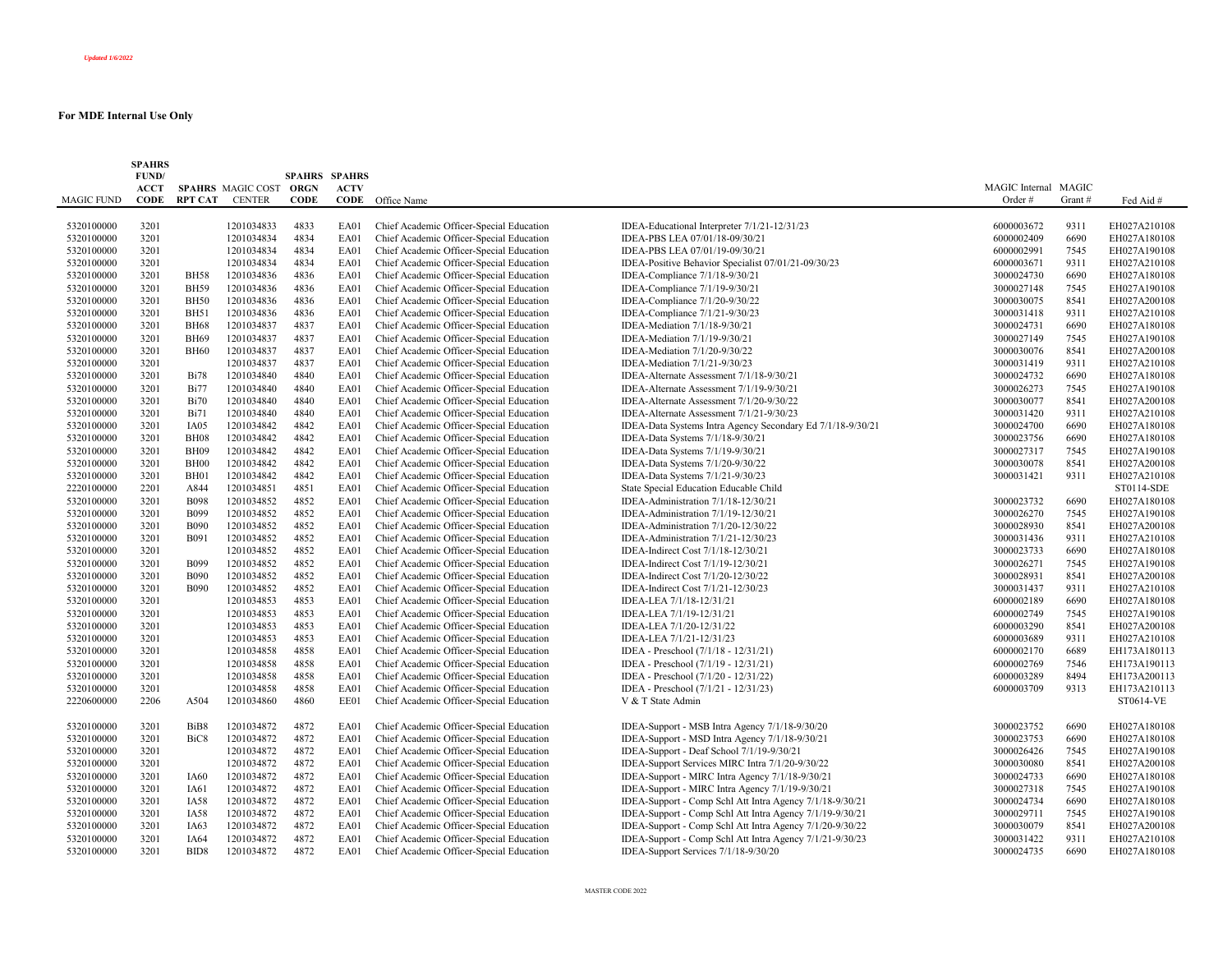|                   | <b>SPAHRS</b><br>FUND/     |                  |                                         | <b>SPAHRS SPAHRS</b> |                     |                                          |                                                            |                      |        |              |
|-------------------|----------------------------|------------------|-----------------------------------------|----------------------|---------------------|------------------------------------------|------------------------------------------------------------|----------------------|--------|--------------|
|                   | <b>ACCT</b><br><b>CODE</b> | <b>RPT CAT</b>   | SPAHRS MAGIC COST ORGN<br><b>CENTER</b> | <b>CODE</b>          | <b>ACTV</b><br>CODE |                                          |                                                            | MAGIC Internal MAGIC |        |              |
| <b>MAGIC FUND</b> |                            |                  |                                         |                      |                     | Office Name                              |                                                            | Order#               | Grant# | Fed Aid #    |
| 5320100000        | 3201                       |                  | 1201034833                              | 4833                 | EA01                | Chief Academic Officer-Special Education | IDEA-Educational Interpreter 7/1/21-12/31/23               | 6000003672           | 9311   | EH027A210108 |
| 5320100000        | 3201                       |                  | 1201034834                              | 4834                 | EA01                | Chief Academic Officer-Special Education | IDEA-PBS LEA 07/01/18-09/30/21                             | 6000002409           | 6690   | EH027A180108 |
| 5320100000        | 3201                       |                  | 1201034834                              | 4834                 | EA01                | Chief Academic Officer-Special Education | IDEA-PBS LEA 07/01/19-09/30/21                             | 6000002991           | 7545   | EH027A190108 |
| 5320100000        | 3201                       |                  | 1201034834                              | 4834                 | EA01                | Chief Academic Officer-Special Education | IDEA-Positive Behavior Specialist 07/01/21-09/30/23        | 6000003671           | 9311   | EH027A210108 |
| 5320100000        | 3201                       | <b>BH58</b>      | 1201034836                              | 4836                 | EA01                | Chief Academic Officer-Special Education | IDEA-Compliance 7/1/18-9/30/21                             | 3000024730           | 6690   | EH027A180108 |
| 5320100000        | 3201                       | <b>BH59</b>      | 1201034836                              | 4836                 | EA01                | Chief Academic Officer-Special Education | IDEA-Compliance 7/1/19-9/30/21                             | 3000027148           | 7545   | EH027A190108 |
| 5320100000        | 3201                       | <b>BH50</b>      | 1201034836                              | 4836                 | EA01                | Chief Academic Officer-Special Education | IDEA-Compliance 7/1/20-9/30/22                             | 3000030075           | 8541   | EH027A200108 |
| 5320100000        | 3201                       | <b>BH51</b>      | 1201034836                              | 4836                 | EA01                | Chief Academic Officer-Special Education | IDEA-Compliance 7/1/21-9/30/23                             | 3000031418           | 9311   | EH027A210108 |
| 5320100000        | 3201                       | <b>BH68</b>      | 1201034837                              | 4837                 | EA01                | Chief Academic Officer-Special Education | IDEA-Mediation 7/1/18-9/30/21                              | 3000024731           | 6690   | EH027A180108 |
| 5320100000        | 3201                       | <b>BH69</b>      | 1201034837                              | 4837                 | EA01                | Chief Academic Officer-Special Education | IDEA-Mediation 7/1/19-9/30/21                              | 3000027149           | 7545   | EH027A190108 |
| 5320100000        | 3201                       | <b>BH60</b>      | 1201034837                              | 4837                 | EA01                | Chief Academic Officer-Special Education | IDEA-Mediation 7/1/20-9/30/22                              | 3000030076           | 8541   | EH027A200108 |
| 5320100000        | 3201                       |                  | 1201034837                              | 4837                 | EA01                | Chief Academic Officer-Special Education | IDEA-Mediation 7/1/21-9/30/23                              | 3000031419           | 9311   | EH027A210108 |
| 5320100000        | 3201                       | <b>Bi78</b>      | 1201034840                              | 4840                 | EA01                | Chief Academic Officer-Special Education | IDEA-Alternate Assessment 7/1/18-9/30/21                   | 3000024732           | 6690   | EH027A180108 |
| 5320100000        | 3201                       | <b>Bi77</b>      | 1201034840                              | 4840                 | EA01                | Chief Academic Officer-Special Education | IDEA-Alternate Assessment 7/1/19-9/30/21                   | 3000026273           | 7545   | EH027A190108 |
| 5320100000        | 3201                       | <b>Bi70</b>      | 1201034840                              | 4840                 | EA01                | Chief Academic Officer-Special Education | IDEA-Alternate Assessment 7/1/20-9/30/22                   | 3000030077           | 8541   | EH027A200108 |
| 5320100000        | 3201                       | <b>Bi71</b>      | 1201034840                              | 4840                 | EA01                | Chief Academic Officer-Special Education | IDEA-Alternate Assessment 7/1/21-9/30/23                   | 3000031420           | 9311   | EH027A210108 |
| 5320100000        | 3201                       | IA05             | 1201034842                              | 4842                 | EA01                | Chief Academic Officer-Special Education | IDEA-Data Systems Intra Agency Secondary Ed 7/1/18-9/30/21 | 3000024700           | 6690   | EH027A180108 |
| 5320100000        | 3201                       | <b>BH08</b>      | 1201034842                              | 4842                 | EA01                | Chief Academic Officer-Special Education | IDEA-Data Systems 7/1/18-9/30/21                           | 3000023756           | 6690   | EH027A180108 |
| 5320100000        | 3201                       | <b>BH09</b>      | 1201034842                              | 4842                 | EA01                | Chief Academic Officer-Special Education | IDEA-Data Systems 7/1/19-9/30/21                           | 3000027317           | 7545   | EH027A190108 |
| 5320100000        | 3201                       | <b>BH00</b>      | 1201034842                              | 4842                 | EA01                | Chief Academic Officer-Special Education | IDEA-Data Systems 7/1/20-9/30/22                           | 3000030078           | 8541   | EH027A200108 |
| 5320100000        | 3201                       | BH01             | 1201034842                              | 4842                 | EA01                | Chief Academic Officer-Special Education | IDEA-Data Systems 7/1/21-9/30/23                           | 3000031421           | 9311   | EH027A210108 |
| 2220100000        | 2201                       | A844             | 1201034851                              | 4851                 | EA01                | Chief Academic Officer-Special Education | State Special Education Educable Child                     |                      |        | ST0114-SDE   |
| 5320100000        | 3201                       | <b>B098</b>      | 1201034852                              | 4852                 | EA01                | Chief Academic Officer-Special Education | IDEA-Administration 7/1/18-12/30/21                        | 3000023732           | 6690   | EH027A180108 |
| 5320100000        | 3201                       | <b>B099</b>      | 1201034852                              | 4852                 | EA01                | Chief Academic Officer-Special Education | IDEA-Administration 7/1/19-12/30/21                        | 3000026270           | 7545   | EH027A190108 |
| 5320100000        | 3201                       | <b>B090</b>      | 1201034852                              | 4852                 | EA01                | Chief Academic Officer-Special Education | IDEA-Administration 7/1/20-12/30/22                        | 3000028930           | 8541   | EH027A200108 |
| 5320100000        | 3201                       | <b>B091</b>      | 1201034852                              | 4852                 | EA01                | Chief Academic Officer-Special Education | IDEA-Administration 7/1/21-12/30/23                        | 3000031436           | 9311   | EH027A210108 |
| 5320100000        | 3201                       |                  | 1201034852                              | 4852                 | EA01                | Chief Academic Officer-Special Education | IDEA-Indirect Cost 7/1/18-12/30/21                         | 3000023733           | 6690   | EH027A180108 |
| 5320100000        | 3201                       | <b>B099</b>      | 1201034852                              | 4852                 | EA01                | Chief Academic Officer-Special Education | IDEA-Indirect Cost 7/1/19-12/30/21                         | 3000026271           | 7545   | EH027A190108 |
| 5320100000        | 3201                       | <b>B090</b>      | 1201034852                              | 4852                 | EA01                | Chief Academic Officer-Special Education | IDEA-Indirect Cost 7/1/20-12/30/22                         | 3000028931           | 8541   | EH027A200108 |
| 5320100000        | 3201                       | <b>B090</b>      | 1201034852                              | 4852                 | EA01                | Chief Academic Officer-Special Education | IDEA-Indirect Cost 7/1/21-12/30/23                         | 3000031437           | 9311   | EH027A210108 |
| 5320100000        | 3201                       |                  | 1201034853                              | 4853                 | EA01                | Chief Academic Officer-Special Education | IDEA-LEA 7/1/18-12/31/21                                   | 6000002189           | 6690   | EH027A180108 |
| 5320100000        | 3201                       |                  | 1201034853                              | 4853                 | EA01                | Chief Academic Officer-Special Education | IDEA-LEA 7/1/19-12/31/21                                   | 6000002749           | 7545   | EH027A190108 |
| 5320100000        | 3201                       |                  | 1201034853                              | 4853                 | EA01                | Chief Academic Officer-Special Education | IDEA-LEA 7/1/20-12/31/22                                   | 6000003290           | 8541   | EH027A200108 |
| 5320100000        | 3201                       |                  | 1201034853                              | 4853                 | EA01                | Chief Academic Officer-Special Education | IDEA-LEA 7/1/21-12/31/23                                   | 6000003689           | 9311   | EH027A210108 |
| 5320100000        | 3201                       |                  | 1201034858                              | 4858                 | EA01                | Chief Academic Officer-Special Education | IDEA - Preschool (7/1/18 - 12/31/21)                       | 6000002170           | 6689   | EH173A180113 |
| 5320100000        | 3201                       |                  | 1201034858                              | 4858                 | EA01                | Chief Academic Officer-Special Education | IDEA - Preschool (7/1/19 - 12/31/21)                       | 6000002769           | 7546   | EH173A190113 |
| 5320100000        | 3201                       |                  | 1201034858                              | 4858                 | EA01                | Chief Academic Officer-Special Education | IDEA - Preschool (7/1/20 - 12/31/22)                       | 6000003289           | 8494   | EH173A200113 |
| 5320100000        | 3201                       |                  | 1201034858                              | 4858                 | EA01                | Chief Academic Officer-Special Education | IDEA - Preschool (7/1/21 - 12/31/23)                       | 6000003709           | 9313   | EH173A210113 |
| 2220600000        | 2206                       | A504             | 1201034860                              | 4860                 | EE01                | Chief Academic Officer-Special Education | V & T State Admin                                          |                      |        | ST0614-VE    |
| 5320100000        | 3201                       | BiB8             | 1201034872                              | 4872                 | EA01                | Chief Academic Officer-Special Education | IDEA-Support - MSB Intra Agency 7/1/18-9/30/20             | 3000023752           | 6690   | EH027A180108 |
| 5320100000        | 3201                       | BiC <sub>8</sub> | 1201034872                              | 4872                 | EA01                | Chief Academic Officer-Special Education | IDEA-Support - MSD Intra Agency 7/1/18-9/30/21             | 3000023753           | 6690   | EH027A180108 |
| 5320100000        | 3201                       |                  | 1201034872                              | 4872                 | EA01                | Chief Academic Officer-Special Education | IDEA-Support - Deaf School 7/1/19-9/30/21                  | 3000026426           | 7545   | EH027A190108 |
| 5320100000        | 3201                       |                  | 1201034872                              | 4872                 | EA01                | Chief Academic Officer-Special Education | IDEA-Support Services MIRC Intra 7/1/20-9/30/22            | 3000030080           | 8541   | EH027A200108 |
| 5320100000        | 3201                       | IA60             | 1201034872                              | 4872                 | EA01                | Chief Academic Officer-Special Education | IDEA-Support - MIRC Intra Agency 7/1/18-9/30/21            | 3000024733           | 6690   | EH027A180108 |
| 5320100000        | 3201                       | IA61             | 1201034872                              | 4872                 | EA01                | Chief Academic Officer-Special Education | IDEA-Support - MIRC Intra Agency 7/1/19-9/30/21            | 3000027318           | 7545   | EH027A190108 |
| 5320100000        | 3201                       | <b>IA58</b>      | 1201034872                              | 4872                 | EA01                | Chief Academic Officer-Special Education | IDEA-Support - Comp Schl Att Intra Agency 7/1/18-9/30/21   | 3000024734           | 6690   | EH027A180108 |
| 5320100000        | 3201                       | <b>IA58</b>      | 1201034872                              | 4872                 | EA01                | Chief Academic Officer-Special Education | IDEA-Support - Comp Schl Att Intra Agency 7/1/19-9/30/21   | 3000029711           | 7545   | EH027A190108 |
| 5320100000        | 3201                       | IA63             | 1201034872                              | 4872                 | EA01                | Chief Academic Officer-Special Education | IDEA-Support - Comp Schl Att Intra Agency 7/1/20-9/30/22   | 3000030079           | 8541   | EH027A200108 |
| 5320100000        | 3201                       | IA64             | 1201034872                              | 4872                 | EA01                | Chief Academic Officer-Special Education | IDEA-Support - Comp Schl Att Intra Agency 7/1/21-9/30/23   | 3000031422           | 9311   | EH027A210108 |
| 5320100000        | 3201                       | BID <sub>8</sub> | 1201034872                              | 4872                 | <b>EA01</b>         | Chief Academic Officer-Special Education | IDEA-Support Services 7/1/18-9/30/20                       | 3000024735           | 6690   | EH027A180108 |
|                   |                            |                  |                                         |                      |                     |                                          |                                                            |                      |        |              |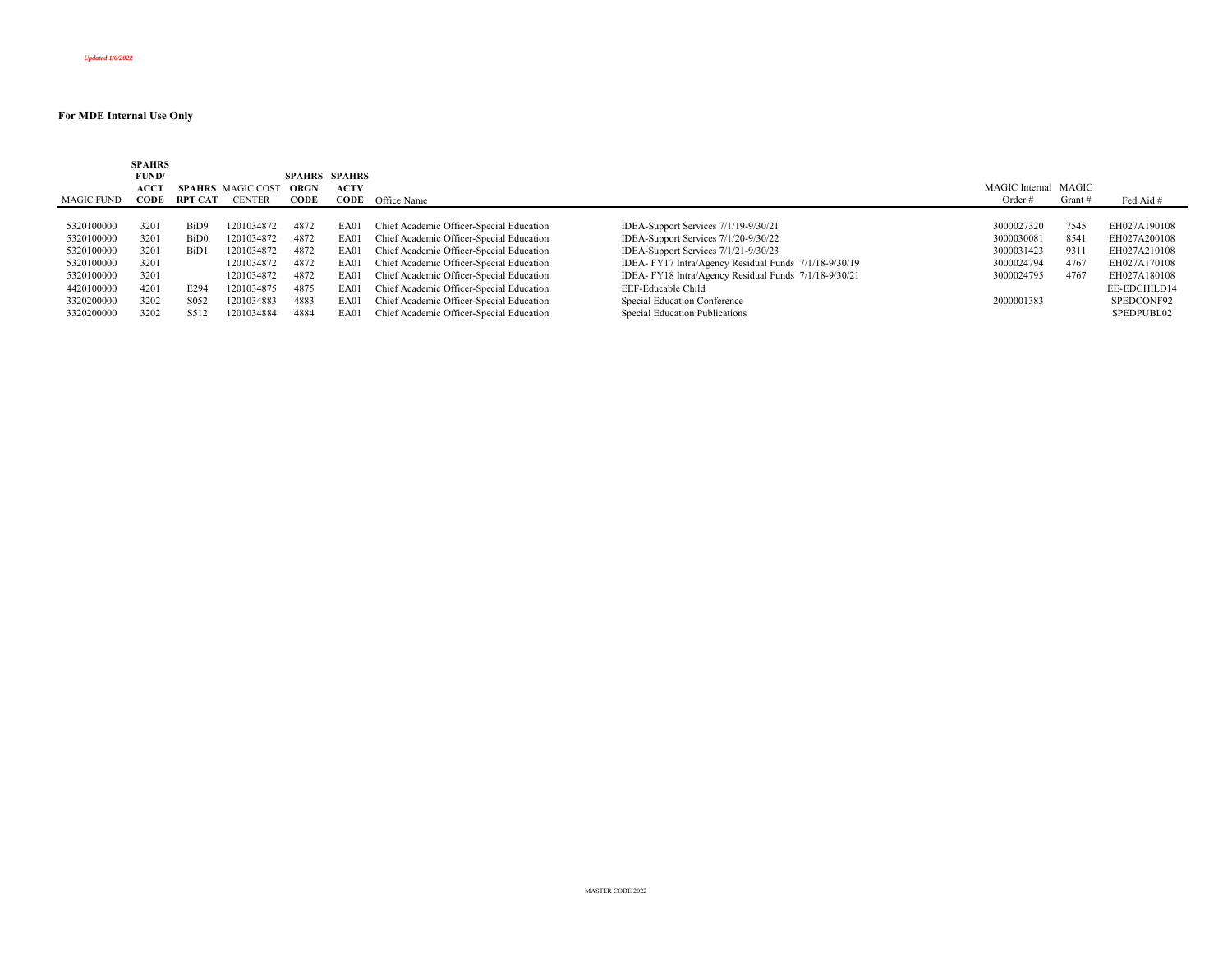| MAGIC FUND | <b>SPAHRS</b><br>FUND/<br><b>ACCT</b><br>CODE | RPT CAT          | <b>SPAHRS</b> MAGIC COST<br><b>CENTER</b> | <b>SPAHRS SPAHRS</b><br>ORGN<br>CODE | <b>ACTV</b><br>CODE | Office Name                              |                                                       | MAGIC Internal MAGIC<br>Order $#$ | Grant # | Fed Aid #    |
|------------|-----------------------------------------------|------------------|-------------------------------------------|--------------------------------------|---------------------|------------------------------------------|-------------------------------------------------------|-----------------------------------|---------|--------------|
| 5320100000 | 3201                                          | BiD9             | 1201034872                                | 4872                                 | EA01                | Chief Academic Officer-Special Education | IDEA-Support Services 7/1/19-9/30/21                  | 3000027320                        | 7545    | EH027A190108 |
| 5320100000 | 3201                                          | BiD <sub>0</sub> | 1201034872                                | 4872                                 | EA01                | Chief Academic Officer-Special Education | IDEA-Support Services 7/1/20-9/30/22                  | 3000030081                        | 8541    | EH027A200108 |
| 5320100000 | 3201                                          | BiD1             | 1201034872                                | 4872                                 | EA01                | Chief Academic Officer-Special Education | IDEA-Support Services 7/1/21-9/30/23                  | 3000031423                        | 9311    | EH027A210108 |
| 5320100000 | 3201                                          |                  | 1201034872                                | 4872                                 | EA01                | Chief Academic Officer-Special Education | IDEA- FY17 Intra/Agency Residual Funds 7/1/18-9/30/19 | 3000024794                        | 4767    | EH027A170108 |
| 5320100000 | 3201                                          |                  | 1201034872                                | 4872                                 | EA01                | Chief Academic Officer-Special Education | IDEA- FY18 Intra/Agency Residual Funds 7/1/18-9/30/21 | 3000024795                        | 4767    | EH027A180108 |
| 4420100000 | 4201                                          | E294             | 1201034875                                | 4875                                 | EA01                | Chief Academic Officer-Special Education | EEF-Educable Child                                    |                                   |         | EE-EDCHILD14 |
| 3320200000 | 3202                                          | S <sub>052</sub> | 1201034883                                | 4883                                 | EA01                | Chief Academic Officer-Special Education | Special Education Conference                          | 2000001383                        |         | SPEDCONF92   |
| 3320200000 | 3202                                          | S512             | 1201034884                                | 4884                                 | EA01                | Chief Academic Officer-Special Education | Special Education Publications                        |                                   |         | SPEDPUBL02   |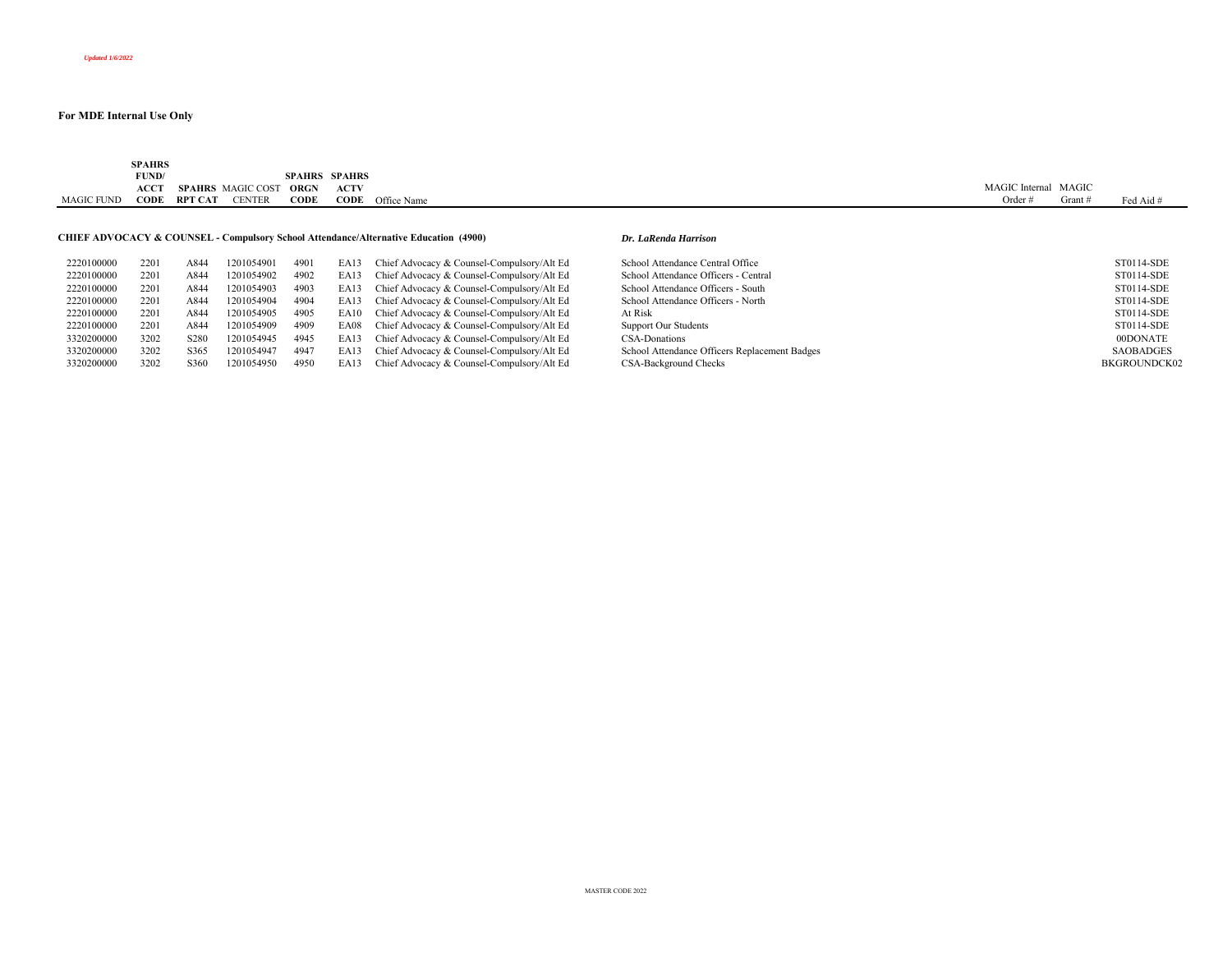|            | <b>SPAHRS</b><br>the contract of the contract of |         |                          |      |                      |                         |                      |                    |           |
|------------|--------------------------------------------------|---------|--------------------------|------|----------------------|-------------------------|----------------------|--------------------|-----------|
|            | FUND/                                            |         |                          |      | <b>SPAHRS SPAHRS</b> |                         |                      |                    |           |
|            | <b>ACCT</b>                                      |         | <b>SPAHRS</b> MAGIC COST | ORGN | <b>ACTV</b>          |                         | MAGIC Internal MAGIC |                    |           |
| MAGIC FUND | CODE                                             | RPT CAT | <b>CENTER</b>            | CODE |                      | <b>CODE</b> Office Name | Order                | Grant <sup>-</sup> | Fed Aid # |
|            |                                                  |         |                          |      |                      |                         |                      |                    |           |

## **CHIEF ADVOCACY & COUNSEL - Compulsory School Attendance/Alternative Education (4900)** *Dr. LaRenda Harrison*

| 2220100000 | 2201 | A844             | 1201054901 | 4901 | EA13 | Chief Advocacy & Counsel-Compulsory/Alt Ed      | School Attendance Central Office              | ST0114-SDE   |
|------------|------|------------------|------------|------|------|-------------------------------------------------|-----------------------------------------------|--------------|
| 2220100000 | 2201 | A844             | 1201054902 | 4902 | EA13 | Chief Advocacy & Counsel-Compulsory/Alt Ed      | School Attendance Officers - Central          | ST0114-SDE   |
| 2220100000 | 2201 | A844             | 1201054903 | 4903 | EA13 | Chief Advocacy & Counsel-Compulsory/Alt Ed      | School Attendance Officers - South            | ST0114-SDE   |
| 2220100000 | 2201 | A844             | 1201054904 | 4904 | EA13 | Chief Advocacy & Counsel-Compulsory/Alt Ed      | School Attendance Officers - North            | ST0114-SDE   |
| 2220100000 | 2201 | A844             | 1201054905 | 4905 | EA10 | Chief Advocacy & Counsel-Compulsory/Alt Ed      | At Risk                                       | ST0114-SDE   |
| 2220100000 | 2201 | A844             | 1201054909 | 4909 |      | EA08 Chief Advocacy & Counsel-Compulsory/Alt Ed | <b>Support Our Students</b>                   | ST0114-SDE   |
| 3320200000 | 3202 | S <sub>280</sub> | 1201054945 | 4945 |      | EA13 Chief Advocacy & Counsel-Compulsory/Alt Ed | CSA-Donations                                 | 00DONATE     |
| 3320200000 | 3202 | S <sub>365</sub> | 1201054947 | 4947 |      | EA13 Chief Advocacy & Counsel-Compulsory/Alt Ed | School Attendance Officers Replacement Badges | SAOBADGES    |
| 3320200000 | 3202 | S360             | 1201054950 | 4950 | EA13 | Chief Advocacy & Counsel-Compulsory/Alt Ed      | CSA-Background Checks                         | BKGROUNDCK02 |

| 2220100000 | 2201 | A84               | 1201054901 | 4901 | EA13 | Chief Advocacy & Counsel-Compulsory/Alt Ed      | School Attendance Central Office              | ST0114-SDE        |
|------------|------|-------------------|------------|------|------|-------------------------------------------------|-----------------------------------------------|-------------------|
| 2220100000 | 2201 | A84               | 1201054902 | 4902 | EA13 | Chief Advocacy & Counsel-Compulsory/Alt Ed      | School Attendance Officers - Central          | ST0114-SDE        |
| 2220100000 | 2201 | A84               | 1201054903 | 4903 |      | EA13 Chief Advocacy & Counsel-Compulsory/Alt Ed | School Attendance Officers - South            | ST0114-SDE        |
| 2220100000 | 2201 | A844              | 1201054904 | 4904 | EA13 | Chief Advocacy & Counsel-Compulsory/Alt Ed      | School Attendance Officers - North            | ST0114-SDE        |
| 2220100000 | 2201 | A84               | 1201054905 | 4905 | EA10 | Chief Advocacy & Counsel-Compulsory/Alt Ed      | At Risk                                       | ST0114-SDE        |
| 2220100000 | 2201 | A84               | 1201054909 | 4909 |      | EA08 Chief Advocacy & Counsel-Compulsory/Alt Ed | <b>Support Our Students</b>                   | ST0114-SDE        |
| 3320200000 | 3202 | S <sub>28</sub> C | 1201054945 | 4945 | EA13 | Chief Advocacy & Counsel-Compulsory/Alt Ed      | CSA-Donations                                 | 00DONATE          |
| 3320200000 | 3202 | S365              | 1201054947 | 4947 |      | EA13 Chief Advocacy & Counsel-Compulsory/Alt Ed | School Attendance Officers Replacement Badges | <b>SAOBADGES</b>  |
| 3320200000 | 3202 | -S360             | 1201054950 | 4950 |      | EA13 Chief Advocacy & Counsel-Compulsory/Alt Ed | CSA-Background Checks                         | <b>BKGROUNDCK</b> |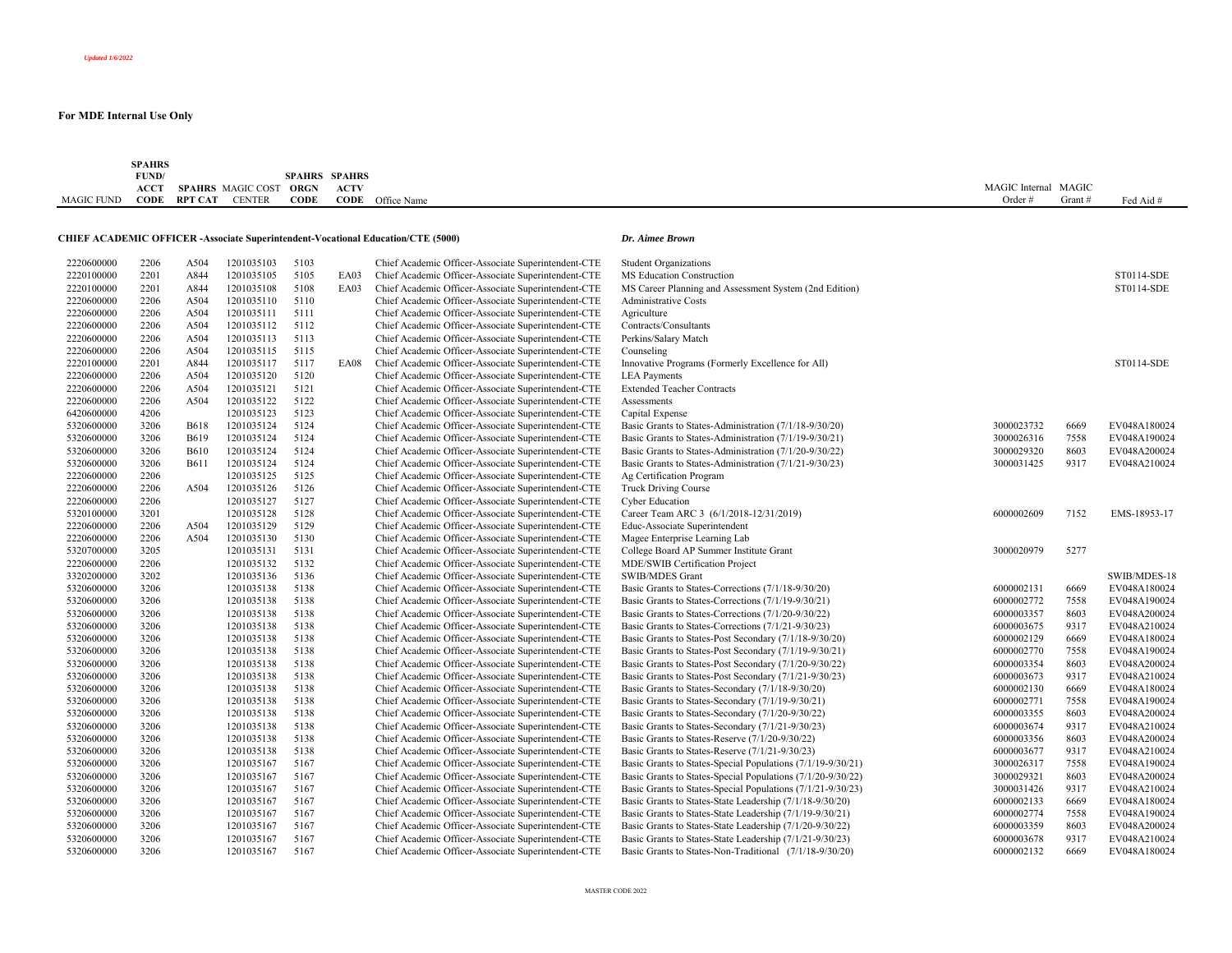| <b>MAGIC FUND</b> | <b>SPAHRS</b><br>FUND/<br>ACCT<br><b>CODE</b> |             | SPAHRS MAGIC COST ORGN<br><b>RPT CAT CENTER</b> | <b>CODE</b> | <b>SPAHRS SPAHRS</b><br><b>ACTV</b><br>CODE | Office Name                                                                              |                                                             | MAGIC Internal MAGIC<br>Order# | Grant# | Fed Aid #         |
|-------------------|-----------------------------------------------|-------------|-------------------------------------------------|-------------|---------------------------------------------|------------------------------------------------------------------------------------------|-------------------------------------------------------------|--------------------------------|--------|-------------------|
|                   |                                               |             |                                                 |             |                                             |                                                                                          |                                                             |                                |        |                   |
|                   |                                               |             |                                                 |             |                                             | <b>CHIEF ACADEMIC OFFICER - Associate Superintendent-Vocational Education/CTE (5000)</b> | Dr. Aimee Brown                                             |                                |        |                   |
| 2220600000        | 2206                                          | A504        | 1201035103                                      | 5103        |                                             | Chief Academic Officer-Associate Superintendent-CTE                                      | <b>Student Organizations</b>                                |                                |        |                   |
| 2220100000        | 2201                                          | A844        | 1201035105                                      | 5105        | EA03                                        | Chief Academic Officer-Associate Superintendent-CTE                                      | MS Education Construction                                   |                                |        | ST0114-SDE        |
| 2220100000        | 2201                                          | A844        | 1201035108                                      | 5108        | <b>EA03</b>                                 | Chief Academic Officer-Associate Superintendent-CTE                                      | MS Career Planning and Assessment System (2nd Edition)      |                                |        | <b>ST0114-SDE</b> |
| 2220600000        | 2206                                          | A504        | 1201035110                                      | 5110        |                                             | Chief Academic Officer-Associate Superintendent-CTE                                      | <b>Administrative Costs</b>                                 |                                |        |                   |
| 2220600000        | 2206                                          | A504        | 1201035111                                      | 5111        |                                             | Chief Academic Officer-Associate Superintendent-CTE                                      | Agriculture                                                 |                                |        |                   |
| 2220600000        | 2206                                          | A504        | 1201035112                                      | 5112        |                                             | Chief Academic Officer-Associate Superintendent-CTE                                      | Contracts/Consultants                                       |                                |        |                   |
| 2220600000        | 2206                                          | A504        | 1201035113                                      | 5113        |                                             | Chief Academic Officer-Associate Superintendent-CTE                                      | Perkins/Salary Match                                        |                                |        |                   |
| 2220600000        | 2206                                          | A504        | 1201035115                                      | 5115        |                                             | Chief Academic Officer-Associate Superintendent-CTE                                      | Counseling                                                  |                                |        |                   |
| 2220100000        | 2201                                          | A844        | 1201035117                                      | 5117        | EA08                                        | Chief Academic Officer-Associate Superintendent-CTE                                      | Innovative Programs (Formerly Excellence for All)           |                                |        | ST0114-SDE        |
| 2220600000        | 2206                                          | A504        | 1201035120                                      | 5120        |                                             | Chief Academic Officer-Associate Superintendent-CTE                                      | <b>LEA</b> Payments                                         |                                |        |                   |
| 2220600000        | 2206                                          | A504        | 1201035121                                      | 5121        |                                             | Chief Academic Officer-Associate Superintendent-CTE                                      | <b>Extended Teacher Contracts</b>                           |                                |        |                   |
| 2220600000        | 2206                                          | A504        | 1201035122                                      | 5122        |                                             | Chief Academic Officer-Associate Superintendent-CTE                                      | Assessments                                                 |                                |        |                   |
| 6420600000        | 4206                                          |             | 1201035123                                      | 5123        |                                             | Chief Academic Officer-Associate Superintendent-CTE                                      | Capital Expense                                             |                                |        |                   |
| 5320600000        | 3206                                          | <b>B618</b> | 1201035124                                      | 5124        |                                             | Chief Academic Officer-Associate Superintendent-CTE                                      | Basic Grants to States-Administration (7/1/18-9/30/20)      | 3000023732                     | 6669   | EV048A180024      |
| 5320600000        | 3206                                          | <b>B619</b> | 1201035124                                      | 5124        |                                             | Chief Academic Officer-Associate Superintendent-CTE                                      | Basic Grants to States-Administration (7/1/19-9/30/21)      | 3000026316                     | 7558   | EV048A190024      |
| 5320600000        | 3206                                          | <b>B610</b> | 1201035124                                      | 5124        |                                             | Chief Academic Officer-Associate Superintendent-CTE                                      | Basic Grants to States-Administration (7/1/20-9/30/22)      | 3000029320                     | 8603   | EV048A200024      |
| 5320600000        | 3206                                          | <b>B611</b> | 1201035124                                      | 5124        |                                             | Chief Academic Officer-Associate Superintendent-CTE                                      | Basic Grants to States-Administration (7/1/21-9/30/23)      | 3000031425                     | 9317   | EV048A210024      |
| 2220600000        | 2206                                          |             | 1201035125                                      | 5125        |                                             | Chief Academic Officer-Associate Superintendent-CTE                                      | Ag Certification Program                                    |                                |        |                   |
| 2220600000        | 2206                                          | A504        | 1201035126                                      | 5126        |                                             | Chief Academic Officer-Associate Superintendent-CTE                                      | <b>Truck Driving Course</b>                                 |                                |        |                   |
| 2220600000        | 2206                                          |             | 1201035127                                      | 5127        |                                             | Chief Academic Officer-Associate Superintendent-CTE                                      | <b>Cyber Education</b>                                      |                                |        |                   |
| 5320100000        | 3201                                          |             | 1201035128                                      | 5128        |                                             | Chief Academic Officer-Associate Superintendent-CTE                                      | Career Team ARC 3 (6/1/2018-12/31/2019)                     | 6000002609                     | 7152   | EMS-18953-17      |
| 2220600000        | 2206                                          | A504        | 1201035129                                      | 5129        |                                             | Chief Academic Officer-Associate Superintendent-CTE                                      | Educ-Associate Superintendent                               |                                |        |                   |
| 2220600000        | 2206                                          | A504        | 1201035130                                      | 5130        |                                             | Chief Academic Officer-Associate Superintendent-CTE                                      | Magee Enterprise Learning Lab                               |                                |        |                   |
| 5320700000        | 3205                                          |             | 1201035131                                      | 5131        |                                             | Chief Academic Officer-Associate Superintendent-CTE                                      | College Board AP Summer Institute Grant                     | 3000020979                     | 5277   |                   |
| 2220600000        | 2206                                          |             | 1201035132                                      | 5132        |                                             | Chief Academic Officer-Associate Superintendent-CTE                                      | MDE/SWIB Certification Project                              |                                |        |                   |
| 3320200000        | 3202                                          |             | 1201035136                                      | 5136        |                                             | Chief Academic Officer-Associate Superintendent-CTE                                      | <b>SWIB/MDES Grant</b>                                      |                                |        | SWIB/MDES-18      |
| 5320600000        | 3206                                          |             | 1201035138                                      | 5138        |                                             | Chief Academic Officer-Associate Superintendent-CTE                                      | Basic Grants to States-Corrections (7/1/18-9/30/20)         | 6000002131                     | 6669   | EV048A180024      |
| 5320600000        | 3206                                          |             | 1201035138                                      | 5138        |                                             | Chief Academic Officer-Associate Superintendent-CTE                                      | Basic Grants to States-Corrections (7/1/19-9/30/21)         | 6000002772                     | 7558   | EV048A190024      |
| 5320600000        | 3206                                          |             | 1201035138                                      | 5138        |                                             | Chief Academic Officer-Associate Superintendent-CTE                                      | Basic Grants to States-Corrections (7/1/20-9/30/22)         | 6000003357                     | 8603   | EV048A200024      |
| 5320600000        | 3206                                          |             | 1201035138                                      | 5138        |                                             | Chief Academic Officer-Associate Superintendent-CTE                                      | Basic Grants to States-Corrections (7/1/21-9/30/23)         | 6000003675                     | 9317   | EV048A210024      |
| 5320600000        | 3206                                          |             | 1201035138                                      | 5138        |                                             | Chief Academic Officer-Associate Superintendent-CTE                                      | Basic Grants to States-Post Secondary (7/1/18-9/30/20)      | 6000002129                     | 6669   | EV048A180024      |
| 5320600000        | 3206                                          |             | 1201035138                                      | 5138        |                                             | Chief Academic Officer-Associate Superintendent-CTE                                      | Basic Grants to States-Post Secondary (7/1/19-9/30/21)      | 6000002770                     | 7558   | EV048A190024      |
| 5320600000        | 3206                                          |             | 1201035138                                      | 5138        |                                             | Chief Academic Officer-Associate Superintendent-CTE                                      | Basic Grants to States-Post Secondary (7/1/20-9/30/22)      | 6000003354                     | 8603   | EV048A200024      |
| 5320600000        | 3206                                          |             | 1201035138                                      | 5138        |                                             | Chief Academic Officer-Associate Superintendent-CTE                                      | Basic Grants to States-Post Secondary (7/1/21-9/30/23)      | 6000003673                     | 9317   | EV048A210024      |
| 5320600000        | 3206                                          |             | 1201035138                                      | 5138        |                                             | Chief Academic Officer-Associate Superintendent-CTE                                      | Basic Grants to States-Secondary (7/1/18-9/30/20)           | 6000002130                     | 6669   | EV048A180024      |
| 5320600000        | 3206                                          |             | 1201035138                                      | 5138        |                                             | Chief Academic Officer-Associate Superintendent-CTE                                      | Basic Grants to States-Secondary (7/1/19-9/30/21)           | 6000002771                     | 7558   | EV048A190024      |
| 5320600000        | 3206                                          |             | 1201035138                                      | 5138        |                                             | Chief Academic Officer-Associate Superintendent-CTE                                      | Basic Grants to States-Secondary (7/1/20-9/30/22)           | 6000003355                     | 8603   | EV048A200024      |
| 5320600000        | 3206                                          |             | 1201035138                                      | 5138        |                                             | Chief Academic Officer-Associate Superintendent-CTE                                      | Basic Grants to States-Secondary (7/1/21-9/30/23)           | 6000003674                     | 9317   | EV048A210024      |
| 5320600000        | 3206                                          |             | 1201035138                                      | 5138        |                                             | Chief Academic Officer-Associate Superintendent-CTE                                      | Basic Grants to States-Reserve (7/1/20-9/30/22)             | 6000003356                     | 8603   | EV048A200024      |
| 5320600000        | 3206                                          |             | 1201035138                                      | 5138        |                                             | Chief Academic Officer-Associate Superintendent-CTE                                      | Basic Grants to States-Reserve (7/1/21-9/30/23)             | 6000003677                     | 9317   | EV048A210024      |
| 5320600000        | 3206                                          |             | 1201035167                                      | 5167        |                                             | Chief Academic Officer-Associate Superintendent-CTE                                      | Basic Grants to States-Special Populations (7/1/19-9/30/21) | 3000026317                     | 7558   | EV048A190024      |
| 5320600000        | 3206                                          |             | 1201035167                                      | 5167        |                                             | Chief Academic Officer-Associate Superintendent-CTE                                      | Basic Grants to States-Special Populations (7/1/20-9/30/22) | 3000029321                     | 8603   | EV048A200024      |
| 5320600000        | 3206                                          |             | 1201035167                                      | 5167        |                                             | Chief Academic Officer-Associate Superintendent-CTE                                      | Basic Grants to States-Special Populations (7/1/21-9/30/23) | 3000031426                     | 9317   | EV048A210024      |
| 5320600000        | 3206                                          |             | 1201035167                                      | 5167        |                                             | Chief Academic Officer-Associate Superintendent-CTE                                      | Basic Grants to States-State Leadership (7/1/18-9/30/20)    | 6000002133                     | 6669   | EV048A180024      |
| 5320600000        | 3206                                          |             | 1201035167                                      | 5167        |                                             | Chief Academic Officer-Associate Superintendent-CTE                                      | Basic Grants to States-State Leadership (7/1/19-9/30/21)    | 6000002774                     | 7558   | EV048A190024      |
| 5320600000        | 3206                                          |             | 1201035167                                      | 5167        |                                             | Chief Academic Officer-Associate Superintendent-CTE                                      | Basic Grants to States-State Leadership (7/1/20-9/30/22)    | 6000003359                     | 8603   | EV048A200024      |
| 5320600000        | 3206                                          |             | 1201035167                                      | 5167        |                                             | Chief Academic Officer-Associate Superintendent-CTE                                      | Basic Grants to States-State Leadership (7/1/21-9/30/23)    | 6000003678                     | 9317   | EV048A210024      |
| 5320600000        | 3206                                          |             | 1201035167                                      | 5167        |                                             | Chief Academic Officer-Associate Superintendent-CTE                                      | Basic Grants to States-Non-Traditional (7/1/18-9/30/20)     | 6000002132                     | 6669   | EV048A180024      |
|                   |                                               |             |                                                 |             |                                             |                                                                                          |                                                             |                                |        |                   |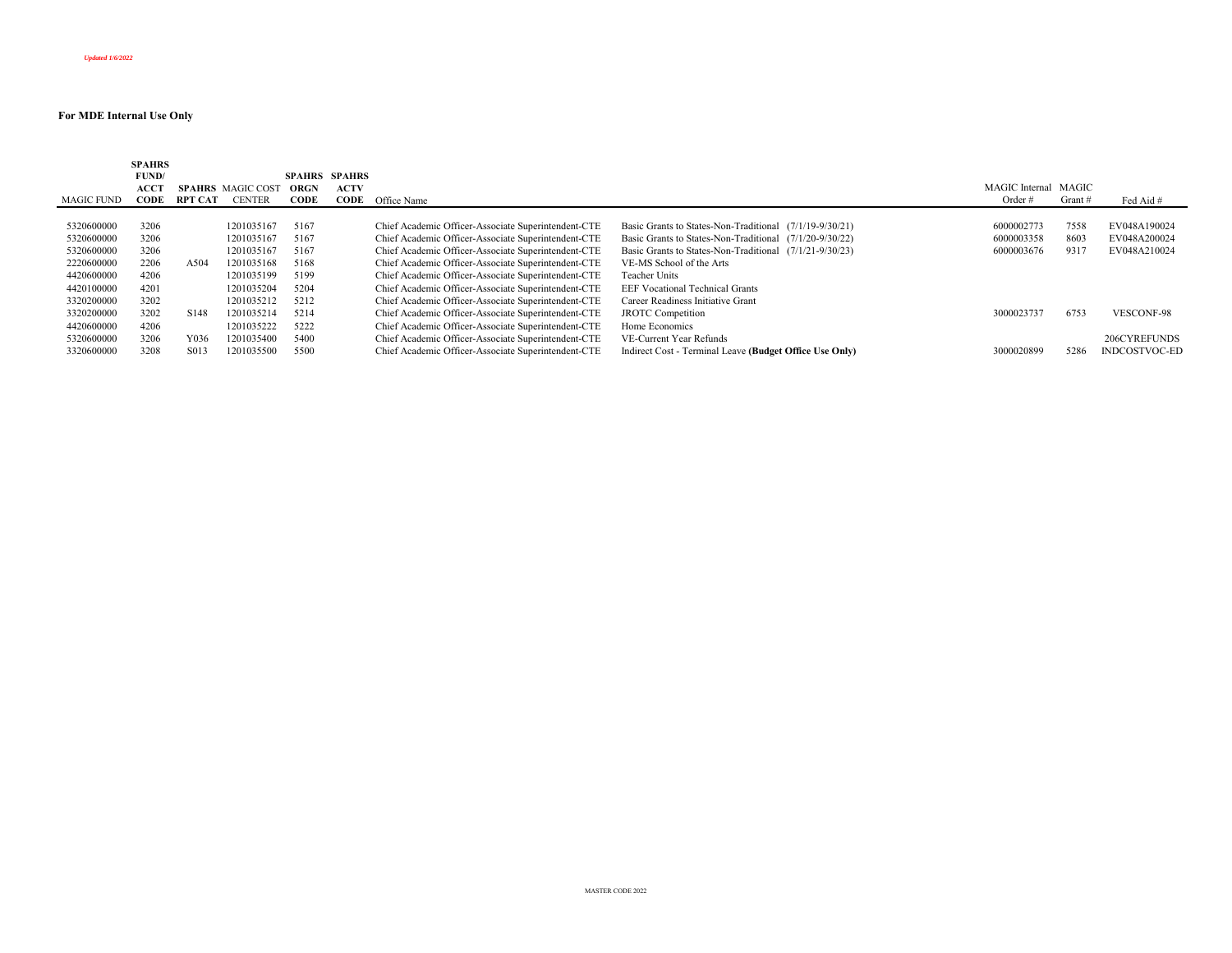| <b>SPAHRS</b> |                   |               |                          |             |                                                     |                                                         |                |         |                      |
|---------------|-------------------|---------------|--------------------------|-------------|-----------------------------------------------------|---------------------------------------------------------|----------------|---------|----------------------|
| FUND/         |                   |               |                          |             |                                                     |                                                         |                |         |                      |
| ACC'I         |                   |               | <b>ORGN</b>              | <b>ACTV</b> |                                                     |                                                         | MAGIC Internal |         |                      |
| CODE          | <b>RPT CAT</b>    | <b>CENTER</b> | CODE                     | <b>CODE</b> |                                                     |                                                         | Order $#$      | Grant # | Fed Aid #            |
|               |                   |               |                          |             |                                                     |                                                         |                |         |                      |
| 3206          |                   | 1201035167    | 5167                     |             | Chief Academic Officer-Associate Superintendent-CTE | Basic Grants to States-Non-Traditional (7/1/19-9/30/21) | 6000002773     | 7558    | EV048A190024         |
| 3206          |                   | 1201035167    | 5167                     |             | Chief Academic Officer-Associate Superintendent-CTE | Basic Grants to States-Non-Traditional (7/1/20-9/30/22) | 6000003358     | 8603    | EV048A200024         |
| 3206          |                   | 1201035167    | 5167                     |             | Chief Academic Officer-Associate Superintendent-CTE | Basic Grants to States-Non-Traditional (7/1/21-9/30/23) | 6000003676     | 9317    | EV048A210024         |
| 2206          | A504              | 1201035168    | 5168                     |             | Chief Academic Officer-Associate Superintendent-CTE | VE-MS School of the Arts                                |                |         |                      |
| 4206          |                   | 1201035199    | 5199                     |             | Chief Academic Officer-Associate Superintendent-CTE | Teacher Units                                           |                |         |                      |
| 4201          |                   | 1201035204    | 5204                     |             | Chief Academic Officer-Associate Superintendent-CTE | <b>EEF Vocational Technical Grants</b>                  |                |         |                      |
| 3202          |                   | 1201035212    | 5212                     |             | Chief Academic Officer-Associate Superintendent-CTE | Career Readiness Initiative Grant                       |                |         |                      |
| 3202          | S <sub>148</sub>  | 1201035214    | 5214                     |             | Chief Academic Officer-Associate Superintendent-CTE | <b>JROTC</b> Competition                                | 3000023737     | 6753    | <b>VESCONF-98</b>    |
| 4206          |                   | 1201035222    | 5222                     |             | Chief Academic Officer-Associate Superintendent-CTE | Home Economics                                          |                |         |                      |
| 3206          | Y036              | 1201035400    | 5400                     |             | Chief Academic Officer-Associate Superintendent-CTE | VE-Current Year Refunds                                 |                |         | 206CYREFUNDS         |
| 3208          | S <sub>0</sub> 13 | 201035500     | 5500                     |             | Chief Academic Officer-Associate Superintendent-CTE | Indirect Cost - Terminal Leave (Budget Office Use Only) | 3000020899     | 5286    | <b>INDCOSTVOC-ED</b> |
|               | MAGIC FUND        |               | <b>SPAHRS</b> MAGIC COST |             | <b>SPAHRS SPAHRS</b>                                | Office Name                                             |                |         | MAGIC                |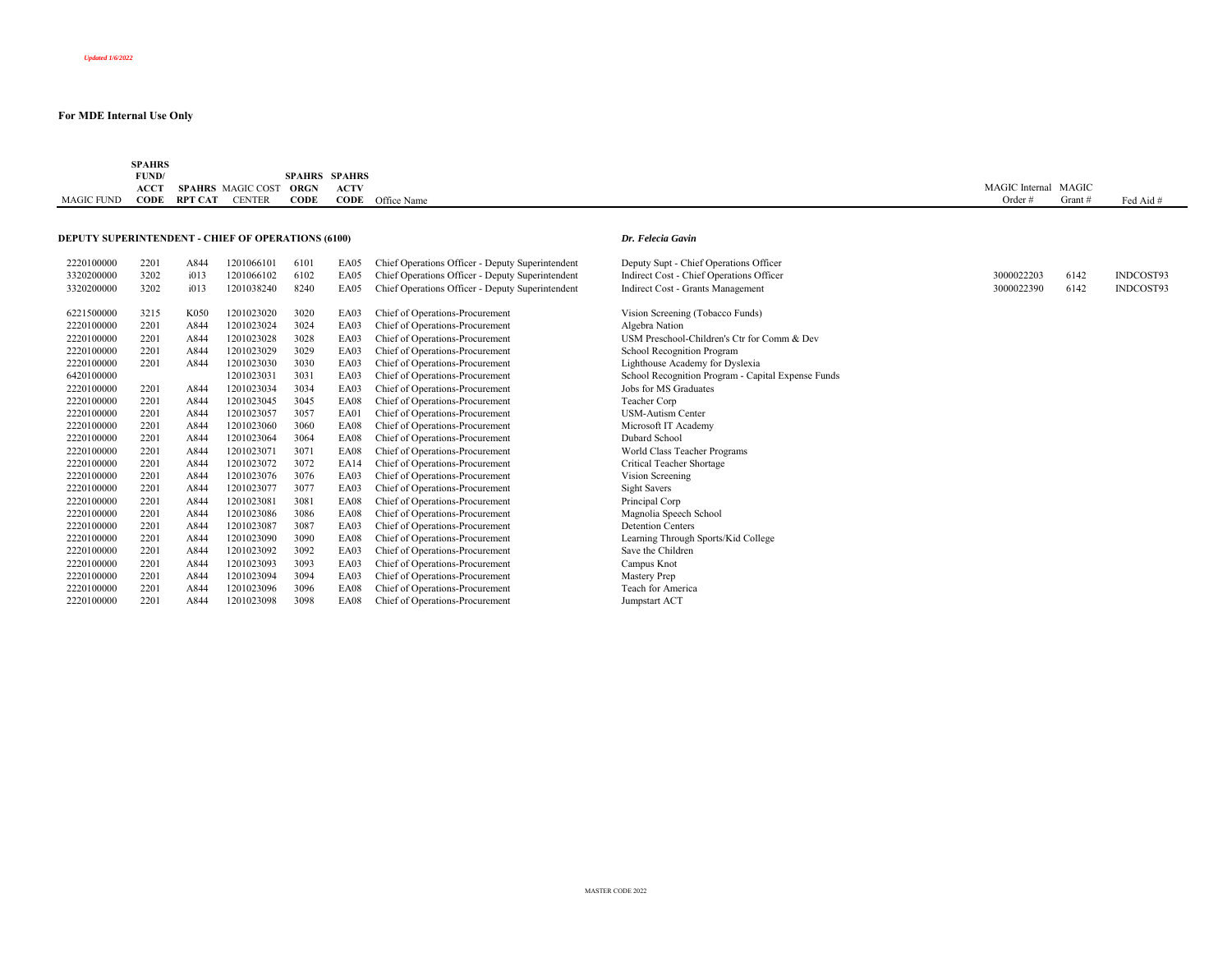| MAGIC FUND                                                | <b>SPAHRS</b><br>FUND/<br><b>ACCT</b><br>CODE | RPT CAT | <b>SPAHRS</b> MAGIC COST<br><b>CENTER</b> | <b>SPAHRS</b><br><b>ORGN</b><br><b>CODE</b> | <b>SPAHRS</b><br><b>ACTV</b> | <b>CODE</b> Office Name                          |                                                    | MAGIC Internal MAGIC<br>Order# | Grant# | Fed Aid # |
|-----------------------------------------------------------|-----------------------------------------------|---------|-------------------------------------------|---------------------------------------------|------------------------------|--------------------------------------------------|----------------------------------------------------|--------------------------------|--------|-----------|
|                                                           |                                               |         |                                           |                                             |                              |                                                  |                                                    |                                |        |           |
| <b>DEPUTY SUPERINTENDENT - CHIEF OF OPERATIONS (6100)</b> |                                               |         |                                           |                                             |                              |                                                  | Dr. Felecia Gavin                                  |                                |        |           |
| 2220100000                                                | 2201                                          | A844    | 1201066101                                | 6101                                        | EA05                         | Chief Operations Officer - Deputy Superintendent | Deputy Supt - Chief Operations Officer             |                                |        |           |
| 3320200000                                                | 3202                                          | i013    | 1201066102                                | 6102                                        | EA05                         | Chief Operations Officer - Deputy Superintendent | Indirect Cost - Chief Operations Officer           | 3000022203                     | 6142   | INDCOST93 |
| 3320200000                                                | 3202                                          | i013    | 1201038240                                | 8240                                        | EA05                         | Chief Operations Officer - Deputy Superintendent | Indirect Cost - Grants Management                  | 3000022390                     | 6142   | INDCOST93 |
| 6221500000                                                | 3215                                          | K050    | 1201023020                                | 3020                                        | EA03                         | Chief of Operations-Procurement                  | Vision Screening (Tobacco Funds)                   |                                |        |           |
| 2220100000                                                | 2201                                          | A844    | 1201023024                                | 3024                                        | EA03                         | Chief of Operations-Procurement                  | Algebra Nation                                     |                                |        |           |
| 2220100000                                                | 2201                                          | A844    | 1201023028                                | 3028                                        | EA03                         | Chief of Operations-Procurement                  | USM Preschool-Children's Ctr for Comm & Dev        |                                |        |           |
| 2220100000                                                | 2201                                          | A844    | 1201023029                                | 3029                                        | EA03                         | Chief of Operations-Procurement                  | School Recognition Program                         |                                |        |           |
| 2220100000                                                | 2201                                          | A844    | 1201023030                                | 3030                                        | EA03                         | Chief of Operations-Procurement                  | Lighthouse Academy for Dyslexia                    |                                |        |           |
| 6420100000                                                |                                               |         | 1201023031                                | 3031                                        | EA03                         | Chief of Operations-Procurement                  | School Recognition Program - Capital Expense Funds |                                |        |           |
| 2220100000                                                | 2201                                          | A844    | 1201023034                                | 3034                                        | EA03                         | Chief of Operations-Procurement                  | Jobs for MS Graduates                              |                                |        |           |
| 2220100000                                                | 2201                                          | A844    | 1201023045                                | 3045                                        | EA08                         | Chief of Operations-Procurement                  | Teacher Corp                                       |                                |        |           |
| 2220100000                                                | 2201                                          | A844    | 1201023057                                | 3057                                        | EA01                         | Chief of Operations-Procurement                  | <b>USM-Autism Center</b>                           |                                |        |           |
| 2220100000                                                | 2201                                          | A844    | 1201023060                                | 3060                                        | EA08                         | Chief of Operations-Procurement                  | Microsoft IT Academy                               |                                |        |           |
| 2220100000                                                | 2201                                          | A844    | 1201023064                                | 3064                                        | EA08                         | Chief of Operations-Procurement                  | Dubard School                                      |                                |        |           |
| 2220100000                                                | 2201                                          | A844    | 1201023071                                | 3071                                        | EA08                         | Chief of Operations-Procurement                  | World Class Teacher Programs                       |                                |        |           |
| 2220100000                                                | 2201                                          | A844    | 1201023072                                | 3072                                        | <b>EA14</b>                  | Chief of Operations-Procurement                  | Critical Teacher Shortage                          |                                |        |           |
| 2220100000                                                | 2201                                          | A844    | 1201023076                                | 3076                                        | EA03                         | Chief of Operations-Procurement                  | Vision Screening                                   |                                |        |           |
| 2220100000                                                | 2201                                          | A844    | 1201023077                                | 3077                                        | EA03                         | Chief of Operations-Procurement                  | Sight Savers                                       |                                |        |           |
| 2220100000                                                | 2201                                          | A844    | 1201023081                                | 3081                                        | EA08                         | Chief of Operations-Procurement                  | Principal Corp                                     |                                |        |           |
| 2220100000                                                | 2201                                          | A844    | 1201023086                                | 3086                                        | EA08                         | Chief of Operations-Procurement                  | Magnolia Speech School                             |                                |        |           |
| 2220100000                                                | 2201                                          | A844    | 1201023087                                | 3087                                        | EA03                         | Chief of Operations-Procurement                  | <b>Detention Centers</b>                           |                                |        |           |
| 2220100000                                                | 2201                                          | A844    | 1201023090                                | 3090                                        | EA08                         | Chief of Operations-Procurement                  | Learning Through Sports/Kid College                |                                |        |           |
| 2220100000                                                | 2201                                          | A844    | 1201023092                                | 3092                                        | EA03                         | Chief of Operations-Procurement                  | Save the Children                                  |                                |        |           |
| 2220100000                                                | 2201                                          | A844    | 1201023093                                | 3093                                        | EA03                         | Chief of Operations-Procurement                  | Campus Knot                                        |                                |        |           |
| 2220100000                                                | 2201                                          | A844    | 1201023094                                | 3094                                        | EA03                         | Chief of Operations-Procurement                  | Mastery Prep                                       |                                |        |           |
| 2220100000                                                | 2201                                          | A844    | 1201023096                                | 3096                                        | EA08                         | Chief of Operations-Procurement                  | Teach for America                                  |                                |        |           |
| 2220100000                                                | 2201                                          | A844    | 1201023098                                | 3098                                        | EA08                         | Chief of Operations-Procurement                  | Jumpstart ACT                                      |                                |        |           |
|                                                           |                                               |         |                                           |                                             |                              |                                                  |                                                    |                                |        |           |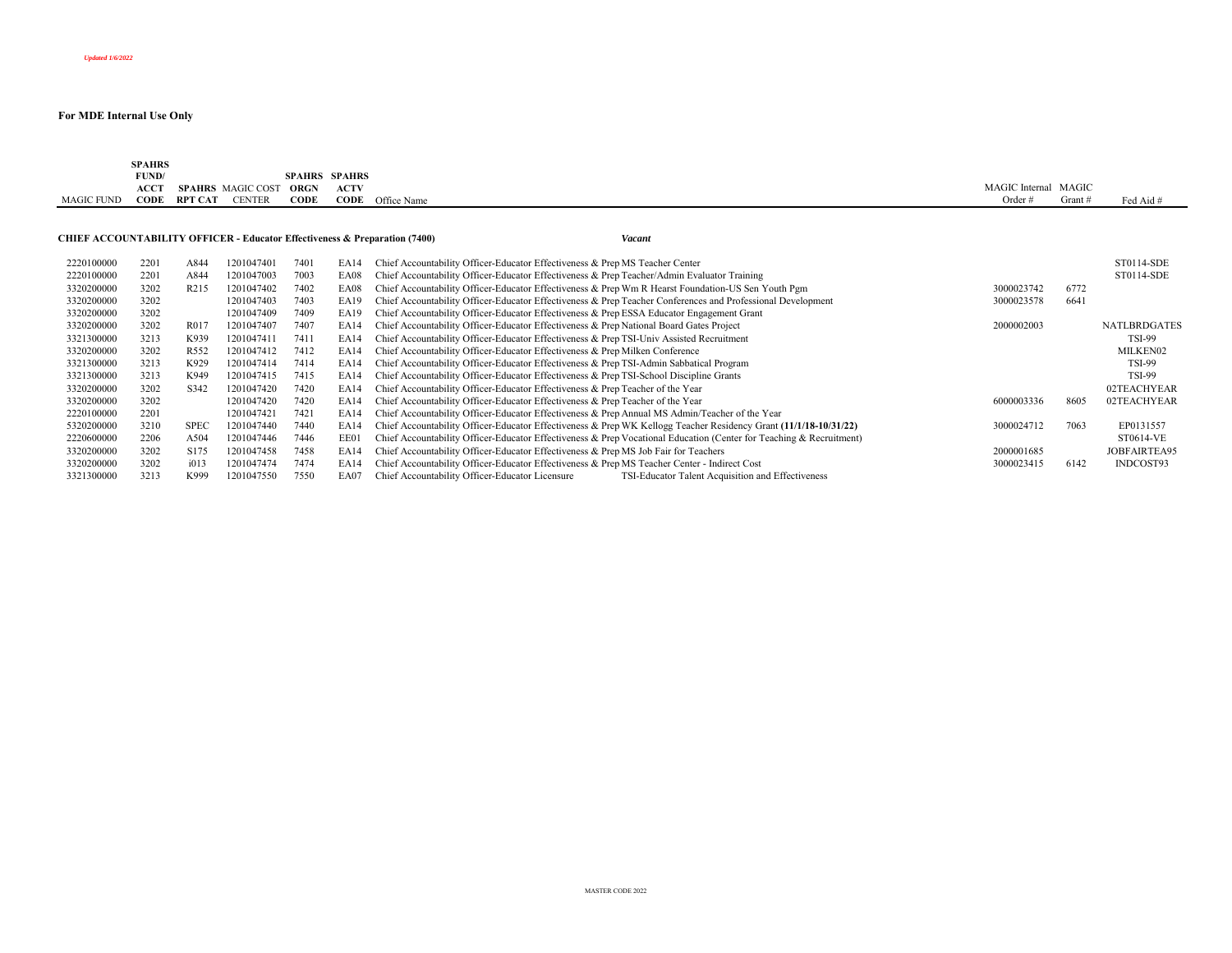|            | <b>SPAHRS</b>                            |                          |                       |                      |                         |                      |           |           |
|------------|------------------------------------------|--------------------------|-----------------------|----------------------|-------------------------|----------------------|-----------|-----------|
|            | FUND/<br>the contract of the contract of |                          |                       | <b>SPAHRS SPAHRS</b> |                         |                      |           |           |
|            | <b>ACCT</b>                              | <b>SPAHRS</b> MAGIC COST | <b>ORGN</b>           | <b>ACTV</b>          |                         | MAGIC Internal MAGIC |           |           |
| MAGIC FUND | CODE                                     | RPT CAT                  | CODE<br><b>CENTER</b> |                      | <b>CODE</b> Office Name | Order :              | Grant $#$ | Fed Aid # |
|            |                                          |                          |                       |                      |                         |                      |           |           |

# **CHIEF ACCOUNTABILITY OFFICER - Educator Effectiveness & Preparation (7400)** *Vacant*

|  | Vaca |
|--|------|
|--|------|

| 2220100000 | 2201 | A844              | 1201047401 | 7401 | EA14        | Chief Accountability Officer-Educator Effectiveness & Prep MS Teacher Center                                        |            |      | ST0114-SDE          |
|------------|------|-------------------|------------|------|-------------|---------------------------------------------------------------------------------------------------------------------|------------|------|---------------------|
| 2220100000 | 2201 | A844              | 1201047003 | 7003 | EA08        | Chief Accountability Officer-Educator Effectiveness & Prep Teacher/Admin Evaluator Training                         |            |      | ST0114-SDE          |
| 3320200000 | 3202 | R <sub>2</sub> 15 | 1201047402 | 7402 | EA08        | Chief Accountability Officer-Educator Effectiveness & Prep Wm R Hearst Foundation-US Sen Youth Pgm                  | 3000023742 | 6772 |                     |
| 3320200000 | 3202 |                   | 1201047403 | 7403 | <b>EA19</b> | Chief Accountability Officer-Educator Effectiveness & Prep Teacher Conferences and Professional Development         | 3000023578 | 6641 |                     |
| 3320200000 | 3202 |                   | 1201047409 | 7409 | EA19        | Chief Accountability Officer-Educator Effectiveness & Prep ESSA Educator Engagement Grant                           |            |      |                     |
| 3320200000 | 3202 | R017              | 1201047407 | 7407 | EA14        | Chief Accountability Officer-Educator Effectiveness & Prep National Board Gates Project                             | 2000002003 |      | <b>NATLBRDGATES</b> |
| 3321300000 | 3213 | K939              | 1201047411 | 7411 | EA14        | Chief Accountability Officer-Educator Effectiveness & Prep TSI-Univ Assisted Recruitment                            |            |      | <b>TSI-99</b>       |
| 3320200000 | 3202 | R <sub>552</sub>  | 1201047412 | 7412 | EA14        | Chief Accountability Officer-Educator Effectiveness & Prep Milken Conference                                        |            |      | MILKEN02            |
| 3321300000 | 3213 | K929              | 1201047414 | 7414 | EA14        | Chief Accountability Officer-Educator Effectiveness & Prep TSI-Admin Sabbatical Program                             |            |      | <b>TSI-99</b>       |
| 3321300000 | 3213 | K949              | 1201047415 | 7415 | EA14        | Chief Accountability Officer-Educator Effectiveness & Prep TSI-School Discipline Grants                             |            |      | <b>TSI-99</b>       |
| 3320200000 | 3202 | S <sub>342</sub>  | 1201047420 | 7420 | EA14        | Chief Accountability Officer-Educator Effectiveness & Prep Teacher of the Year                                      |            |      | 02TEACHYEAR         |
| 3320200000 | 3202 |                   | 1201047420 | 7420 | EA14        | Chief Accountability Officer-Educator Effectiveness & Prep Teacher of the Year                                      | 6000003336 | 8605 | 02TEACHYEAR         |
| 2220100000 | 2201 |                   | 1201047421 | 7421 | EA14        | Chief Accountability Officer-Educator Effectiveness & Prep Annual MS Admin/Teacher of the Year                      |            |      |                     |
| 5320200000 | 3210 | <b>SPEC</b>       | 1201047440 | 7440 | <b>EA14</b> | Chief Accountability Officer-Educator Effectiveness & Prep WK Kellogg Teacher Residency Grant (11/1/18-10/31/22)    | 3000024712 | 7063 | EP0131557           |
| 2220600000 | 2206 | A504              | 1201047446 | 7446 | EE01        | Chief Accountability Officer-Educator Effectiveness & Prep Vocational Education (Center for Teaching & Recruitment) |            |      | ST0614-VE           |
| 3320200000 | 3202 | S <sub>175</sub>  | 1201047458 | 7458 | <b>EA14</b> | Chief Accountability Officer-Educator Effectiveness & Prep MS Job Fair for Teachers                                 | 2000001685 |      | JOBFAIRTEA95        |
| 3320200000 | 3202 | i013              | 1201047474 | 7474 | <b>EA14</b> | Chief Accountability Officer-Educator Effectiveness & Prep MS Teacher Center - Indirect Cost                        | 3000023415 | 6142 | INDCOST93           |
| 3321300000 | 3213 | K999              | 1201047550 | 7550 | <b>EA07</b> | Chief Accountability Officer-Educator Licensure<br>TSI-Educator Talent Acquisition and Effectiveness                |            |      |                     |
|            |      |                   |            |      |             |                                                                                                                     |            |      |                     |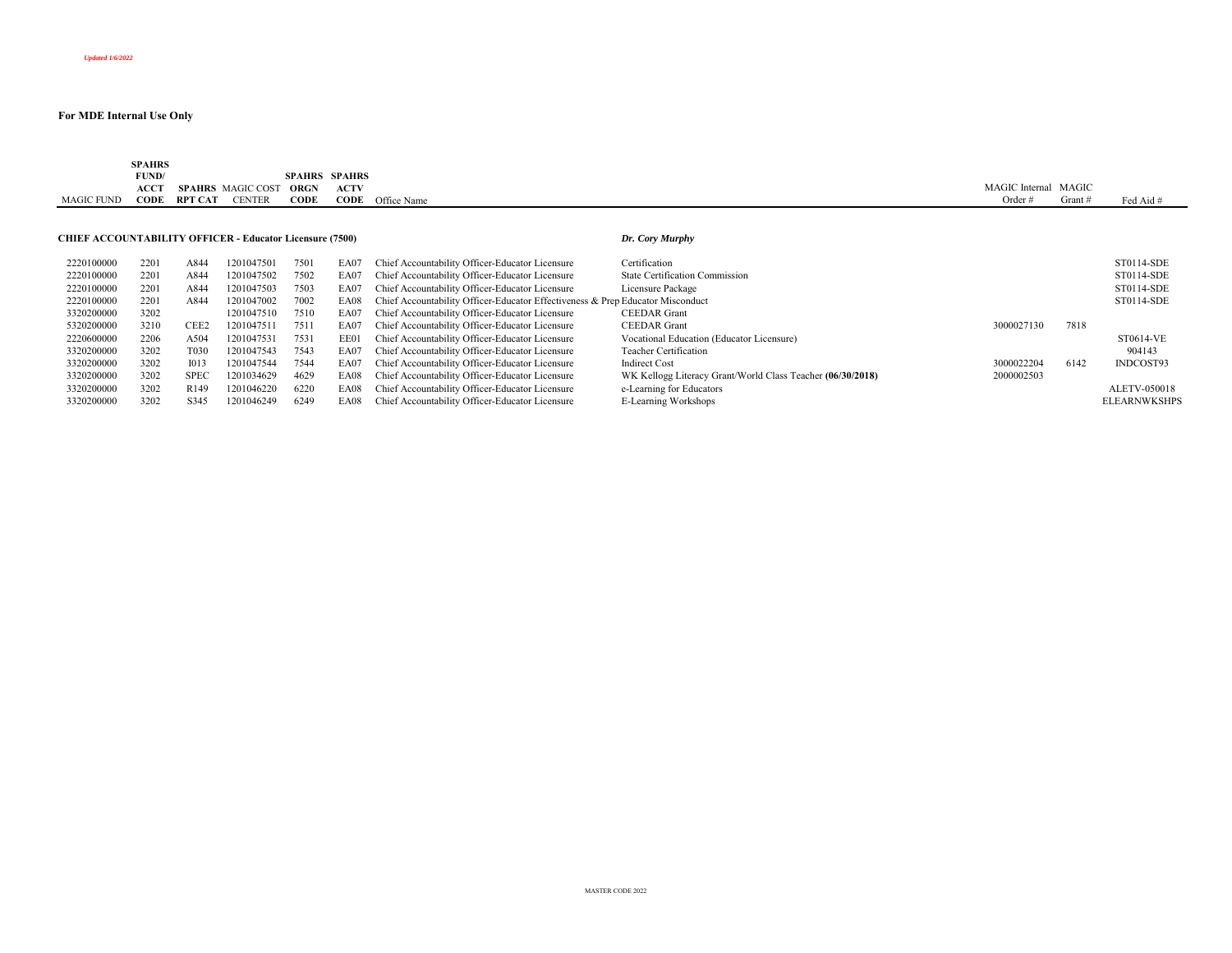|                   | SPAHRS<br>the contract of the contract of |                |                   |               |               |             |                     |       |           |
|-------------------|-------------------------------------------|----------------|-------------------|---------------|---------------|-------------|---------------------|-------|-----------|
|                   | FUND/                                     |                |                   | <b>SPAHRS</b> | <b>SPAHRS</b> |             |                     |       |           |
|                   | <b>ACCT</b>                               | SPAHRS         | <b>MAGIC COST</b> | ORGN          | <b>ACTV</b>   |             | MAGIC 1<br>Internal | MAGIC |           |
| <b>MAGIC FUND</b> | $\mathbf{CODE}$                           | <b>RPT CAT</b> | <b>ENTER</b>      | CODE          | CODE          | Office Name | Ordei               | Grant | Fed Aid # |

## **CHIEF ACCOUNTABILITY OFFICER - Educator Licensure (7500)** *Dr. Cory Murphy*

| 2220100000 | 2201 | A844              | 1201047501 | 7501 | EA07 | Chief Accountability Officer-Educator Licensure                                | Certification                                              |            |      | ST0114-SDE          |
|------------|------|-------------------|------------|------|------|--------------------------------------------------------------------------------|------------------------------------------------------------|------------|------|---------------------|
| 2220100000 | 2201 | A844              | 1201047502 | 7502 | EA07 | Chief Accountability Officer-Educator Licensure                                | <b>State Certification Commission</b>                      |            |      | ST0114-SDE          |
| 2220100000 | 2201 | A844              | 1201047503 | 7503 | EA07 | Chief Accountability Officer-Educator Licensure                                | Licensure Package                                          |            |      | ST0114-SDE          |
| 2220100000 | 2201 | A844              | 1201047002 | 7002 | EA08 | Chief Accountability Officer-Educator Effectiveness & Prep Educator Misconduct |                                                            |            |      | ST0114-SDE          |
| 3320200000 | 3202 |                   | 1201047510 | 7510 | EA07 | Chief Accountability Officer-Educator Licensure                                | <b>CEEDAR</b> Grant                                        |            |      |                     |
| 5320200000 | 3210 | CEE2              | 1201047511 | 7511 | EA07 | Chief Accountability Officer-Educator Licensure                                | <b>CEEDAR</b> Grant                                        | 3000027130 | 7818 |                     |
| 2220600000 | 2206 | A504              | 1201047531 | 7531 | EE01 | Chief Accountability Officer-Educator Licensure                                | Vocational Education (Educator Licensure)                  |            |      | ST0614-VE           |
| 3320200000 | 3202 | T <sub>0</sub> 30 | 1201047543 | 7543 | EA07 | Chief Accountability Officer-Educator Licensure                                | Teacher Certification                                      |            |      | 904143              |
| 3320200000 | 3202 | 1013              | 1201047544 | 7544 | EA07 | Chief Accountability Officer-Educator Licensure                                | Indirect Cost                                              | 3000022204 | 6142 | INDCOST93           |
| 3320200000 | 3202 | <b>SPEC</b>       | 1201034629 | 4629 | EA08 | Chief Accountability Officer-Educator Licensure                                | WK Kellogg Literacy Grant/World Class Teacher (06/30/2018) | 2000002503 |      |                     |
| 3320200000 | 3202 | R <sub>149</sub>  | 1201046220 | 6220 | EA08 | Chief Accountability Officer-Educator Licensure                                | e-Learning for Educators                                   |            |      | ALETV-050018        |
| 3320200000 | 3202 | S345              | 1201046249 | 6249 | EA08 | Chief Accountability Officer-Educator Licensure                                | E-Learning Workshops                                       |            |      | <b>ELEARNWKSHPS</b> |
|            |      |                   |            |      |      |                                                                                |                                                            |            |      |                     |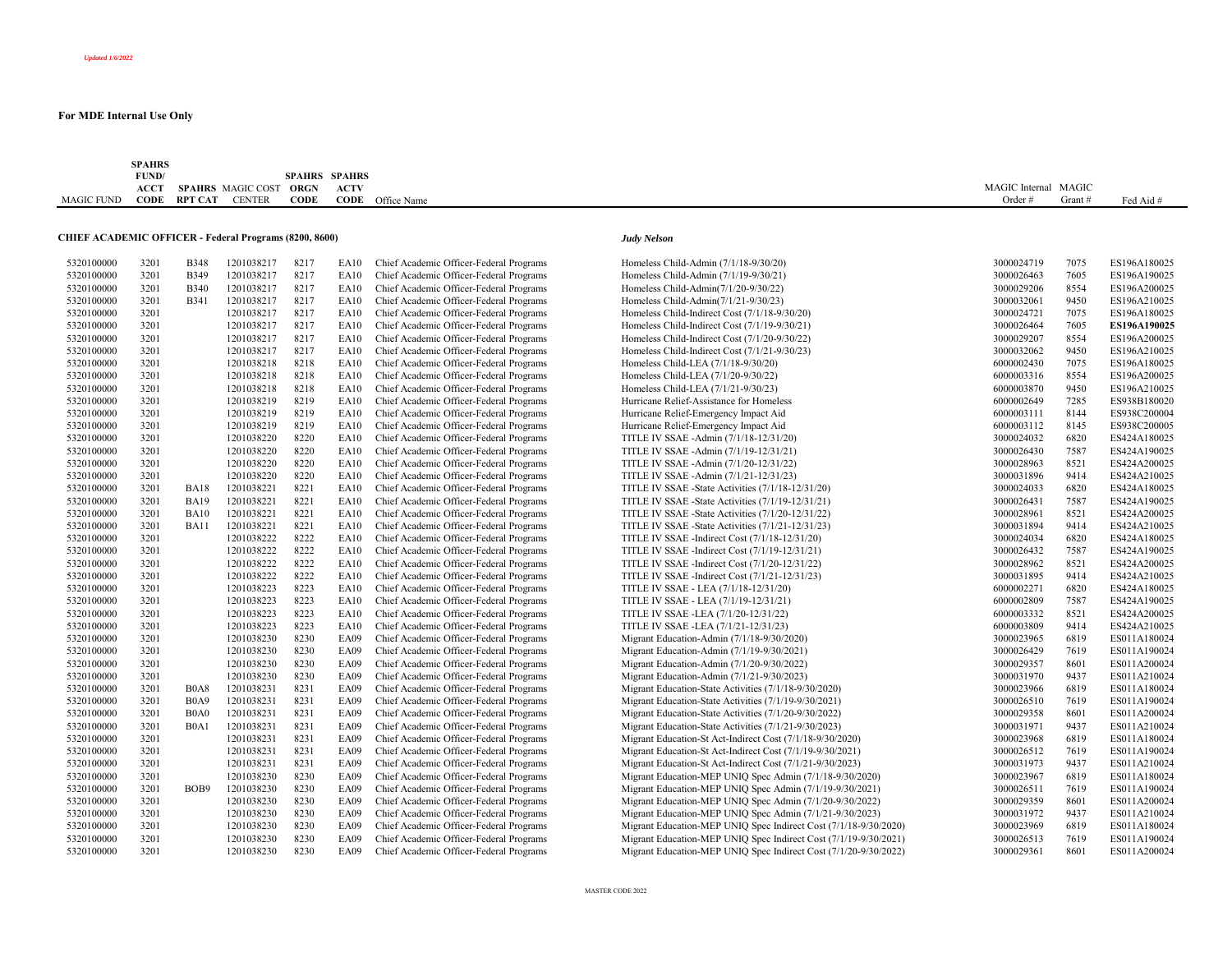|                   | <b>SPAHRS</b>                          |                          |               |             |                      |             |  |  |                      |        |           |
|-------------------|----------------------------------------|--------------------------|---------------|-------------|----------------------|-------------|--|--|----------------------|--------|-----------|
|                   | FUND/<br>the control of the control of |                          |               |             | <b>SPAHRS SPAHRS</b> |             |  |  |                      |        |           |
|                   | <b>ACCT</b>                            | <b>SPAHRS</b> MAGIC COST |               | ORGN        | <b>ACTV</b>          |             |  |  | MAGIC Internal MAGIC |        |           |
| <b>MAGIC FUND</b> | CODE                                   | <b>RPT CAT</b>           | <b>CENTER</b> | <b>CODE</b> | CODE                 | Office Name |  |  | Order #              | Grant# | Fed Aid # |

## **CHIEF ACADEMIC OFFICER - Federal Programs (8200, 8600)** *Judy Nelson*

| 5320100000 | 3201 | <b>B348</b>                   | 1201038217 | 8217 | <b>EA10</b> | Chief Academic Officer-Federal Programs |
|------------|------|-------------------------------|------------|------|-------------|-----------------------------------------|
| 5320100000 | 3201 | <b>B349</b>                   | 1201038217 | 8217 | <b>EA10</b> | Chief Academic Officer-Federal Programs |
| 5320100000 | 3201 | <b>B340</b>                   | 1201038217 | 8217 | <b>EA10</b> | Chief Academic Officer-Federal Programs |
| 5320100000 | 3201 | <b>B341</b>                   | 1201038217 | 8217 | <b>EA10</b> | Chief Academic Officer-Federal Programs |
| 5320100000 | 3201 |                               | 1201038217 | 8217 | <b>EA10</b> | Chief Academic Officer-Federal Programs |
| 5320100000 | 3201 |                               | 1201038217 | 8217 | EA10        | Chief Academic Officer-Federal Programs |
| 5320100000 | 3201 |                               | 1201038217 | 8217 | <b>EA10</b> | Chief Academic Officer-Federal Programs |
| 5320100000 | 3201 |                               | 1201038217 | 8217 | <b>EA10</b> | Chief Academic Officer-Federal Programs |
| 5320100000 | 3201 |                               | 1201038218 | 8218 | <b>EA10</b> | Chief Academic Officer-Federal Programs |
| 5320100000 | 3201 |                               | 1201038218 | 8218 | <b>EA10</b> | Chief Academic Officer-Federal Programs |
| 5320100000 | 3201 |                               | 1201038218 | 8218 | <b>EA10</b> | Chief Academic Officer-Federal Programs |
| 5320100000 | 3201 |                               | 1201038219 | 8219 | EA10        | Chief Academic Officer-Federal Programs |
| 5320100000 | 3201 |                               | 1201038219 | 8219 | EA10        | Chief Academic Officer-Federal Programs |
| 5320100000 | 3201 |                               | 1201038219 | 8219 | <b>EA10</b> | Chief Academic Officer-Federal Programs |
| 5320100000 | 3201 |                               | 1201038220 | 8220 | <b>EA10</b> | Chief Academic Officer-Federal Programs |
| 5320100000 | 3201 |                               | 1201038220 | 8220 | <b>EA10</b> | Chief Academic Officer-Federal Programs |
| 5320100000 | 3201 |                               | 1201038220 | 8220 | <b>EA10</b> | Chief Academic Officer-Federal Programs |
| 5320100000 | 3201 |                               | 1201038220 | 8220 | <b>EA10</b> | Chief Academic Officer-Federal Programs |
| 5320100000 | 3201 | <b>BA18</b>                   | 1201038221 | 8221 | <b>EA10</b> | Chief Academic Officer-Federal Programs |
| 5320100000 | 3201 | <b>BA19</b>                   | 1201038221 | 8221 | EA10        | Chief Academic Officer-Federal Programs |
| 5320100000 | 3201 | <b>BA10</b>                   | 1201038221 | 8221 | <b>EA10</b> | Chief Academic Officer-Federal Programs |
|            | 3201 | <b>BA11</b>                   | 1201038221 | 8221 | <b>EA10</b> | Chief Academic Officer-Federal Programs |
| 5320100000 | 3201 |                               |            | 8222 | <b>EA10</b> |                                         |
| 5320100000 |      |                               | 1201038222 | 8222 |             | Chief Academic Officer-Federal Programs |
| 5320100000 | 3201 |                               | 1201038222 |      | <b>EA10</b> | Chief Academic Officer-Federal Programs |
| 5320100000 | 3201 |                               | 1201038222 | 8222 | <b>EA10</b> | Chief Academic Officer-Federal Programs |
| 5320100000 | 3201 |                               | 1201038222 | 8222 | <b>EA10</b> | Chief Academic Officer-Federal Programs |
| 5320100000 | 3201 |                               | 1201038223 | 8223 | EA10        | Chief Academic Officer-Federal Programs |
| 5320100000 | 3201 |                               | 1201038223 | 8223 | <b>EA10</b> | Chief Academic Officer-Federal Programs |
| 5320100000 | 3201 |                               | 1201038223 | 8223 | <b>EA10</b> | Chief Academic Officer-Federal Programs |
| 5320100000 | 3201 |                               | 1201038223 | 8223 | EA10        | Chief Academic Officer-Federal Programs |
| 5320100000 | 3201 |                               | 1201038230 | 8230 | <b>EA09</b> | Chief Academic Officer-Federal Programs |
| 5320100000 | 3201 |                               | 1201038230 | 8230 | <b>EA09</b> | Chief Academic Officer-Federal Programs |
| 5320100000 | 3201 |                               | 1201038230 | 8230 | <b>EA09</b> | Chief Academic Officer-Federal Programs |
| 5320100000 | 3201 |                               | 1201038230 | 8230 | <b>EA09</b> | Chief Academic Officer-Federal Programs |
| 5320100000 | 3201 | <b>B0A8</b>                   | 1201038231 | 8231 | <b>EA09</b> | Chief Academic Officer-Federal Programs |
| 5320100000 | 3201 | <b>B0A9</b>                   | 1201038231 | 8231 | <b>EA09</b> | Chief Academic Officer-Federal Programs |
| 5320100000 | 3201 | B <sub>0</sub> A <sub>0</sub> | 1201038231 | 8231 | <b>EA09</b> | Chief Academic Officer-Federal Programs |
| 5320100000 | 3201 | B <sub>0</sub> A <sub>1</sub> | 1201038231 | 8231 | <b>EA09</b> | Chief Academic Officer-Federal Programs |
| 5320100000 | 3201 |                               | 1201038231 | 8231 | <b>EA09</b> | Chief Academic Officer-Federal Programs |
| 5320100000 | 3201 |                               | 1201038231 | 8231 | <b>EA09</b> | Chief Academic Officer-Federal Programs |
| 5320100000 | 3201 |                               | 1201038231 | 8231 | <b>EA09</b> | Chief Academic Officer-Federal Programs |
| 5320100000 | 3201 |                               | 1201038230 | 8230 | <b>EA09</b> | Chief Academic Officer-Federal Programs |
| 5320100000 | 3201 | BOB9                          | 1201038230 | 8230 | <b>EA09</b> | Chief Academic Officer-Federal Programs |
| 5320100000 | 3201 |                               | 1201038230 | 8230 | <b>EA09</b> | Chief Academic Officer-Federal Programs |
| 5320100000 | 3201 |                               | 1201038230 | 8230 | <b>EA09</b> | Chief Academic Officer-Federal Programs |
| 5320100000 | 3201 |                               | 1201038230 | 8230 | <b>EA09</b> | Chief Academic Officer-Federal Programs |
| 5320100000 | 3201 |                               | 1201038230 | 8230 | <b>EA09</b> | Chief Academic Officer-Federal Programs |
| 5320100000 | 3201 |                               | 1201038230 | 8230 | <b>EA09</b> | Chief Academic Officer-Federal Programs |

| 5320100000               | 3201 | <b>B348</b>                   | 1201038217 | 8217 | EA10        | Chief Academic Officer-Federal Programs | Homeless Child-Admin (7/1/18-9/30/20)                            | 3000024719 | 7075 | ES196A180025 |
|--------------------------|------|-------------------------------|------------|------|-------------|-----------------------------------------|------------------------------------------------------------------|------------|------|--------------|
| 5320100000               | 3201 | <b>B349</b>                   | 1201038217 | 8217 | EA10        | Chief Academic Officer-Federal Programs | Homeless Child-Admin (7/1/19-9/30/21)                            | 3000026463 | 7605 | ES196A190025 |
| 5320100000               | 3201 | <b>B340</b>                   | 1201038217 | 8217 | EA10        | Chief Academic Officer-Federal Programs | Homeless Child-Admin(7/1/20-9/30/22)                             | 3000029206 | 8554 | ES196A200025 |
| 5320100000               | 3201 | <b>B341</b>                   | 1201038217 | 8217 | EA10        | Chief Academic Officer-Federal Programs | Homeless Child-Admin(7/1/21-9/30/23)                             | 3000032061 | 9450 | ES196A210025 |
| 5320100000               | 3201 |                               | 1201038217 | 8217 | EA10        | Chief Academic Officer-Federal Programs | Homeless Child-Indirect Cost (7/1/18-9/30/20)                    | 3000024721 | 7075 | ES196A180025 |
| 5320100000               | 3201 |                               | 1201038217 | 8217 | EA10        | Chief Academic Officer-Federal Programs | Homeless Child-Indirect Cost (7/1/19-9/30/21)                    | 3000026464 | 7605 | ES196A190025 |
| 5320100000               | 3201 |                               | 1201038217 | 8217 | EA10        | Chief Academic Officer-Federal Programs | Homeless Child-Indirect Cost (7/1/20-9/30/22)                    | 3000029207 | 8554 | ES196A200025 |
| 5320100000               | 3201 |                               | 1201038217 | 8217 | EA10        | Chief Academic Officer-Federal Programs | Homeless Child-Indirect Cost (7/1/21-9/30/23)                    | 3000032062 | 9450 | ES196A210025 |
| 5320100000               | 3201 |                               | 1201038218 | 8218 | EA10        | Chief Academic Officer-Federal Programs | Homeless Child-LEA (7/1/18-9/30/20)                              | 6000002430 | 7075 | ES196A180025 |
| 5320100000               | 3201 |                               | 1201038218 | 8218 | EA10        | Chief Academic Officer-Federal Programs | Homeless Child-LEA (7/1/20-9/30/22)                              | 6000003316 | 8554 | ES196A200025 |
| 5320100000               | 3201 |                               | 1201038218 | 8218 | EA10        | Chief Academic Officer-Federal Programs | Homeless Child-LEA (7/1/21-9/30/23)                              | 6000003870 | 9450 | ES196A210025 |
| 5320100000               | 3201 |                               | 1201038219 | 8219 | EA10        | Chief Academic Officer-Federal Programs | Hurricane Relief-Assistance for Homeless                         | 6000002649 | 7285 | ES938B180020 |
| 5320100000               | 3201 |                               | 1201038219 | 8219 | EA10        | Chief Academic Officer-Federal Programs | Hurricane Relief-Emergency Impact Aid                            | 6000003111 | 8144 | ES938C200004 |
|                          | 3201 |                               | 1201038219 | 8219 | EA10        | Chief Academic Officer-Federal Programs | Hurricane Relief-Emergency Impact Aid                            | 6000003112 | 8145 | ES938C200005 |
| 5320100000<br>5320100000 | 3201 |                               | 1201038220 | 8220 | <b>EA10</b> | Chief Academic Officer-Federal Programs |                                                                  | 3000024032 | 6820 | ES424A180025 |
|                          |      |                               |            |      |             |                                         | TITLE IV SSAE - Admin (7/1/18-12/31/20)                          |            |      |              |
| 5320100000               | 3201 |                               | 1201038220 | 8220 | EA10        | Chief Academic Officer-Federal Programs | TITLE IV SSAE -Admin (7/1/19-12/31/21)                           | 3000026430 | 7587 | ES424A190025 |
| 5320100000               | 3201 |                               | 1201038220 | 8220 | EA10        | Chief Academic Officer-Federal Programs | TITLE IV SSAE - Admin (7/1/20-12/31/22)                          | 3000028963 | 8521 | ES424A200025 |
| 5320100000               | 3201 |                               | 1201038220 | 8220 | EA10        | Chief Academic Officer-Federal Programs | TITLE IV SSAE -Admin (7/1/21-12/31/23)                           | 3000031896 | 9414 | ES424A210025 |
| 5320100000               | 3201 | <b>BA18</b>                   | 1201038221 | 8221 | EA10        | Chief Academic Officer-Federal Programs | TITLE IV SSAE -State Activities (7/1/18-12/31/20)                | 3000024033 | 6820 | ES424A180025 |
| 5320100000               | 3201 | <b>BA19</b>                   | 1201038221 | 8221 | EA10        | Chief Academic Officer-Federal Programs | TITLE IV SSAE -State Activities (7/1/19-12/31/21)                | 3000026431 | 7587 | ES424A190025 |
| 5320100000               | 3201 | <b>BA10</b>                   | 1201038221 | 8221 | EA10        | Chief Academic Officer-Federal Programs | TITLE IV SSAE -State Activities (7/1/20-12/31/22)                | 3000028961 | 8521 | ES424A200025 |
| 5320100000               | 3201 | <b>BA11</b>                   | 1201038221 | 8221 | EA10        | Chief Academic Officer-Federal Programs | TITLE IV SSAE -State Activities (7/1/21-12/31/23)                | 3000031894 | 9414 | ES424A210025 |
| 5320100000               | 3201 |                               | 1201038222 | 8222 | EA10        | Chief Academic Officer-Federal Programs | TITLE IV SSAE - Indirect Cost (7/1/18-12/31/20)                  | 3000024034 | 6820 | ES424A180025 |
| 5320100000               | 3201 |                               | 1201038222 | 8222 | EA10        | Chief Academic Officer-Federal Programs | TITLE IV SSAE -Indirect Cost (7/1/19-12/31/21)                   | 3000026432 | 7587 | ES424A190025 |
| 5320100000               | 3201 |                               | 1201038222 | 8222 | EA10        | Chief Academic Officer-Federal Programs | TITLE IV SSAE -Indirect Cost (7/1/20-12/31/22)                   | 3000028962 | 8521 | ES424A200025 |
| 5320100000               | 3201 |                               | 1201038222 | 8222 | EA10        | Chief Academic Officer-Federal Programs | TITLE IV SSAE - Indirect Cost (7/1/21-12/31/23)                  | 3000031895 | 9414 | ES424A210025 |
| 5320100000               | 3201 |                               | 1201038223 | 8223 | EA10        | Chief Academic Officer-Federal Programs | TITLE IV SSAE - LEA (7/1/18-12/31/20)                            | 6000002271 | 6820 | ES424A180025 |
| 5320100000               | 3201 |                               | 1201038223 | 8223 | EA10        | Chief Academic Officer-Federal Programs | TITLE IV SSAE - LEA (7/1/19-12/31/21)                            | 6000002809 | 7587 | ES424A190025 |
| 5320100000               | 3201 |                               | 1201038223 | 8223 | EA10        | Chief Academic Officer-Federal Programs | TITLE IV SSAE -LEA (7/1/20-12/31/22)                             | 6000003332 | 8521 | ES424A200025 |
| 5320100000               | 3201 |                               | 1201038223 | 8223 | <b>EA10</b> | Chief Academic Officer-Federal Programs | TITLE IV SSAE -LEA (7/1/21-12/31/23)                             | 6000003809 | 9414 | ES424A210025 |
| 5320100000               | 3201 |                               | 1201038230 | 8230 | EA09        | Chief Academic Officer-Federal Programs | Migrant Education-Admin (7/1/18-9/30/2020)                       | 3000023965 | 6819 | ES011A180024 |
| 5320100000               | 3201 |                               | 1201038230 | 8230 | <b>EA09</b> | Chief Academic Officer-Federal Programs | Migrant Education-Admin (7/1/19-9/30/2021)                       | 3000026429 | 7619 | ES011A190024 |
| 5320100000               | 3201 |                               | 1201038230 | 8230 | <b>EA09</b> | Chief Academic Officer-Federal Programs | Migrant Education-Admin (7/1/20-9/30/2022)                       | 3000029357 | 8601 | ES011A200024 |
| 5320100000               | 3201 |                               | 1201038230 | 8230 | <b>EA09</b> | Chief Academic Officer-Federal Programs | Migrant Education-Admin (7/1/21-9/30/2023)                       | 3000031970 | 9437 | ES011A210024 |
| 5320100000               | 3201 | B <sub>0</sub> A <sub>8</sub> | 1201038231 | 8231 | <b>EA09</b> | Chief Academic Officer-Federal Programs | Migrant Education-State Activities (7/1/18-9/30/2020)            | 3000023966 | 6819 | ES011A180024 |
| 5320100000               | 3201 | B <sub>0</sub> A <sub>9</sub> | 1201038231 | 8231 | EA09        | Chief Academic Officer-Federal Programs | Migrant Education-State Activities (7/1/19-9/30/2021)            | 3000026510 | 7619 | ES011A190024 |
| 5320100000               | 3201 | B <sub>0</sub> A <sub>0</sub> | 1201038231 | 8231 | EA09        | Chief Academic Officer-Federal Programs | Migrant Education-State Activities (7/1/20-9/30/2022)            | 3000029358 | 8601 | ES011A200024 |
| 5320100000               | 3201 | B0A1                          | 1201038231 | 8231 | <b>EA09</b> | Chief Academic Officer-Federal Programs | Migrant Education-State Activities (7/1/21-9/30/2023)            | 3000031971 | 9437 | ES011A210024 |
| 5320100000               | 3201 |                               | 1201038231 | 8231 | EA09        | Chief Academic Officer-Federal Programs | Migrant Education-St Act-Indirect Cost (7/1/18-9/30/2020)        | 3000023968 | 6819 | ES011A180024 |
| 5320100000               | 3201 |                               | 1201038231 | 8231 | <b>EA09</b> | Chief Academic Officer-Federal Programs | Migrant Education-St Act-Indirect Cost (7/1/19-9/30/2021)        | 3000026512 | 7619 | ES011A190024 |
| 5320100000               | 3201 |                               | 1201038231 | 8231 | EA09        | Chief Academic Officer-Federal Programs | Migrant Education-St Act-Indirect Cost (7/1/21-9/30/2023)        | 3000031973 | 9437 | ES011A210024 |
| 5320100000               | 3201 |                               | 1201038230 | 8230 | EA09        | Chief Academic Officer-Federal Programs | Migrant Education-MEP UNIQ Spec Admin (7/1/18-9/30/2020)         | 3000023967 | 6819 | ES011A180024 |
| 5320100000               | 3201 | BOB9                          | 1201038230 | 8230 | <b>EA09</b> | Chief Academic Officer-Federal Programs | Migrant Education-MEP UNIQ Spec Admin (7/1/19-9/30/2021)         | 3000026511 | 7619 | ES011A190024 |
| 5320100000               | 3201 |                               | 1201038230 | 8230 | <b>EA09</b> | Chief Academic Officer-Federal Programs | Migrant Education-MEP UNIQ Spec Admin (7/1/20-9/30/2022)         | 3000029359 | 8601 | ES011A200024 |
| 5320100000               | 3201 |                               | 1201038230 | 8230 | EA09        | Chief Academic Officer-Federal Programs | Migrant Education-MEP UNIQ Spec Admin (7/1/21-9/30/2023)         | 3000031972 | 9437 | ES011A210024 |
| 5320100000               | 3201 |                               | 1201038230 | 8230 | EA09        | Chief Academic Officer-Federal Programs | Migrant Education-MEP UNIQ Spec Indirect Cost (7/1/18-9/30/2020) | 3000023969 | 6819 | ES011A180024 |
| 5320100000               | 3201 |                               | 1201038230 | 8230 | <b>EA09</b> | Chief Academic Officer-Federal Programs | Migrant Education-MEP UNIQ Spec Indirect Cost (7/1/19-9/30/2021) | 3000026513 | 7619 | ES011A190024 |
| 5320100000               | 3201 |                               | 1201038230 | 8230 | <b>EA09</b> | Chief Academic Officer-Federal Programs | Migrant Education-MEP UNIQ Spec Indirect Cost (7/1/20-9/30/2022) | 3000029361 | 8601 | ES011A200024 |
|                          |      |                               |            |      |             |                                         |                                                                  |            |      |              |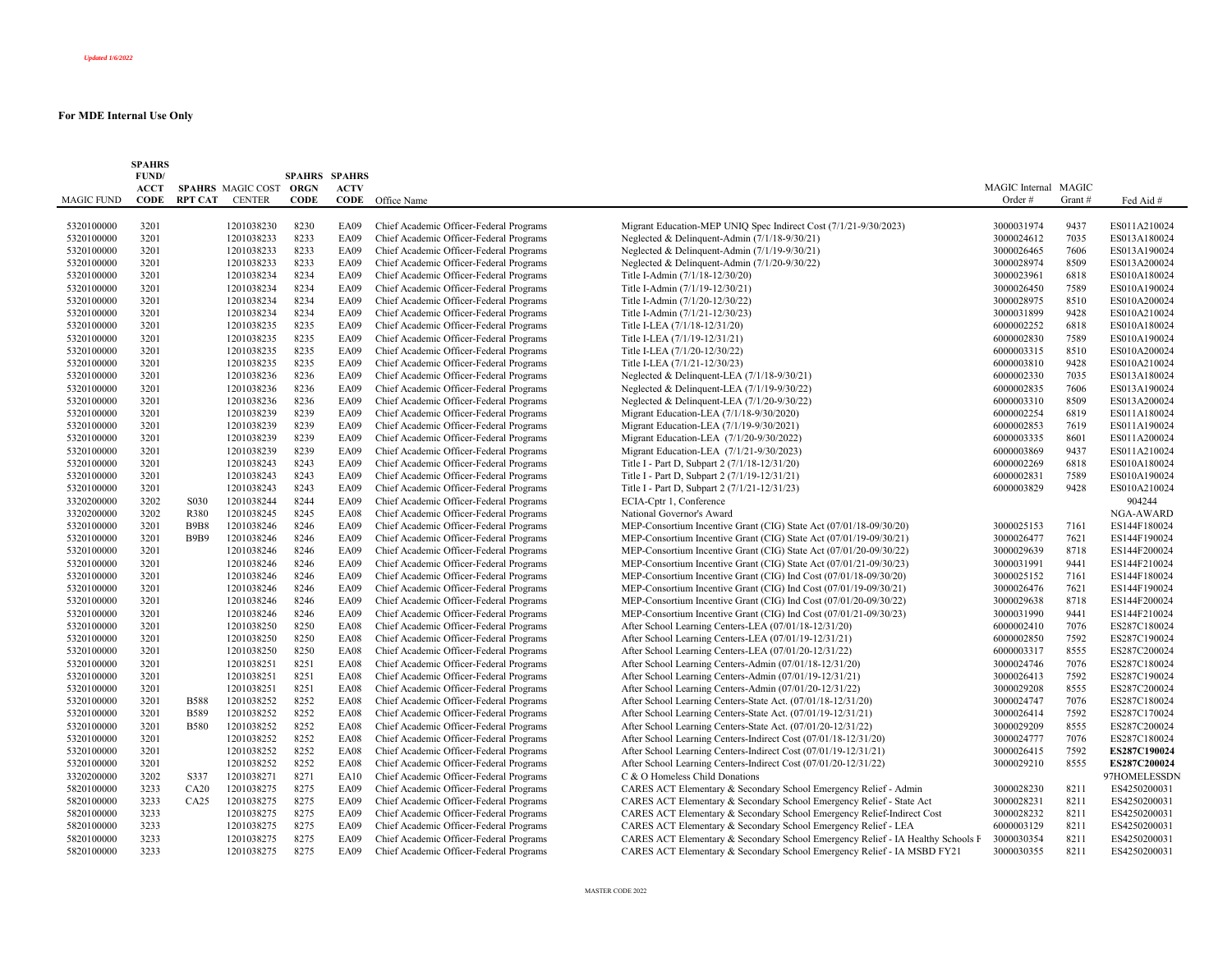|            | <b>SPAHRS</b><br>FUND/ |                |                        | SPAHRS SPAHRS |             |                                         |                                                                                 |                      |        |              |
|------------|------------------------|----------------|------------------------|---------------|-------------|-----------------------------------------|---------------------------------------------------------------------------------|----------------------|--------|--------------|
|            | <b>ACCT</b>            |                | SPAHRS MAGIC COST ORGN |               | <b>ACTV</b> |                                         |                                                                                 | MAGIC Internal MAGIC |        |              |
| MAGIC FUND | <b>CODE</b>            | <b>RPT CAT</b> | <b>CENTER</b>          | <b>CODE</b>   | CODE        | Office Name                             |                                                                                 | Order#               | Grant# | Fed Aid #    |
|            |                        |                |                        |               |             |                                         |                                                                                 |                      |        |              |
| 5320100000 | 3201                   |                | 1201038230             | 8230          | <b>EA09</b> | Chief Academic Officer-Federal Programs | Migrant Education-MEP UNIQ Spec Indirect Cost (7/1/21-9/30/2023)                | 3000031974           | 9437   | ES011A210024 |
| 5320100000 | 3201                   |                | 1201038233             | 8233          | EA09        | Chief Academic Officer-Federal Programs | Neglected & Delinquent-Admin (7/1/18-9/30/21)                                   | 3000024612           | 7035   | ES013A180024 |
| 5320100000 | 3201                   |                | 1201038233             | 8233          | <b>EA09</b> | Chief Academic Officer-Federal Programs | Neglected & Delinquent-Admin (7/1/19-9/30/21)                                   | 3000026465           | 7606   | ES013A190024 |
| 5320100000 | 3201                   |                | 1201038233             | 8233          | <b>EA09</b> | Chief Academic Officer-Federal Programs | Neglected & Delinquent-Admin (7/1/20-9/30/22)                                   | 3000028974           | 8509   | ES013A200024 |
| 5320100000 | 3201                   |                | 1201038234             | 8234          | EA09        | Chief Academic Officer-Federal Programs | Title I-Admin (7/1/18-12/30/20)                                                 | 3000023961           | 6818   | ES010A180024 |
| 5320100000 | 3201                   |                | 1201038234             | 8234          | <b>EA09</b> | Chief Academic Officer-Federal Programs | Title I-Admin (7/1/19-12/30/21)                                                 | 3000026450           | 7589   | ES010A190024 |
| 5320100000 | 3201                   |                | 1201038234             | 8234          | EA09        | Chief Academic Officer-Federal Programs | Title I-Admin (7/1/20-12/30/22)                                                 | 3000028975           | 8510   | ES010A200024 |
| 5320100000 | 3201                   |                | 1201038234             | 8234          | EA09        | Chief Academic Officer-Federal Programs | Title I-Admin (7/1/21-12/30/23)                                                 | 3000031899           | 9428   | ES010A210024 |
| 5320100000 | 3201                   |                | 1201038235             | 8235          | <b>EA09</b> | Chief Academic Officer-Federal Programs | Title I-LEA (7/1/18-12/31/20)                                                   | 6000002252           | 6818   | ES010A180024 |
| 5320100000 | 3201                   |                | 1201038235             | 8235          | <b>EA09</b> | Chief Academic Officer-Federal Programs | Title I-LEA (7/1/19-12/31/21)                                                   | 6000002830           | 7589   | ES010A190024 |
| 5320100000 | 3201                   |                | 1201038235             | 8235          | <b>EA09</b> | Chief Academic Officer-Federal Programs | Title I-LEA (7/1/20-12/30/22)                                                   | 6000003315           | 8510   | ES010A200024 |
| 5320100000 | 3201                   |                | 1201038235             | 8235          | <b>EA09</b> | Chief Academic Officer-Federal Programs | Title I-LEA (7/1/21-12/30/23)                                                   | 6000003810           | 9428   | ES010A210024 |
| 5320100000 | 3201                   |                | 1201038236             | 8236          | <b>EA09</b> | Chief Academic Officer-Federal Programs | Neglected & Delinquent-LEA (7/1/18-9/30/21)                                     | 6000002330           | 7035   | ES013A180024 |
| 5320100000 | 3201                   |                | 1201038236             | 8236          | EA09        | Chief Academic Officer-Federal Programs | Neglected & Delinquent-LEA (7/1/19-9/30/22)                                     | 6000002835           | 7606   | ES013A190024 |
| 5320100000 | 3201                   |                | 1201038236             | 8236          | <b>EA09</b> | Chief Academic Officer-Federal Programs | Neglected & Delinquent-LEA (7/1/20-9/30/22)                                     | 6000003310           | 8509   | ES013A200024 |
| 5320100000 | 3201                   |                | 1201038239             | 8239          | EA09        | Chief Academic Officer-Federal Programs | Migrant Education-LEA (7/1/18-9/30/2020)                                        | 6000002254           | 6819   | ES011A180024 |
| 5320100000 | 3201                   |                | 1201038239             | 8239          | <b>EA09</b> | Chief Academic Officer-Federal Programs | Migrant Education-LEA (7/1/19-9/30/2021)                                        | 6000002853           | 7619   | ES011A190024 |
| 5320100000 | 3201                   |                | 1201038239             | 8239          | <b>EA09</b> | Chief Academic Officer-Federal Programs | Migrant Education-LEA (7/1/20-9/30/2022)                                        | 6000003335           | 8601   | ES011A200024 |
| 5320100000 | 3201                   |                | 1201038239             | 8239          | <b>EA09</b> | Chief Academic Officer-Federal Programs | Migrant Education-LEA (7/1/21-9/30/2023)                                        | 6000003869           | 9437   | ES011A210024 |
| 5320100000 | 3201                   |                | 1201038243             | 8243          | <b>EA09</b> | Chief Academic Officer-Federal Programs | Title I - Part D, Subpart 2 (7/1/18-12/31/20)                                   | 6000002269           | 6818   | ES010A180024 |
| 5320100000 | 3201                   |                | 1201038243             | 8243          | <b>EA09</b> | Chief Academic Officer-Federal Programs | Title I - Part D, Subpart 2 (7/1/19-12/31/21)                                   | 6000002831           | 7589   | ES010A190024 |
| 5320100000 | 3201                   |                | 1201038243             | 8243          | <b>EA09</b> | Chief Academic Officer-Federal Programs | Title I - Part D, Subpart 2 (7/1/21-12/31/23)                                   | 6000003829           | 9428   | ES010A210024 |
| 3320200000 | 3202                   | S030           | 1201038244             | 8244          | EA09        | Chief Academic Officer-Federal Programs | ECIA-Cptr 1, Conference                                                         |                      |        | 904244       |
| 3320200000 | 3202                   | R380           | 1201038245             | 8245          | <b>EA08</b> | Chief Academic Officer-Federal Programs | National Governor's Award                                                       |                      |        | NGA-AWARD    |
| 5320100000 | 3201                   | <b>B9B8</b>    | 1201038246             | 8246          | <b>EA09</b> | Chief Academic Officer-Federal Programs | MEP-Consortium Incentive Grant (CIG) State Act (07/01/18-09/30/20)              | 3000025153           | 7161   | ES144F180024 |
| 5320100000 | 3201                   | <b>B9B9</b>    | 1201038246             | 8246          | <b>EA09</b> | Chief Academic Officer-Federal Programs | MEP-Consortium Incentive Grant (CIG) State Act (07/01/19-09/30/21)              | 3000026477           | 7621   | ES144F190024 |
| 5320100000 | 3201                   |                | 1201038246             | 8246          | EA09        | Chief Academic Officer-Federal Programs | MEP-Consortium Incentive Grant (CIG) State Act (07/01/20-09/30/22)              | 3000029639           | 8718   | ES144F200024 |
| 5320100000 | 3201                   |                | 1201038246             | 8246          | <b>EA09</b> | Chief Academic Officer-Federal Programs | MEP-Consortium Incentive Grant (CIG) State Act (07/01/21-09/30/23)              | 3000031991           | 9441   | ES144F210024 |
| 5320100000 | 3201                   |                | 1201038246             | 8246          | <b>EA09</b> | Chief Academic Officer-Federal Programs | MEP-Consortium Incentive Grant (CIG) Ind Cost (07/01/18-09/30/20)               | 3000025152           | 7161   | ES144F180024 |
| 5320100000 | 3201                   |                | 1201038246             | 8246          | EA09        | Chief Academic Officer-Federal Programs | MEP-Consortium Incentive Grant (CIG) Ind Cost (07/01/19-09/30/21)               | 3000026476           | 7621   | ES144F190024 |
| 5320100000 | 3201                   |                | 1201038246             | 8246          | EA09        | Chief Academic Officer-Federal Programs | MEP-Consortium Incentive Grant (CIG) Ind Cost (07/01/20-09/30/22)               | 3000029638           | 8718   | ES144F200024 |
| 5320100000 | 3201                   |                | 1201038246             | 8246          | EA09        | Chief Academic Officer-Federal Programs | MEP-Consortium Incentive Grant (CIG) Ind Cost (07/01/21-09/30/23)               | 3000031990           | 9441   | ES144F210024 |
| 5320100000 | 3201                   |                | 1201038250             | 8250          | <b>EA08</b> | Chief Academic Officer-Federal Programs | After School Learning Centers-LEA (07/01/18-12/31/20)                           | 6000002410           | 7076   | ES287C180024 |
| 5320100000 | 3201                   |                | 1201038250             | 8250          | <b>EA08</b> | Chief Academic Officer-Federal Programs | After School Learning Centers-LEA (07/01/19-12/31/21)                           | 6000002850           | 7592   | ES287C190024 |
| 5320100000 | 3201                   |                | 1201038250             | 8250          | <b>EA08</b> | Chief Academic Officer-Federal Programs | After School Learning Centers-LEA (07/01/20-12/31/22)                           | 6000003317           | 8555   | ES287C200024 |
| 5320100000 | 3201                   |                | 1201038251             | 8251          | EA08        | Chief Academic Officer-Federal Programs | After School Learning Centers-Admin (07/01/18-12/31/20)                         | 3000024746           | 7076   | ES287C180024 |
| 5320100000 | 3201                   |                | 1201038251             | 8251          | <b>EA08</b> | Chief Academic Officer-Federal Programs | After School Learning Centers-Admin (07/01/19-12/31/21)                         | 3000026413           | 7592   | ES287C190024 |
| 5320100000 | 3201                   |                | 1201038251             | 8251          | <b>EA08</b> | Chief Academic Officer-Federal Programs | After School Learning Centers-Admin (07/01/20-12/31/22)                         | 3000029208           | 8555   | ES287C200024 |
| 5320100000 | 3201                   | <b>B588</b>    | 1201038252             | 8252          | <b>EA08</b> | Chief Academic Officer-Federal Programs | After School Learning Centers-State Act. (07/01/18-12/31/20)                    | 3000024747           | 7076   | ES287C180024 |
| 5320100000 | 3201                   | <b>B589</b>    | 1201038252             | 8252          | EA08        | Chief Academic Officer-Federal Programs | After School Learning Centers-State Act. (07/01/19-12/31/21)                    | 3000026414           | 7592   | ES287C170024 |
| 5320100000 | 3201                   | <b>B580</b>    | 1201038252             | 8252          | <b>EA08</b> | Chief Academic Officer-Federal Programs | After School Learning Centers-State Act. (07/01/20-12/31/22)                    | 3000029209           | 8555   | ES287C200024 |
| 5320100000 | 3201                   |                | 1201038252             | 8252          | <b>EA08</b> | Chief Academic Officer-Federal Programs | After School Learning Centers-Indirect Cost (07/01/18-12/31/20)                 | 3000024777           | 7076   | ES287C180024 |
| 5320100000 | 3201                   |                | 1201038252             | 8252          | EA08        | Chief Academic Officer-Federal Programs | After School Learning Centers-Indirect Cost (07/01/19-12/31/21)                 | 3000026415           | 7592   | ES287C190024 |
| 5320100000 | 3201                   |                | 1201038252             | 8252          | <b>EA08</b> | Chief Academic Officer-Federal Programs | After School Learning Centers-Indirect Cost (07/01/20-12/31/22)                 | 3000029210           | 8555   | ES287C200024 |
| 3320200000 | 3202                   | S337           | 1201038271             | 8271          | EA10        | Chief Academic Officer-Federal Programs | C & O Homeless Child Donations                                                  |                      |        | 97HOMELESSDN |
| 5820100000 | 3233                   | CA20           | 1201038275             | 8275          | EA09        | Chief Academic Officer-Federal Programs | CARES ACT Elementary & Secondary School Emergency Relief - Admin                | 3000028230           | 8211   | ES4250200031 |
| 5820100000 | 3233                   | CA25           | 1201038275             | 8275          | EA09        | Chief Academic Officer-Federal Programs | CARES ACT Elementary & Secondary School Emergency Relief - State Act            | 3000028231           | 8211   | ES4250200031 |
| 5820100000 | 3233                   |                | 1201038275             | 8275          | EA09        | Chief Academic Officer-Federal Programs | CARES ACT Elementary & Secondary School Emergency Relief-Indirect Cost          | 3000028232           | 8211   | ES4250200031 |
| 5820100000 | 3233                   |                | 1201038275             | 8275          | EA09        | Chief Academic Officer-Federal Programs | CARES ACT Elementary & Secondary School Emergency Relief - LEA                  | 6000003129           | 8211   | ES4250200031 |
| 5820100000 | 3233                   |                | 1201038275             | 8275          | <b>EA09</b> | Chief Academic Officer-Federal Programs | CARES ACT Elementary & Secondary School Emergency Relief - IA Healthy Schools F | 3000030354           | 8211   | ES4250200031 |
| 5820100000 | 3233                   |                | 1201038275             | 8275          | <b>EA09</b> | Chief Academic Officer-Federal Programs | CARES ACT Elementary & Secondary School Emergency Relief - IA MSBD FY21         | 3000030355           | 8211   | ES4250200031 |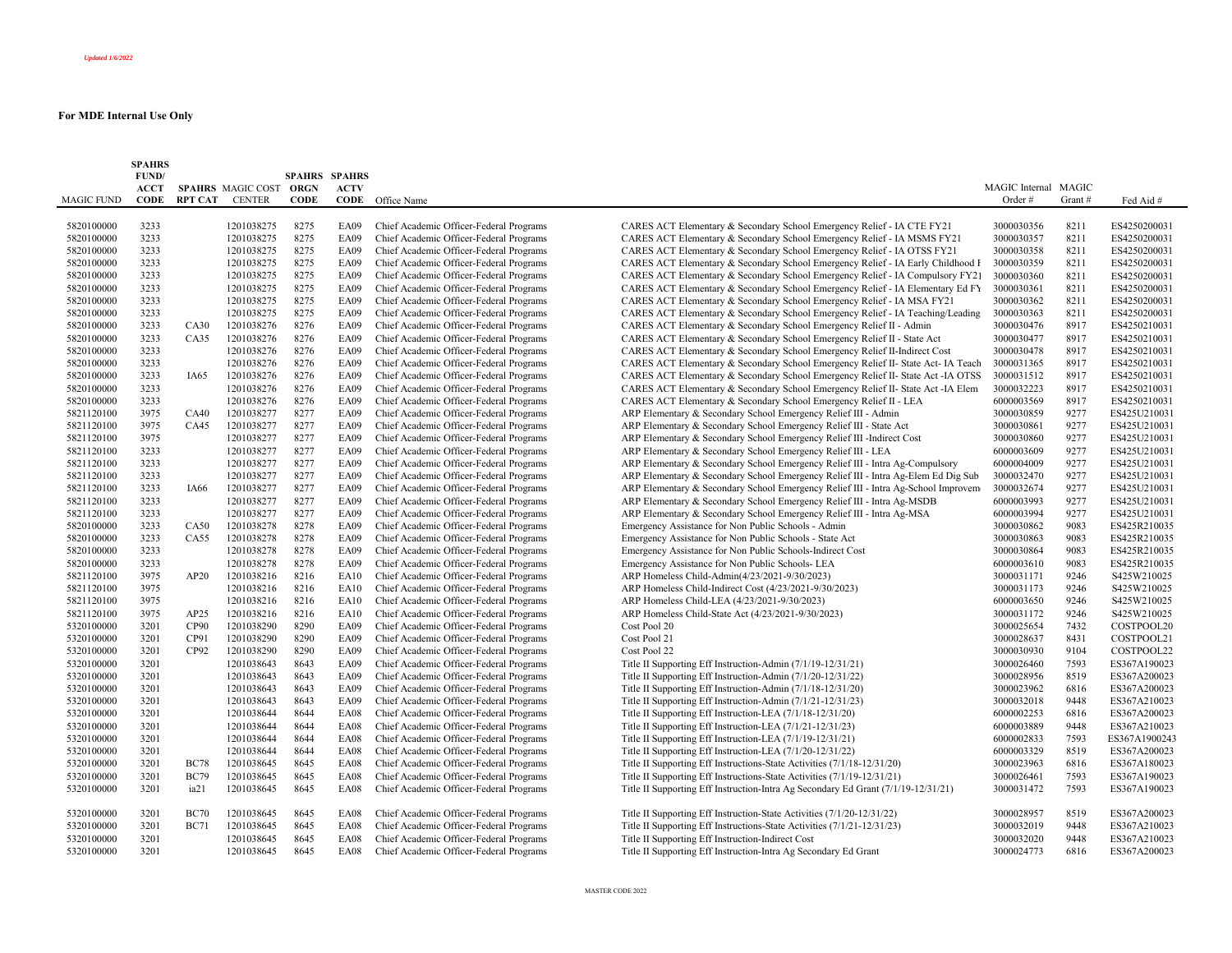|                   | <b>SPAHRS</b><br>FUND/ |                |                        | <b>SPAHRS SPAHRS</b> |             |                                                         |                                                                                   |                      |        |               |
|-------------------|------------------------|----------------|------------------------|----------------------|-------------|---------------------------------------------------------|-----------------------------------------------------------------------------------|----------------------|--------|---------------|
|                   | <b>ACCT</b>            |                | SPAHRS MAGIC COST ORGN |                      | <b>ACTV</b> |                                                         |                                                                                   | MAGIC Internal MAGIC |        |               |
| <b>MAGIC FUND</b> | <b>CODE</b>            | <b>RPT CAT</b> | <b>CENTER</b>          | <b>CODE</b>          | CODE        | Office Name                                             |                                                                                   | Order#               | Grant# | Fed Aid #     |
|                   |                        |                |                        |                      |             |                                                         |                                                                                   |                      |        |               |
| 5820100000        | 3233                   |                | 1201038275             | 8275                 | <b>EA09</b> | Chief Academic Officer-Federal Programs                 | CARES ACT Elementary & Secondary School Emergency Relief - IA CTE FY21            | 3000030356           | 8211   | ES4250200031  |
| 5820100000        | 3233                   |                | 1201038275             | 8275                 | <b>EA09</b> | Chief Academic Officer-Federal Programs                 | CARES ACT Elementary & Secondary School Emergency Relief - IA MSMS FY21           | 3000030357           | 8211   | ES4250200031  |
| 5820100000        | 3233                   |                | 1201038275             | 8275                 | <b>EA09</b> | Chief Academic Officer-Federal Programs                 | CARES ACT Elementary & Secondary School Emergency Relief - IA OTSS FY21           | 3000030358           | 8211   | ES4250200031  |
| 5820100000        | 3233                   |                | 1201038275             | 8275                 | <b>EA09</b> | Chief Academic Officer-Federal Programs                 | CARES ACT Elementary & Secondary School Emergency Relief - IA Early Childhood F   | 3000030359           | 8211   | ES4250200031  |
| 5820100000        | 3233                   |                | 1201038275             | 8275                 | <b>EA09</b> | Chief Academic Officer-Federal Programs                 | CARES ACT Elementary & Secondary School Emergency Relief - IA Compulsory FY21     | 3000030360           | 8211   | ES4250200031  |
| 5820100000        | 3233                   |                | 1201038275             | 8275                 | <b>EA09</b> | Chief Academic Officer-Federal Programs                 | CARES ACT Elementary & Secondary School Emergency Relief - IA Elementary Ed FY    | 3000030361           | 8211   | ES4250200031  |
| 5820100000        | 3233                   |                | 1201038275             | 8275                 | <b>EA09</b> | Chief Academic Officer-Federal Programs                 | CARES ACT Elementary & Secondary School Emergency Relief - IA MSA FY21            | 3000030362           | 8211   | ES4250200031  |
| 5820100000        | 3233                   |                | 1201038275             | 8275                 | <b>EA09</b> | Chief Academic Officer-Federal Programs                 | CARES ACT Elementary & Secondary School Emergency Relief - IA Teaching/Leading    | 3000030363           | 8211   | ES4250200031  |
| 5820100000        | 3233                   | CA30           | 1201038276             | 8276                 | <b>EA09</b> | Chief Academic Officer-Federal Programs                 | CARES ACT Elementary & Secondary School Emergency Relief II - Admin               | 3000030476           | 8917   | ES4250210031  |
| 5820100000        | 3233                   | CA35           | 1201038276             | 8276                 | <b>EA09</b> | Chief Academic Officer-Federal Programs                 | CARES ACT Elementary & Secondary School Emergency Relief II - State Act           | 3000030477           | 8917   | ES4250210031  |
| 5820100000        | 3233                   |                | 1201038276             | 8276                 | <b>EA09</b> | Chief Academic Officer-Federal Programs                 | CARES ACT Elementary & Secondary School Emergency Relief II-Indirect Cost         | 3000030478           | 8917   | ES4250210031  |
| 5820100000        | 3233                   |                | 1201038276             | 8276                 | <b>EA09</b> | Chief Academic Officer-Federal Programs                 | CARES ACT Elementary & Secondary School Emergency Relief II- State Act- IA Teach  | 3000031365           | 8917   | ES4250210031  |
| 5820100000        | 3233                   | IA65           | 1201038276             | 8276                 | <b>EA09</b> | Chief Academic Officer-Federal Programs                 | CARES ACT Elementary & Secondary School Emergency Relief II- State Act -IA OTSS   | 3000031512           | 8917   | ES4250210031  |
| 5820100000        | 3233                   |                | 1201038276             | 8276                 | <b>EA09</b> | Chief Academic Officer-Federal Programs                 | CARES ACT Elementary & Secondary School Emergency Relief II- State Act -IA Elem   | 3000032223           | 8917   | ES4250210031  |
| 5820100000        | 3233                   |                | 1201038276             | 8276                 | <b>EA09</b> | Chief Academic Officer-Federal Programs                 | CARES ACT Elementary & Secondary School Emergency Relief II - LEA                 | 6000003569           | 8917   | ES4250210031  |
| 5821120100        | 3975                   | CA40           | 1201038277             | 8277                 | <b>EA09</b> | Chief Academic Officer-Federal Programs                 | ARP Elementary & Secondary School Emergency Relief III - Admin                    | 3000030859           | 9277   | ES425U210031  |
| 5821120100        | 3975                   | CA45           | 1201038277             | 8277                 | <b>EA09</b> | Chief Academic Officer-Federal Programs                 | ARP Elementary & Secondary School Emergency Relief III - State Act                | 3000030861           | 9277   | ES425U210031  |
| 5821120100        | 3975                   |                | 1201038277             | 8277                 | EA09        | Chief Academic Officer-Federal Programs                 | ARP Elementary & Secondary School Emergency Relief III -Indirect Cost             | 3000030860           | 9277   | ES425U210031  |
| 5821120100        | 3233                   |                | 1201038277             | 8277                 | <b>EA09</b> | Chief Academic Officer-Federal Programs                 | ARP Elementary & Secondary School Emergency Relief III - LEA                      | 6000003609           | 9277   | ES425U210031  |
| 5821120100        | 3233                   |                | 1201038277             | 8277                 | <b>EA09</b> | Chief Academic Officer-Federal Programs                 | ARP Elementary & Secondary School Emergency Relief III - Intra Ag-Compulsory      | 6000004009           | 9277   | ES425U210031  |
| 5821120100        | 3233                   |                | 1201038277             | 8277                 | <b>EA09</b> | Chief Academic Officer-Federal Programs                 | ARP Elementary & Secondary School Emergency Relief III - Intra Ag-Elem Ed Dig Sub | 3000032470           | 9277   | ES425U210031  |
| 5821120100        | 3233                   | IA66           | 1201038277             | 8277                 | <b>EA09</b> | Chief Academic Officer-Federal Programs                 | ARP Elementary & Secondary School Emergency Relief III - Intra Ag-School Improvem | 3000032674           | 9277   | ES425U210031  |
| 5821120100        | 3233                   |                | 1201038277             | 8277                 | <b>EA09</b> | Chief Academic Officer-Federal Programs                 | ARP Elementary & Secondary School Emergency Relief III - Intra Ag-MSDB            | 6000003993           | 9277   | ES425U210031  |
| 5821120100        | 3233                   |                | 1201038277             | 8277                 | <b>EA09</b> | Chief Academic Officer-Federal Programs                 | ARP Elementary & Secondary School Emergency Relief III - Intra Ag-MSA             | 6000003994           | 9277   | ES425U210031  |
| 5820100000        | 3233                   | CA50           | 1201038278             | 8278                 | <b>EA09</b> | Chief Academic Officer-Federal Programs                 | Emergency Assistance for Non Public Schools - Admin                               | 3000030862           | 9083   | ES425R210035  |
| 5820100000        | 3233                   | CA55           | 1201038278             | 8278                 | <b>EA09</b> | Chief Academic Officer-Federal Programs                 | Emergency Assistance for Non Public Schools - State Act                           | 3000030863           | 9083   | ES425R210035  |
| 5820100000        | 3233                   |                | 1201038278             | 8278                 | <b>EA09</b> | Chief Academic Officer-Federal Programs                 | Emergency Assistance for Non Public Schools-Indirect Cost                         | 3000030864           | 9083   | ES425R210035  |
| 5820100000        | 3233                   |                | 1201038278             | 8278                 | <b>EA09</b> | Chief Academic Officer-Federal Programs                 | Emergency Assistance for Non Public Schools- LEA                                  | 6000003610           | 9083   | ES425R210035  |
| 5821120100        | 3975                   | AP20           | 1201038216             | 8216                 | EA10        | Chief Academic Officer-Federal Programs                 | ARP Homeless Child-Admin(4/23/2021-9/30/2023)                                     | 3000031171           | 9246   | S425W210025   |
| 5821120100        | 3975                   |                | 1201038216             | 8216                 | EA10        | Chief Academic Officer-Federal Programs                 | ARP Homeless Child-Indirect Cost (4/23/2021-9/30/2023)                            | 3000031173           | 9246   | S425W210025   |
| 5821120100        | 3975                   |                | 1201038216             | 8216                 | <b>EA10</b> | Chief Academic Officer-Federal Programs                 | ARP Homeless Child-LEA (4/23/2021-9/30/2023)                                      | 6000003650           | 9246   | S425W210025   |
| 5821120100        | 3975                   | AP25           | 1201038216             | 8216                 | <b>EA10</b> | Chief Academic Officer-Federal Programs                 | ARP Homeless Child-State Act (4/23/2021-9/30/2023)                                | 3000031172           | 9246   | S425W210025   |
| 5320100000        | 3201                   | CP90           | 1201038290             | 8290                 | <b>EA09</b> | Chief Academic Officer-Federal Programs<br>Cost Pool 20 |                                                                                   | 3000025654           | 7432   | COSTPOOL20    |
| 5320100000        | 3201                   | CP91           | 1201038290             | 8290                 | <b>EA09</b> | Chief Academic Officer-Federal Programs<br>Cost Pool 21 |                                                                                   | 3000028637           | 8431   | COSTPOOL21    |
| 5320100000        | 3201                   | CP92           | 1201038290             | 8290                 | <b>EA09</b> | Chief Academic Officer-Federal Programs<br>Cost Pool 22 |                                                                                   | 3000030930           | 9104   | COSTPOOL22    |
| 5320100000        | 3201                   |                | 1201038643             | 8643                 | <b>EA09</b> | Chief Academic Officer-Federal Programs                 | Title II Supporting Eff Instruction-Admin (7/1/19-12/31/21)                       | 3000026460           | 7593   | ES367A190023  |
| 5320100000        | 3201                   |                | 1201038643             | 8643                 | <b>EA09</b> | Chief Academic Officer-Federal Programs                 | Title II Supporting Eff Instruction-Admin (7/1/20-12/31/22)                       | 3000028956           | 8519   | ES367A200023  |
| 5320100000        | 3201                   |                | 1201038643             | 8643                 | <b>EA09</b> | Chief Academic Officer-Federal Programs                 | Title II Supporting Eff Instruction-Admin (7/1/18-12/31/20)                       | 3000023962           | 6816   | ES367A200023  |
| 5320100000        | 3201                   |                | 1201038643             | 8643                 | <b>EA09</b> | Chief Academic Officer-Federal Programs                 | Title II Supporting Eff Instruction-Admin (7/1/21-12/31/23)                       | 3000032018           | 9448   | ES367A210023  |
| 5320100000        | 3201                   |                | 1201038644             | 8644                 | <b>EA08</b> | Chief Academic Officer-Federal Programs                 | Title II Supporting Eff Instruction-LEA (7/1/18-12/31/20)                         | 6000002253           | 6816   | ES367A200023  |
| 5320100000        | 3201                   |                | 1201038644             | 8644                 | <b>EA08</b> | Chief Academic Officer-Federal Programs                 | Title II Supporting Eff Instruction-LEA (7/1/21-12/31/23)                         | 6000003889           | 9448   | ES367A210023  |
| 5320100000        | 3201                   |                | 1201038644             | 8644                 | <b>EA08</b> | Chief Academic Officer-Federal Programs                 | Title II Supporting Eff Instruction-LEA (7/1/19-12/31/21)                         | 6000002833           | 7593   | ES367A1900243 |
| 5320100000        | 3201                   |                | 1201038644             | 8644                 | <b>EA08</b> | Chief Academic Officer-Federal Programs                 | Title II Supporting Eff Instruction-LEA (7/1/20-12/31/22)                         | 6000003329           | 8519   | ES367A200023  |
| 5320100000        | 3201                   | <b>BC78</b>    | 1201038645             | 8645                 | <b>EA08</b> | Chief Academic Officer-Federal Programs                 | Title II Supporting Eff Instructions-State Activities (7/1/18-12/31/20)           | 3000023963           | 6816   | ES367A180023  |
| 5320100000        | 3201                   | <b>BC79</b>    | 1201038645             | 8645                 | <b>EA08</b> | Chief Academic Officer-Federal Programs                 | Title II Supporting Eff Instructions-State Activities (7/1/19-12/31/21)           | 3000026461           | 7593   | ES367A190023  |
| 5320100000        | 3201                   | ia21           | 1201038645             | 8645                 | <b>EA08</b> | Chief Academic Officer-Federal Programs                 | Title II Supporting Eff Instruction-Intra Ag Secondary Ed Grant (7/1/19-12/31/21) | 3000031472           | 7593   | ES367A190023  |
| 5320100000        | 3201                   | <b>BC70</b>    | 1201038645             | 8645                 | <b>EA08</b> | Chief Academic Officer-Federal Programs                 | Title II Supporting Eff Instruction-State Activities (7/1/20-12/31/22)            | 3000028957           | 8519   | ES367A200023  |
| 5320100000        | 3201                   | <b>BC71</b>    | 1201038645             | 8645                 | <b>EA08</b> | Chief Academic Officer-Federal Programs                 | Title II Supporting Eff Instructions-State Activities (7/1/21-12/31/23)           | 3000032019           | 9448   | ES367A210023  |
| 5320100000        | 3201                   |                | 1201038645             | 8645                 | <b>EA08</b> | Chief Academic Officer-Federal Programs                 | Title II Supporting Eff Instruction-Indirect Cost                                 | 3000032020           | 9448   | ES367A210023  |
| 5320100000        | 3201                   |                | 1201038645             | 8645                 | <b>EA08</b> | Chief Academic Officer-Federal Programs                 | Title II Supporting Eff Instruction-Intra Ag Secondary Ed Grant                   | 3000024773           | 6816   | ES367A200023  |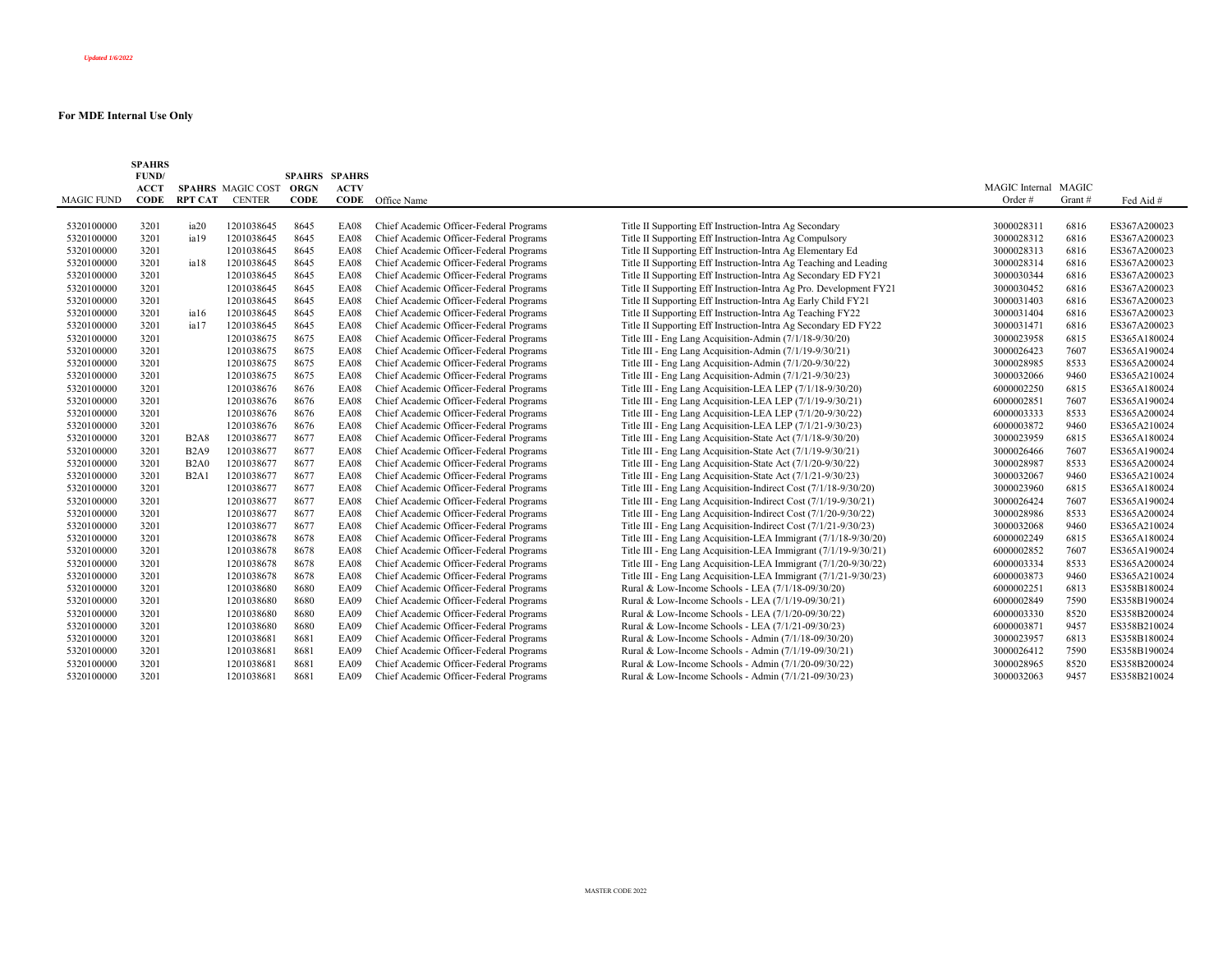|                   | <b>SPAHRS</b> |                  |                        |                      |             |                                         |                                                                    |                      |         |              |
|-------------------|---------------|------------------|------------------------|----------------------|-------------|-----------------------------------------|--------------------------------------------------------------------|----------------------|---------|--------------|
|                   | FUND/         |                  |                        | <b>SPAHRS SPAHRS</b> |             |                                         |                                                                    |                      |         |              |
|                   | <b>ACCT</b>   |                  | SPAHRS MAGIC COST ORGN |                      | <b>ACTV</b> |                                         |                                                                    | MAGIC Internal MAGIC |         |              |
| <b>MAGIC FUND</b> | <b>CODE</b>   |                  | <b>RPT CAT CENTER</b>  | <b>CODE</b>          |             | <b>CODE</b> Office Name                 |                                                                    | Order#               | Grant # | Fed Aid #    |
| 5320100000        | 3201          | ia <sub>20</sub> | 1201038645             | 8645                 | <b>EA08</b> | Chief Academic Officer-Federal Programs | Title II Supporting Eff Instruction-Intra Ag Secondary             | 3000028311           | 6816    | ES367A200023 |
| 5320100000        | 3201          | ia19             | 1201038645             | 8645                 | EA08        | Chief Academic Officer-Federal Programs | Title II Supporting Eff Instruction-Intra Ag Compulsory            | 3000028312           | 6816    | ES367A200023 |
| 5320100000        | 3201          |                  | 1201038645             | 8645                 | <b>EA08</b> | Chief Academic Officer-Federal Programs | Title II Supporting Eff Instruction-Intra Ag Elementary Ed         | 3000028313           | 6816    | ES367A200023 |
| 5320100000        | 3201          | ia18             | 1201038645             | 8645                 | <b>EA08</b> | Chief Academic Officer-Federal Programs | Title II Supporting Eff Instruction-Intra Ag Teaching and Leading  | 3000028314           | 6816    | ES367A200023 |
| 5320100000        | 3201          |                  | 1201038645             | 8645                 | <b>EA08</b> | Chief Academic Officer-Federal Programs | Title II Supporting Eff Instruction-Intra Ag Secondary ED FY21     | 3000030344           | 6816    | ES367A200023 |
| 5320100000        | 3201          |                  | 1201038645             | 8645                 | <b>EA08</b> | Chief Academic Officer-Federal Programs | Title II Supporting Eff Instruction-Intra Ag Pro. Development FY21 | 3000030452           | 6816    | ES367A200023 |
| 5320100000        | 3201          |                  | 1201038645             | 8645                 | <b>EA08</b> | Chief Academic Officer-Federal Programs | Title II Supporting Eff Instruction-Intra Ag Early Child FY21      | 3000031403           | 6816    | ES367A200023 |
| 5320100000        | 3201          | ia16             | 1201038645             | 8645                 | <b>EA08</b> | Chief Academic Officer-Federal Programs | Title II Supporting Eff Instruction-Intra Ag Teaching FY22         | 3000031404           | 6816    | ES367A200023 |
| 5320100000        | 3201          | ia17             | 1201038645             | 8645                 | <b>EA08</b> | Chief Academic Officer-Federal Programs | Title II Supporting Eff Instruction-Intra Ag Secondary ED FY22     | 3000031471           | 6816    | ES367A200023 |
| 5320100000        | 3201          |                  | 1201038675             | 8675                 | <b>EA08</b> | Chief Academic Officer-Federal Programs | Title III - Eng Lang Acquisition-Admin (7/1/18-9/30/20)            | 3000023958           | 6815    | ES365A180024 |
| 5320100000        | 3201          |                  | 1201038675             | 8675                 | EA08        | Chief Academic Officer-Federal Programs | Title III - Eng Lang Acquisition-Admin (7/1/19-9/30/21)            | 3000026423           | 7607    | ES365A190024 |
| 5320100000        | 3201          |                  | 1201038675             | 8675                 | <b>EA08</b> | Chief Academic Officer-Federal Programs | Title III - Eng Lang Acquisition-Admin (7/1/20-9/30/22)            | 3000028985           | 8533    | ES365A200024 |
| 5320100000        | 3201          |                  | 1201038675             | 8675                 | <b>EA08</b> | Chief Academic Officer-Federal Programs | Title III - Eng Lang Acquisition-Admin (7/1/21-9/30/23)            | 3000032066           | 9460    | ES365A210024 |
| 5320100000        | 3201          |                  | 1201038676             | 8676                 | EA08        | Chief Academic Officer-Federal Programs | Title III - Eng Lang Acquisition-LEA LEP (7/1/18-9/30/20)          | 6000002250           | 6815    | ES365A180024 |
| 5320100000        | 3201          |                  | 1201038676             | 8676                 | <b>EA08</b> | Chief Academic Officer-Federal Programs | Title III - Eng Lang Acquisition-LEA LEP (7/1/19-9/30/21)          | 6000002851           | 7607    | ES365A190024 |
| 5320100000        | 3201          |                  | 1201038676             | 8676                 | <b>EA08</b> | Chief Academic Officer-Federal Programs | Title III - Eng Lang Acquisition-LEA LEP (7/1/20-9/30/22)          | 6000003333           | 8533    | ES365A200024 |
| 5320100000        | 3201          |                  | 1201038676             | 8676                 | <b>EA08</b> | Chief Academic Officer-Federal Programs | Title III - Eng Lang Acquisition-LEA LEP (7/1/21-9/30/23)          | 6000003872           | 9460    | ES365A210024 |
| 5320100000        | 3201          | <b>B2A8</b>      | 1201038677             | 8677                 | <b>EA08</b> | Chief Academic Officer-Federal Programs | Title III - Eng Lang Acquisition-State Act (7/1/18-9/30/20)        | 3000023959           | 6815    | ES365A180024 |
| 5320100000        | 3201          | <b>B2A9</b>      | 1201038677             | 8677                 | <b>EA08</b> | Chief Academic Officer-Federal Programs | Title III - Eng Lang Acquisition-State Act (7/1/19-9/30/21)        | 3000026466           | 7607    | ES365A190024 |
| 5320100000        | 3201          | B2A0             | 1201038677             | 8677                 | <b>EA08</b> | Chief Academic Officer-Federal Programs | Title III - Eng Lang Acquisition-State Act (7/1/20-9/30/22)        | 3000028987           | 8533    | ES365A200024 |
| 5320100000        | 3201          | B2A1             | 1201038677             | 8677                 | <b>EA08</b> | Chief Academic Officer-Federal Programs | Title III - Eng Lang Acquisition-State Act (7/1/21-9/30/23)        | 3000032067           | 9460    | ES365A210024 |
| 5320100000        | 3201          |                  | 1201038677             | 8677                 | <b>EA08</b> | Chief Academic Officer-Federal Programs | Title III - Eng Lang Acquisition-Indirect Cost (7/1/18-9/30/20)    | 3000023960           | 6815    | ES365A180024 |
| 5320100000        | 3201          |                  | 1201038677             | 8677                 | <b>EA08</b> | Chief Academic Officer-Federal Programs | Title III - Eng Lang Acquisition-Indirect Cost (7/1/19-9/30/21)    | 3000026424           | 7607    | ES365A190024 |
| 5320100000        | 3201          |                  | 1201038677             | 8677                 | EA08        | Chief Academic Officer-Federal Programs | Title III - Eng Lang Acquisition-Indirect Cost (7/1/20-9/30/22)    | 3000028986           | 8533    | ES365A200024 |
| 5320100000        | 3201          |                  | 1201038677             | 8677                 | <b>EA08</b> | Chief Academic Officer-Federal Programs | Title III - Eng Lang Acquisition-Indirect Cost (7/1/21-9/30/23)    | 3000032068           | 9460    | ES365A210024 |
| 5320100000        | 3201          |                  | 1201038678             | 8678                 | <b>EA08</b> | Chief Academic Officer-Federal Programs | Title III - Eng Lang Acquisition-LEA Immigrant (7/1/18-9/30/20)    | 6000002249           | 6815    | ES365A180024 |
| 5320100000        | 3201          |                  | 1201038678             | 8678                 | <b>EA08</b> | Chief Academic Officer-Federal Programs | Title III - Eng Lang Acquisition-LEA Immigrant (7/1/19-9/30/21)    | 6000002852           | 7607    | ES365A190024 |
| 5320100000        | 3201          |                  | 1201038678             | 8678                 | <b>EA08</b> | Chief Academic Officer-Federal Programs | Title III - Eng Lang Acquisition-LEA Immigrant (7/1/20-9/30/22)    | 6000003334           | 8533    | ES365A200024 |
| 5320100000        | 3201          |                  | 1201038678             | 8678                 | <b>EA08</b> | Chief Academic Officer-Federal Programs | Title III - Eng Lang Acquisition-LEA Immigrant (7/1/21-9/30/23)    | 6000003873           | 9460    | ES365A210024 |
| 5320100000        | 3201          |                  | 1201038680             | 8680                 | <b>EA09</b> | Chief Academic Officer-Federal Programs | Rural & Low-Income Schools - LEA (7/1/18-09/30/20)                 | 6000002251           | 6813    | ES358B180024 |
| 5320100000        | 3201          |                  | 1201038680             | 8680                 | <b>EA09</b> | Chief Academic Officer-Federal Programs | Rural & Low-Income Schools - LEA (7/1/19-09/30/21)                 | 6000002849           | 7590    | ES358B190024 |
| 5320100000        | 3201          |                  | 1201038680             | 8680                 | <b>EA09</b> | Chief Academic Officer-Federal Programs | Rural & Low-Income Schools - LEA (7/1/20-09/30/22)                 | 6000003330           | 8520    | ES358B200024 |
| 5320100000        | 3201          |                  | 1201038680             | 8680                 | <b>EA09</b> | Chief Academic Officer-Federal Programs | Rural & Low-Income Schools - LEA (7/1/21-09/30/23)                 | 6000003871           | 9457    | ES358B210024 |
| 5320100000        | 3201          |                  | 1201038681             | 8681                 | <b>EA09</b> | Chief Academic Officer-Federal Programs | Rural & Low-Income Schools - Admin (7/1/18-09/30/20)               | 3000023957           | 6813    | ES358B180024 |
| 5320100000        | 3201          |                  | 1201038681             | 8681                 | <b>EA09</b> | Chief Academic Officer-Federal Programs | Rural & Low-Income Schools - Admin (7/1/19-09/30/21)               | 3000026412           | 7590    | ES358B190024 |
| 5320100000        | 3201          |                  | 1201038681             | 8681                 | <b>EA09</b> | Chief Academic Officer-Federal Programs | Rural & Low-Income Schools - Admin (7/1/20-09/30/22)               | 3000028965           | 8520    | ES358B200024 |
| 5320100000        | 3201          |                  | 1201038681             | 8681                 | EA09        | Chief Academic Officer-Federal Programs | Rural & Low-Income Schools - Admin (7/1/21-09/30/23)               | 3000032063           | 9457    | ES358B210024 |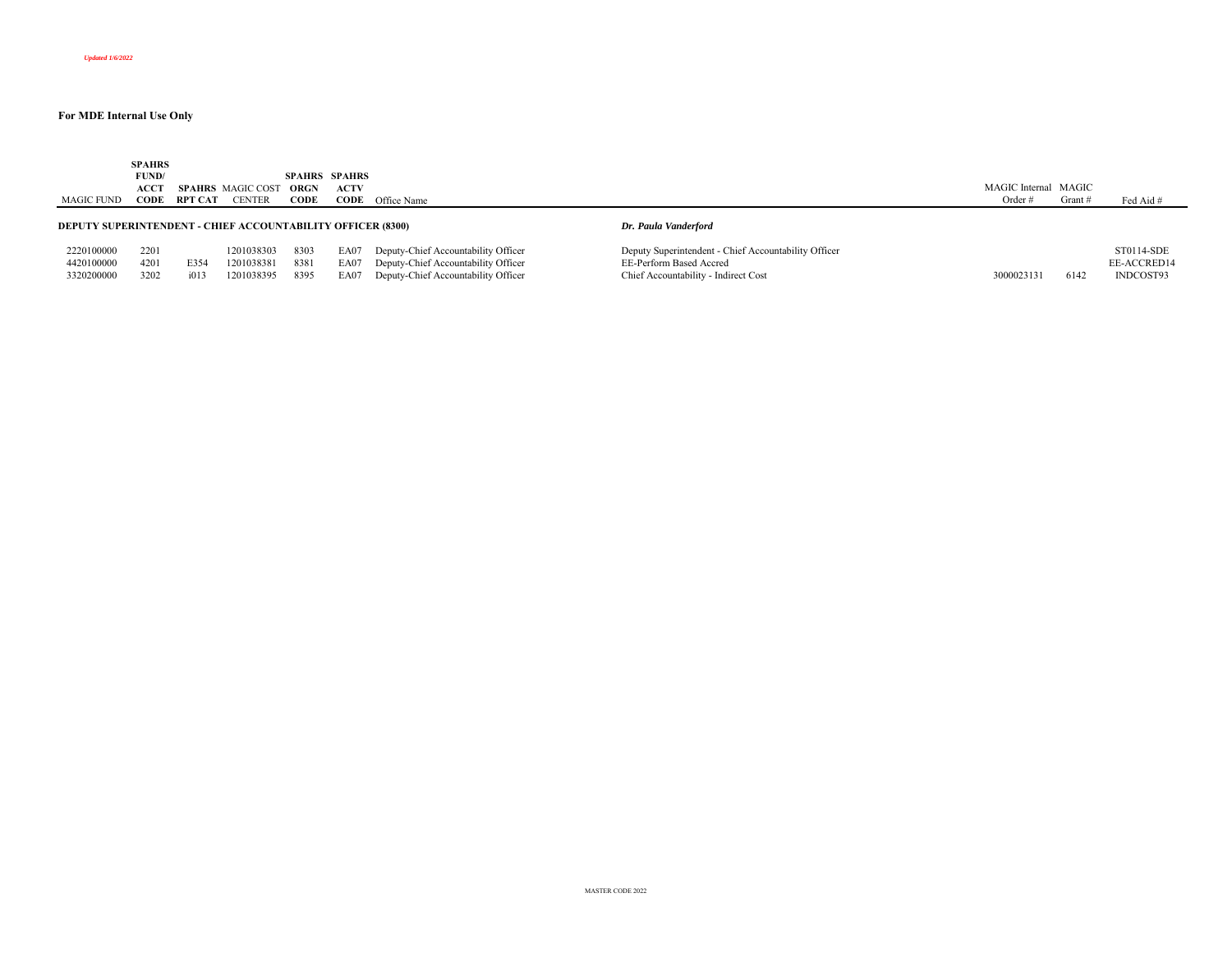|                                                                                            | <b>SPAHRS</b> |         |                          |      |                      |                                          |                                                      |                      |         |             |
|--------------------------------------------------------------------------------------------|---------------|---------|--------------------------|------|----------------------|------------------------------------------|------------------------------------------------------|----------------------|---------|-------------|
|                                                                                            | FUND/         |         |                          |      | <b>SPAHRS SPAHRS</b> |                                          |                                                      |                      |         |             |
|                                                                                            | <b>ACCT</b>   |         | <b>SPAHRS</b> MAGIC COST | ORGN | <b>ACTV</b>          |                                          |                                                      | MAGIC Internal MAGIC |         |             |
| MAGIC FUND                                                                                 | CODE          | RPT CAT | <b>CENTER</b>            | CODE |                      | <b>CODE</b> Office Name                  |                                                      | Order #              | Grant # | Fed Aid #   |
| <b>DEPUTY SUPERINTENDENT - CHIEF ACCOUNTABILITY OFFICER (8300)</b><br>Dr. Paula Vanderford |               |         |                          |      |                      |                                          |                                                      |                      |         |             |
| 2220100000                                                                                 | 2201          |         | 1201038303               | 8303 | EA07                 | Deputy-Chief Accountability Officer      | Deputy Superintendent - Chief Accountability Officer |                      |         | ST0114-SDE  |
| 4420100000                                                                                 | 4201          | E354    | 1201038381               | 8381 |                      | EA07 Deputy-Chief Accountability Officer | EE-Perform Based Accred                              |                      |         | EE-ACCRED14 |
| 3320200000                                                                                 | 3202          | i013    | 1201038395               | 8395 |                      | EA07 Deputy-Chief Accountability Officer | Chief Accountability - Indirect Cost                 | 3000023131           | 6142    | INDCOST93   |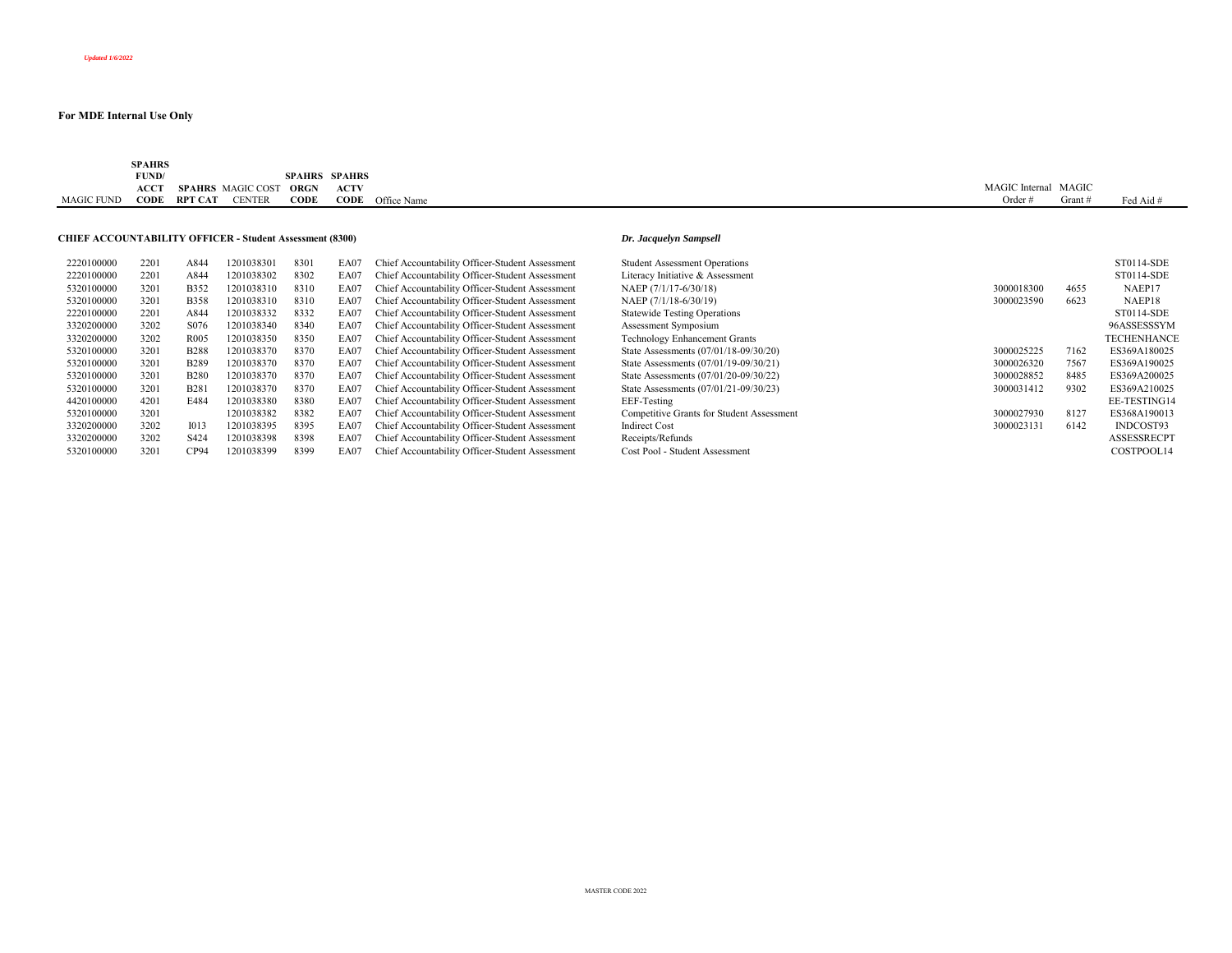|                   | <b>SPAHRS</b>                            |                   |               |      |                      |                         |                      |       |           |
|-------------------|------------------------------------------|-------------------|---------------|------|----------------------|-------------------------|----------------------|-------|-----------|
|                   | FUND/<br>the contract of the contract of |                   |               |      | <b>SPAHRS SPAHRS</b> |                         |                      |       |           |
|                   | <b>ACCT</b>                              | SPAHRS MAGIC COST |               | ORGN | <b>ACTV</b>          |                         | MAGIC Internal MAGIC |       |           |
| <b>MAGIC FUND</b> | CODE                                     | <b>RPT CAT</b>    | <b>CENTER</b> | CODE |                      | <b>CODE</b> Office Name | Order                | Grant | Fed Aid # |

## **CHIEF ACCOUNTABILITY OFFICER - Student Assessment (8300)** *Dr. Jacquelyn Sampsell*

| 2220100000 | 2201 | A844             | 1201038301 | 8301 | EA07 | Chief Accountability Officer-Student Assessment | <b>Student Assessment Operations</b>      |            |      | ST0114-SDE         |
|------------|------|------------------|------------|------|------|-------------------------------------------------|-------------------------------------------|------------|------|--------------------|
| 2220100000 | 2201 | A844             | 1201038302 | 8302 | EA07 | Chief Accountability Officer-Student Assessment | Literacy Initiative & Assessment          |            |      | ST0114-SDE         |
| 5320100000 | 3201 | <b>B352</b>      | 1201038310 | 8310 | EA07 | Chief Accountability Officer-Student Assessment | NAEP (7/1/17-6/30/18)                     | 3000018300 | 4655 | NAEP17             |
| 5320100000 | 3201 | <b>B358</b>      | 1201038310 | 8310 | EA07 | Chief Accountability Officer-Student Assessment | NAEP (7/1/18-6/30/19)                     | 3000023590 | 6623 | NAEP18             |
| 2220100000 | 2201 | A844             | 1201038332 | 8332 | EA07 | Chief Accountability Officer-Student Assessment | <b>Statewide Testing Operations</b>       |            |      | ST0114-SDE         |
| 3320200000 | 3202 | S076             | 1201038340 | 8340 | EA07 | Chief Accountability Officer-Student Assessment | Assessment Symposium                      |            |      | 96ASSESSSYM        |
| 3320200000 | 3202 | R <sub>005</sub> | 1201038350 | 8350 | EA07 | Chief Accountability Officer-Student Assessment | <b>Technology Enhancement Grants</b>      |            |      | <b>TECHENHANCE</b> |
| 5320100000 | 3201 | <b>B288</b>      | 1201038370 | 8370 | EA07 | Chief Accountability Officer-Student Assessment | State Assessments (07/01/18-09/30/20)     | 3000025225 | 7162 | ES369A180025       |
| 5320100000 | 3201 | <b>B289</b>      | 1201038370 | 8370 | EA07 | Chief Accountability Officer-Student Assessment | State Assessments (07/01/19-09/30/21)     | 3000026320 | 7567 | ES369A190025       |
| 5320100000 | 3201 | <b>B280</b>      | 1201038370 | 8370 | EA07 | Chief Accountability Officer-Student Assessment | State Assessments (07/01/20-09/30/22)     | 3000028852 | 8485 | ES369A200025       |
| 5320100000 | 3201 | <b>B281</b>      | 1201038370 | 8370 | EA07 | Chief Accountability Officer-Student Assessment | State Assessments (07/01/21-09/30/23)     | 3000031412 | 9302 | ES369A210025       |
| 4420100000 | 4201 | <b>E484</b>      | 1201038380 | 8380 | EA07 | Chief Accountability Officer-Student Assessment | EEF-Testing                               |            |      | EE-TESTING14       |
| 5320100000 | 3201 |                  | 1201038382 | 8382 | EA07 | Chief Accountability Officer-Student Assessment | Competitive Grants for Student Assessment | 3000027930 | 8127 | ES368A190013       |
| 3320200000 | 3202 | 1013             | 1201038395 | 8395 | EA07 | Chief Accountability Officer-Student Assessment | <b>Indirect Cost</b>                      | 3000023131 | 6142 | INDCOST93          |
| 3320200000 | 3202 | S424             | 1201038398 | 8398 | EA07 | Chief Accountability Officer-Student Assessment | Receipts/Refunds                          |            |      | <b>ASSESSRECPT</b> |
| 5320100000 | 3201 | CP94             | 1201038399 | 8399 | EA07 | Chief Accountability Officer-Student Assessment | Cost Pool - Student Assessment            |            |      | COSTPOOL14         |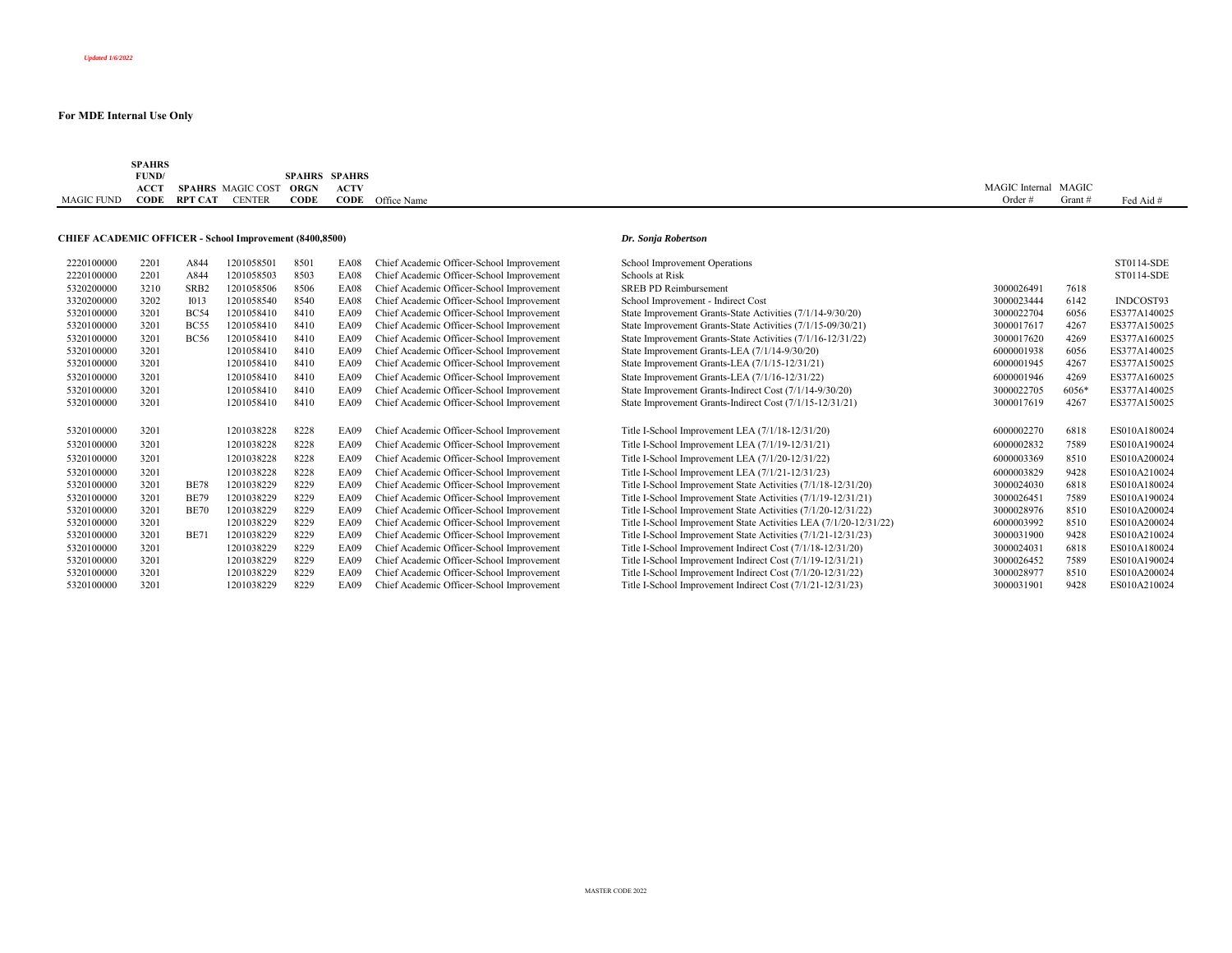|                   | SPAHRS      |                |                          |               |        |             |                       |       |           |
|-------------------|-------------|----------------|--------------------------|---------------|--------|-------------|-----------------------|-------|-----------|
|                   | FUND/       |                |                          | <b>SPAHRS</b> | SPAHRS |             |                       |       |           |
|                   | <b>ACCT</b> |                | <b>SPAHRS</b> MAGIC COST | ORGN          | ACTV   |             | <b>MAGIC</b> Internal | MAGIC |           |
| <b>MAGIC FUND</b> | CODE        | <b>RPT CAT</b> | <b>TENTER</b>            | CODE          | CODE   | Office Name |                       | Grant | Fed Aid # |

## **CHIEF ACADEMIC OFFICER - School Improvement (8400,8500)** *Dr. Sonja Robertson*

| 2220100000 | 2201 | A844             | 1201058501 | 8501 | <b>EA08</b> | Chief Academic Officer-School Improvement | School Improvement Operations                                     |            |       | ST0114-SDE   |
|------------|------|------------------|------------|------|-------------|-------------------------------------------|-------------------------------------------------------------------|------------|-------|--------------|
| 2220100000 | 2201 | A844             | 1201058503 | 8503 | EA08        | Chief Academic Officer-School Improvement | Schools at Risk                                                   |            |       | ST0114-SDE   |
| 5320200000 | 3210 | SRB <sub>2</sub> | 1201058506 | 8506 | EA08        | Chief Academic Officer-School Improvement | <b>SREB PD Reimbursement</b>                                      | 3000026491 | 7618  |              |
| 3320200000 | 3202 | <b>IO13</b>      | 1201058540 | 8540 | EA08        | Chief Academic Officer-School Improvement | School Improvement - Indirect Cost                                | 3000023444 | 6142  | INDCOST93    |
| 5320100000 | 3201 | <b>BC54</b>      | 1201058410 | 8410 | EA09        | Chief Academic Officer-School Improvement | State Improvement Grants-State Activities (7/1/14-9/30/20)        | 3000022704 | 6056  | ES377A140025 |
| 5320100000 | 3201 | <b>BC55</b>      | 1201058410 | 8410 | <b>EA09</b> | Chief Academic Officer-School Improvement | State Improvement Grants-State Activities (7/1/15-09/30/21)       | 3000017617 | 4267  | ES377A150025 |
| 5320100000 | 3201 | <b>BC56</b>      | 1201058410 | 8410 | <b>EA09</b> | Chief Academic Officer-School Improvement | State Improvement Grants-State Activities (7/1/16-12/31/22)       | 3000017620 | 4269  | ES377A160025 |
| 5320100000 | 3201 |                  | 1201058410 | 8410 | EA09        | Chief Academic Officer-School Improvement | State Improvement Grants-LEA (7/1/14-9/30/20)                     | 6000001938 | 6056  | ES377A140025 |
| 5320100000 | 3201 |                  | 1201058410 | 8410 | EA09        | Chief Academic Officer-School Improvement | State Improvement Grants-LEA (7/1/15-12/31/21)                    | 6000001945 | 4267  | ES377A150025 |
| 5320100000 | 3201 |                  | 1201058410 | 8410 | EA09        | Chief Academic Officer-School Improvement | State Improvement Grants-LEA (7/1/16-12/31/22)                    | 6000001946 | 4269  | ES377A160025 |
| 5320100000 | 3201 |                  | 1201058410 | 8410 | EA09        | Chief Academic Officer-School Improvement | State Improvement Grants-Indirect Cost (7/1/14-9/30/20)           | 3000022705 | 6056* | ES377A140025 |
| 5320100000 | 3201 |                  | 1201058410 | 8410 | EA09        | Chief Academic Officer-School Improvement | State Improvement Grants-Indirect Cost (7/1/15-12/31/21)          | 3000017619 | 4267  | ES377A150025 |
|            |      |                  |            |      |             |                                           |                                                                   |            |       |              |
| 5320100000 | 3201 |                  | 1201038228 | 8228 | EA09        | Chief Academic Officer-School Improvement | Title I-School Improvement LEA (7/1/18-12/31/20)                  | 6000002270 | 6818  | ES010A180024 |
| 5320100000 | 3201 |                  | 1201038228 | 8228 | EA09        | Chief Academic Officer-School Improvement | Title I-School Improvement LEA (7/1/19-12/31/21)                  | 6000002832 | 7589  | ES010A190024 |
| 5320100000 | 3201 |                  | 1201038228 | 8228 | EA09        | Chief Academic Officer-School Improvement | Title I-School Improvement LEA (7/1/20-12/31/22)                  | 6000003369 | 8510  | ES010A200024 |
| 5320100000 | 3201 |                  | 1201038228 | 8228 | <b>EA09</b> | Chief Academic Officer-School Improvement | Title I-School Improvement LEA (7/1/21-12/31/23)                  | 6000003829 | 9428  | ES010A210024 |
| 5320100000 | 3201 | <b>BE78</b>      | 1201038229 | 8229 | EA09        | Chief Academic Officer-School Improvement | Title I-School Improvement State Activities (7/1/18-12/31/20)     | 3000024030 | 6818  | ES010A180024 |
| 5320100000 | 3201 | <b>BE79</b>      | 1201038229 | 8229 | <b>EA09</b> | Chief Academic Officer-School Improvement | Title I-School Improvement State Activities (7/1/19-12/31/21)     | 3000026451 | 7589  | ES010A190024 |
| 5320100000 | 3201 | <b>BE70</b>      | 1201038229 | 8229 | <b>EA09</b> | Chief Academic Officer-School Improvement | Title I-School Improvement State Activities (7/1/20-12/31/22)     | 3000028976 | 8510  | ES010A200024 |
| 5320100000 | 3201 |                  | 1201038229 | 8229 | EA09        | Chief Academic Officer-School Improvement | Title I-School Improvement State Activities LEA (7/1/20-12/31/22) | 6000003992 | 8510  | ES010A200024 |
| 5320100000 | 3201 | <b>BE71</b>      | 1201038229 | 8229 | <b>EA09</b> | Chief Academic Officer-School Improvement | Title I-School Improvement State Activities (7/1/21-12/31/23)     | 3000031900 | 9428  | ES010A210024 |
| 5320100000 | 3201 |                  | 1201038229 | 8229 | EA09        | Chief Academic Officer-School Improvement | Title I-School Improvement Indirect Cost (7/1/18-12/31/20)        | 3000024031 | 6818  | ES010A180024 |
| 5320100000 | 3201 |                  | 1201038229 | 8229 | <b>EA09</b> | Chief Academic Officer-School Improvement | Title I-School Improvement Indirect Cost (7/1/19-12/31/21)        | 3000026452 | 7589  | ES010A190024 |
| 5320100000 | 3201 |                  | 1201038229 | 8229 | <b>EA09</b> | Chief Academic Officer-School Improvement | Title I-School Improvement Indirect Cost (7/1/20-12/31/22)        | 3000028977 | 8510  | ES010A200024 |
| 5320100000 | 3201 |                  | 1201038229 | 8229 | <b>EA09</b> | Chief Academic Officer-School Improvement | Title I-School Improvement Indirect Cost (7/1/21-12/31/23)        | 3000031901 | 9428  | ES010A210024 |